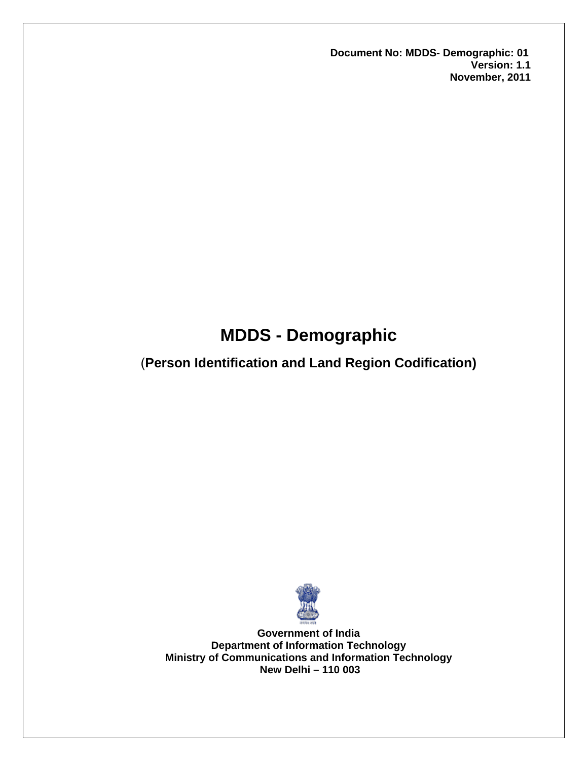**Document No: MDDS- Demographic: 01 Version: 1.1 November, 2011** 

# **MDDS - Demographic**

# (**Person Identification and Land Region Codification)**



**Government of India Department of Information Technology Ministry of Communications and Information Technology New Delhi – 110 003**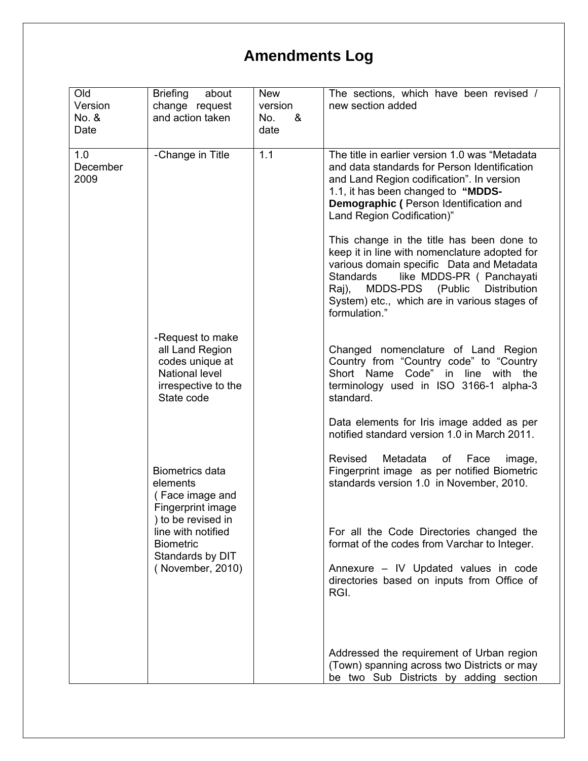# **Amendments Log**

| Old<br>Version          | <b>Briefing</b><br>about<br>change request                                                                    | <b>New</b><br>version | The sections, which have been revised /<br>new section added                                                                                                                                                                                                                                           |
|-------------------------|---------------------------------------------------------------------------------------------------------------|-----------------------|--------------------------------------------------------------------------------------------------------------------------------------------------------------------------------------------------------------------------------------------------------------------------------------------------------|
| No. &                   | and action taken                                                                                              | &<br>No.              |                                                                                                                                                                                                                                                                                                        |
| Date                    |                                                                                                               | date                  |                                                                                                                                                                                                                                                                                                        |
| 1.0<br>December<br>2009 | -Change in Title                                                                                              | 1.1                   | The title in earlier version 1.0 was "Metadata<br>and data standards for Person Identification<br>and Land Region codification". In version<br>1.1, it has been changed to "MDDS-<br>Demographic (Person Identification and<br>Land Region Codification)"<br>This change in the title has been done to |
|                         |                                                                                                               |                       | keep it in line with nomenclature adopted for<br>various domain specific Data and Metadata<br>like MDDS-PR ( Panchayati<br><b>Standards</b><br>MDDS-PDS (Public Distribution<br>Raj),<br>System) etc., which are in various stages of<br>formulation."                                                 |
|                         | -Request to make<br>all Land Region<br>codes unique at<br>National level<br>irrespective to the<br>State code |                       | Changed nomenclature of Land Region<br>Country from "Country code" to "Country<br>Short Name Code" in line with the<br>terminology used in ISO 3166-1 alpha-3<br>standard.                                                                                                                             |
|                         |                                                                                                               |                       | Data elements for Iris image added as per<br>notified standard version 1.0 in March 2011.                                                                                                                                                                                                              |
|                         | <b>Biometrics data</b><br>elements<br>(Face image and<br>Fingerprint image<br>) to be revised in              |                       | Revised<br>Metadata of Face<br>image,<br>Fingerprint image as per notified Biometric<br>standards version 1.0 in November, 2010.                                                                                                                                                                       |
|                         | line with notified<br><b>Biometric</b><br>Standards by DIT                                                    |                       | For all the Code Directories changed the<br>format of the codes from Varchar to Integer.                                                                                                                                                                                                               |
|                         | (November, 2010)                                                                                              |                       | Annexure - IV Updated values in code<br>directories based on inputs from Office of<br>RGI.                                                                                                                                                                                                             |
|                         |                                                                                                               |                       | Addressed the requirement of Urban region<br>(Town) spanning across two Districts or may<br>be two Sub Districts by adding section                                                                                                                                                                     |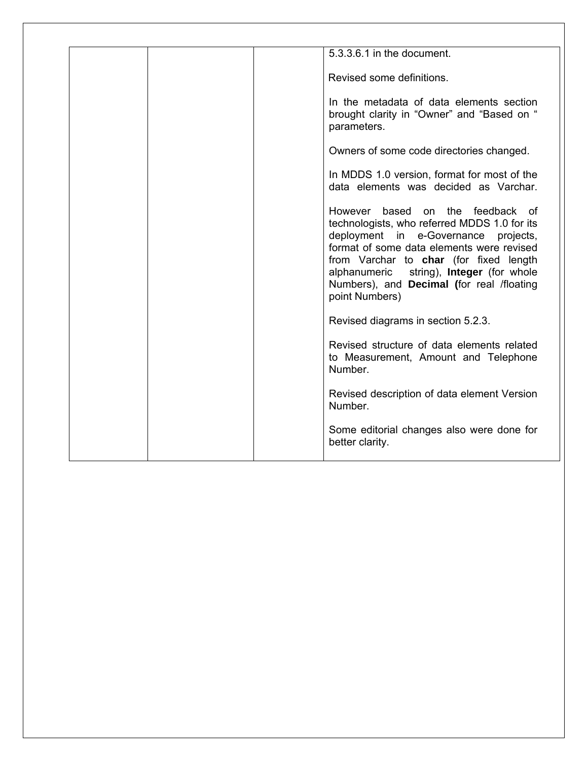| 5.3.3.6.1 in the document.                                                                                                                                                                                                                                                                                                               |
|------------------------------------------------------------------------------------------------------------------------------------------------------------------------------------------------------------------------------------------------------------------------------------------------------------------------------------------|
| Revised some definitions.                                                                                                                                                                                                                                                                                                                |
| In the metadata of data elements section<br>brought clarity in "Owner" and "Based on "<br>parameters.                                                                                                                                                                                                                                    |
| Owners of some code directories changed.                                                                                                                                                                                                                                                                                                 |
| In MDDS 1.0 version, format for most of the<br>data elements was decided as Varchar.                                                                                                                                                                                                                                                     |
| However based on the feedback of<br>technologists, who referred MDDS 1.0 for its<br>deployment in e-Governance projects,<br>format of some data elements were revised<br>from Varchar to char (for fixed length<br>alphanumeric string), <b>Integer</b> (for whole<br>Numbers), and <b>Decimal</b> (for real /floating<br>point Numbers) |
| Revised diagrams in section 5.2.3.                                                                                                                                                                                                                                                                                                       |
| Revised structure of data elements related<br>to Measurement, Amount and Telephone<br>Number.                                                                                                                                                                                                                                            |
| Revised description of data element Version<br>Number.                                                                                                                                                                                                                                                                                   |
| Some editorial changes also were done for<br>better clarity.                                                                                                                                                                                                                                                                             |
|                                                                                                                                                                                                                                                                                                                                          |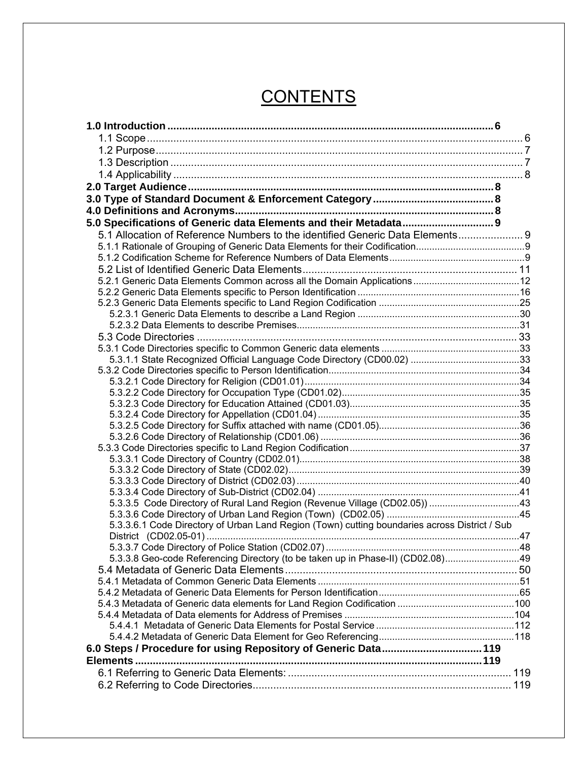# **CONTENTS**

| 5.0 Specifications of Generic data Elements and their Metadata 9                              |  |
|-----------------------------------------------------------------------------------------------|--|
| 5.1 Allocation of Reference Numbers to the identified Generic Data Elements 9                 |  |
|                                                                                               |  |
|                                                                                               |  |
|                                                                                               |  |
|                                                                                               |  |
|                                                                                               |  |
|                                                                                               |  |
|                                                                                               |  |
|                                                                                               |  |
|                                                                                               |  |
|                                                                                               |  |
|                                                                                               |  |
|                                                                                               |  |
|                                                                                               |  |
|                                                                                               |  |
|                                                                                               |  |
|                                                                                               |  |
|                                                                                               |  |
|                                                                                               |  |
|                                                                                               |  |
|                                                                                               |  |
|                                                                                               |  |
|                                                                                               |  |
|                                                                                               |  |
| 5.3.3.5 Code Directory of Rural Land Region (Revenue Village (CD02.05)) 43                    |  |
|                                                                                               |  |
| 5.3.3.6.1 Code Directory of Urban Land Region (Town) cutting boundaries across District / Sub |  |
|                                                                                               |  |
|                                                                                               |  |
| 5.3.3.8 Geo-code Referencing Directory (to be taken up in Phase-II) (CD02.08)49               |  |
|                                                                                               |  |
|                                                                                               |  |
|                                                                                               |  |
|                                                                                               |  |
|                                                                                               |  |
|                                                                                               |  |
|                                                                                               |  |
| 6.0 Steps / Procedure for using Repository of Generic Data 119                                |  |
|                                                                                               |  |
|                                                                                               |  |
|                                                                                               |  |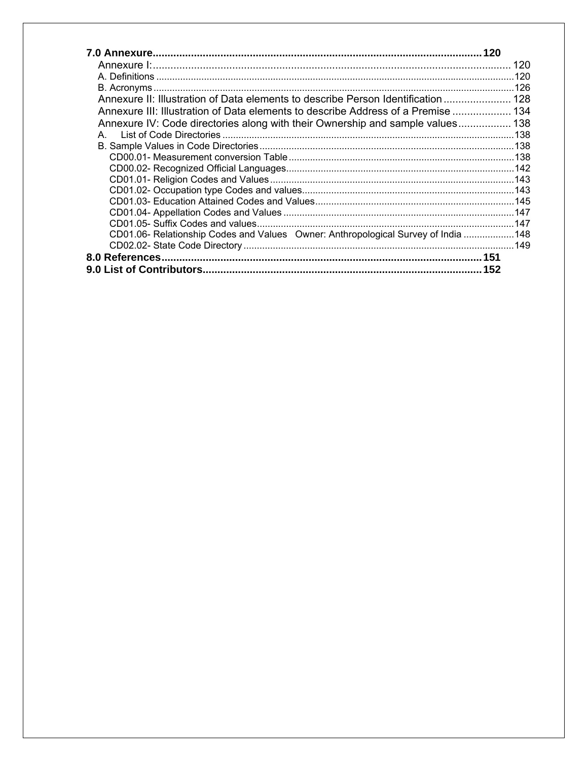|                                                                                   | 120 |
|-----------------------------------------------------------------------------------|-----|
|                                                                                   |     |
|                                                                                   |     |
| Annexure II: Illustration of Data elements to describe Person Identification  128 |     |
| Annexure III: Illustration of Data elements to describe Address of a Premise  134 |     |
| Annexure IV: Code directories along with their Ownership and sample values 138    |     |
| A.                                                                                |     |
|                                                                                   |     |
|                                                                                   |     |
|                                                                                   |     |
|                                                                                   |     |
|                                                                                   |     |
|                                                                                   |     |
|                                                                                   |     |
|                                                                                   |     |
| CD01.06- Relationship Codes and Values Owner: Anthropological Survey of India 148 |     |
|                                                                                   |     |
|                                                                                   |     |
|                                                                                   |     |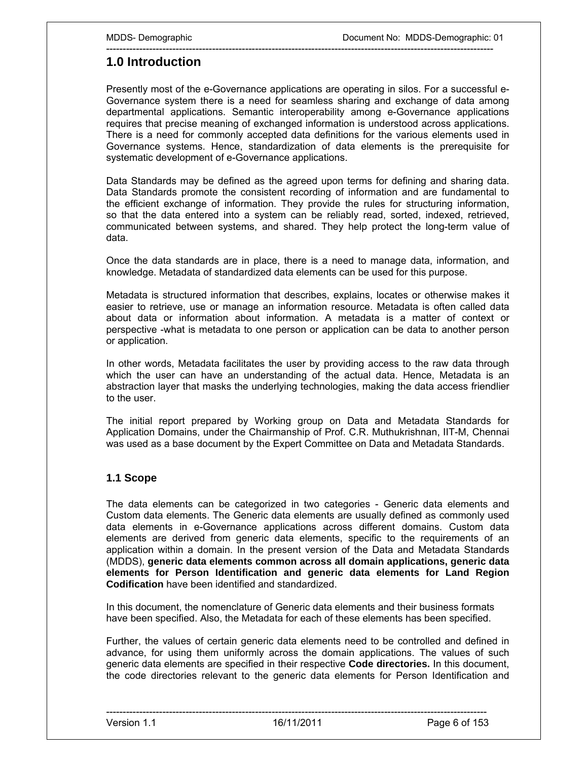# **1.0 Introduction**

Presently most of the e-Governance applications are operating in silos. For a successful e-Governance system there is a need for seamless sharing and exchange of data among departmental applications. Semantic interoperability among e-Governance applications requires that precise meaning of exchanged information is understood across applications. There is a need for commonly accepted data definitions for the various elements used in Governance systems. Hence, standardization of data elements is the prerequisite for systematic development of e-Governance applications.

---------------------------------------------------------------------------------------------------------------------

Data Standards may be defined as the agreed upon terms for defining and sharing data. Data Standards promote the consistent recording of information and are fundamental to the efficient exchange of information. They provide the rules for structuring information, so that the data entered into a system can be reliably read, sorted, indexed, retrieved, communicated between systems, and shared. They help protect the long-term value of data.

Once the data standards are in place, there is a need to manage data, information, and knowledge. Metadata of standardized data elements can be used for this purpose.

Metadata is structured information that describes, explains, locates or otherwise makes it easier to retrieve, use or manage an information resource. Metadata is often called data about data or information about information. A metadata is a matter of context or perspective -what is metadata to one person or application can be data to another person or application.

In other words, Metadata facilitates the user by providing access to the raw data through which the user can have an understanding of the actual data. Hence, Metadata is an abstraction layer that masks the underlying technologies, making the data access friendlier to the user.

The initial report prepared by Working group on Data and Metadata Standards for Application Domains, under the Chairmanship of Prof. C.R. Muthukrishnan, IIT-M, Chennai was used as a base document by the Expert Committee on Data and Metadata Standards.

# **1.1 Scope**

The data elements can be categorized in two categories - Generic data elements and Custom data elements. The Generic data elements are usually defined as commonly used data elements in e-Governance applications across different domains. Custom data elements are derived from generic data elements, specific to the requirements of an application within a domain. In the present version of the Data and Metadata Standards (MDDS), **generic data elements common across all domain applications, generic data elements for Person Identification and generic data elements for Land Region Codification** have been identified and standardized.

In this document, the nomenclature of Generic data elements and their business formats have been specified. Also, the Metadata for each of these elements has been specified.

Further, the values of certain generic data elements need to be controlled and defined in advance, for using them uniformly across the domain applications. The values of such generic data elements are specified in their respective **Code directories.** In this document, the code directories relevant to the generic data elements for Person Identification and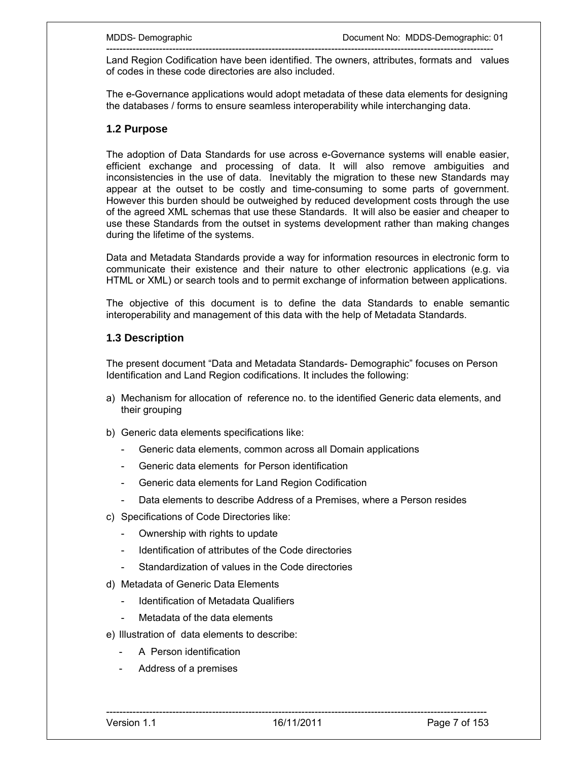--------------------------------------------------------------------------------------------------------------------- Land Region Codification have been identified. The owners, attributes, formats and values of codes in these code directories are also included.

The e-Governance applications would adopt metadata of these data elements for designing the databases / forms to ensure seamless interoperability while interchanging data.

## **1.2 Purpose**

The adoption of Data Standards for use across e-Governance systems will enable easier, efficient exchange and processing of data. It will also remove ambiguities and inconsistencies in the use of data. Inevitably the migration to these new Standards may appear at the outset to be costly and time-consuming to some parts of government. However this burden should be outweighed by reduced development costs through the use of the agreed XML schemas that use these Standards. It will also be easier and cheaper to use these Standards from the outset in systems development rather than making changes during the lifetime of the systems.

Data and Metadata Standards provide a way for information resources in electronic form to communicate their existence and their nature to other electronic applications (e.g. via HTML or XML) or search tools and to permit exchange of information between applications.

The objective of this document is to define the data Standards to enable semantic interoperability and management of this data with the help of Metadata Standards.

## **1.3 Description**

The present document "Data and Metadata Standards- Demographic" focuses on Person Identification and Land Region codifications. It includes the following:

- a) Mechanism for allocation of reference no. to the identified Generic data elements, and their grouping
- b) Generic data elements specifications like:
	- Generic data elements, common across all Domain applications
	- Generic data elements for Person identification
	- Generic data elements for Land Region Codification
	- Data elements to describe Address of a Premises, where a Person resides
- c) Specifications of Code Directories like:
	- Ownership with rights to update
	- Identification of attributes of the Code directories
	- Standardization of values in the Code directories
- d) Metadata of Generic Data Elements
	- Identification of Metadata Qualifiers
	- Metadata of the data elements
- e) Illustration of data elements to describe:
	- A Person identification
	- Address of a premises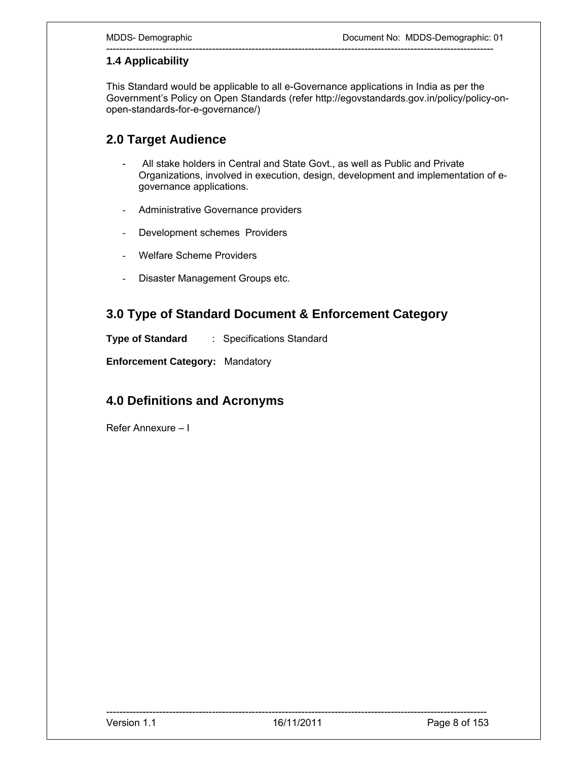# **1.4 Applicability**

This Standard would be applicable to all e-Governance applications in India as per the Government's Policy on Open Standards (refer http://egovstandards.gov.in/policy/policy-onopen-standards-for-e-governance/)

---------------------------------------------------------------------------------------------------------------------

# **2.0 Target Audience**

- All stake holders in Central and State Govt., as well as Public and Private Organizations, involved in execution, design, development and implementation of egovernance applications.
- Administrative Governance providers
- Development schemes Providers
- Welfare Scheme Providers
- Disaster Management Groups etc.

# **3.0 Type of Standard Document & Enforcement Category**

**Type of Standard** : Specifications Standard

**Enforcement Category:** Mandatory

# **4.0 Definitions and Acronyms**

Refer Annexure – I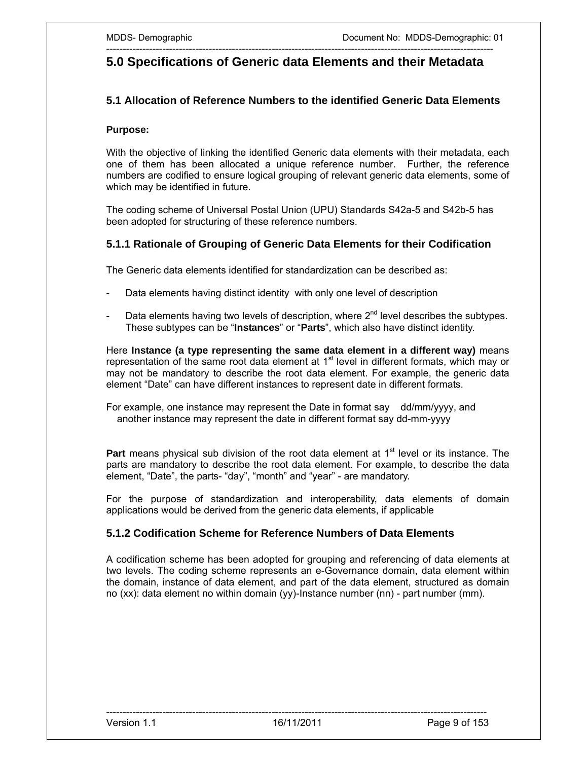# --------------------------------------------------------------------------------------------------------------------- **5.0 Specifications of Generic data Elements and their Metadata**

## **5.1 Allocation of Reference Numbers to the identified Generic Data Elements**

#### **Purpose:**

With the objective of linking the identified Generic data elements with their metadata, each one of them has been allocated a unique reference number. Further, the reference numbers are codified to ensure logical grouping of relevant generic data elements, some of which may be identified in future.

The coding scheme of Universal Postal Union (UPU) Standards S42a-5 and S42b-5 has been adopted for structuring of these reference numbers.

### **5.1.1 Rationale of Grouping of Generic Data Elements for their Codification**

The Generic data elements identified for standardization can be described as:

- Data elements having distinct identity with only one level of description
- Data elements having two levels of description, where 2<sup>nd</sup> level describes the subtypes. These subtypes can be "**Instances**" or "**Parts**", which also have distinct identity.

Here **Instance (a type representing the same data element in a different way)** means representation of the same root data element at 1<sup>st</sup> level in different formats, which may or may not be mandatory to describe the root data element. For example, the generic data element "Date" can have different instances to represent date in different formats.

For example, one instance may represent the Date in format say dd/mm/yyyy, and another instance may represent the date in different format say dd-mm-yyyy

**Part** means physical sub division of the root data element at 1<sup>st</sup> level or its instance. The parts are mandatory to describe the root data element. For example, to describe the data element, "Date", the parts- "day", "month" and "year" - are mandatory.

For the purpose of standardization and interoperability, data elements of domain applications would be derived from the generic data elements, if applicable

### **5.1.2 Codification Scheme for Reference Numbers of Data Elements**

A codification scheme has been adopted for grouping and referencing of data elements at two levels. The coding scheme represents an e-Governance domain, data element within the domain, instance of data element, and part of the data element, structured as domain no (xx): data element no within domain (yy)-Instance number (nn) - part number (mm).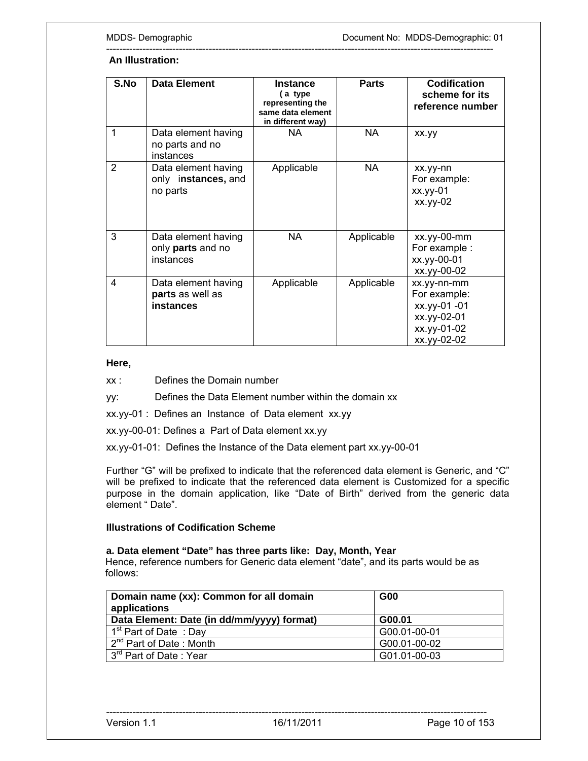#### ---------------------------------------------------------------------------------------------------------------------  **An Illustration:**

| S.No | <b>Data Element</b>                                    | <b>Instance</b><br>(a type)<br>representing the<br>same data element | <b>Parts</b> | <b>Codification</b><br>scheme for its<br>reference number                                |
|------|--------------------------------------------------------|----------------------------------------------------------------------|--------------|------------------------------------------------------------------------------------------|
| 1    | Data element having<br>no parts and no<br>instances    | in different way)<br>NA.                                             | <b>NA</b>    | xx.yy                                                                                    |
| 2    | Data element having<br>only instances, and<br>no parts | Applicable                                                           | <b>NA</b>    | xx.yy-nn<br>For example:<br>$xx.$ yy-01<br>xx.yy-02                                      |
| 3    | Data element having<br>only parts and no<br>instances  | NA.                                                                  | Applicable   | $xx.yy-00-mm$<br>For example :<br>xx.yy-00-01<br>xx.yy-00-02                             |
| 4    | Data element having<br>parts as well as<br>instances   | Applicable                                                           | Applicable   | xx.yy-nn-mm<br>For example:<br>xx.yy-01 -01<br>xx.yy-02-01<br>xx.yy-01-02<br>xx.yy-02-02 |

#### **Here,**

xx : Defines the Domain number

yy: Defines the Data Element number within the domain xx

xx.yy-01 : Defines an Instance of Data element xx.yy

xx.yy-00-01: Defines a Part of Data element xx.yy

xx.yy-01-01: Defines the Instance of the Data element part xx.yy-00-01

Further "G" will be prefixed to indicate that the referenced data element is Generic, and "C" will be prefixed to indicate that the referenced data element is Customized for a specific purpose in the domain application, like "Date of Birth" derived from the generic data element " Date".

#### **Illustrations of Codification Scheme**

### **a. Data element "Date" has three parts like: Day, Month, Year**

 Hence, reference numbers for Generic data element "date", and its parts would be as follows:

| Domain name (xx): Common for all domain<br>applications | <b>G00</b>   |
|---------------------------------------------------------|--------------|
| Data Element: Date (in dd/mm/yyyy) format)              | G00.01       |
| 1 <sup>st</sup> Part of Date: Day                       | G00.01-00-01 |
| 2 <sup>nd</sup> Part of Date: Month                     | G00.01-00-02 |
| 3 <sup>rd</sup> Part of Date: Year                      | G01.01-00-03 |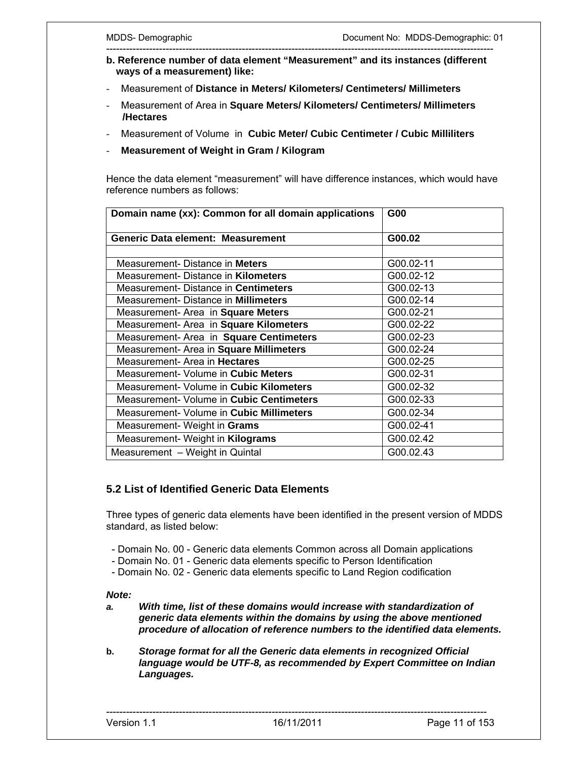- -------------------------------------------------------------------------------------------------------------------- **b. Reference number of data element "Measurement" and its instances (different ways of a measurement) like:**
- Measurement of **Distance in Meters/ Kilometers/ Centimeters/ Millimeters**
- Measurement of Area in **Square Meters/ Kilometers/ Centimeters/ Millimeters /Hectares**
- Measurement of Volume in **Cubic Meter/ Cubic Centimeter / Cubic Milliliters**
- **Measurement of Weight in Gram / Kilogram**

Hence the data element "measurement" will have difference instances, which would have reference numbers as follows:

| Domain name (xx): Common for all domain applications | G00       |
|------------------------------------------------------|-----------|
| Generic Data element: Measurement                    | G00.02    |
|                                                      |           |
| Measurement-Distance in Meters                       | G00.02-11 |
| Measurement-Distance in <b>Kilometers</b>            | G00.02-12 |
| Measurement-Distance in Centimeters                  | G00.02-13 |
| Measurement-Distance in Millimeters                  | G00.02-14 |
| Measurement- Area in Square Meters                   | G00.02-21 |
| Measurement- Area in Square Kilometers               | G00.02-22 |
| Measurement- Area in Square Centimeters              | G00.02-23 |
| Measurement- Area in Square Millimeters              | G00.02-24 |
| Measurement- Area in <b>Hectares</b>                 | G00.02-25 |
| Measurement- Volume in Cubic Meters                  | G00.02-31 |
| Measurement- Volume in Cubic Kilometers              | G00.02-32 |
| Measurement- Volume in Cubic Centimeters             | G00.02-33 |
| Measurement- Volume in Cubic Millimeters             | G00.02-34 |
| Measurement- Weight in Grams                         | G00.02-41 |
| Measurement- Weight in Kilograms                     | G00.02.42 |
| Measurement - Weight in Quintal                      | G00.02.43 |

# **5.2 List of Identified Generic Data Elements**

Three types of generic data elements have been identified in the present version of MDDS standard, as listed below:

- Domain No. 00 Generic data elements Common across all Domain applications
- Domain No. 01 Generic data elements specific to Person Identification
- Domain No. 02 Generic data elements specific to Land Region codification

#### *Note:*

- *a. With time, list of these domains would increase with standardization of generic data elements within the domains by using the above mentioned procedure of allocation of reference numbers to the identified data elements.*
- **b.** *Storage format for all the Generic data elements in recognized Official language would be UTF-8, as recommended by Expert Committee on Indian Languages.*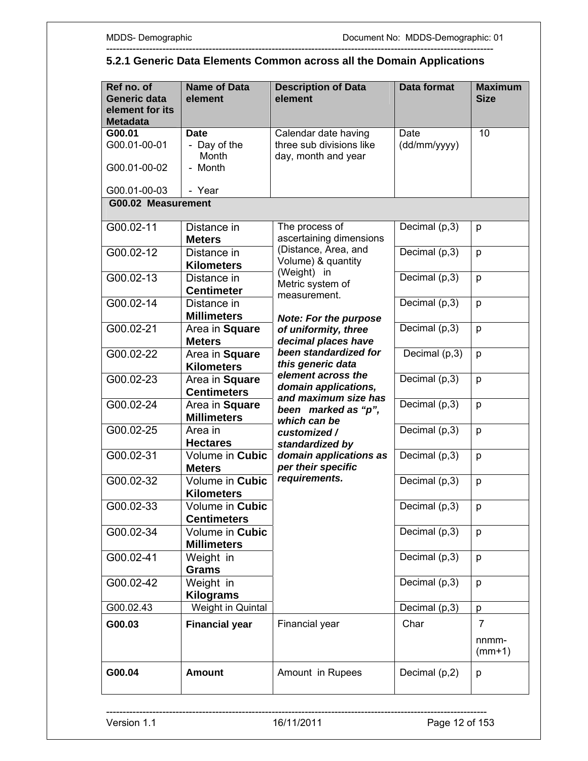#### **Ref no. of Generic data element for its Metadata Name of Data element Description of Data element Data format Maximum Size G00.01**  G00.01-00-01 G00.01-00-02 G00.01-00-03 **Date**  - Day of the Month - Month - Year Calendar date having three sub divisions like day, month and year **Date** (dd/mm/yyyy) 10  **G00.02 Measurement** G00.02-11 Distance in **Meters** The process of ascertaining dimensions (Distance, Area, and Volume) & quantity (Weight) in Metric system of measurement. *Note: For the purpose of uniformity, three decimal places have been standardized for this generic data element across the domain applications, and maximum size has been marked as "p", which can be customized / standardized by domain applications as per their specific requirements.*  Decimal  $(p,3)$  p G00.02-12 Distance in **Kilometers**  Decimal  $(p,3)$  p G00.02-13 Distance in **Centimeter**  Decimal  $(p,3)$  p G00.02-14 Distance in **Millimeters**  Decimal  $(p,3)$  p G00.02-21 Area in **Square Meters**  Decimal  $(p,3)$  p G00.02-22 Area in **Square Kilometers** Decimal  $(p,3)$  p G00.02-23 Area in **Square Centimeters** Decimal  $(p,3)$  p G00.02-24 Area in **Square Millimeters**  Decimal  $(p,3)$  p G00.02-25 Area in **Hectares**  Decimal  $(p,3)$  p G00.02-31 Volume in **Cubic Meters**  Decimal  $(p,3)$  p G00.02-32 Volume in **Cubic Kilometers**  Decimal  $(p,3)$  p G00.02-33 Volume in **Cubic Centimeters** Decimal  $(p,3)$  p G00.02-34 Volume in **Cubic Millimeters**  Decimal  $(p,3)$  p G00.02-41 Weight in **Grams** Decimal  $(p,3)$  p G00.02-42 Weight in **Kilograms**  Decimal  $(p,3)$  p G00.02.43 Weight in Quintal Decimal  $(p,3)$  p **G00.03 Financial year** Financial year Char  $\vert$  7 nnmm- (mm+1) **G00.04** Amount | Amount in Rupees | Decimal (p,2) p

#### --------------------------------------------------------------------------------------------------------------------- **5.2.1 Generic Data Elements Common across all the Domain Applications**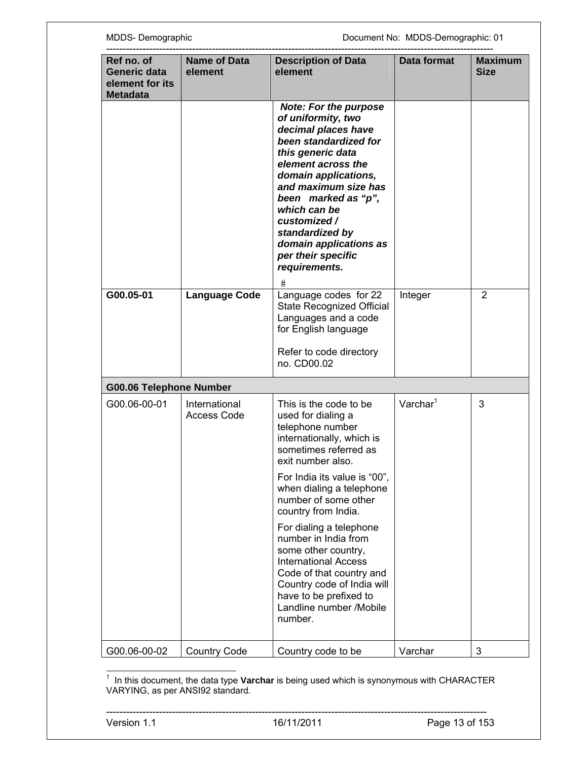| Ref no. of<br>Generic data<br>element for its<br><b>Metadata</b> | <b>Name of Data</b><br>element      | <b>Description of Data</b><br>element                                                                                                                                                                                                                                                                                                         | Data format    | <b>Maximum</b><br><b>Size</b> |
|------------------------------------------------------------------|-------------------------------------|-----------------------------------------------------------------------------------------------------------------------------------------------------------------------------------------------------------------------------------------------------------------------------------------------------------------------------------------------|----------------|-------------------------------|
|                                                                  |                                     | <b>Note: For the purpose</b><br>of uniformity, two<br>decimal places have<br>been standardized for<br>this generic data<br>element across the<br>domain applications,<br>and maximum size has<br>been marked as "p",<br>which can be<br>customized /<br>standardized by<br>domain applications as<br>per their specific<br>requirements.<br># |                |                               |
| G00.05-01                                                        | <b>Language Code</b>                | Language codes for 22<br>State Recognized Official<br>Languages and a code<br>for English language                                                                                                                                                                                                                                            | Integer        | 2                             |
|                                                                  |                                     | Refer to code directory<br>no. CD00.02                                                                                                                                                                                                                                                                                                        |                |                               |
| <b>G00.06 Telephone Number</b>                                   |                                     |                                                                                                                                                                                                                                                                                                                                               |                |                               |
| G00.06-00-01                                                     | International<br><b>Access Code</b> | This is the code to be<br>used for dialing a<br>telephone number<br>internationally, which is<br>sometimes referred as<br>exit number also.                                                                                                                                                                                                   | $V$ archar $1$ | 3                             |
|                                                                  |                                     | For India its value is "00",<br>when dialing a telephone<br>number of some other<br>country from India.                                                                                                                                                                                                                                       |                |                               |
|                                                                  |                                     | For dialing a telephone<br>number in India from<br>some other country,<br><b>International Access</b><br>Code of that country and<br>Country code of India will<br>have to be prefixed to<br>Landline number /Mobile<br>number.                                                                                                               |                |                               |
| G00.06-00-02                                                     | <b>Country Code</b>                 | Country code to be                                                                                                                                                                                                                                                                                                                            | Varchar        | 3                             |

 1 In this document, the data type **Varchar** is being used which is synonymous with CHARACTER VARYING, as per ANSI92 standard.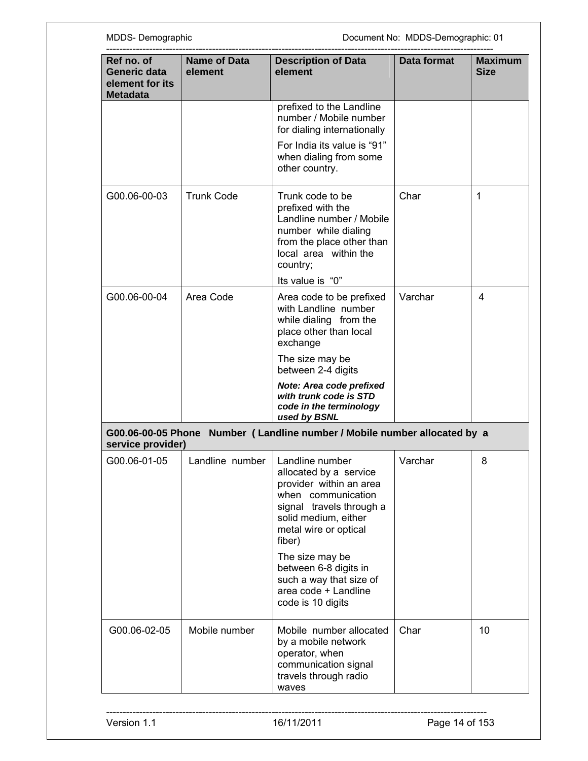| MDDS-Demographic                                                 |                                |                                                                                                                                                                                   | Document No: MDDS-Demographic: 01 |                               |
|------------------------------------------------------------------|--------------------------------|-----------------------------------------------------------------------------------------------------------------------------------------------------------------------------------|-----------------------------------|-------------------------------|
| Ref no. of<br>Generic data<br>element for its<br><b>Metadata</b> | <b>Name of Data</b><br>element | <b>Description of Data</b><br>element                                                                                                                                             | Data format                       | <b>Maximum</b><br><b>Size</b> |
|                                                                  |                                | prefixed to the Landline<br>number / Mobile number<br>for dialing internationally                                                                                                 |                                   |                               |
|                                                                  |                                | For India its value is "91"<br>when dialing from some<br>other country.                                                                                                           |                                   |                               |
| G00.06-00-03                                                     | <b>Trunk Code</b>              | Trunk code to be<br>prefixed with the<br>Landline number / Mobile<br>number while dialing<br>from the place other than<br>local area within the<br>country;                       | Char                              | 1                             |
|                                                                  |                                | Its value is "0"                                                                                                                                                                  |                                   |                               |
| G00.06-00-04                                                     | Area Code                      | Area code to be prefixed<br>with Landline number<br>while dialing from the<br>place other than local<br>exchange                                                                  | Varchar                           | 4                             |
|                                                                  |                                | The size may be<br>between 2-4 digits                                                                                                                                             |                                   |                               |
|                                                                  |                                | Note: Area code prefixed<br>with trunk code is STD<br>code in the terminology<br>used by BSNL                                                                                     |                                   |                               |
| G00.06-00-05 Phone<br>service provider)                          |                                | Number ( Landline number / Mobile number allocated by a                                                                                                                           |                                   |                               |
| G00.06-01-05                                                     | Landline number                | Landline number<br>allocated by a service<br>provider within an area<br>when communication<br>signal travels through a<br>solid medium, either<br>metal wire or optical<br>fiber) | Varchar                           | 8                             |
|                                                                  |                                | The size may be<br>between 6-8 digits in<br>such a way that size of<br>area code + Landline<br>code is 10 digits                                                                  |                                   |                               |
| G00.06-02-05                                                     | Mobile number                  | Mobile number allocated<br>by a mobile network<br>operator, when<br>communication signal<br>travels through radio<br>waves                                                        | Char                              | 10                            |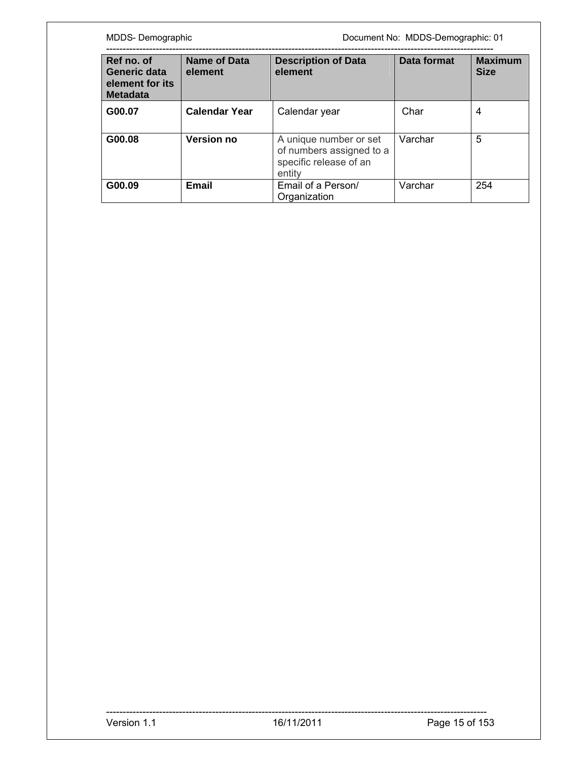MDDS- Demographic **MDDS-Demographic** Document No: MDDS-Demographic: 01

| Ref no. of<br>Generic data<br>element for its<br><b>Metadata</b> | <b>Name of Data</b><br>element | <b>Description of Data</b><br>element                                                  | Data format | <b>Maximum</b><br><b>Size</b> |
|------------------------------------------------------------------|--------------------------------|----------------------------------------------------------------------------------------|-------------|-------------------------------|
| G00.07                                                           | <b>Calendar Year</b>           | Calendar year                                                                          | Char        | 4                             |
| G00.08                                                           | <b>Version no</b>              | A unique number or set<br>of numbers assigned to a<br>specific release of an<br>entity | Varchar     | 5                             |
| G00.09                                                           | <b>Email</b>                   | Email of a Person/<br>Organization                                                     | Varchar     | 254                           |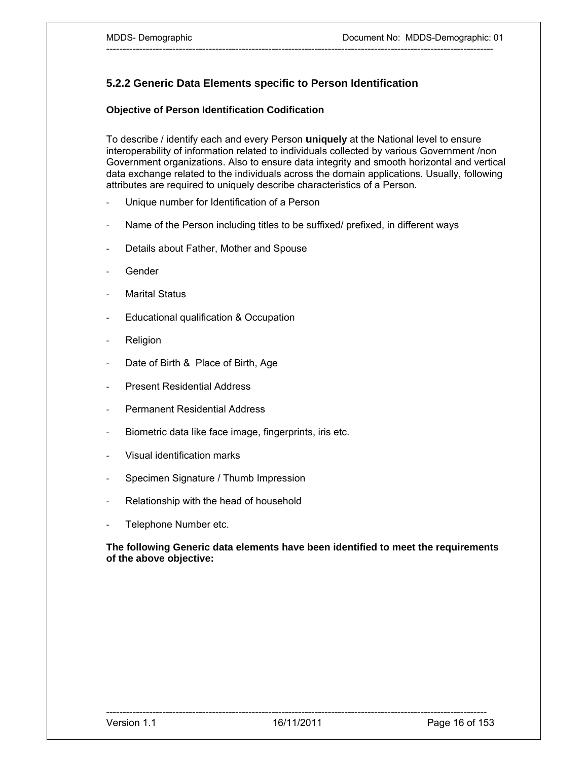# **5.2.2 Generic Data Elements specific to Person Identification**

## **Objective of Person Identification Codification**

To describe / identify each and every Person **uniquely** at the National level to ensure interoperability of information related to individuals collected by various Government /non Government organizations. Also to ensure data integrity and smooth horizontal and vertical data exchange related to the individuals across the domain applications. Usually, following attributes are required to uniquely describe characteristics of a Person.

---------------------------------------------------------------------------------------------------------------------

- ‐ Unique number for Identification of a Person
- ‐ Name of the Person including titles to be suffixed/ prefixed, in different ways
- ‐ Details about Father, Mother and Spouse
- ‐ Gender
- **Marital Status**
- ‐ Educational qualification & Occupation
- ‐ Religion
- ‐ Date of Birth & Place of Birth, Age
- ‐ Present Residential Address
- ‐ Permanent Residential Address
- ‐ Biometric data like face image, fingerprints, iris etc.
- ‐ Visual identification marks
- ‐ Specimen Signature / Thumb Impression
- ‐ Relationship with the head of household
- ‐ Telephone Number etc.

### **The following Generic data elements have been identified to meet the requirements of the above objective:**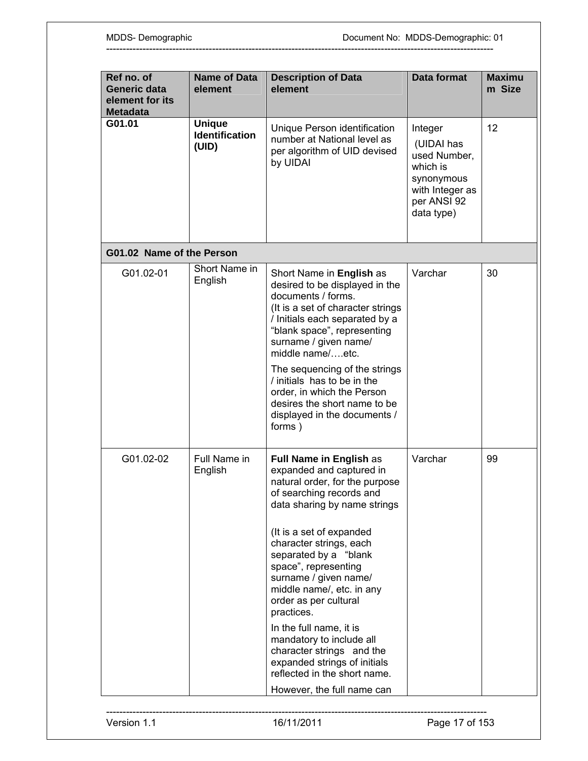| element                                         | <b>Description of Data</b><br>element                                                                                                                                                                                                                                                                                                                                                                                                                                                                      | <b>Data format</b>                                                                                              | <b>Maximu</b><br>m Size |
|-------------------------------------------------|------------------------------------------------------------------------------------------------------------------------------------------------------------------------------------------------------------------------------------------------------------------------------------------------------------------------------------------------------------------------------------------------------------------------------------------------------------------------------------------------------------|-----------------------------------------------------------------------------------------------------------------|-------------------------|
| <b>Unique</b><br><b>Identification</b><br>(UID) | Unique Person identification<br>number at National level as<br>per algorithm of UID devised<br>by UIDAI                                                                                                                                                                                                                                                                                                                                                                                                    | Integer<br>(UIDAI has<br>used Number,<br>which is<br>synonymous<br>with Integer as<br>per ANSI 92<br>data type) | 12 <sup>2</sup>         |
| G01.02 Name of the Person                       |                                                                                                                                                                                                                                                                                                                                                                                                                                                                                                            |                                                                                                                 |                         |
| Short Name in<br>English                        | Short Name in English as<br>desired to be displayed in the<br>documents / forms.<br>(It is a set of character strings)<br>/ Initials each separated by a<br>"blank space", representing<br>surname / given name/<br>middle name/etc.<br>The sequencing of the strings<br>/ initials has to be in the<br>order, in which the Person                                                                                                                                                                         | Varchar                                                                                                         | 30                      |
|                                                 | displayed in the documents /<br>forms)                                                                                                                                                                                                                                                                                                                                                                                                                                                                     |                                                                                                                 |                         |
| Full Name in<br>English                         | Full Name in English as<br>expanded and captured in<br>natural order, for the purpose<br>of searching records and<br>data sharing by name strings<br>(It is a set of expanded<br>character strings, each<br>separated by a "blank<br>space", representing<br>surname / given name/<br>middle name/, etc. in any<br>order as per cultural<br>practices.<br>In the full name, it is<br>mandatory to include all<br>character strings and the<br>expanded strings of initials<br>reflected in the short name. | Varchar                                                                                                         | 99                      |
|                                                 |                                                                                                                                                                                                                                                                                                                                                                                                                                                                                                            | desires the short name to be<br>However, the full name can                                                      |                         |

---------------------------------------------------------------------------------------------------------------------

-------------------------------------------------------------------------------------------------------------------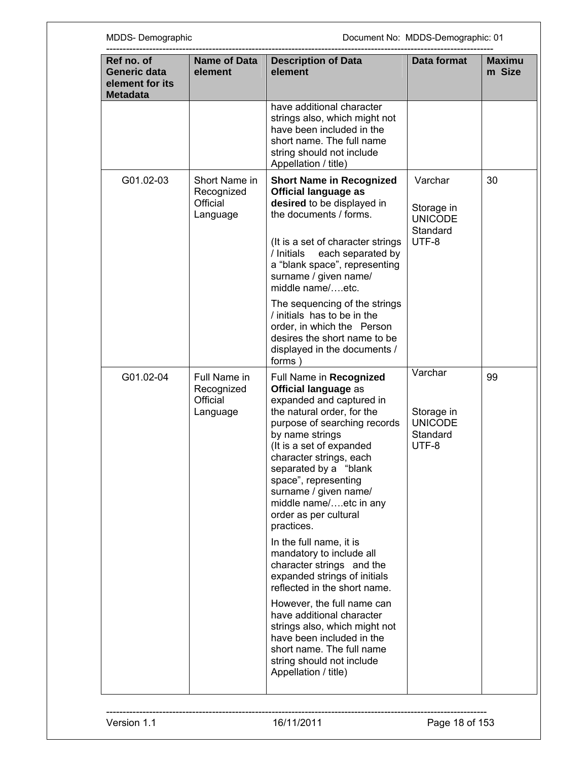| Ref no. of<br>Generic data<br>element for its<br><b>Metadata</b> | <b>Name of Data</b><br>element                      | <b>Description of Data</b><br>element                                                                                                                                                                                                                                                                                                                                                                                                                                                                                                                                                | Data format                                                  | <b>Maximu</b><br>m Size |
|------------------------------------------------------------------|-----------------------------------------------------|--------------------------------------------------------------------------------------------------------------------------------------------------------------------------------------------------------------------------------------------------------------------------------------------------------------------------------------------------------------------------------------------------------------------------------------------------------------------------------------------------------------------------------------------------------------------------------------|--------------------------------------------------------------|-------------------------|
|                                                                  |                                                     | have additional character<br>strings also, which might not<br>have been included in the<br>short name. The full name<br>string should not include<br>Appellation / title)                                                                                                                                                                                                                                                                                                                                                                                                            |                                                              |                         |
| G01.02-03                                                        | Short Name in<br>Recognized<br>Official<br>Language | <b>Short Name in Recognized</b><br><b>Official language as</b><br>desired to be displayed in<br>the documents / forms.<br>(It is a set of character strings<br>each separated by<br>/ Initials<br>a "blank space", representing<br>surname / given name/<br>middle name/etc.                                                                                                                                                                                                                                                                                                         | Varchar<br>Storage in<br><b>UNICODE</b><br>Standard<br>UTF-8 | 30                      |
|                                                                  |                                                     | The sequencing of the strings<br>/ initials has to be in the<br>order, in which the Person<br>desires the short name to be<br>displayed in the documents /<br>forms)                                                                                                                                                                                                                                                                                                                                                                                                                 |                                                              |                         |
| G01.02-04                                                        | Full Name in<br>Recognized<br>Official<br>Language  | Full Name in Recognized<br><b>Official language as</b><br>expanded and captured in<br>the natural order, for the<br>purpose of searching records<br>by name strings<br>(It is a set of expanded<br>character strings, each<br>separated by a "blank<br>space", representing<br>surname / given name/<br>middle name/etc in any<br>order as per cultural<br>practices.<br>In the full name, it is<br>mandatory to include all<br>character strings and the<br>expanded strings of initials<br>reflected in the short name.<br>However, the full name can<br>have additional character | Varchar<br>Storage in<br><b>UNICODE</b><br>Standard<br>UTF-8 | 99                      |
|                                                                  |                                                     | strings also, which might not<br>have been included in the<br>short name. The full name<br>string should not include<br>Appellation / title)                                                                                                                                                                                                                                                                                                                                                                                                                                         |                                                              |                         |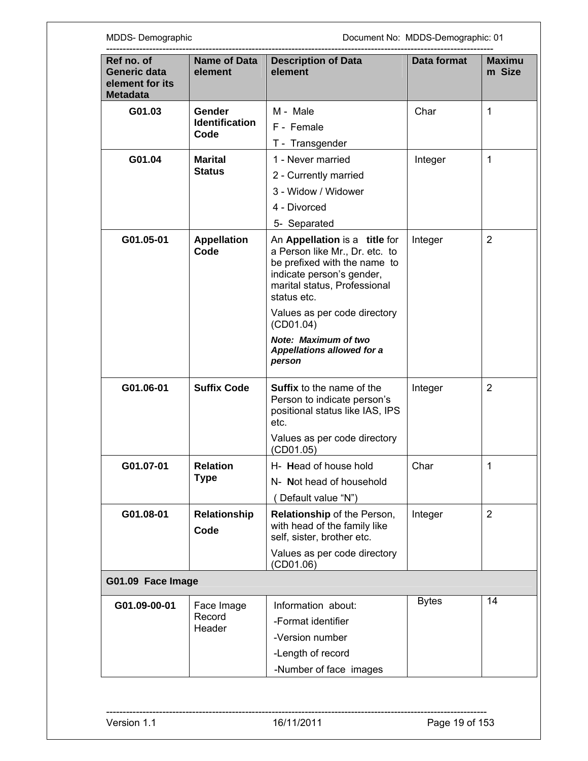MDDS- Demographic **MDDS-Demographic** Document No: MDDS-Demographic: 01

| Ref no. of<br>Generic data<br>element for its<br><b>Metadata</b> | <b>Name of Data</b><br>element          | <b>Description of Data</b><br>element                                                                                                                                                                                                                                                           | Data format  | <b>Maximu</b><br>m Size |
|------------------------------------------------------------------|-----------------------------------------|-------------------------------------------------------------------------------------------------------------------------------------------------------------------------------------------------------------------------------------------------------------------------------------------------|--------------|-------------------------|
| G01.03                                                           | Gender<br><b>Identification</b><br>Code | M - Male<br>F - Female<br>T - Transgender                                                                                                                                                                                                                                                       | Char         | 1                       |
| G01.04                                                           | <b>Marital</b><br><b>Status</b>         | 1 - Never married<br>2 - Currently married<br>3 - Widow / Widower<br>4 - Divorced<br>5- Separated                                                                                                                                                                                               | Integer      | 1                       |
| G01.05-01                                                        | <b>Appellation</b><br>Code              | An Appellation is a title for<br>a Person like Mr., Dr. etc. to<br>be prefixed with the name to<br>indicate person's gender,<br>marital status, Professional<br>status etc.<br>Values as per code directory<br>(CD01.04)<br>Note: Maximum of two<br><b>Appellations allowed for a</b><br>person | Integer      | $\overline{2}$          |
| G01.06-01                                                        | <b>Suffix Code</b>                      | <b>Suffix to the name of the</b><br>Person to indicate person's<br>positional status like IAS, IPS<br>etc.<br>Values as per code directory<br>(CD01.05)                                                                                                                                         | Integer      | $\overline{2}$          |
| G01.07-01                                                        | <b>Relation</b><br><b>Type</b>          | H- Head of house hold<br>N- Not head of household<br>Default value "N")                                                                                                                                                                                                                         | Char         | 1                       |
| G01.08-01                                                        | <b>Relationship</b><br>Code             | Relationship of the Person,<br>with head of the family like<br>self, sister, brother etc.<br>Values as per code directory<br>(CD01.06)                                                                                                                                                          | Integer      | $\overline{2}$          |
| G01.09 Face Image                                                |                                         |                                                                                                                                                                                                                                                                                                 |              |                         |
| G01.09-00-01                                                     | Face Image<br>Record<br>Header          | Information about:<br>-Format identifier<br>-Version number<br>-Length of record<br>-Number of face images                                                                                                                                                                                      | <b>Bytes</b> | 14                      |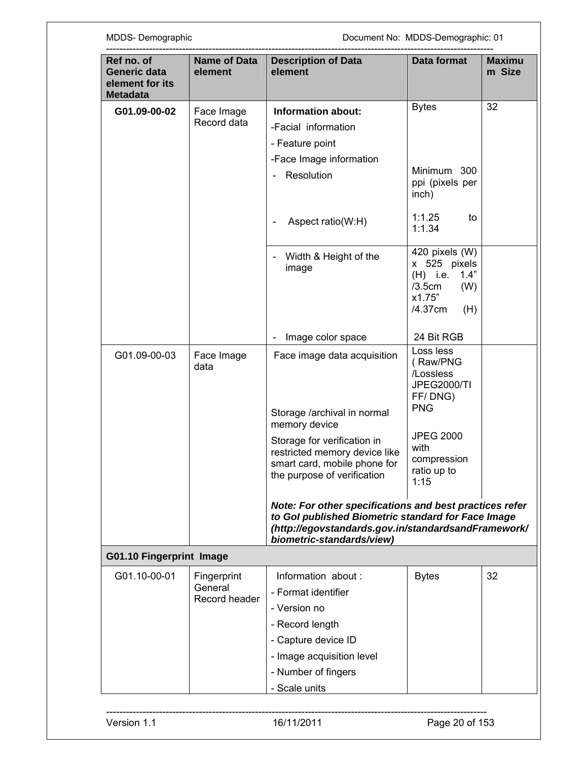|                                         | element                                                                                      |                                                                                                   | m Size                                                                                                                                                                                                 |
|-----------------------------------------|----------------------------------------------------------------------------------------------|---------------------------------------------------------------------------------------------------|--------------------------------------------------------------------------------------------------------------------------------------------------------------------------------------------------------|
| Face Image<br>Record data               | <b>Information about:</b><br>-Facial information<br>- Feature point                          | <b>Bytes</b>                                                                                      | 32                                                                                                                                                                                                     |
|                                         | Resolution                                                                                   | Minimum 300<br>ppi (pixels per<br>inch)                                                           |                                                                                                                                                                                                        |
|                                         | Aspect ratio(W:H)                                                                            | 1:1.25<br>to<br>1:1.34                                                                            |                                                                                                                                                                                                        |
|                                         | Width & Height of the<br>image                                                               | 420 pixels (W)<br>x 525 pixels<br>$(H)$ i.e.<br>1.4"<br>/3.5cm<br>(W)<br>x1.75"<br>/4.37cm<br>(H) |                                                                                                                                                                                                        |
|                                         | Image color space                                                                            | 24 Bit RGB                                                                                        |                                                                                                                                                                                                        |
| Face Image<br>data                      | Face image data acquisition                                                                  | Loss less<br>(Raw/PNG<br>/Lossless<br><b>JPEG2000/TI</b><br>FF/DNG)                               |                                                                                                                                                                                                        |
|                                         | memory device                                                                                |                                                                                                   |                                                                                                                                                                                                        |
|                                         | restricted memory device like<br>smart card, mobile phone for<br>the purpose of verification | with<br>compression<br>ratio up to<br>1:15                                                        |                                                                                                                                                                                                        |
|                                         | biometric-standards/view)                                                                    |                                                                                                   |                                                                                                                                                                                                        |
| <b>G01.10 Fingerprint Image</b>         |                                                                                              |                                                                                                   |                                                                                                                                                                                                        |
| Fingerprint<br>General<br>Record header | Information about :<br>- Format identifier<br>- Version no<br>- Record length                | <b>Bytes</b>                                                                                      | 32                                                                                                                                                                                                     |
|                                         | - Capture device ID<br>- Image acquisition level<br>- Number of fingers<br>- Scale units     |                                                                                                   |                                                                                                                                                                                                        |
|                                         |                                                                                              | -Face Image information<br>Storage /archival in normal<br>Storage for verification in             | <b>PNG</b><br><b>JPEG 2000</b><br>Note: For other specifications and best practices refer<br>to Gol published Biometric standard for Face Image<br>(http://egovstandards.gov.in/standardsandFramework/ |

٦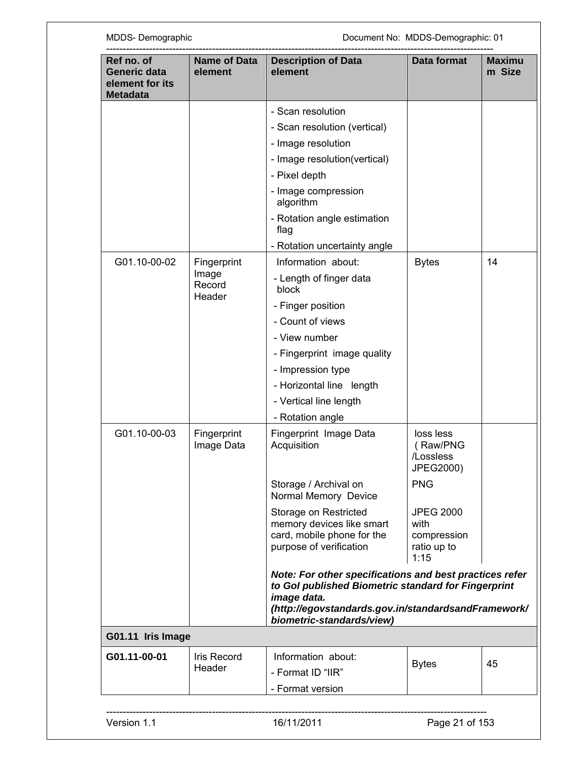| Ref no. of<br>Generic data<br>element for its<br><b>Metadata</b> | Name of Data<br>element   | <b>Description of Data</b><br>element                                                                                                                                                                             | Data format                                                    | <b>Maximu</b><br>m Size |
|------------------------------------------------------------------|---------------------------|-------------------------------------------------------------------------------------------------------------------------------------------------------------------------------------------------------------------|----------------------------------------------------------------|-------------------------|
|                                                                  |                           | - Scan resolution                                                                                                                                                                                                 |                                                                |                         |
|                                                                  |                           | - Scan resolution (vertical)                                                                                                                                                                                      |                                                                |                         |
|                                                                  |                           | - Image resolution                                                                                                                                                                                                |                                                                |                         |
|                                                                  |                           | - Image resolution(vertical)                                                                                                                                                                                      |                                                                |                         |
|                                                                  |                           | - Pixel depth                                                                                                                                                                                                     |                                                                |                         |
|                                                                  |                           | - Image compression<br>algorithm                                                                                                                                                                                  |                                                                |                         |
|                                                                  |                           | - Rotation angle estimation<br>flag                                                                                                                                                                               |                                                                |                         |
|                                                                  |                           | - Rotation uncertainty angle                                                                                                                                                                                      |                                                                |                         |
| G01.10-00-02                                                     | Fingerprint               | Information about:                                                                                                                                                                                                | <b>Bytes</b>                                                   | 14                      |
| Image                                                            | Record<br>Header          | - Length of finger data<br>block                                                                                                                                                                                  |                                                                |                         |
|                                                                  |                           | - Finger position                                                                                                                                                                                                 |                                                                |                         |
|                                                                  |                           | - Count of views                                                                                                                                                                                                  |                                                                |                         |
|                                                                  |                           | - View number                                                                                                                                                                                                     |                                                                |                         |
|                                                                  |                           | - Fingerprint image quality                                                                                                                                                                                       |                                                                |                         |
|                                                                  |                           | - Impression type                                                                                                                                                                                                 |                                                                |                         |
|                                                                  |                           | - Horizontal line length                                                                                                                                                                                          |                                                                |                         |
|                                                                  |                           | - Vertical line length                                                                                                                                                                                            |                                                                |                         |
|                                                                  |                           | - Rotation angle                                                                                                                                                                                                  |                                                                |                         |
| G01.10-00-03                                                     | Fingerprint<br>Image Data | Fingerprint Image Data<br>Acquisition                                                                                                                                                                             | loss less<br>(Raw/PNG<br>/Lossless<br>JPEG2000)                |                         |
|                                                                  |                           | Storage / Archival on<br>Normal Memory Device                                                                                                                                                                     | <b>PNG</b>                                                     |                         |
|                                                                  |                           | Storage on Restricted<br>memory devices like smart<br>card, mobile phone for the<br>purpose of verification                                                                                                       | <b>JPEG 2000</b><br>with<br>compression<br>ratio up to<br>1:15 |                         |
|                                                                  |                           | Note: For other specifications and best practices refer<br>to Gol published Biometric standard for Fingerprint<br>image data.<br>(http://egovstandards.gov.in/standardsandFramework/<br>biometric-standards/view) |                                                                |                         |
| G01.11 Iris Image                                                |                           |                                                                                                                                                                                                                   |                                                                |                         |
| G01.11-00-01                                                     | Iris Record               | Information about:                                                                                                                                                                                                |                                                                |                         |
|                                                                  | Header                    | - Format ID "IIR"                                                                                                                                                                                                 | <b>Bytes</b>                                                   | 45                      |
|                                                                  |                           | - Format version                                                                                                                                                                                                  |                                                                |                         |
|                                                                  |                           |                                                                                                                                                                                                                   |                                                                |                         |
| Version 1.1                                                      |                           | 16/11/2011                                                                                                                                                                                                        | Page 21 of 153                                                 |                         |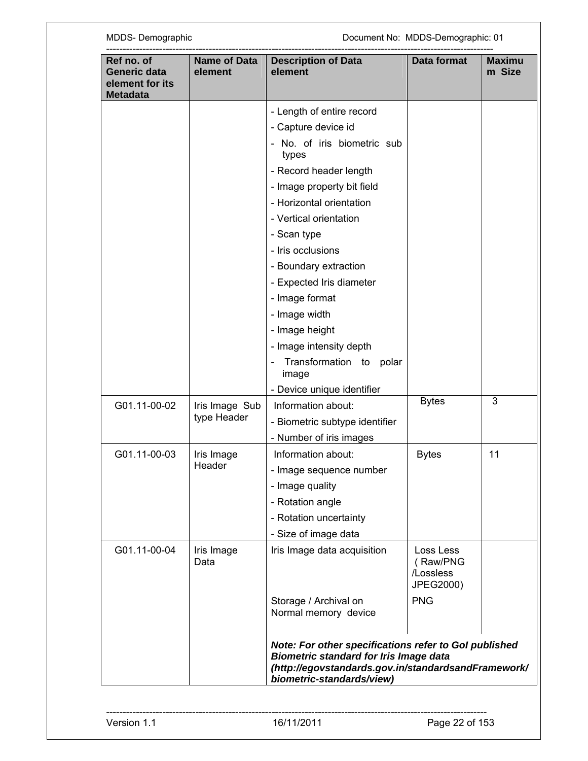| Ref no. of<br>Generic data<br>element for its<br><b>Metadata</b> | Name of Data<br>element | <b>Description of Data</b><br>element                                                                                                                                                      | Data format                                     | <b>Maximu</b><br>m Size |
|------------------------------------------------------------------|-------------------------|--------------------------------------------------------------------------------------------------------------------------------------------------------------------------------------------|-------------------------------------------------|-------------------------|
|                                                                  |                         | - Length of entire record                                                                                                                                                                  |                                                 |                         |
|                                                                  |                         | - Capture device id                                                                                                                                                                        |                                                 |                         |
|                                                                  |                         | No. of iris biometric sub<br>types                                                                                                                                                         |                                                 |                         |
|                                                                  |                         | - Record header length                                                                                                                                                                     |                                                 |                         |
|                                                                  |                         | - Image property bit field                                                                                                                                                                 |                                                 |                         |
|                                                                  |                         | - Horizontal orientation                                                                                                                                                                   |                                                 |                         |
|                                                                  |                         | - Vertical orientation                                                                                                                                                                     |                                                 |                         |
|                                                                  |                         | - Scan type                                                                                                                                                                                |                                                 |                         |
|                                                                  |                         | - Iris occlusions                                                                                                                                                                          |                                                 |                         |
|                                                                  |                         | - Boundary extraction                                                                                                                                                                      |                                                 |                         |
|                                                                  |                         | - Expected Iris diameter                                                                                                                                                                   |                                                 |                         |
|                                                                  |                         | - Image format                                                                                                                                                                             |                                                 |                         |
|                                                                  |                         | - Image width                                                                                                                                                                              |                                                 |                         |
|                                                                  |                         | - Image height                                                                                                                                                                             |                                                 |                         |
|                                                                  |                         | - Image intensity depth                                                                                                                                                                    |                                                 |                         |
|                                                                  |                         | Transformation to<br>polar<br>image                                                                                                                                                        |                                                 |                         |
|                                                                  |                         | - Device unique identifier                                                                                                                                                                 |                                                 |                         |
| G01.11-00-02                                                     | Iris Image Sub          | Information about:                                                                                                                                                                         | <b>Bytes</b>                                    | 3                       |
|                                                                  | type Header             | - Biometric subtype identifier                                                                                                                                                             |                                                 |                         |
|                                                                  |                         | - Number of iris images                                                                                                                                                                    |                                                 |                         |
| G01.11-00-03                                                     | Iris Image              | Information about:                                                                                                                                                                         | <b>Bytes</b>                                    | 11                      |
|                                                                  | Header                  | - Image sequence number                                                                                                                                                                    |                                                 |                         |
|                                                                  |                         | - Image quality                                                                                                                                                                            |                                                 |                         |
|                                                                  |                         | - Rotation angle                                                                                                                                                                           |                                                 |                         |
|                                                                  |                         | - Rotation uncertainty                                                                                                                                                                     |                                                 |                         |
|                                                                  |                         | - Size of image data                                                                                                                                                                       |                                                 |                         |
| G01.11-00-04                                                     | Iris Image<br>Data      | Iris Image data acquisition                                                                                                                                                                | Loss Less<br>(Raw/PNG<br>/Lossless<br>JPEG2000) |                         |
|                                                                  |                         | Storage / Archival on<br>Normal memory device                                                                                                                                              | <b>PNG</b>                                      |                         |
|                                                                  |                         | Note: For other specifications refer to Gol published<br><b>Biometric standard for Iris Image data</b><br>(http://egovstandards.gov.in/standardsandFramework/<br>biometric-standards/view) |                                                 |                         |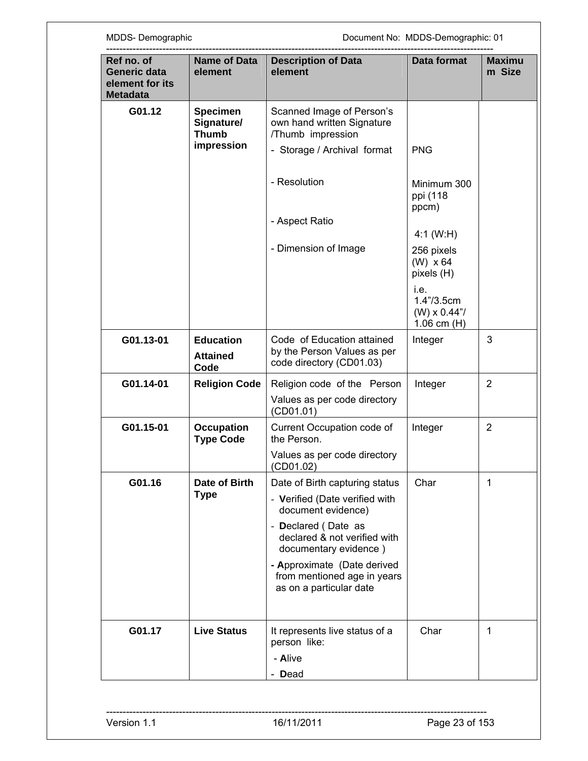| <b>Specimen</b><br>Signature/<br><b>Thumb</b><br>impression<br><b>Education</b><br><b>Attained</b><br>Code<br><b>Religion Code</b> | Scanned Image of Person's<br>own hand written Signature<br>/Thumb impression<br>- Storage / Archival format<br>- Resolution<br>- Aspect Ratio<br>- Dimension of Image<br>Code of Education attained<br>by the Person Values as per<br>code directory (CD01.03) | <b>PNG</b><br>Minimum 300<br>ppi (118<br>ppcm)<br>4:1 (W:H)<br>256 pixels<br>$(W) \times 64$<br>pixels (H)<br>i.e.<br>1.4" / 3.5cm<br>$(W) \times 0.44$ "/<br>1.06 cm $(H)$<br>Integer | 3              |
|------------------------------------------------------------------------------------------------------------------------------------|----------------------------------------------------------------------------------------------------------------------------------------------------------------------------------------------------------------------------------------------------------------|----------------------------------------------------------------------------------------------------------------------------------------------------------------------------------------|----------------|
|                                                                                                                                    |                                                                                                                                                                                                                                                                |                                                                                                                                                                                        |                |
|                                                                                                                                    |                                                                                                                                                                                                                                                                |                                                                                                                                                                                        |                |
|                                                                                                                                    |                                                                                                                                                                                                                                                                |                                                                                                                                                                                        |                |
|                                                                                                                                    |                                                                                                                                                                                                                                                                |                                                                                                                                                                                        |                |
|                                                                                                                                    |                                                                                                                                                                                                                                                                |                                                                                                                                                                                        |                |
|                                                                                                                                    |                                                                                                                                                                                                                                                                |                                                                                                                                                                                        |                |
|                                                                                                                                    |                                                                                                                                                                                                                                                                |                                                                                                                                                                                        |                |
|                                                                                                                                    | Religion code of the Person                                                                                                                                                                                                                                    | Integer                                                                                                                                                                                | $\overline{2}$ |
|                                                                                                                                    | Values as per code directory<br>(CD01.01)                                                                                                                                                                                                                      |                                                                                                                                                                                        |                |
| <b>Occupation</b><br><b>Type Code</b>                                                                                              | Current Occupation code of<br>the Person.                                                                                                                                                                                                                      | Integer                                                                                                                                                                                | $\overline{2}$ |
|                                                                                                                                    | Values as per code directory<br>(CD01.02)                                                                                                                                                                                                                      |                                                                                                                                                                                        |                |
| Date of Birth<br><b>Type</b>                                                                                                       | Date of Birth capturing status<br>- Verified (Date verified with                                                                                                                                                                                               | Char                                                                                                                                                                                   | 1              |
|                                                                                                                                    | - Declared (Date as<br>declared & not verified with                                                                                                                                                                                                            |                                                                                                                                                                                        |                |
|                                                                                                                                    | - Approximate (Date derived<br>from mentioned age in years<br>as on a particular date                                                                                                                                                                          |                                                                                                                                                                                        |                |
| <b>Live Status</b>                                                                                                                 | It represents live status of a<br>person like:                                                                                                                                                                                                                 | Char                                                                                                                                                                                   | 1              |
|                                                                                                                                    |                                                                                                                                                                                                                                                                |                                                                                                                                                                                        |                |
|                                                                                                                                    |                                                                                                                                                                                                                                                                | document evidence)<br>documentary evidence)                                                                                                                                            | - Alive        |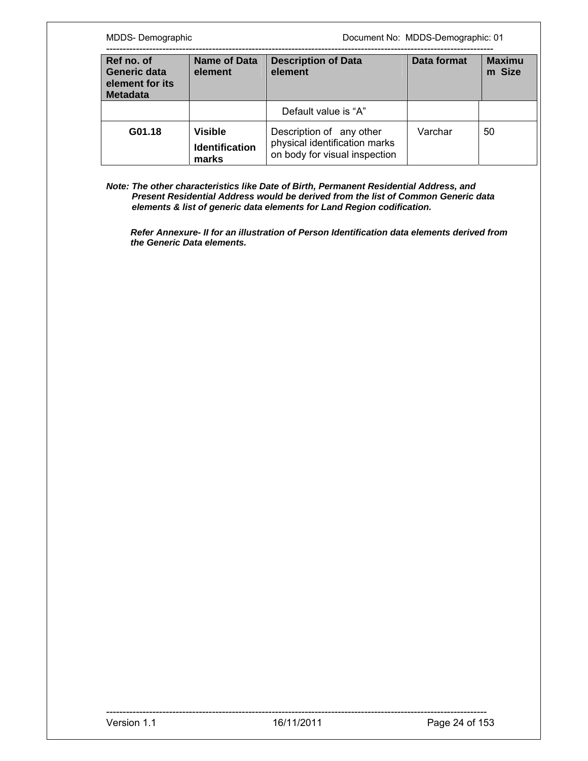| MDDS-Demographic                                                 |                                                  | Document No: MDDS-Demographic: 01                                                          |             |                         |
|------------------------------------------------------------------|--------------------------------------------------|--------------------------------------------------------------------------------------------|-------------|-------------------------|
| Ref no. of<br>Generic data<br>element for its<br><b>Metadata</b> | <b>Name of Data</b><br>element                   | <b>Description of Data</b><br>element                                                      | Data format | <b>Maximu</b><br>m Size |
|                                                                  |                                                  | Default value is "A"                                                                       |             |                         |
| G01.18                                                           | <b>Visible</b><br><b>Identification</b><br>marks | Description of any other<br>physical identification marks<br>on body for visual inspection | Varchar     | 50                      |

*Note: The other characteristics like Date of Birth, Permanent Residential Address, and Present Residential Address would be derived from the list of Common Generic data elements & list of generic data elements for Land Region codification.* 

*Refer Annexure- II for an illustration of Person Identification data elements derived from the Generic Data elements.*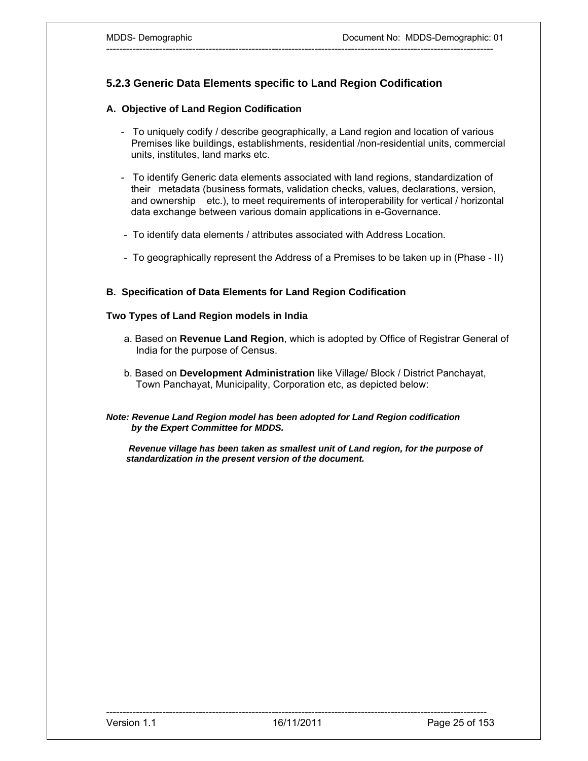# **5.2.3 Generic Data Elements specific to Land Region Codification**

## **A. Objective of Land Region Codification**

- To uniquely codify / describe geographically, a Land region and location of various Premises like buildings, establishments, residential /non-residential units, commercial units, institutes, land marks etc.

---------------------------------------------------------------------------------------------------------------------

- To identify Generic data elements associated with land regions, standardization of their metadata (business formats, validation checks, values, declarations, version, and ownership etc.), to meet requirements of interoperability for vertical / horizontal data exchange between various domain applications in e-Governance.
- To identify data elements / attributes associated with Address Location.
- To geographically represent the Address of a Premises to be taken up in (Phase II)

## **B. Specification of Data Elements for Land Region Codification**

### **Two Types of Land Region models in India**

- a. Based on **Revenue Land Region**, which is adopted by Office of Registrar General of India for the purpose of Census.
- b. Based on **Development Administration** like Village/ Block / District Panchayat, Town Panchayat, Municipality, Corporation etc, as depicted below:

#### *Note: Revenue Land Region model has been adopted for Land Region codification by the Expert Committee for MDDS.*

 *Revenue village has been taken as smallest unit of Land region, for the purpose of standardization in the present version of the document.*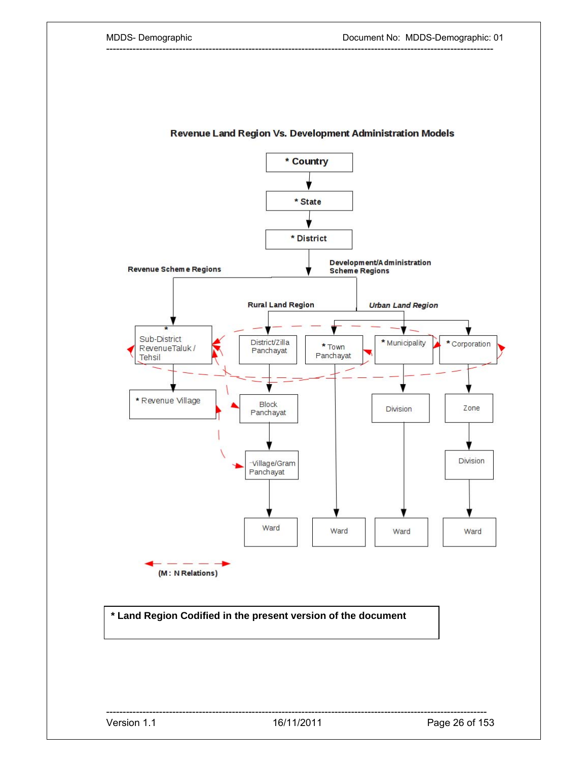

---------------------------------------------------------------------------------------------------------------------

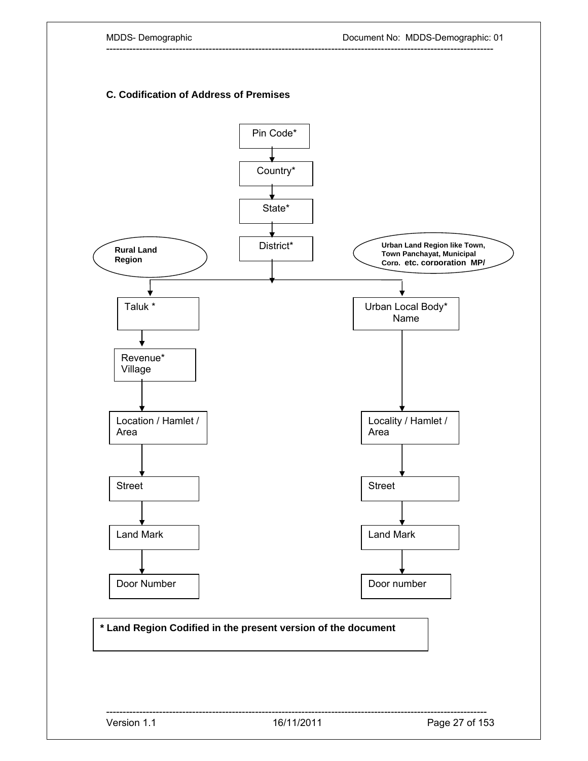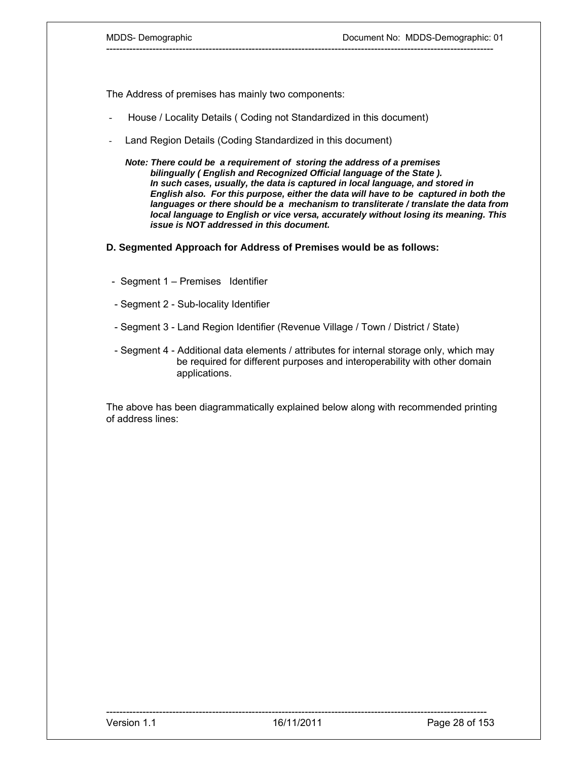The Address of premises has mainly two components:

- House / Locality Details ( Coding not Standardized in this document)
- Land Region Details (Coding Standardized in this document)
	- *Note: There could be a requirement of storing the address of a premises bilingually ( English and Recognized Official language of the State ). In such cases, usually, the data is captured in local language, and stored in English also. For this purpose, either the data will have to be captured in both the languages or there should be a mechanism to transliterate / translate the data from local language to English or vice versa, accurately without losing its meaning. This issue is NOT addressed in this document.*

---------------------------------------------------------------------------------------------------------------------

#### **D. Segmented Approach for Address of Premises would be as follows:**

- Segment 1 Premises Identifier
- Segment 2 Sub-locality Identifier
- Segment 3 Land Region Identifier (Revenue Village / Town / District / State)
- Segment 4 Additional data elements / attributes for internal storage only, which may be required for different purposes and interoperability with other domain applications.

The above has been diagrammatically explained below along with recommended printing of address lines: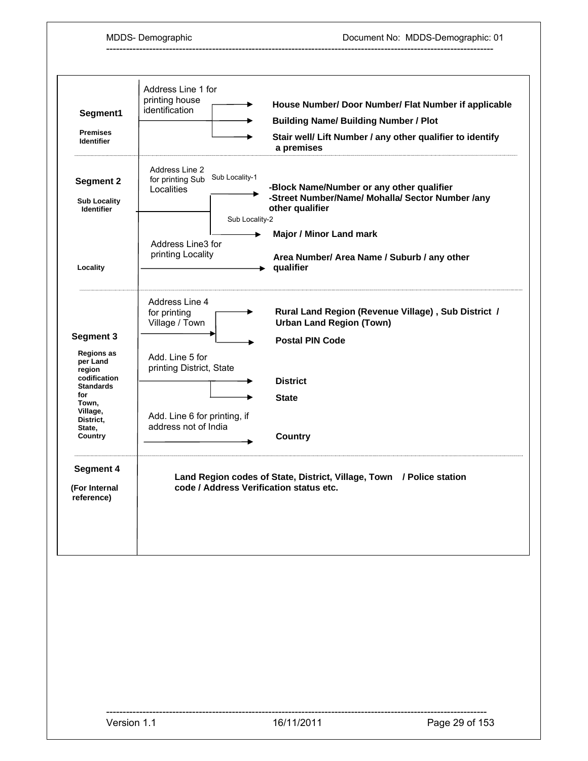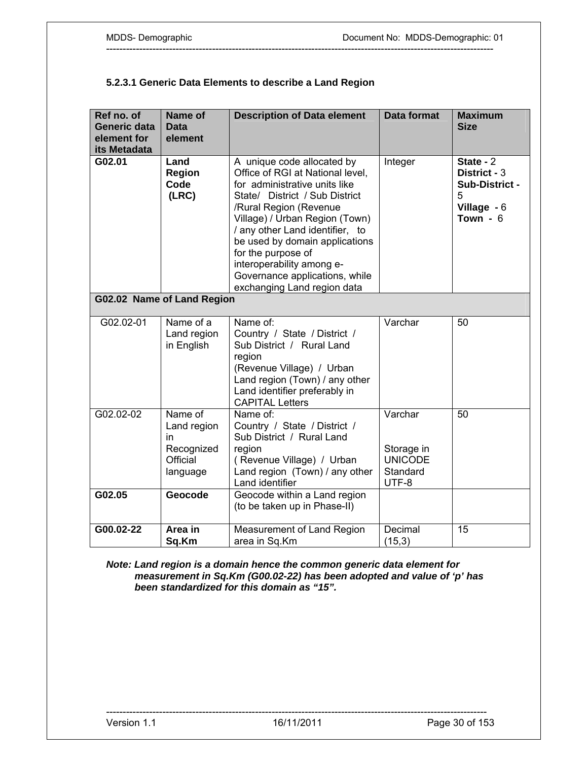# **5.2.3.1 Generic Data Elements to describe a Land Region**

| Ref no. of<br>Generic data<br>element for<br>its Metadata | Name of<br>Data<br>element                                                    | <b>Description of Data element</b>                                                                                                                                                                                                                                                                                                                                                     | <b>Data format</b>                                           | <b>Maximum</b><br><b>Size</b>                                                   |
|-----------------------------------------------------------|-------------------------------------------------------------------------------|----------------------------------------------------------------------------------------------------------------------------------------------------------------------------------------------------------------------------------------------------------------------------------------------------------------------------------------------------------------------------------------|--------------------------------------------------------------|---------------------------------------------------------------------------------|
| G02.01                                                    | Land<br><b>Region</b><br>Code<br>(LRC)<br>G02.02 Name of Land Region          | A unique code allocated by<br>Office of RGI at National level,<br>for administrative units like<br>State/ District / Sub District<br>/Rural Region (Revenue<br>Village) / Urban Region (Town)<br>/ any other Land identifier, to<br>be used by domain applications<br>for the purpose of<br>interoperability among e-<br>Governance applications, while<br>exchanging Land region data | Integer                                                      | State - $2$<br>District - 3<br>Sub-District -<br>5<br>Village $-6$<br>Town $-6$ |
|                                                           |                                                                               |                                                                                                                                                                                                                                                                                                                                                                                        |                                                              |                                                                                 |
| G02.02-01                                                 | Name of a<br>Land region<br>in English                                        | Name of:<br>Country / State / District /<br>Sub District / Rural Land<br>region<br>(Revenue Village) / Urban<br>Land region (Town) / any other<br>Land identifier preferably in<br><b>CAPITAL Letters</b>                                                                                                                                                                              | Varchar                                                      | 50                                                                              |
| $G02.02-02$<br>G02.05                                     | Name of<br>Land region<br>in<br>Recognized<br>Official<br>language<br>Geocode | Name of:<br>Country / State / District /<br>Sub District / Rural Land<br>region<br>(Revenue Village) / Urban<br>Land region (Town) / any other<br>Land identifier<br>Geocode within a Land region<br>(to be taken up in Phase-II)                                                                                                                                                      | Varchar<br>Storage in<br><b>UNICODE</b><br>Standard<br>UTF-8 | 50                                                                              |
|                                                           |                                                                               |                                                                                                                                                                                                                                                                                                                                                                                        |                                                              |                                                                                 |
| G00.02-22                                                 | Area in<br>Sq.Km                                                              | Measurement of Land Region<br>area in Sq.Km                                                                                                                                                                                                                                                                                                                                            | Decimal<br>(15,3)                                            | 15                                                                              |

---------------------------------------------------------------------------------------------------------------------

*Note: Land region is a domain hence the common generic data element for measurement in Sq.Km (G00.02-22) has been adopted and value of 'p' has been standardized for this domain as "15".*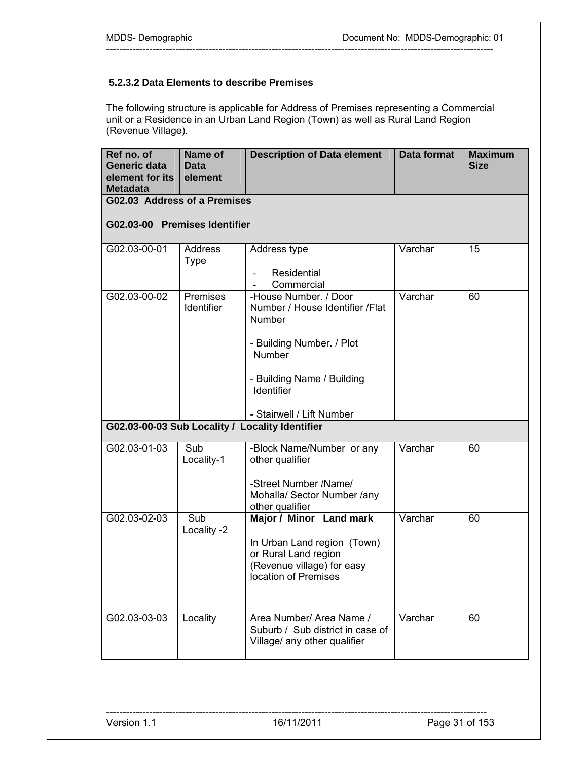# **5.2.3.2 Data Elements to describe Premises**

The following structure is applicable for Address of Premises representing a Commercial unit or a Residence in an Urban Land Region (Town) as well as Rural Land Region (Revenue Village).

---------------------------------------------------------------------------------------------------------------------

| Ref no. of<br>Generic data<br>element for its<br><b>Metadata</b> | Name of<br><b>Data</b><br>element | <b>Description of Data element</b>                                                                                                                                                 | <b>Data format</b> | <b>Maximum</b><br><b>Size</b> |
|------------------------------------------------------------------|-----------------------------------|------------------------------------------------------------------------------------------------------------------------------------------------------------------------------------|--------------------|-------------------------------|
| G02.03 Address of a Premises                                     |                                   |                                                                                                                                                                                    |                    |                               |
| G02.03-00 Premises Identifier                                    |                                   |                                                                                                                                                                                    |                    |                               |
| G02.03-00-01                                                     | Address<br><b>Type</b>            | Address type<br>Residential<br>Commercial                                                                                                                                          | Varchar            | 15                            |
| G02.03-00-02                                                     | Premises<br>Identifier            | -House Number. / Door<br>Number / House Identifier /Flat<br>Number<br>- Building Number. / Plot<br>Number<br>- Building Name / Building<br>Identifier<br>- Stairwell / Lift Number | Varchar            | 60                            |
| G02.03-00-03 Sub Locality / Locality Identifier                  |                                   |                                                                                                                                                                                    |                    |                               |
| G02.03-01-03                                                     | Sub<br>Locality-1                 | -Block Name/Number or any<br>other qualifier<br>-Street Number /Name/<br>Mohalla/ Sector Number /any<br>other qualifier                                                            | Varchar            | 60                            |
| G02.03-02-03                                                     | Sub<br>Locality -2                | Major / Minor Land mark<br>In Urban Land region (Town)<br>or Rural Land region<br>(Revenue village) for easy<br>location of Premises                                               | Varchar            | 60                            |
| G02.03-03-03                                                     | Locality                          | Area Number/ Area Name /<br>Suburb / Sub district in case of<br>Village/ any other qualifier                                                                                       | Varchar            | 60                            |

-------------------------------------------------------------------------------------------------------------------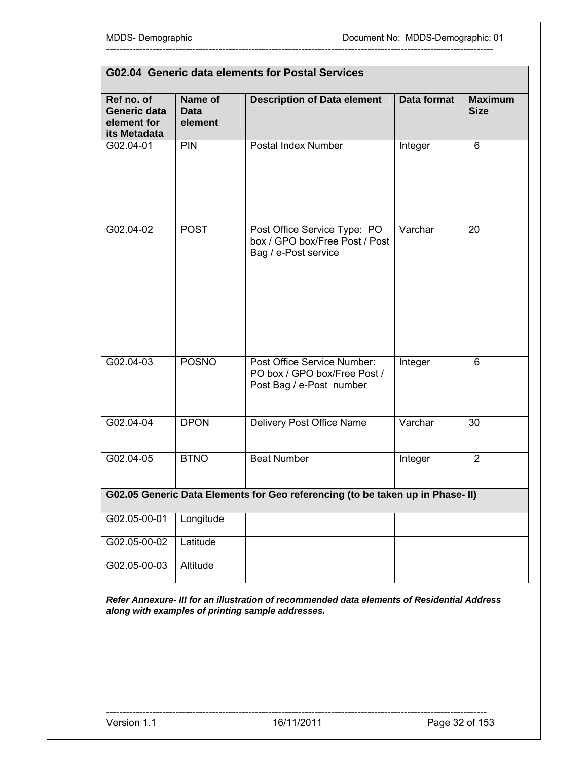| G02.04 Generic data elements for Postal Services          |                                   |                                                                                         |                    |                               |
|-----------------------------------------------------------|-----------------------------------|-----------------------------------------------------------------------------------------|--------------------|-------------------------------|
| Ref no. of<br>Generic data<br>element for<br>its Metadata | Name of<br><b>Data</b><br>element | <b>Description of Data element</b>                                                      | <b>Data format</b> | <b>Maximum</b><br><b>Size</b> |
| G02.04-01                                                 | PIN                               | Postal Index Number                                                                     | Integer            | 6                             |
| G02.04-02                                                 | <b>POST</b>                       | Post Office Service Type: PO<br>box / GPO box/Free Post / Post<br>Bag / e-Post service  | Varchar            | 20                            |
| G02.04-03                                                 | <b>POSNO</b>                      | Post Office Service Number:<br>PO box / GPO box/Free Post /<br>Post Bag / e-Post number | Integer            | 6                             |
| G02.04-04                                                 | <b>DPON</b>                       | Delivery Post Office Name                                                               | Varchar            | 30                            |
| G02.04-05                                                 | <b>BTNO</b>                       | <b>Beat Number</b>                                                                      | Integer            | $\overline{2}$                |
|                                                           |                                   | G02.05 Generic Data Elements for Geo referencing (to be taken up in Phase- II)          |                    |                               |
| G02.05-00-01                                              | Longitude                         |                                                                                         |                    |                               |
| G02.05-00-02                                              | Latitude                          |                                                                                         |                    |                               |
| G02.05-00-03                                              | Altitude                          |                                                                                         |                    |                               |

---------------------------------------------------------------------------------------------------------------------

*Refer Annexure- III for an illustration of recommended data elements of Residential Address along with examples of printing sample addresses.*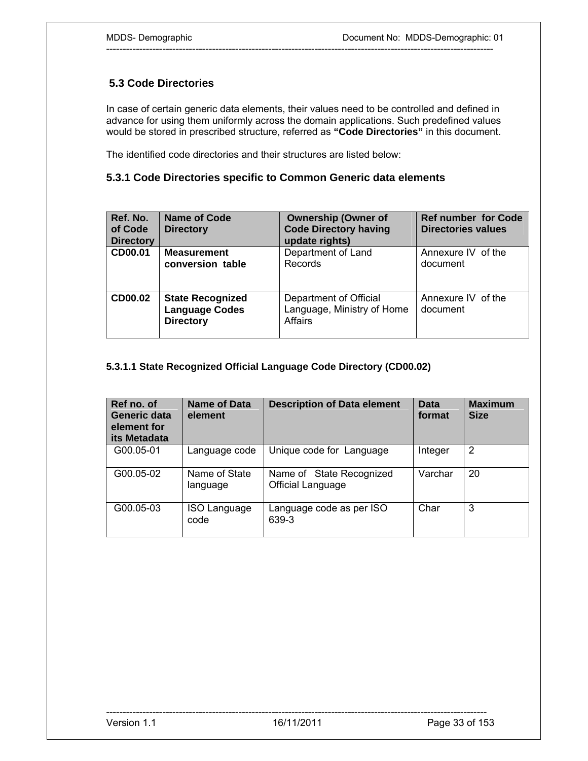# **5.3 Code Directories**

In case of certain generic data elements, their values need to be controlled and defined in advance for using them uniformly across the domain applications. Such predefined values would be stored in prescribed structure, referred as **"Code Directories"** in this document.

---------------------------------------------------------------------------------------------------------------------

The identified code directories and their structures are listed below:

# **5.3.1 Code Directories specific to Common Generic data elements**

| Ref. No.<br>of Code<br><b>Directory</b> | Name of Code<br><b>Directory</b>                                     | <b>Ownership (Owner of</b><br><b>Code Directory having</b><br>update rights) | <b>Ref number for Code</b><br><b>Directories values</b> |
|-----------------------------------------|----------------------------------------------------------------------|------------------------------------------------------------------------------|---------------------------------------------------------|
| CD00.01                                 | <b>Measurement</b><br>conversion table                               | Department of Land<br>Records                                                | Annexure IV of the<br>document                          |
| CD00.02                                 | <b>State Recognized</b><br><b>Language Codes</b><br><b>Directory</b> | Department of Official<br>Language, Ministry of Home<br>Affairs              | Annexure IV of the<br>document                          |

## **5.3.1.1 State Recognized Official Language Code Directory (CD00.02)**

| Ref no. of<br>Generic data<br>element for<br>its Metadata | <b>Name of Data</b><br>element | <b>Description of Data element</b>            | <b>Data</b><br>format | <b>Maximum</b><br><b>Size</b> |
|-----------------------------------------------------------|--------------------------------|-----------------------------------------------|-----------------------|-------------------------------|
| G00.05-01                                                 | Language code                  | Unique code for Language                      | Integer               | $\overline{2}$                |
| G00.05-02                                                 | Name of State<br>language      | Name of State Recognized<br>Official Language | Varchar               | 20                            |
| G00.05-03                                                 | ISO Language<br>code           | Language code as per ISO<br>639-3             | Char                  | 3                             |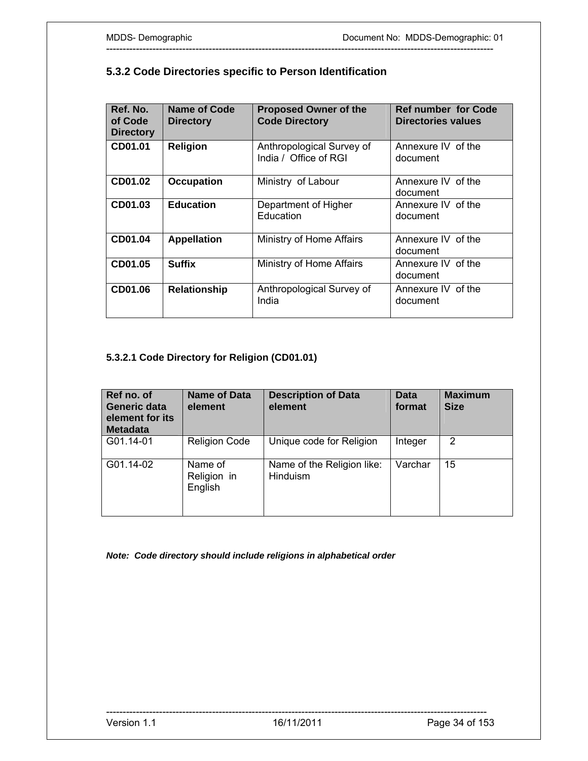| Ref. No.<br>of Code<br><b>Directory</b> | Name of Code<br><b>Directory</b> | <b>Proposed Owner of the</b><br><b>Code Directory</b> | <b>Ref number for Code</b><br><b>Directories values</b> |
|-----------------------------------------|----------------------------------|-------------------------------------------------------|---------------------------------------------------------|
| CD01.01                                 | <b>Religion</b>                  | Anthropological Survey of<br>India / Office of RGI    | Annexure IV of the<br>document                          |
| CD01.02                                 | <b>Occupation</b>                | Ministry of Labour                                    | Annexure IV of the<br>document                          |
| CD01.03                                 | <b>Education</b>                 | Department of Higher<br>Education                     | Annexure IV of the<br>document                          |
| CD01.04                                 | <b>Appellation</b>               | Ministry of Home Affairs                              | Annexure IV of the<br>document                          |
| CD01.05                                 | <b>Suffix</b>                    | Ministry of Home Affairs                              | Annexure IV of the<br>document                          |
| CD01.06                                 | <b>Relationship</b>              | Anthropological Survey of<br>India                    | Annexure IV of the<br>document                          |

---------------------------------------------------------------------------------------------------------------------

# **5.3.2 Code Directories specific to Person Identification**

# **5.3.2.1 Code Directory for Religion (CD01.01)**

| Ref no. of<br>Generic data<br>element for its<br><b>Metadata</b> | Name of Data<br>element           | <b>Description of Data</b><br>element  | <b>Data</b><br>format | <b>Maximum</b><br><b>Size</b> |
|------------------------------------------------------------------|-----------------------------------|----------------------------------------|-----------------------|-------------------------------|
| G01.14-01                                                        | <b>Religion Code</b>              | Unique code for Religion               | Integer               | $\mathcal{P}$                 |
| G01.14-02                                                        | Name of<br>Religion in<br>English | Name of the Religion like:<br>Hinduism | Varchar               | 15                            |

*Note: Code directory should include religions in alphabetical order*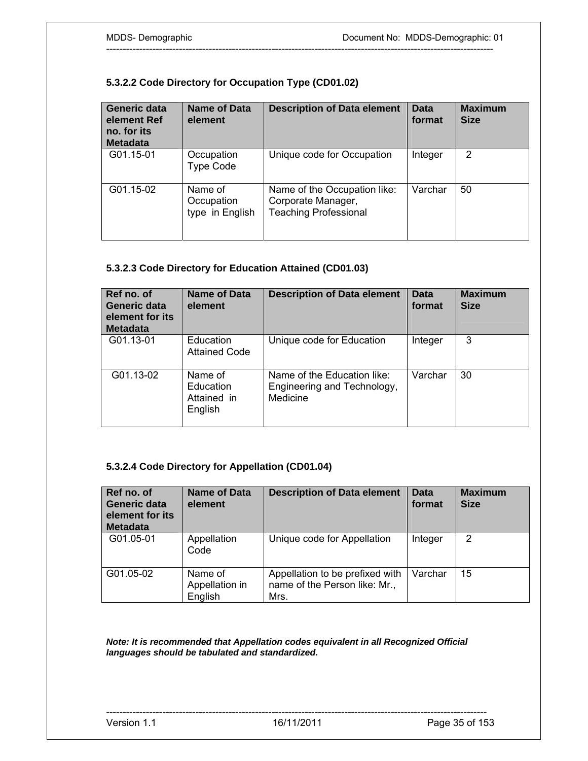# **5.3.2.2 Code Directory for Occupation Type (CD01.02)**

| <b>Generic data</b><br>element Ref<br>no. for its<br><b>Metadata</b> | Name of Data<br>element                  | <b>Description of Data element</b>                                                 | <b>Data</b><br>format | <b>Maximum</b><br><b>Size</b> |
|----------------------------------------------------------------------|------------------------------------------|------------------------------------------------------------------------------------|-----------------------|-------------------------------|
| G01.15-01                                                            | Occupation<br><b>Type Code</b>           | Unique code for Occupation                                                         | Integer               | 2                             |
| G01.15-02                                                            | Name of<br>Occupation<br>type in English | Name of the Occupation like:<br>Corporate Manager,<br><b>Teaching Professional</b> | Varchar               | 50                            |

---------------------------------------------------------------------------------------------------------------------

# **5.3.2.3 Code Directory for Education Attained (CD01.03)**

| Ref no. of<br>Generic data<br>element for its<br><b>Metadata</b> | Name of Data<br>element                        | <b>Description of Data element</b>                                     | <b>Data</b><br>format | <b>Maximum</b><br><b>Size</b> |
|------------------------------------------------------------------|------------------------------------------------|------------------------------------------------------------------------|-----------------------|-------------------------------|
| G01.13-01                                                        | Education<br><b>Attained Code</b>              | Unique code for Education                                              | Integer               | 3                             |
| G01.13-02                                                        | Name of<br>Education<br>Attained in<br>English | Name of the Education like:<br>Engineering and Technology,<br>Medicine | Varchar               | 30                            |

## **5.3.2.4 Code Directory for Appellation (CD01.04)**

| Ref no. of<br>Generic data<br>element for its<br><b>Metadata</b> | <b>Name of Data</b><br>element       | <b>Description of Data element</b>                                       | <b>Data</b><br>format | <b>Maximum</b><br><b>Size</b> |
|------------------------------------------------------------------|--------------------------------------|--------------------------------------------------------------------------|-----------------------|-------------------------------|
| G01.05-01                                                        | Appellation<br>Code                  | Unique code for Appellation                                              | Integer               | 2                             |
| G01.05-02                                                        | Name of<br>Appellation in<br>English | Appellation to be prefixed with<br>name of the Person like: Mr.,<br>Mrs. | Varchar               | 15                            |

*Note: It is recommended that Appellation codes equivalent in all Recognized Official languages should be tabulated and standardized.* 

-------------------------------------------------------------------------------------------------------------------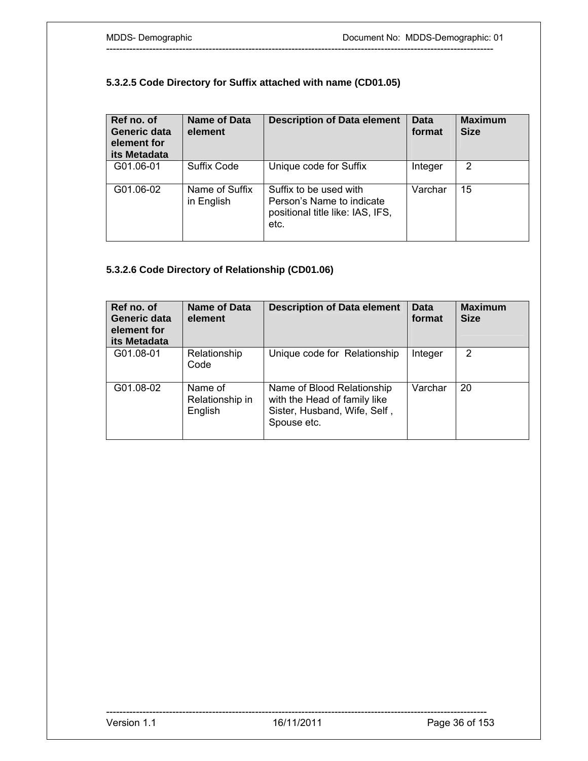# **5.3.2.5 Code Directory for Suffix attached with name (CD01.05)**

| Ref no. of<br>Generic data<br>element for<br>its Metadata | Name of Data<br>element      | <b>Description of Data element</b>                                                              | <b>Data</b><br>format | <b>Maximum</b><br><b>Size</b> |
|-----------------------------------------------------------|------------------------------|-------------------------------------------------------------------------------------------------|-----------------------|-------------------------------|
| G01.06-01                                                 | Suffix Code                  | Unique code for Suffix                                                                          | Integer               | $\overline{2}$                |
| G01.06-02                                                 | Name of Suffix<br>in English | Suffix to be used with<br>Person's Name to indicate<br>positional title like: IAS, IFS,<br>etc. | Varchar               | 15                            |

---------------------------------------------------------------------------------------------------------------------

# **5.3.2.6 Code Directory of Relationship (CD01.06)**

| Ref no. of<br>Generic data<br>element for<br>its Metadata | <b>Name of Data</b><br>element        | <b>Description of Data element</b>                                                                        | <b>Data</b><br>format | <b>Maximum</b><br><b>Size</b> |
|-----------------------------------------------------------|---------------------------------------|-----------------------------------------------------------------------------------------------------------|-----------------------|-------------------------------|
| G01.08-01                                                 | Relationship<br>Code                  | Unique code for Relationship                                                                              | Integer               | 2                             |
| G01.08-02                                                 | Name of<br>Relationship in<br>English | Name of Blood Relationship<br>with the Head of family like<br>Sister, Husband, Wife, Self,<br>Spouse etc. | Varchar               | 20                            |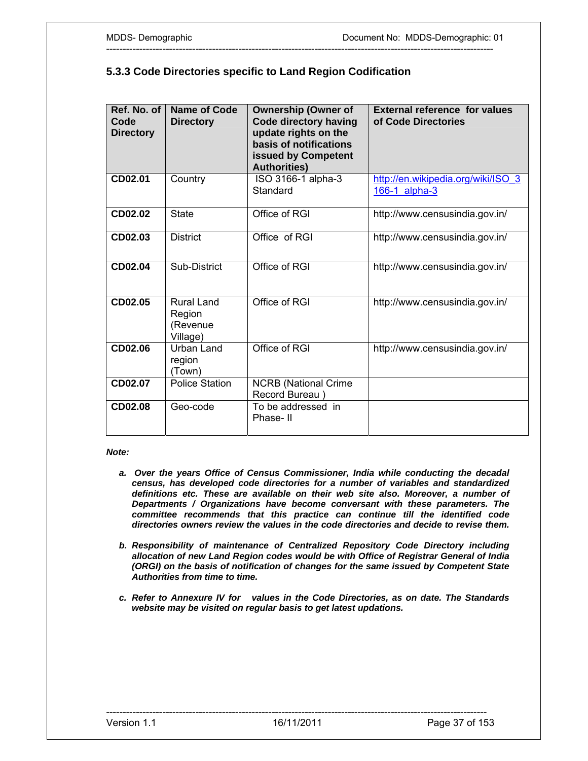## **5.3.3 Code Directories specific to Land Region Codification**

---------------------------------------------------------------------------------------------------------------------

| Ref. No. of<br>Code<br><b>Directory</b> | Name of Code<br><b>Directory</b>                    | <b>Ownership (Owner of</b><br><b>Code directory having</b><br>update rights on the<br>basis of notifications<br>issued by Competent<br><b>Authorities)</b> | <b>External reference for values</b><br>of Code Directories |
|-----------------------------------------|-----------------------------------------------------|------------------------------------------------------------------------------------------------------------------------------------------------------------|-------------------------------------------------------------|
| CD02.01                                 | Country                                             | ISO 3166-1 alpha-3<br>Standard                                                                                                                             | http://en.wikipedia.org/wiki/ISO_3<br>166-1 alpha-3         |
| CD02.02                                 | <b>State</b>                                        | Office of RGI                                                                                                                                              | http://www.censusindia.gov.in/                              |
| CD02.03                                 | <b>District</b>                                     | Office of RGI                                                                                                                                              | http://www.censusindia.gov.in/                              |
| CD02.04                                 | Sub-District                                        | Office of RGI                                                                                                                                              | http://www.censusindia.gov.in/                              |
| CD02.05                                 | <b>Rural Land</b><br>Region<br>(Revenue<br>Village) | Office of RGI                                                                                                                                              | http://www.censusindia.gov.in/                              |
| CD02.06                                 | Urban Land<br>region<br>(Town)                      | Office of RGI                                                                                                                                              | http://www.censusindia.gov.in/                              |
| CD02.07                                 | <b>Police Station</b>                               | <b>NCRB</b> (National Crime<br>Record Bureau)                                                                                                              |                                                             |
| CD02.08                                 | Geo-code                                            | To be addressed in<br>Phase-II                                                                                                                             |                                                             |

#### *Note:*

- *a. Over the years Office of Census Commissioner, India while conducting the decadal census, has developed code directories for a number of variables and standardized definitions etc. These are available on their web site also. Moreover, a number of Departments / Organizations have become conversant with these parameters. The committee recommends that this practice can continue till the identified code directories owners review the values in the code directories and decide to revise them.*
- *b. Responsibility of maintenance of Centralized Repository Code Directory including allocation of new Land Region codes would be with Office of Registrar General of India (ORGI) on the basis of notification of changes for the same issued by Competent State Authorities from time to time.*
- *c. Refer to Annexure IV for values in the Code Directories, as on date. The Standards website may be visited on regular basis to get latest updations.*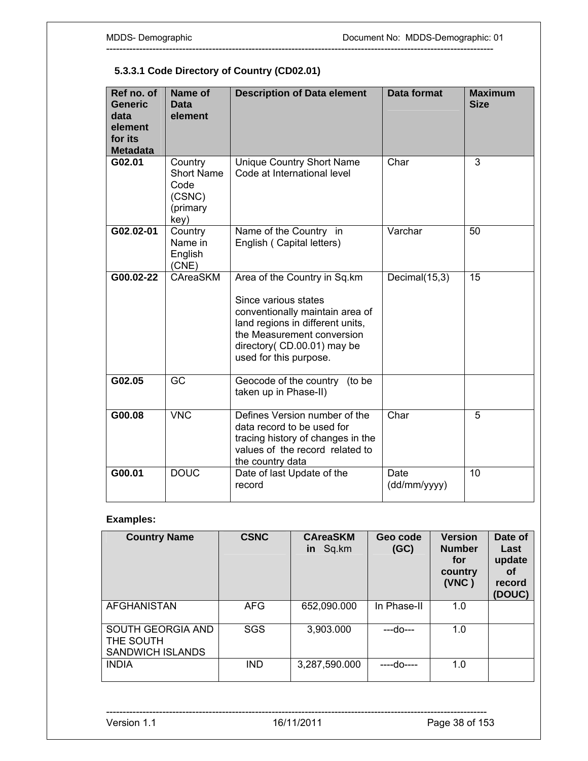# **5.3.3.1 Code Directory of Country (CD02.01)**

| Ref no. of<br><b>Generic</b><br>data<br>element<br>for its<br><b>Metadata</b> | Name of<br>Data<br>element                                         | <b>Description of Data element</b>                                                                                                                                                                                 | <b>Data format</b>   | <b>Maximum</b><br><b>Size</b> |
|-------------------------------------------------------------------------------|--------------------------------------------------------------------|--------------------------------------------------------------------------------------------------------------------------------------------------------------------------------------------------------------------|----------------------|-------------------------------|
| G02.01                                                                        | Country<br><b>Short Name</b><br>Code<br>(CSNC)<br>(primary<br>key) | Unique Country Short Name<br>Code at International level                                                                                                                                                           | Char                 | 3                             |
| G02.02-01                                                                     | Country<br>Name in<br>English<br>(CNE)                             | Name of the Country in<br>English (Capital letters)                                                                                                                                                                | Varchar              | 50                            |
| G00.02-22                                                                     | CAreaSKM                                                           | Area of the Country in Sq.km<br>Since various states<br>conventionally maintain area of<br>land regions in different units,<br>the Measurement conversion<br>directory (CD.00.01) may be<br>used for this purpose. | Decimal(15,3)        | 15                            |
| G02.05                                                                        | GC                                                                 | Geocode of the country (to be<br>taken up in Phase-II)                                                                                                                                                             |                      |                               |
| G00.08                                                                        | <b>VNC</b>                                                         | Defines Version number of the<br>data record to be used for<br>tracing history of changes in the<br>values of the record related to<br>the country data                                                            | Char                 | 5                             |
| G00.01                                                                        | <b>DOUC</b>                                                        | Date of last Update of the<br>record                                                                                                                                                                               | Date<br>(dd/mm/yyyy) | $\overline{10}$               |

---------------------------------------------------------------------------------------------------------------------

# **Examples:**

| <b>Country Name</b>                                       | <b>CSNC</b> | <b>CAreaSKM</b><br>Sq.km<br>in | Geo code<br>(GC) | <b>Version</b><br><b>Number</b><br>for<br>country<br>(VNC) | Date of<br>Last<br>update<br>Οf<br>record<br>(DOUC) |
|-----------------------------------------------------------|-------------|--------------------------------|------------------|------------------------------------------------------------|-----------------------------------------------------|
| <b>AFGHANISTAN</b>                                        | <b>AFG</b>  | 652,090.000                    | In Phase-II      | 1.0                                                        |                                                     |
| SOUTH GEORGIA AND<br>THE SOUTH<br><b>SANDWICH ISLANDS</b> | <b>SGS</b>  | 3,903.000                      | ---do---         | 1.0                                                        |                                                     |
| <b>INDIA</b>                                              | <b>IND</b>  | 3,287,590.000                  | ----do----       | 1.0                                                        |                                                     |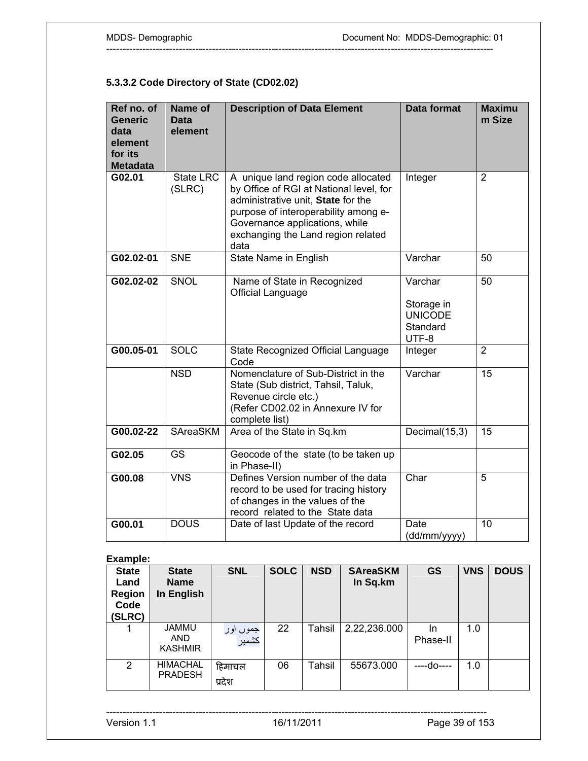# **5.3.3.2 Code Directory of State (CD02.02)**

| Ref no. of<br><b>Generic</b><br>data<br>element<br>for its<br><b>Metadata</b> | Name of<br>Data<br>element | <b>Description of Data Element</b>                                                                                                                                                                                                           | <b>Data format</b>                                           | <b>Maximu</b><br>m Size |
|-------------------------------------------------------------------------------|----------------------------|----------------------------------------------------------------------------------------------------------------------------------------------------------------------------------------------------------------------------------------------|--------------------------------------------------------------|-------------------------|
| G02.01                                                                        | State LRC<br>(SLRC)        | A unique land region code allocated<br>by Office of RGI at National level, for<br>administrative unit, State for the<br>purpose of interoperability among e-<br>Governance applications, while<br>exchanging the Land region related<br>data | Integer                                                      | $\overline{2}$          |
| G02.02-01                                                                     | <b>SNE</b>                 | State Name in English                                                                                                                                                                                                                        | Varchar                                                      | 50                      |
| G02.02-02                                                                     | SNOL                       | Name of State in Recognized<br>Official Language                                                                                                                                                                                             | Varchar<br>Storage in<br><b>UNICODE</b><br>Standard<br>UTF-8 | 50                      |
| G00.05-01                                                                     | <b>SOLC</b>                | State Recognized Official Language<br>Code                                                                                                                                                                                                   | Integer                                                      | $\overline{2}$          |
|                                                                               | <b>NSD</b>                 | Nomenclature of Sub-District in the<br>State (Sub district, Tahsil, Taluk,<br>Revenue circle etc.)<br>(Refer CD02.02 in Annexure IV for<br>complete list)                                                                                    | Varchar                                                      | 15                      |
| $G00.02 - 22$                                                                 | SAreaSKM                   | Area of the State in Sq.km                                                                                                                                                                                                                   | Decimal(15,3)                                                | 15                      |
| G02.05                                                                        | <b>GS</b>                  | Geocode of the state (to be taken up<br>in Phase-II)                                                                                                                                                                                         |                                                              |                         |
| G00.08                                                                        | <b>VNS</b>                 | Defines Version number of the data<br>record to be used for tracing history<br>of changes in the values of the<br>record related to the State data                                                                                           | Char                                                         | 5                       |
| G00.01                                                                        | <b>DOUS</b>                | Date of last Update of the record                                                                                                                                                                                                            | Date<br>(dd/mm/yyyy)                                         | $\overline{10}$         |

---------------------------------------------------------------------------------------------------------------------

# **Example:**

| <b>State</b><br>Land<br><b>Region</b><br>Code<br>(SLRC) | <b>State</b><br><b>Name</b><br>In English | <b>SNL</b>        | <b>SOLC</b> | <b>NSD</b> | <b>SAreaSKM</b><br>In Sq.km | <b>GS</b>       | <b>VNS</b> | <b>DOUS</b> |
|---------------------------------------------------------|-------------------------------------------|-------------------|-------------|------------|-----------------------------|-----------------|------------|-------------|
|                                                         | <b>JAMMU</b><br>AND<br><b>KASHMIR</b>     | جموں اور<br>کشمیر | 22          | Tahsil     | 2,22,236.000                | In.<br>Phase-II | 1.0        |             |
| 2                                                       | <b>HIMACHAL</b><br><b>PRADESH</b>         | हिमाचल<br>प्रदेश  | 06          | Tahsil     | 55673.000                   | ----do----      | 1.0        |             |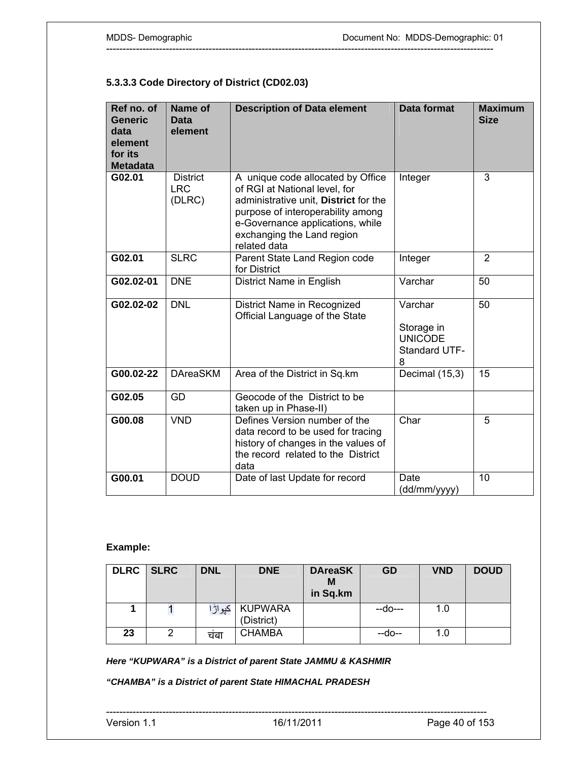## **5.3.3.3 Code Directory of District (CD02.03)**

| Ref no. of<br><b>Generic</b><br>data<br>element<br>for its<br><b>Metadata</b> | <b>Name of</b><br>Data<br>element       | <b>Description of Data element</b>                                                                                                                                                                                                 | <b>Data format</b>                                            | <b>Maximum</b><br><b>Size</b> |
|-------------------------------------------------------------------------------|-----------------------------------------|------------------------------------------------------------------------------------------------------------------------------------------------------------------------------------------------------------------------------------|---------------------------------------------------------------|-------------------------------|
| G02.01                                                                        | <b>District</b><br><b>LRC</b><br>(DLRC) | A unique code allocated by Office<br>of RGI at National level, for<br>administrative unit, District for the<br>purpose of interoperability among<br>e-Governance applications, while<br>exchanging the Land region<br>related data | Integer                                                       | 3                             |
| G02.01                                                                        | <b>SLRC</b>                             | Parent State Land Region code<br>for District                                                                                                                                                                                      | Integer                                                       | $\overline{2}$                |
| G02.02-01                                                                     | <b>DNE</b>                              | District Name in English                                                                                                                                                                                                           | Varchar                                                       | 50                            |
| G02.02-02                                                                     | <b>DNL</b>                              | District Name in Recognized<br>Official Language of the State                                                                                                                                                                      | Varchar<br>Storage in<br><b>UNICODE</b><br>Standard UTF-<br>8 | 50                            |
| G00.02-22                                                                     | <b>DAreaSKM</b>                         | Area of the District in Sq.km                                                                                                                                                                                                      | Decimal (15,3)                                                | 15                            |
| G02.05                                                                        | GD                                      | Geocode of the District to be<br>taken up in Phase-II)                                                                                                                                                                             |                                                               |                               |
| G00.08                                                                        | <b>VND</b>                              | Defines Version number of the<br>data record to be used for tracing<br>history of changes in the values of<br>the record related to the District<br>data                                                                           | Char                                                          | 5                             |
| G00.01                                                                        | <b>DOUD</b>                             | Date of last Update for record                                                                                                                                                                                                     | Date<br>(dd/mm/yyyy)                                          | 10                            |

---------------------------------------------------------------------------------------------------------------------

# **Example:**

| <b>DLRC</b> | <b>SLRC</b> | <b>DNL</b> | <b>DNE</b>                   | <b>DAreaSK</b><br>М<br>in Sq.km | GD      | <b>VND</b> | <b>DOUD</b> |
|-------------|-------------|------------|------------------------------|---------------------------------|---------|------------|-------------|
|             |             | کپواڑا     | <b>KUPWARA</b><br>(District) |                                 | --do--- | 1.0        |             |
| 23          | 2           | चंबा       | <b>CHAMBA</b>                |                                 | $-do-$  | 1.0        |             |

*Here "KUPWARA" is a District of parent State JAMMU & KASHMIR* 

*"CHAMBA" is a District of parent State HIMACHAL PRADESH*

```
-------------------------------------------------------------------------------------------------------------------
```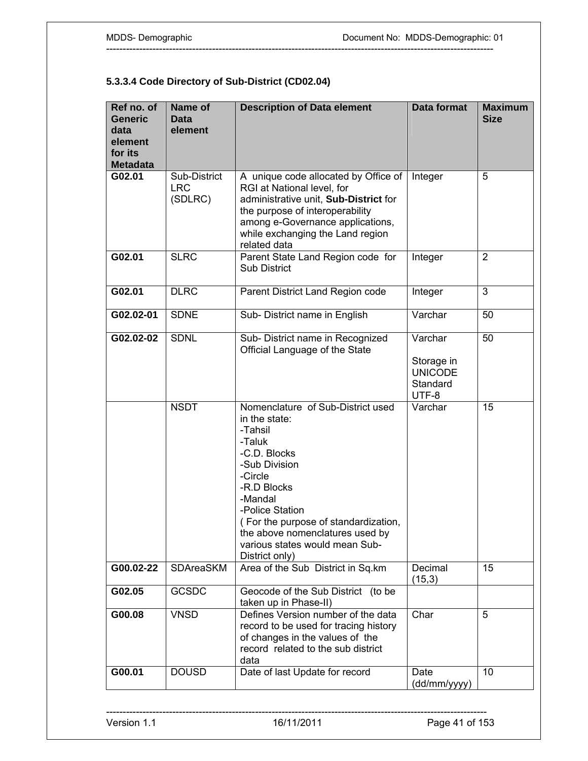# **5.3.3.4 Code Directory of Sub-District (CD02.04)**

| Ref no. of<br><b>Generic</b><br>data<br>element<br>for its<br><b>Metadata</b> | Name of<br><b>Data</b><br>element     | <b>Description of Data element</b>                                                                                                                                                                                                                                                              | <b>Data format</b>                                           | <b>Maximum</b><br><b>Size</b> |
|-------------------------------------------------------------------------------|---------------------------------------|-------------------------------------------------------------------------------------------------------------------------------------------------------------------------------------------------------------------------------------------------------------------------------------------------|--------------------------------------------------------------|-------------------------------|
| G02.01                                                                        | Sub-District<br><b>LRC</b><br>(SDLRC) | A unique code allocated by Office of<br>RGI at National level, for<br>administrative unit, Sub-District for<br>the purpose of interoperability<br>among e-Governance applications,<br>while exchanging the Land region<br>related data                                                          | Integer                                                      | 5                             |
| G02.01                                                                        | <b>SLRC</b>                           | Parent State Land Region code for<br><b>Sub District</b>                                                                                                                                                                                                                                        | Integer                                                      | $\overline{2}$                |
| G02.01                                                                        | <b>DLRC</b>                           | Parent District Land Region code                                                                                                                                                                                                                                                                | Integer                                                      | $\overline{3}$                |
| G02.02-01                                                                     | <b>SDNE</b>                           | Sub- District name in English                                                                                                                                                                                                                                                                   | Varchar                                                      | 50                            |
| G02.02-02                                                                     | <b>SDNL</b>                           | Sub- District name in Recognized<br>Official Language of the State                                                                                                                                                                                                                              | Varchar<br>Storage in<br><b>UNICODE</b><br>Standard<br>UTF-8 | 50                            |
|                                                                               | <b>NSDT</b>                           | Nomenclature of Sub-District used<br>in the state:<br>-Tahsil<br>-Taluk<br>-C.D. Blocks<br>-Sub Division<br>-Circle<br>-R.D Blocks<br>-Mandal<br>-Police Station<br>(For the purpose of standardization,<br>the above nomenclatures used by<br>various states would mean Sub-<br>District only) | Varchar                                                      | 15                            |
| G00.02-22                                                                     | <b>SDAreaSKM</b>                      | Area of the Sub District in Sq.km                                                                                                                                                                                                                                                               | Decimal<br>(15,3)                                            | 15                            |
| G02.05                                                                        | <b>GCSDC</b>                          | Geocode of the Sub District (to be<br>taken up in Phase-II)                                                                                                                                                                                                                                     |                                                              |                               |
| G00.08                                                                        | <b>VNSD</b>                           | Defines Version number of the data<br>record to be used for tracing history<br>of changes in the values of the<br>record related to the sub district<br>data                                                                                                                                    | Char                                                         | 5                             |
| G00.01                                                                        | <b>DOUSD</b>                          | Date of last Update for record                                                                                                                                                                                                                                                                  | Date<br>(dd/mm/yyyy)                                         | 10                            |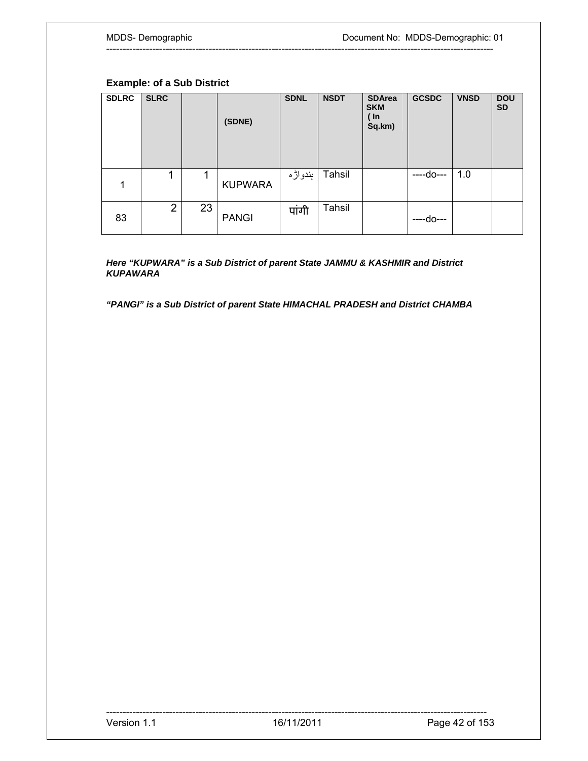## **Example: of a Sub District**

| <b>SDLRC</b> | <b>SLRC</b>    |    | (SDNE)         | <b>SDNL</b> | <b>NSDT</b> | <b>SDArea</b><br><b>SKM</b><br>( In<br>Sq.km) | <b>GCSDC</b> | <b>VNSD</b> | <b>DOU</b><br><b>SD</b> |
|--------------|----------------|----|----------------|-------------|-------------|-----------------------------------------------|--------------|-------------|-------------------------|
| 1            | 1              | 1  | <b>KUPWARA</b> | ٻندواڙه     | Tahsil      |                                               | ----do----   | 1.0         |                         |
| 83           | $\overline{2}$ | 23 | <b>PANGI</b>   | पांगी       | Tahsil      |                                               | ----do---    |             |                         |

---------------------------------------------------------------------------------------------------------------------

*Here "KUPWARA" is a Sub District of parent State JAMMU & KASHMIR and District KUPAWARA* 

*"PANGI" is a Sub District of parent State HIMACHAL PRADESH and District CHAMBA*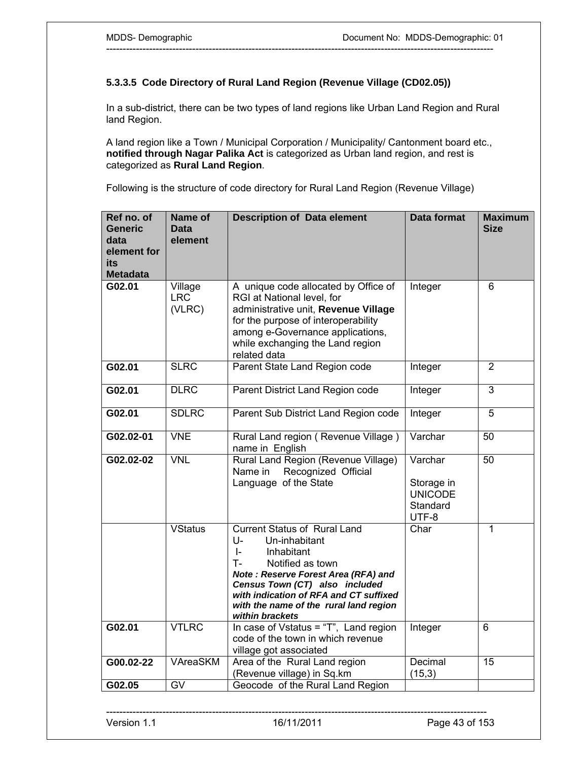## **5.3.3.5 Code Directory of Rural Land Region (Revenue Village (CD02.05))**

In a sub-district, there can be two types of land regions like Urban Land Region and Rural land Region.

---------------------------------------------------------------------------------------------------------------------

A land region like a Town / Municipal Corporation / Municipality/ Cantonment board etc., **notified through Nagar Palika Act** is categorized as Urban land region, and rest is categorized as **Rural Land Region**.

Following is the structure of code directory for Rural Land Region (Revenue Village)

| Ref no. of<br><b>Generic</b><br>data<br>element for<br>its<br><b>Metadata</b> | Name of<br>Data<br>element      | <b>Description of Data element</b>                                                                                                                                                                                                                                                              | <b>Data format</b>                                           | <b>Maximum</b><br><b>Size</b> |
|-------------------------------------------------------------------------------|---------------------------------|-------------------------------------------------------------------------------------------------------------------------------------------------------------------------------------------------------------------------------------------------------------------------------------------------|--------------------------------------------------------------|-------------------------------|
| G02.01                                                                        | Village<br><b>LRC</b><br>(VLRC) | A unique code allocated by Office of<br>RGI at National level, for<br>administrative unit, Revenue Village<br>for the purpose of interoperability<br>among e-Governance applications,<br>while exchanging the Land region<br>related data                                                       | Integer                                                      | 6                             |
| G02.01                                                                        | <b>SLRC</b>                     | Parent State Land Region code                                                                                                                                                                                                                                                                   | Integer                                                      | $\overline{2}$                |
| G02.01                                                                        | <b>DLRC</b>                     | Parent District Land Region code                                                                                                                                                                                                                                                                | Integer                                                      | 3                             |
| G02.01                                                                        | <b>SDLRC</b>                    | Parent Sub District Land Region code                                                                                                                                                                                                                                                            | Integer                                                      | 5                             |
| G02.02-01                                                                     | <b>VNE</b>                      | Rural Land region (Revenue Village)<br>name in English                                                                                                                                                                                                                                          | Varchar                                                      | 50                            |
| G02.02-02                                                                     | <b>VNL</b>                      | Rural Land Region (Revenue Village)<br>Recognized Official<br>Name in<br>Language of the State                                                                                                                                                                                                  | Varchar<br>Storage in<br><b>UNICODE</b><br>Standard<br>UTF-8 | 50                            |
|                                                                               | <b>VStatus</b>                  | <b>Current Status of Rural Land</b><br>U-<br>Un-inhabitant<br>$\vert$ -<br>Inhabitant<br>т.<br>Notified as town<br>Note: Reserve Forest Area (RFA) and<br>Census Town (CT) also included<br>with indication of RFA and CT suffixed<br>with the name of the rural land region<br>within brackets | Char                                                         | 1                             |
| G02.01                                                                        | <b>VTLRC</b>                    | In case of Vstatus = "T", Land region<br>code of the town in which revenue<br>village got associated                                                                                                                                                                                            | Integer                                                      | 6                             |
| G00.02-22                                                                     | <b>VAreaSKM</b>                 | Area of the Rural Land region<br>(Revenue village) in Sq.km                                                                                                                                                                                                                                     | Decimal<br>(15,3)                                            | $\overline{15}$               |
| G02.05                                                                        | $\overline{GV}$                 | Geocode of the Rural Land Region                                                                                                                                                                                                                                                                |                                                              |                               |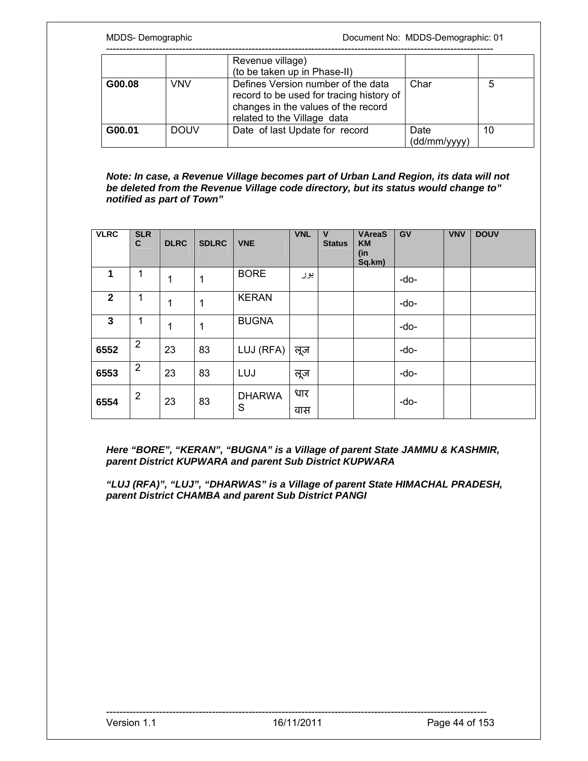|        |             | Revenue village)<br>(to be taken up in Phase-II)                                                                                                     |                      |    |
|--------|-------------|------------------------------------------------------------------------------------------------------------------------------------------------------|----------------------|----|
| G00.08 | VNV         | Defines Version number of the data<br>record to be used for tracing history of<br>changes in the values of the record<br>related to the Village data | Char                 |    |
| G00.01 | <b>DOUV</b> | Date of last Update for record                                                                                                                       | Date<br>(dd/mm/yyyy) | 10 |

*Note: In case, a Revenue Village becomes part of Urban Land Region, its data will not be deleted from the Revenue Village code directory, but its status would change to" notified as part of Town"* 

| <b>VLRC</b>    | <b>SLR</b><br>C | <b>DLRC</b> | <b>SDLRC</b> | <b>VNE</b>         | <b>VNL</b> | $\mathsf{V}$<br><b>Status</b> | <b>VAreaS</b><br><b>KM</b><br>(in<br>Sq.km) | GV   | <b>VNV</b> | <b>DOUV</b> |
|----------------|-----------------|-------------|--------------|--------------------|------------|-------------------------------|---------------------------------------------|------|------------|-------------|
| 1              | 1               | 1           | 1            | <b>BORE</b>        | بور        |                               |                                             | -do- |            |             |
| $\overline{2}$ | 1               | 1           | 1            | <b>KERAN</b>       |            |                               |                                             | -do- |            |             |
| $\mathbf{3}$   | 1               | 1           | 1            | <b>BUGNA</b>       |            |                               |                                             | -do- |            |             |
| 6552           | $\overline{2}$  | 23          | 83           | LUJ (RFA)          | लूज        |                               |                                             | -do- |            |             |
| 6553           | $\overline{2}$  | 23          | 83           | LUJ                | लूज        |                               |                                             | -do- |            |             |
| 6554           | $\overline{2}$  | 23          | 83           | <b>DHARWA</b><br>S | धार<br>वास |                               |                                             | -do- |            |             |

*Here "BORE", "KERAN", "BUGNA" is a Village of parent State JAMMU & KASHMIR, parent District KUPWARA and parent Sub District KUPWARA* 

*"LUJ (RFA)", "LUJ", "DHARWAS" is a Village of parent State HIMACHAL PRADESH, parent District CHAMBA and parent Sub District PANGI*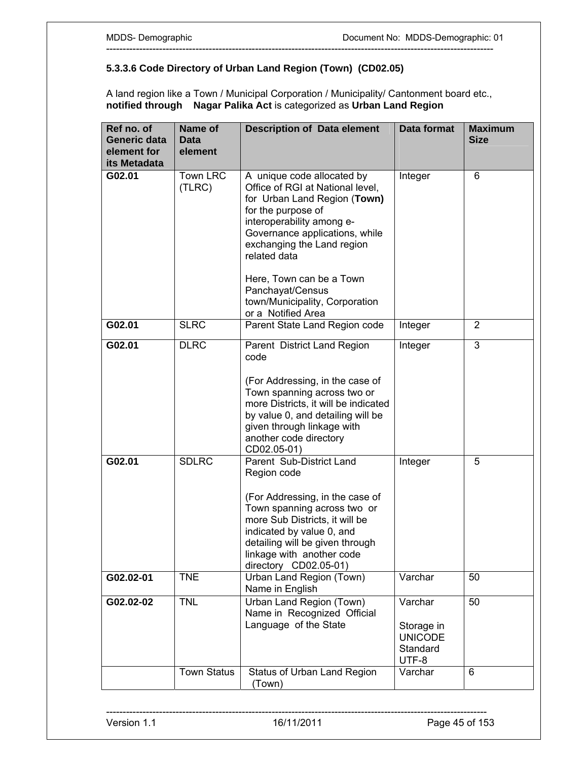## **5.3.3.6 Code Directory of Urban Land Region (Town) (CD02.05)**

A land region like a Town / Municipal Corporation / Municipality/ Cantonment board etc., **notified through Nagar Palika Act** is categorized as **Urban Land Region**

| Ref no. of<br>Generic data<br>element for<br>its Metadata | Name of<br><b>Data</b><br>element | <b>Description of Data element</b>                                                                                                                                                                                                                                                | <b>Data format</b>                                           | <b>Maximum</b><br><b>Size</b> |
|-----------------------------------------------------------|-----------------------------------|-----------------------------------------------------------------------------------------------------------------------------------------------------------------------------------------------------------------------------------------------------------------------------------|--------------------------------------------------------------|-------------------------------|
| G02.01                                                    | Town LRC<br>(TLRC)                | A unique code allocated by<br>Office of RGI at National level,<br>for Urban Land Region (Town)<br>for the purpose of<br>interoperability among e-<br>Governance applications, while<br>exchanging the Land region<br>related data<br>Here, Town can be a Town<br>Panchayat/Census | Integer                                                      | 6                             |
|                                                           |                                   | town/Municipality, Corporation<br>or a Notified Area                                                                                                                                                                                                                              |                                                              |                               |
| G02.01                                                    | <b>SLRC</b>                       | Parent State Land Region code                                                                                                                                                                                                                                                     | Integer                                                      | $\overline{2}$                |
| G02.01                                                    | <b>DLRC</b>                       | Parent District Land Region<br>code<br>(For Addressing, in the case of<br>Town spanning across two or<br>more Districts, it will be indicated<br>by value 0, and detailing will be<br>given through linkage with<br>another code directory<br>CD02.05-01)                         | Integer                                                      | 3                             |
| G02.01                                                    | <b>SDLRC</b>                      | Parent Sub-District Land<br>Region code<br>(For Addressing, in the case of<br>Town spanning across two or<br>more Sub Districts, it will be<br>indicated by value 0, and<br>detailing will be given through<br>linkage with another code<br>directory CD02.05-01)                 | Integer                                                      | 5                             |
| G02.02-01                                                 | <b>TNE</b>                        | Urban Land Region (Town)<br>Name in English                                                                                                                                                                                                                                       | Varchar                                                      | 50                            |
| $G02.02-02$                                               | <b>TNL</b>                        | Urban Land Region (Town)<br>Name in Recognized Official<br>Language of the State                                                                                                                                                                                                  | Varchar<br>Storage in<br><b>UNICODE</b><br>Standard<br>UTF-8 | 50                            |
|                                                           | <b>Town Status</b>                | Status of Urban Land Region<br>(Town)                                                                                                                                                                                                                                             | Varchar                                                      | 6                             |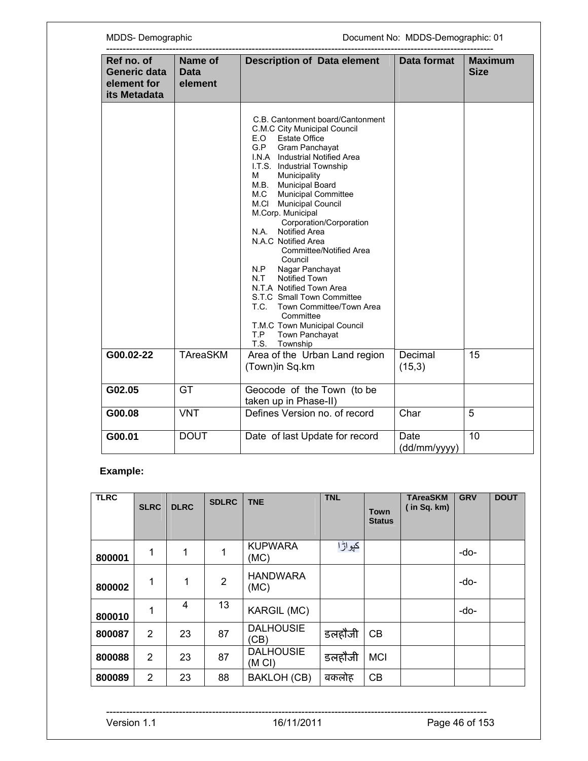| MDDS-Demographic                                                 |                                   |                                                                                                                                                                                                                                                                                                                                                                                                                                                                                                                                                                                                                                                                                                                        | Document No: MDDS-Demographic: 01 |                               |  |  |
|------------------------------------------------------------------|-----------------------------------|------------------------------------------------------------------------------------------------------------------------------------------------------------------------------------------------------------------------------------------------------------------------------------------------------------------------------------------------------------------------------------------------------------------------------------------------------------------------------------------------------------------------------------------------------------------------------------------------------------------------------------------------------------------------------------------------------------------------|-----------------------------------|-------------------------------|--|--|
| Ref no. of<br><b>Generic data</b><br>element for<br>its Metadata | Name of<br><b>Data</b><br>element | <b>Description of Data element</b>                                                                                                                                                                                                                                                                                                                                                                                                                                                                                                                                                                                                                                                                                     | Data format                       | <b>Maximum</b><br><b>Size</b> |  |  |
|                                                                  |                                   | C.B. Cantonment board/Cantonment<br>C.M.C City Municipal Council<br><b>Estate Office</b><br>E.O<br>G.P<br>Gram Panchayat<br>I.N.A Industrial Notified Area<br>I.T.S. Industrial Township<br>Municipality<br>М<br><b>Municipal Board</b><br>M.B.<br><b>Municipal Committee</b><br>M.C<br><b>Municipal Council</b><br>M.CI<br>M.Corp. Municipal<br>Corporation/Corporation<br><b>Notified Area</b><br>N.A.<br>N.A.C Notified Area<br>Committee/Notified Area<br>Council<br>Nagar Panchayat<br>N.P<br><b>Notified Town</b><br>N.T<br>N.T.A Notified Town Area<br>S.T.C Small Town Committee<br>Town Committee/Town Area<br>T.C.<br>Committee<br>T.M.C Town Municipal Council<br>Town Panchayat<br>T.P<br>T.S.<br>Township |                                   |                               |  |  |
| G00.02-22                                                        | <b>TAreaSKM</b>                   | Area of the Urban Land region<br>(Town)in Sq.km                                                                                                                                                                                                                                                                                                                                                                                                                                                                                                                                                                                                                                                                        | Decimal<br>(15,3)                 | 15                            |  |  |
| G02.05                                                           | GT                                | Geocode of the Town (to be<br>taken up in Phase-II)                                                                                                                                                                                                                                                                                                                                                                                                                                                                                                                                                                                                                                                                    |                                   |                               |  |  |
| G00.08                                                           | <b>VNT</b>                        | Defines Version no. of record                                                                                                                                                                                                                                                                                                                                                                                                                                                                                                                                                                                                                                                                                          | Char                              | $\overline{5}$                |  |  |
| G00.01                                                           | <b>DOUT</b>                       | Date of last Update for record                                                                                                                                                                                                                                                                                                                                                                                                                                                                                                                                                                                                                                                                                         | Date<br>(dd/mm/yyyy)              | 10                            |  |  |

# **Example:**

| <b>TLRC</b> | <b>SLRC</b>    | <b>DLRC</b> | <b>SDLRC</b>   | <b>TNE</b>                            | <b>TNL</b> | <b>Town</b><br><b>Status</b> | <b>TAreaSKM</b><br>in Sq. km) | <b>GRV</b> | <b>DOUT</b> |
|-------------|----------------|-------------|----------------|---------------------------------------|------------|------------------------------|-------------------------------|------------|-------------|
| 800001      | 1              | 1           | 1              | <b>KUPWARA</b><br>(MC)                | کپو اڑ ا   |                              |                               | -do-       |             |
| 800002      | 1              | 1           | $\overline{2}$ | <b>HANDWARA</b><br>(MC)               |            |                              |                               | -do-       |             |
| 800010      | 1              | 4           | 13             | <b>KARGIL (MC)</b>                    |            |                              |                               | -do-       |             |
| 800087      | $\overline{2}$ | 23          | 87             | <b>DALHOUSIE</b><br>(CB)              | डलहौजी     | CB                           |                               |            |             |
| 800088      | $\overline{2}$ | 23          | 87             | <b>DALHOUSIE</b><br>(M <sub>C</sub> ) | डलहौजी     | <b>MCI</b>                   |                               |            |             |
| 800089      | $\overline{2}$ | 23          | 88             | <b>BAKLOH (CB)</b>                    | बकलोह      | CB                           |                               |            |             |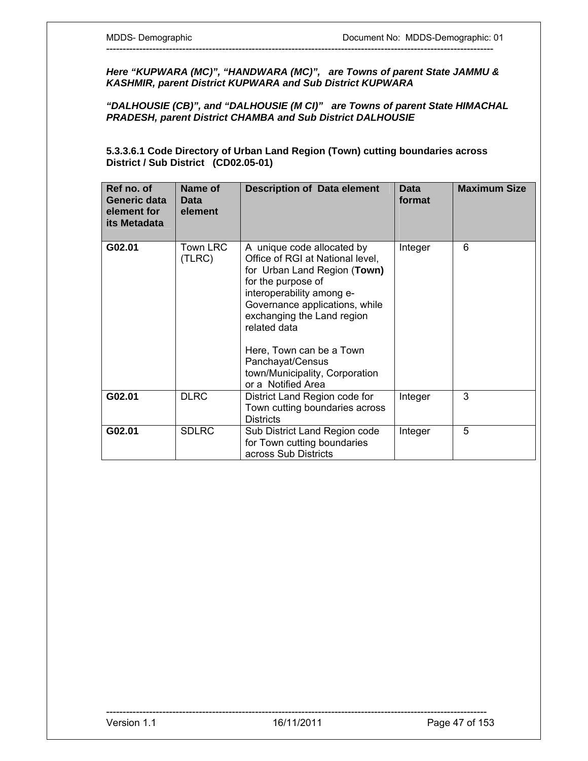*Here "KUPWARA (MC)", "HANDWARA (MC)", are Towns of parent State JAMMU & KASHMIR, parent District KUPWARA and Sub District KUPWARA* 

---------------------------------------------------------------------------------------------------------------------

*"DALHOUSIE (CB)", and "DALHOUSIE (M CI)" are Towns of parent State HIMACHAL PRADESH, parent District CHAMBA and Sub District DALHOUSIE* 

**5.3.3.6.1 Code Directory of Urban Land Region (Town) cutting boundaries across District / Sub District (CD02.05-01)** 

| Ref no. of<br>Generic data<br>element for<br>its Metadata | Name of<br>Data<br>element | <b>Description of Data element</b>                                                                                                                                                                                                                                                                                                        | <b>Data</b><br>format | <b>Maximum Size</b> |
|-----------------------------------------------------------|----------------------------|-------------------------------------------------------------------------------------------------------------------------------------------------------------------------------------------------------------------------------------------------------------------------------------------------------------------------------------------|-----------------------|---------------------|
| G02.01                                                    | <b>Town LRC</b><br>(TLRC)  | A unique code allocated by<br>Office of RGI at National level,<br>for Urban Land Region (Town)<br>for the purpose of<br>interoperability among e-<br>Governance applications, while<br>exchanging the Land region<br>related data<br>Here, Town can be a Town<br>Panchayat/Census<br>town/Municipality, Corporation<br>or a Notified Area | Integer               | 6                   |
| G02.01                                                    | <b>DLRC</b>                | District Land Region code for<br>Town cutting boundaries across<br><b>Districts</b>                                                                                                                                                                                                                                                       | Integer               | 3                   |
| G02.01                                                    | <b>SDLRC</b>               | Sub District Land Region code<br>for Town cutting boundaries<br>across Sub Districts                                                                                                                                                                                                                                                      | Integer               | 5                   |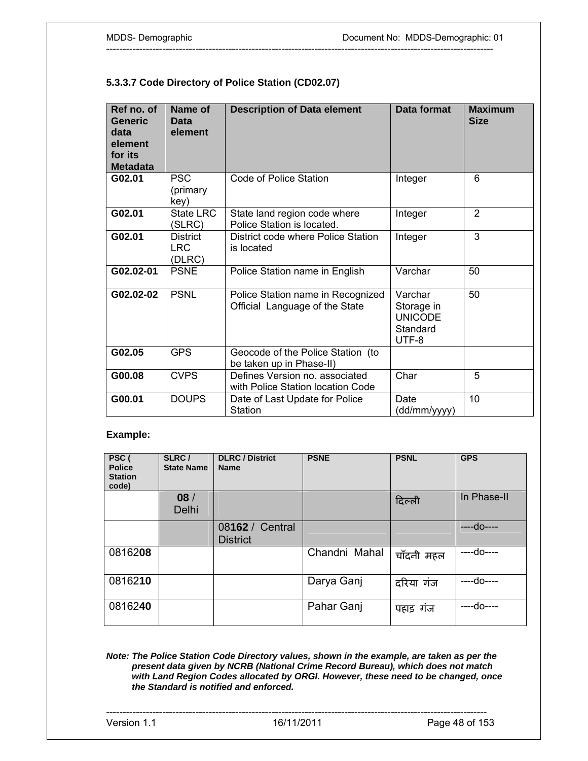## **5.3.3.7 Code Directory of Police Station (CD02.07)**

| Ref no. of<br><b>Generic</b><br>data<br>element<br>for its<br><b>Metadata</b> | Name of<br>Data<br>element              | <b>Description of Data element</b>                                  | Data format                                                  | <b>Maximum</b><br><b>Size</b> |
|-------------------------------------------------------------------------------|-----------------------------------------|---------------------------------------------------------------------|--------------------------------------------------------------|-------------------------------|
| G02.01                                                                        | <b>PSC</b><br>(primary<br>key)          | Code of Police Station                                              | Integer                                                      | 6                             |
| G02.01                                                                        | State LRC<br>(SLRC)                     | State land region code where<br>Police Station is located.          | Integer                                                      | 2                             |
| G02.01                                                                        | <b>District</b><br><b>LRC</b><br>(DLRC) | District code where Police Station<br>is located                    | Integer                                                      | 3                             |
| G02.02-01                                                                     | <b>PSNE</b>                             | Police Station name in English                                      | Varchar                                                      | 50                            |
| G02.02-02                                                                     | <b>PSNL</b>                             | Police Station name in Recognized<br>Official Language of the State | Varchar<br>Storage in<br><b>UNICODE</b><br>Standard<br>UTF-8 | 50                            |
| G02.05                                                                        | <b>GPS</b>                              | Geocode of the Police Station (to<br>be taken up in Phase-II)       |                                                              |                               |
| G00.08                                                                        | <b>CVPS</b>                             | Defines Version no. associated<br>with Police Station location Code | Char                                                         | 5                             |
| G00.01                                                                        | <b>DOUPS</b>                            | Date of Last Update for Police<br><b>Station</b>                    | Date<br>(dd/mm/yyyy)                                         | 10                            |

---------------------------------------------------------------------------------------------------------------------

#### **Example:**

| PSC (<br><b>Police</b><br><b>Station</b><br>code) | SLRC/<br><b>State Name</b> | <b>DLRC</b> / District<br><b>Name</b> | <b>PSNE</b>   | <b>PSNL</b> | <b>GPS</b>  |
|---------------------------------------------------|----------------------------|---------------------------------------|---------------|-------------|-------------|
|                                                   | 08/<br>Delhi               |                                       |               | दिल्ली      | In Phase-II |
|                                                   |                            | 08162 / Central<br><b>District</b>    |               |             | ----do----  |
| 0816208                                           |                            |                                       | Chandni Mahal | चाँदनी महल  | ----do----  |
| 0816210                                           |                            |                                       | Darya Ganj    | दरिया गंज   | ----do----  |
| 0816240                                           |                            |                                       | Pahar Ganj    | पहाड़ गंज   | ----do----  |

*Note: The Police Station Code Directory values, shown in the example, are taken as per the present data given by NCRB (National Crime Record Bureau), which does not match with Land Region Codes allocated by ORGI. However, these need to be changed, once the Standard is notified and enforced.*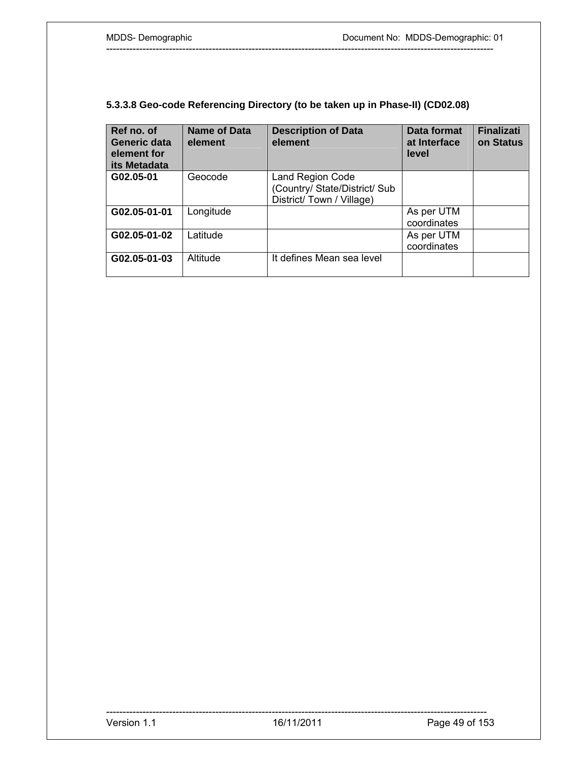# **5.3.3.8 Geo-code Referencing Directory (to be taken up in Phase-II) (CD02.08)**

| Ref no. of<br>Generic data<br>element for<br>its Metadata | <b>Name of Data</b><br>element | <b>Description of Data</b><br>element                                         | Data format<br>at Interface<br>level | <b>Finalizati</b><br>on Status |
|-----------------------------------------------------------|--------------------------------|-------------------------------------------------------------------------------|--------------------------------------|--------------------------------|
| G02.05-01                                                 | Geocode                        | Land Region Code<br>(Country/ State/District/ Sub<br>District/Town / Village) |                                      |                                |
| G02.05-01-01                                              | Longitude                      |                                                                               | As per UTM<br>coordinates            |                                |
| G02.05-01-02                                              | Latitude                       |                                                                               | As per UTM<br>coordinates            |                                |
| G02.05-01-03                                              | Altitude                       | It defines Mean sea level                                                     |                                      |                                |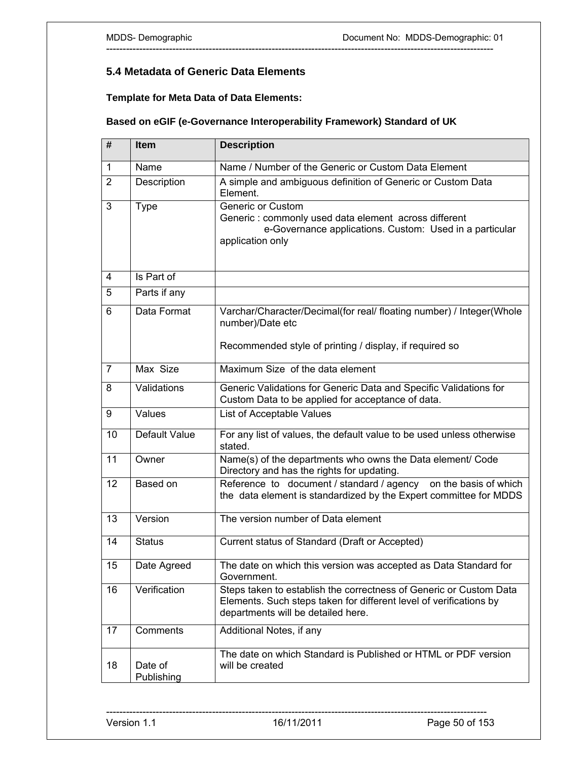# **5.4 Metadata of Generic Data Elements**

**Template for Meta Data of Data Elements:** 

## **Based on eGIF (e-Governance Interoperability Framework) Standard of UK**

---------------------------------------------------------------------------------------------------------------------

| #              | <b>Item</b>           | <b>Description</b>                                                                                                                                                             |  |
|----------------|-----------------------|--------------------------------------------------------------------------------------------------------------------------------------------------------------------------------|--|
| 1              | Name                  | Name / Number of the Generic or Custom Data Element                                                                                                                            |  |
| $\overline{2}$ | Description           | A simple and ambiguous definition of Generic or Custom Data<br>Element.                                                                                                        |  |
| 3              | <b>Type</b>           | <b>Generic or Custom</b><br>Generic: commonly used data element across different<br>e-Governance applications. Custom: Used in a particular<br>application only                |  |
| 4              | Is Part of            |                                                                                                                                                                                |  |
| 5              | Parts if any          |                                                                                                                                                                                |  |
| 6              | Data Format           | Varchar/Character/Decimal(for real/ floating number) / Integer(Whole<br>number)/Date etc                                                                                       |  |
|                |                       | Recommended style of printing / display, if required so                                                                                                                        |  |
| $\overline{7}$ | Max Size              | Maximum Size of the data element                                                                                                                                               |  |
| 8              | Validations           | Generic Validations for Generic Data and Specific Validations for<br>Custom Data to be applied for acceptance of data.                                                         |  |
| 9              | Values                | List of Acceptable Values                                                                                                                                                      |  |
| 10             | Default Value         | For any list of values, the default value to be used unless otherwise<br>stated.                                                                                               |  |
| 11             | Owner                 | Name(s) of the departments who owns the Data element/ Code<br>Directory and has the rights for updating.                                                                       |  |
| 12             | Based on              | Reference to document / standard / agency on the basis of which<br>the data element is standardized by the Expert committee for MDDS                                           |  |
| 13             | Version               | The version number of Data element                                                                                                                                             |  |
| 14             | <b>Status</b>         | Current status of Standard (Draft or Accepted)                                                                                                                                 |  |
| 15             | Date Agreed           | The date on which this version was accepted as Data Standard for<br>Government.                                                                                                |  |
| 16             | Verification          | Steps taken to establish the correctness of Generic or Custom Data<br>Elements. Such steps taken for different level of verifications by<br>departments will be detailed here. |  |
| 17             | Comments              | Additional Notes, if any                                                                                                                                                       |  |
| 18             | Date of<br>Publishing | The date on which Standard is Published or HTML or PDF version<br>will be created                                                                                              |  |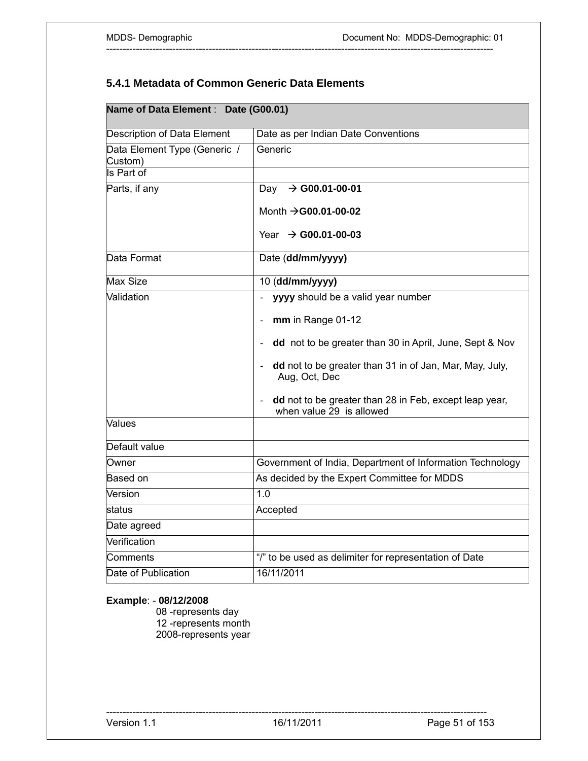# **5.4.1 Metadata of Common Generic Data Elements**

---------------------------------------------------------------------------------------------------------------------

|                                         | Name of Data Element : Date (G00.01)                                                               |  |  |  |  |
|-----------------------------------------|----------------------------------------------------------------------------------------------------|--|--|--|--|
| <b>Description of Data Element</b>      | Date as per Indian Date Conventions                                                                |  |  |  |  |
| Data Element Type (Generic /<br>Custom) | Generic                                                                                            |  |  |  |  |
| Is Part of                              |                                                                                                    |  |  |  |  |
| Parts, if any                           | $\rightarrow$ G00.01-00-01<br>Day                                                                  |  |  |  |  |
|                                         | Month $\rightarrow$ G00.01-00-02                                                                   |  |  |  |  |
|                                         | Year $\rightarrow$ G00.01-00-03                                                                    |  |  |  |  |
| Data Format                             | Date (dd/mm/yyyy)                                                                                  |  |  |  |  |
| Max Size                                | 10 (dd/mm/yyyy)                                                                                    |  |  |  |  |
| Validation                              | yyyy should be a valid year number                                                                 |  |  |  |  |
|                                         | mm in Range 01-12                                                                                  |  |  |  |  |
|                                         | dd not to be greater than 30 in April, June, Sept & Nov                                            |  |  |  |  |
|                                         | dd not to be greater than 31 in of Jan, Mar, May, July,<br>Aug, Oct, Dec                           |  |  |  |  |
|                                         | dd not to be greater than 28 in Feb, except leap year,<br>$\mathbb{L}$<br>when value 29 is allowed |  |  |  |  |
| Values                                  |                                                                                                    |  |  |  |  |
| Default value                           |                                                                                                    |  |  |  |  |
| Owner                                   | Government of India, Department of Information Technology                                          |  |  |  |  |
| Based on                                | As decided by the Expert Committee for MDDS                                                        |  |  |  |  |
| Version                                 | 1.0                                                                                                |  |  |  |  |
| status                                  | Accepted                                                                                           |  |  |  |  |
| Date agreed                             |                                                                                                    |  |  |  |  |
| Verification                            |                                                                                                    |  |  |  |  |
| Comments                                | "/" to be used as delimiter for representation of Date                                             |  |  |  |  |
| Date of Publication                     | 16/11/2011                                                                                         |  |  |  |  |

## **Example**: - **08/12/2008**

 08 -represents day 12 -represents month 2008-represents year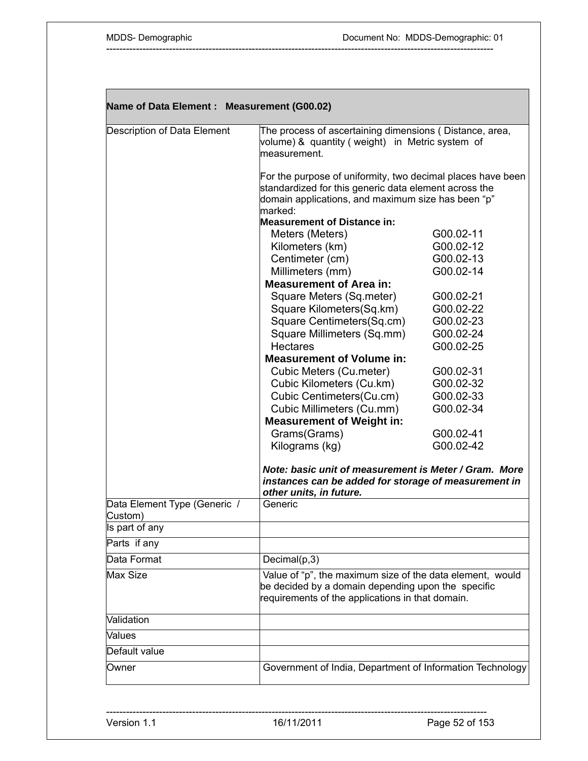| Name of Data Element : Measurement (G00.02) |                                                                                                                                                                     |                        |
|---------------------------------------------|---------------------------------------------------------------------------------------------------------------------------------------------------------------------|------------------------|
| Description of Data Element                 | The process of ascertaining dimensions (Distance, area,<br>volume) & quantity (weight) in Metric system of<br>measurement.                                          |                        |
|                                             | For the purpose of uniformity, two decimal places have been<br>standardized for this generic data element across the                                                |                        |
|                                             | domain applications, and maximum size has been "p"<br>marked:                                                                                                       |                        |
|                                             | <b>Measurement of Distance in:</b>                                                                                                                                  |                        |
|                                             | Meters (Meters)                                                                                                                                                     | G00.02-11              |
|                                             | Kilometers (km)                                                                                                                                                     | G00.02-12              |
|                                             | Centimeter (cm)                                                                                                                                                     | G00.02-13              |
|                                             | Millimeters (mm)                                                                                                                                                    | G00.02-14              |
|                                             | <b>Measurement of Area in:</b>                                                                                                                                      |                        |
|                                             | Square Meters (Sq.meter)                                                                                                                                            | G00.02-21              |
|                                             | Square Kilometers(Sq.km)                                                                                                                                            | G00.02-22              |
|                                             | Square Centimeters(Sq.cm)                                                                                                                                           | G00.02-23              |
|                                             | Square Millimeters (Sq.mm)                                                                                                                                          | G00.02-24              |
|                                             | <b>Hectares</b>                                                                                                                                                     | G00.02-25              |
|                                             | <b>Measurement of Volume in:</b>                                                                                                                                    |                        |
|                                             | Cubic Meters (Cu.meter)                                                                                                                                             | G00.02-31              |
|                                             | Cubic Kilometers (Cu.km)                                                                                                                                            | G00.02-32              |
|                                             | Cubic Centimeters(Cu.cm)<br>Cubic Millimeters (Cu.mm)                                                                                                               | G00.02-33<br>G00.02-34 |
|                                             | <b>Measurement of Weight in:</b>                                                                                                                                    |                        |
|                                             | Grams(Grams)                                                                                                                                                        | G00.02-41              |
|                                             | Kilograms (kg)                                                                                                                                                      | G00.02-42              |
|                                             |                                                                                                                                                                     |                        |
|                                             | Note: basic unit of measurement is Meter / Gram. More<br>instances can be added for storage of measurement in                                                       |                        |
| Data Element Type (Generic /                | other units, in future.<br>Generic                                                                                                                                  |                        |
| Custom)<br>Is part of any                   |                                                                                                                                                                     |                        |
|                                             |                                                                                                                                                                     |                        |
| Parts if any                                |                                                                                                                                                                     |                        |
| Data Format                                 | Decimal(p,3)                                                                                                                                                        |                        |
| Max Size                                    | Value of "p", the maximum size of the data element, would<br>be decided by a domain depending upon the specific<br>requirements of the applications in that domain. |                        |
| Validation                                  |                                                                                                                                                                     |                        |
| Values                                      |                                                                                                                                                                     |                        |
| Default value                               |                                                                                                                                                                     |                        |
| Owner                                       | Government of India, Department of Information Technology                                                                                                           |                        |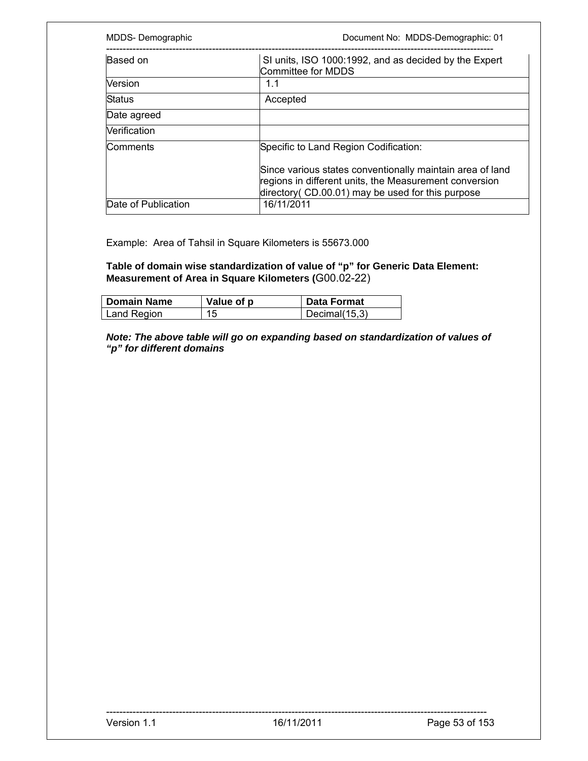| MDDS-Demographic                                                                        | Document No: MDDS-Demographic: 01                                                                                                                                        |
|-----------------------------------------------------------------------------------------|--------------------------------------------------------------------------------------------------------------------------------------------------------------------------|
| Based on<br>SI units, ISO 1000:1992, and as decided by the Expert<br>Committee for MDDS |                                                                                                                                                                          |
| Version                                                                                 | 1.1                                                                                                                                                                      |
| <b>Status</b>                                                                           | Accepted                                                                                                                                                                 |
| Date agreed                                                                             |                                                                                                                                                                          |
| <b>Nerification</b>                                                                     |                                                                                                                                                                          |
| Comments                                                                                | Specific to Land Region Codification:                                                                                                                                    |
|                                                                                         | Since various states conventionally maintain area of land<br>regions in different units, the Measurement conversion<br>directory (CD.00.01) may be used for this purpose |
| Date of Publication                                                                     | 16/11/2011                                                                                                                                                               |

Example: Area of Tahsil in Square Kilometers is 55673.000

**Table of domain wise standardization of value of "p" for Generic Data Element: Measurement of Area in Square Kilometers (**G00.02-22)

| <b>Domain Name</b> | Value of p | Data Format   |
|--------------------|------------|---------------|
| Land Region        |            | Decimal(15,3) |

*Note: The above table will go on expanding based on standardization of values of "p" for different domains*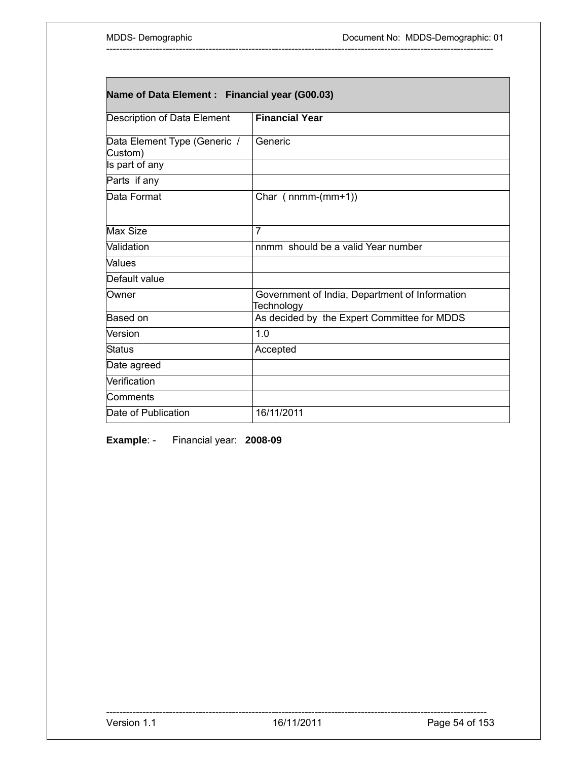| Name of Data Element : Financial year (G00.03) |                                                              |  |
|------------------------------------------------|--------------------------------------------------------------|--|
| Description of Data Element                    | <b>Financial Year</b>                                        |  |
| Data Element Type (Generic /<br>Custom)        | Generic                                                      |  |
| Is part of any                                 |                                                              |  |
| Parts if any                                   |                                                              |  |
| Data Format                                    | Char $(nnm-(mm+1))$                                          |  |
| Max Size                                       | $\overline{7}$                                               |  |
| <b>Validation</b>                              | nnmm should be a valid Year number                           |  |
| Values                                         |                                                              |  |
| Default value                                  |                                                              |  |
| Owner                                          | Government of India, Department of Information<br>Technology |  |
| Based on                                       | As decided by the Expert Committee for MDDS                  |  |
| Version                                        | 1.0                                                          |  |
| Status                                         | Accepted                                                     |  |
| Date agreed                                    |                                                              |  |
| Verification                                   |                                                              |  |
| <b>Comments</b>                                |                                                              |  |
| Date of Publication                            | 16/11/2011                                                   |  |

**Example**: - Financial year: **2008-09**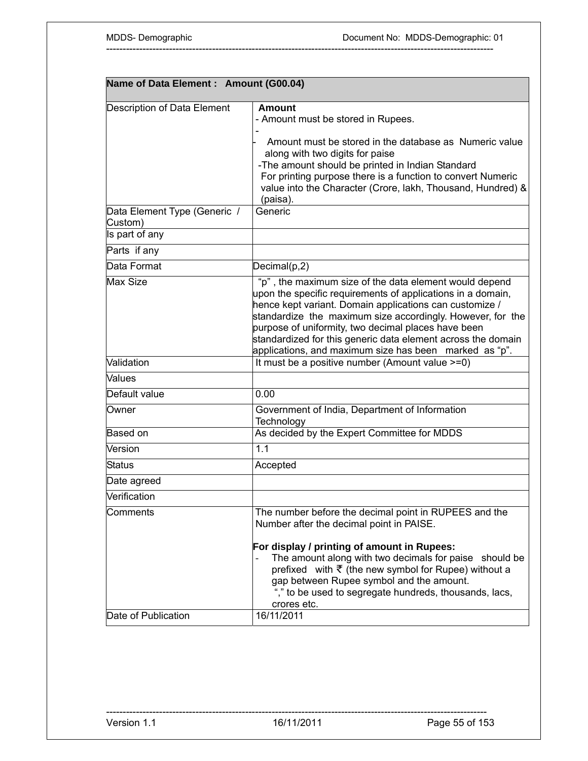| Name of Data Element : Amount (G00.04)  |                                                                                                                                                                                                                                                                                                                                                                                                                                 |
|-----------------------------------------|---------------------------------------------------------------------------------------------------------------------------------------------------------------------------------------------------------------------------------------------------------------------------------------------------------------------------------------------------------------------------------------------------------------------------------|
| Description of Data Element             | Amount<br>- Amount must be stored in Rupees.<br>Amount must be stored in the database as Numeric value<br>along with two digits for paise<br>-The amount should be printed in Indian Standard<br>For printing purpose there is a function to convert Numeric<br>value into the Character (Crore, lakh, Thousand, Hundred) &<br>(paisa).                                                                                         |
| Data Element Type (Generic /<br>Custom) | Generic                                                                                                                                                                                                                                                                                                                                                                                                                         |
| Is part of any                          |                                                                                                                                                                                                                                                                                                                                                                                                                                 |
| Parts if any                            |                                                                                                                                                                                                                                                                                                                                                                                                                                 |
| Data Format                             | Decimal(p,2)                                                                                                                                                                                                                                                                                                                                                                                                                    |
| <b>Max Size</b>                         | "p", the maximum size of the data element would depend<br>upon the specific requirements of applications in a domain,<br>hence kept variant. Domain applications can customize /<br>standardize the maximum size accordingly. However, for the<br>purpose of uniformity, two decimal places have been<br>standardized for this generic data element across the domain<br>applications, and maximum size has been marked as "p". |
| Validation                              | It must be a positive number (Amount value >=0)                                                                                                                                                                                                                                                                                                                                                                                 |
| Values                                  |                                                                                                                                                                                                                                                                                                                                                                                                                                 |
| Default value                           | 0.00                                                                                                                                                                                                                                                                                                                                                                                                                            |
| Owner                                   | Government of India, Department of Information<br>Technology                                                                                                                                                                                                                                                                                                                                                                    |
| Based on                                | As decided by the Expert Committee for MDDS                                                                                                                                                                                                                                                                                                                                                                                     |
| Version                                 | 1.1                                                                                                                                                                                                                                                                                                                                                                                                                             |
| Status                                  | Accepted                                                                                                                                                                                                                                                                                                                                                                                                                        |
| Date agreed                             |                                                                                                                                                                                                                                                                                                                                                                                                                                 |
| Verification                            |                                                                                                                                                                                                                                                                                                                                                                                                                                 |
| Comments                                | The number before the decimal point in RUPEES and the<br>Number after the decimal point in PAISE.                                                                                                                                                                                                                                                                                                                               |
| Date of Publication                     | For display / printing of amount in Rupees:<br>The amount along with two decimals for paise should be<br>prefixed with $\bar{\tau}$ (the new symbol for Rupee) without a<br>gap between Rupee symbol and the amount.<br>"," to be used to segregate hundreds, thousands, lacs,<br>crores etc.<br>16/11/2011                                                                                                                     |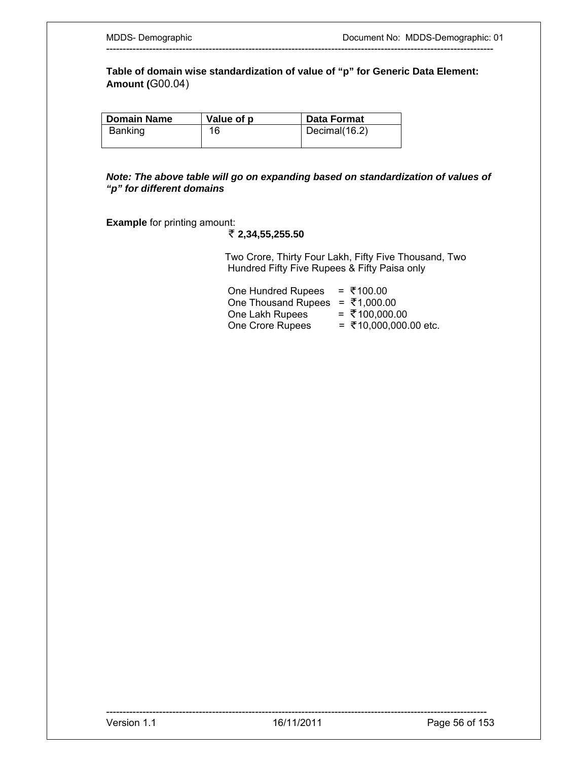**Table of domain wise standardization of value of "p" for Generic Data Element: Amount (**G00.04)

---------------------------------------------------------------------------------------------------------------------

| <b>Domain Name</b> | Value of p | Data Format   |
|--------------------|------------|---------------|
| <b>Banking</b>     | 16         | Decimal(16.2) |
|                    |            |               |

*Note: The above table will go on expanding based on standardization of values of "p" for different domains* 

**Example** for printing amount:

 **2,34,55,255.50** 

 Two Crore, Thirty Four Lakh, Fifty Five Thousand, Two Hundred Fifty Five Rupees & Fifty Paisa only

| One Hundred Rupees                              | = ₹100.00             |
|-------------------------------------------------|-----------------------|
| One Thousand Rupees = $\overline{\xi}$ 1,000.00 |                       |
| One Lakh Rupees                                 | = ₹100,000.00         |
| One Crore Rupees                                | = ₹10,000,000.00 etc. |
|                                                 |                       |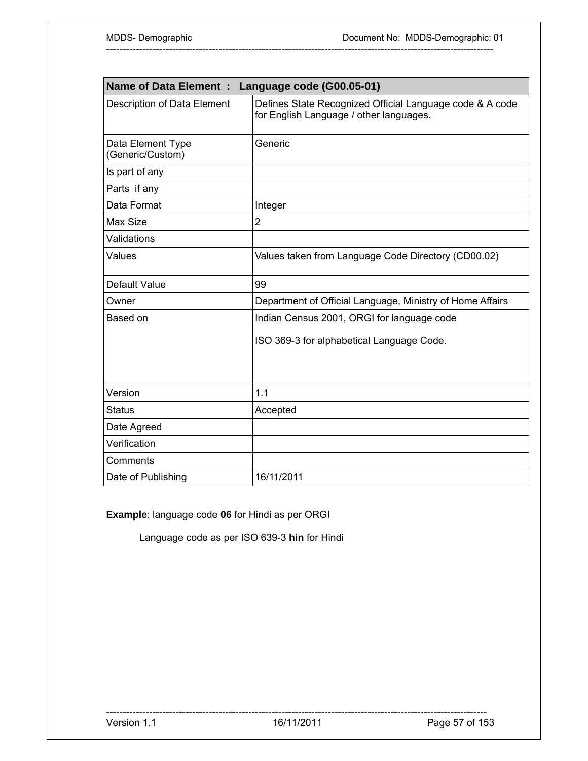| <b>Name of Data Element:</b><br>Language code (G00.05-01) |                                                                                                     |  |
|-----------------------------------------------------------|-----------------------------------------------------------------------------------------------------|--|
| Description of Data Element                               | Defines State Recognized Official Language code & A code<br>for English Language / other languages. |  |
| Data Element Type<br>(Generic/Custom)                     | Generic                                                                                             |  |
| Is part of any                                            |                                                                                                     |  |
| Parts if any                                              |                                                                                                     |  |
| Data Format                                               | Integer                                                                                             |  |
| Max Size                                                  | $\overline{2}$                                                                                      |  |
| Validations                                               |                                                                                                     |  |
| Values                                                    | Values taken from Language Code Directory (CD00.02)                                                 |  |
| Default Value                                             | 99                                                                                                  |  |
| Owner                                                     | Department of Official Language, Ministry of Home Affairs                                           |  |
| Based on                                                  | Indian Census 2001, ORGI for language code                                                          |  |
|                                                           | ISO 369-3 for alphabetical Language Code.                                                           |  |
| Version                                                   | 1.1                                                                                                 |  |
| <b>Status</b>                                             | Accepted                                                                                            |  |
| Date Agreed                                               |                                                                                                     |  |
| Verification                                              |                                                                                                     |  |
| Comments                                                  |                                                                                                     |  |
| Date of Publishing                                        | 16/11/2011                                                                                          |  |

**Example**: language code **06** for Hindi as per ORGI

Language code as per ISO 639-3 **hin** for Hindi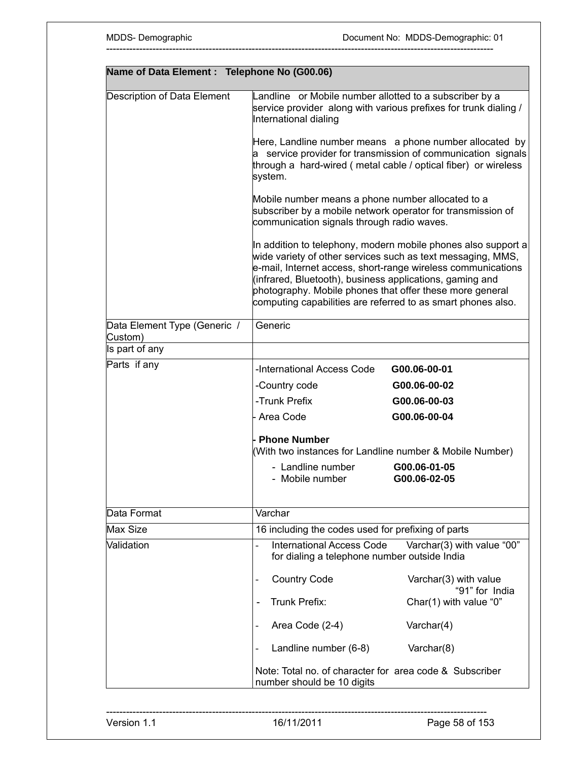| Name of Data Element : Telephone No (G00.06) |                                                                                                                                                                                                                                                     |                                                                                                                                                                                           |
|----------------------------------------------|-----------------------------------------------------------------------------------------------------------------------------------------------------------------------------------------------------------------------------------------------------|-------------------------------------------------------------------------------------------------------------------------------------------------------------------------------------------|
| Description of Data Element                  | Landline or Mobile number allotted to a subscriber by a<br>service provider along with various prefixes for trunk dialing /<br>International dialing                                                                                                |                                                                                                                                                                                           |
|                                              | system.                                                                                                                                                                                                                                             | Here, Landline number means a phone number allocated by<br>a service provider for transmission of communication signals<br>through a hard-wired (metal cable / optical fiber) or wireless |
|                                              | Mobile number means a phone number allocated to a<br>subscriber by a mobile network operator for transmission of<br>communication signals through radio waves.                                                                                      |                                                                                                                                                                                           |
|                                              | wide variety of other services such as text messaging, MMS,<br>(infrared, Bluetooth), business applications, gaming and<br>photography. Mobile phones that offer these more general<br>computing capabilities are referred to as smart phones also. | In addition to telephony, modern mobile phones also support a<br>e-mail, Internet access, short-range wireless communications                                                             |
| Data Element Type (Generic /                 | Generic                                                                                                                                                                                                                                             |                                                                                                                                                                                           |
| Custom)<br>Is part of any                    |                                                                                                                                                                                                                                                     |                                                                                                                                                                                           |
| Parts if any                                 | -International Access Code                                                                                                                                                                                                                          | G00.06-00-01                                                                                                                                                                              |
|                                              | -Country code                                                                                                                                                                                                                                       | G00.06-00-02                                                                                                                                                                              |
|                                              | -Trunk Prefix                                                                                                                                                                                                                                       | G00.06-00-03                                                                                                                                                                              |
|                                              | Area Code                                                                                                                                                                                                                                           | G00.06-00-04                                                                                                                                                                              |
|                                              | <b>Phone Number</b><br>(With two instances for Landline number & Mobile Number)                                                                                                                                                                     |                                                                                                                                                                                           |
|                                              | - Landline number<br>- Mobile number                                                                                                                                                                                                                | G00.06-01-05<br>G00.06-02-05                                                                                                                                                              |
| Data Format                                  | Varchar                                                                                                                                                                                                                                             |                                                                                                                                                                                           |
| Max Size                                     | 16 including the codes used for prefixing of parts                                                                                                                                                                                                  |                                                                                                                                                                                           |
| Validation                                   | <b>International Access Code</b><br>for dialing a telephone number outside India                                                                                                                                                                    | Varchar(3) with value "00"                                                                                                                                                                |
|                                              | <b>Country Code</b>                                                                                                                                                                                                                                 | Varchar(3) with value                                                                                                                                                                     |
|                                              | <b>Trunk Prefix:</b>                                                                                                                                                                                                                                | "91" for India<br>Char(1) with value "0"                                                                                                                                                  |
|                                              | Area Code (2-4)                                                                                                                                                                                                                                     | Varchar(4)                                                                                                                                                                                |
|                                              | Landline number (6-8)                                                                                                                                                                                                                               | Varchar(8)                                                                                                                                                                                |
|                                              | Note: Total no. of character for area code & Subscriber<br>number should be 10 digits                                                                                                                                                               |                                                                                                                                                                                           |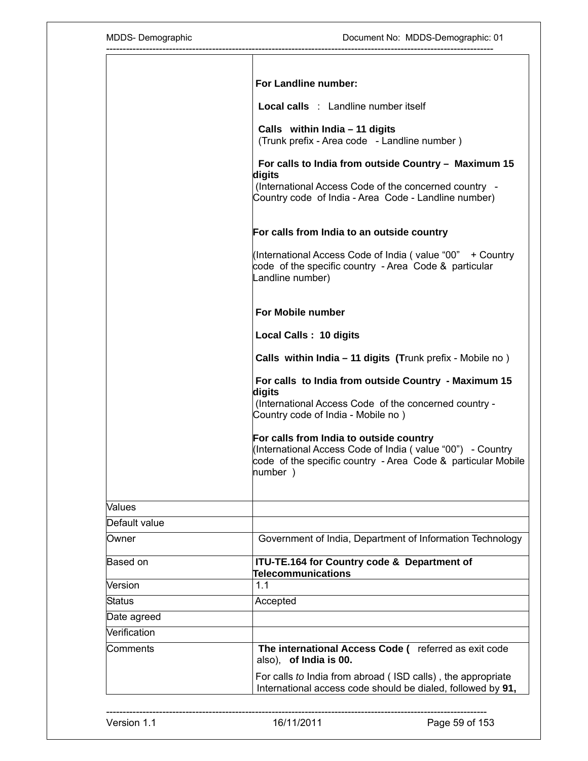| MDDS-Demographic | Document No: MDDS-Demographic: 01                                                                                                                                                |  |
|------------------|----------------------------------------------------------------------------------------------------------------------------------------------------------------------------------|--|
|                  | For Landline number:                                                                                                                                                             |  |
|                  | <b>Local calls</b> : Landline number itself                                                                                                                                      |  |
|                  | Calls within $India - 11$ digits<br>(Trunk prefix - Area code - Landline number)                                                                                                 |  |
|                  | For calls to India from outside Country - Maximum 15<br>digits<br>(International Access Code of the concerned country -<br>Country code of India - Area Code - Landline number)  |  |
|                  | For calls from India to an outside country                                                                                                                                       |  |
|                  | (International Access Code of India (value "00" + Country<br>code of the specific country - Area Code & particular<br>Landline number)                                           |  |
|                  | For Mobile number                                                                                                                                                                |  |
|                  | Local Calls: 10 digits<br>Calls within India - 11 digits (Trunk prefix - Mobile no)                                                                                              |  |
|                  |                                                                                                                                                                                  |  |
|                  | For calls to India from outside Country - Maximum 15<br>digits<br>(International Access Code of the concerned country -<br>Country code of India - Mobile no)                    |  |
|                  | For calls from India to outside country<br>(International Access Code of India (value "00") - Country<br>code of the specific country - Area Code & particular Mobile<br>number) |  |
| Values           |                                                                                                                                                                                  |  |
| Default value    |                                                                                                                                                                                  |  |
| Owner            | Government of India, Department of Information Technology                                                                                                                        |  |
| Based on         | ITU-TE.164 for Country code & Department of<br><b>Telecommunications</b>                                                                                                         |  |
| Version          | 1.1                                                                                                                                                                              |  |
| <b>Status</b>    | Accepted                                                                                                                                                                         |  |
| Date agreed      |                                                                                                                                                                                  |  |
| Verification     |                                                                                                                                                                                  |  |
| Comments         | The international Access Code ( referred as exit code<br>also), of India is 00.                                                                                                  |  |
|                  | For calls to India from abroad (ISD calls), the appropriate<br>International access code should be dialed, followed by 91,                                                       |  |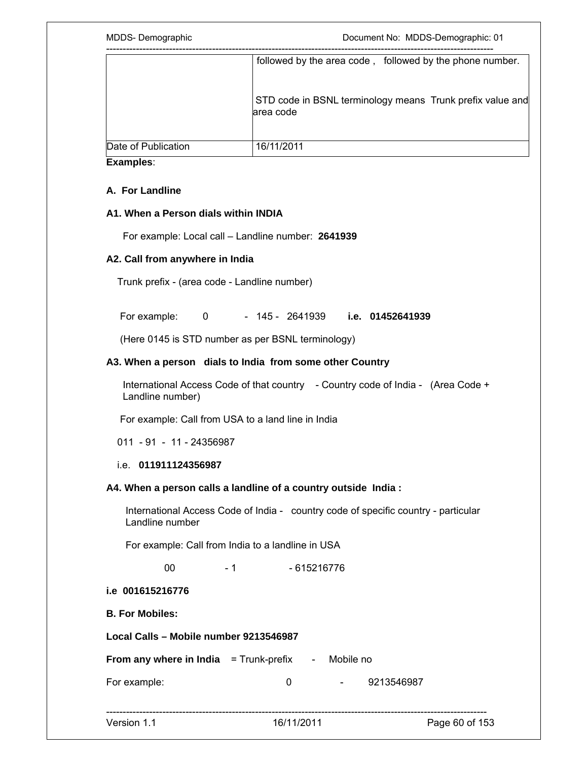|                     | followed by the area code, followed by the phone number.               |
|---------------------|------------------------------------------------------------------------|
|                     | STD code in BSNL terminology means Trunk prefix value and<br>area code |
| Date of Publication | 16/11/2011                                                             |

## **A. For Landline**

#### **A1. When a Person dials within INDIA**

For example: Local call – Landline number: **2641939** 

## **A2. Call from anywhere in India**

Trunk prefix - (area code - Landline number)

For example: 0 - 145 - 2641939 **i.e. 01452641939** 

(Here 0145 is STD number as per BSNL terminology)

#### **A3. When a person dials to India from some other Country**

 International Access Code of that country - Country code of India - (Area Code + Landline number)

For example: Call from USA to a land line in India

011 - 91 - 11 - 24356987

#### i.e. **011911124356987**

#### **A4. When a person calls a landline of a country outside India :**

 International Access Code of India - country code of specific country - particular Landline number

For example: Call from India to a landline in USA

00 - 1 - 615216776

#### **i.e 001615216776**

**B. For Mobiles:** 

**Local Calls – Mobile number 9213546987** 

**From any where in India** = Trunk-prefix - Mobile no

For example: 0 0 - 9213546987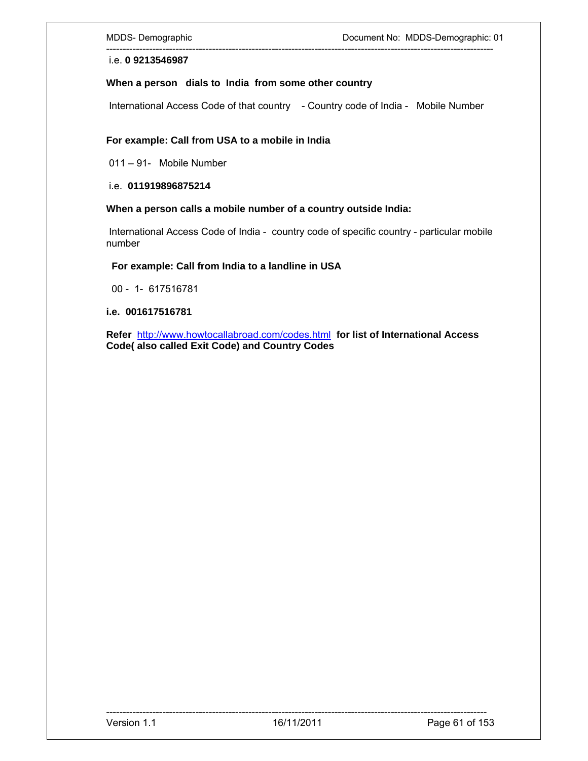i.e. **0 9213546987**

#### **When a person dials to India from some other country**

International Access Code of that country - Country code of India - Mobile Number

---------------------------------------------------------------------------------------------------------------------

#### **For example: Call from USA to a mobile in India**

011 – 91- Mobile Number

i.e. **011919896875214** 

#### **When a person calls a mobile number of a country outside India:**

 International Access Code of India - country code of specific country - particular mobile number

 **For example: Call from India to a landline in USA** 

00 - 1- 617516781

**i.e. 001617516781** 

**Refer** http://www.howtocallabroad.com/codes.html **for list of International Access Code( also called Exit Code) and Country Codes**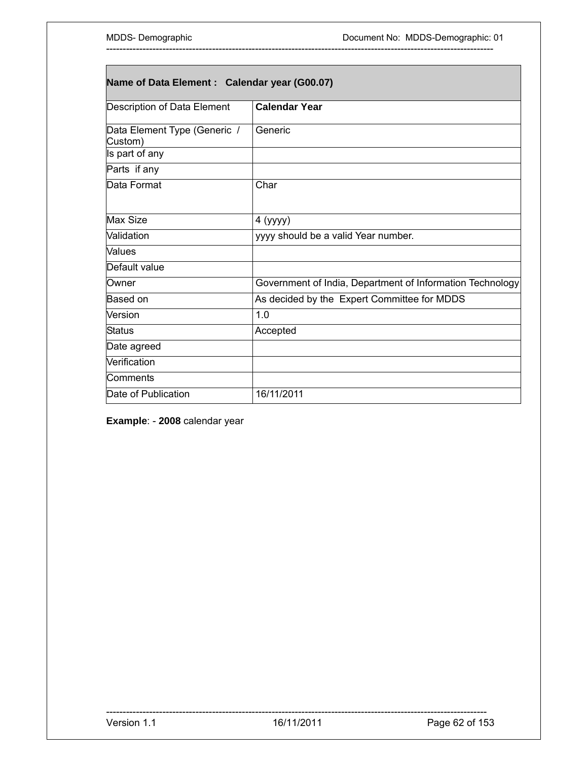| Name of Data Element : Calendar year (G00.07) |                                                           |  |
|-----------------------------------------------|-----------------------------------------------------------|--|
| Description of Data Element                   | <b>Calendar Year</b>                                      |  |
| Data Element Type (Generic /<br>Custom)       | Generic                                                   |  |
| Is part of any                                |                                                           |  |
| Parts if any                                  |                                                           |  |
| Data Format                                   | Char                                                      |  |
| Max Size                                      | 4 (yyyy)                                                  |  |
| Validation                                    | yyyy should be a valid Year number.                       |  |
| <b>Values</b>                                 |                                                           |  |
| Default value                                 |                                                           |  |
| Owner                                         | Government of India, Department of Information Technology |  |
| Based on                                      | As decided by the Expert Committee for MDDS               |  |
| Version                                       | 1.0                                                       |  |
| <b>Status</b>                                 | Accepted                                                  |  |
| Date agreed                                   |                                                           |  |
| Verification                                  |                                                           |  |
| Comments                                      |                                                           |  |
| Date of Publication                           | 16/11/2011                                                |  |

**Example**: - **2008** calendar year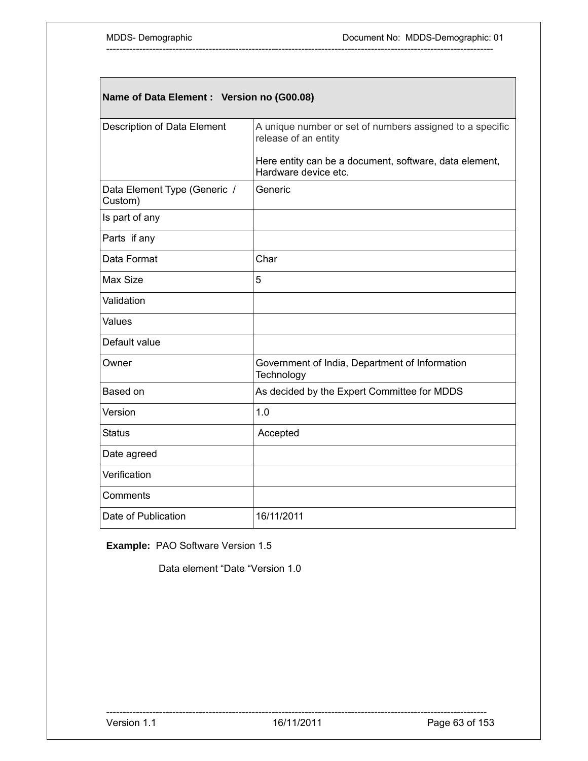| Name of Data Element : Version no (G00.08) |                                                                                  |  |
|--------------------------------------------|----------------------------------------------------------------------------------|--|
| <b>Description of Data Element</b>         | A unique number or set of numbers assigned to a specific<br>release of an entity |  |
|                                            | Here entity can be a document, software, data element,<br>Hardware device etc.   |  |
| Data Element Type (Generic /<br>Custom)    | Generic                                                                          |  |
| Is part of any                             |                                                                                  |  |
| Parts if any                               |                                                                                  |  |
| Data Format                                | Char                                                                             |  |
| Max Size                                   | 5                                                                                |  |
| Validation                                 |                                                                                  |  |
| Values                                     |                                                                                  |  |
| Default value                              |                                                                                  |  |
| Owner                                      | Government of India, Department of Information<br>Technology                     |  |
| Based on                                   | As decided by the Expert Committee for MDDS                                      |  |
| Version                                    | 1.0                                                                              |  |
| Status                                     | Accepted                                                                         |  |
| Date agreed                                |                                                                                  |  |
| Verification                               |                                                                                  |  |
| Comments                                   |                                                                                  |  |
| Date of Publication                        | 16/11/2011                                                                       |  |

**Example:** PAO Software Version 1.5

Data element "Date "Version 1.0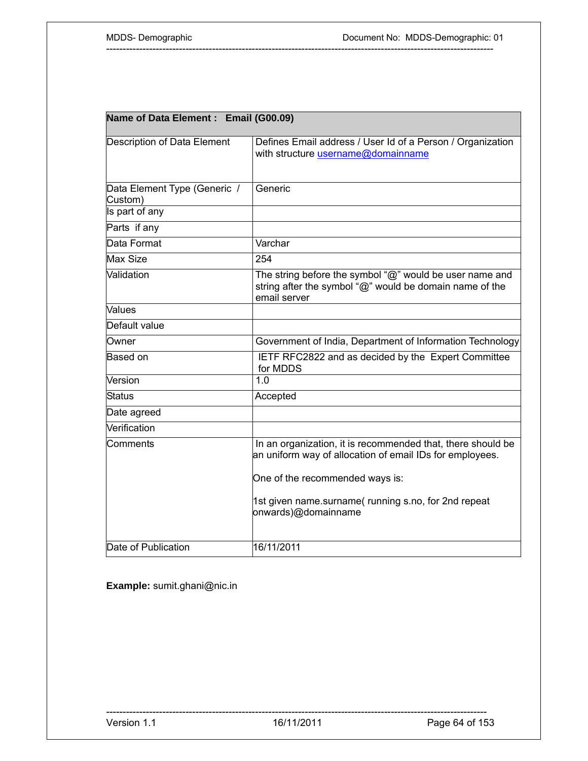| Name of Data Element : Email (G00.09)   |                                                                                                                                    |  |
|-----------------------------------------|------------------------------------------------------------------------------------------------------------------------------------|--|
| <b>Description of Data Element</b>      | Defines Email address / User Id of a Person / Organization<br>with structure username@domainname                                   |  |
| Data Element Type (Generic /<br>Custom) | Generic                                                                                                                            |  |
| Is part of any                          |                                                                                                                                    |  |
| Parts if any                            |                                                                                                                                    |  |
| Data Format                             | Varchar                                                                                                                            |  |
| Max Size                                | 254                                                                                                                                |  |
| Validation                              | The string before the symbol "@" would be user name and<br>string after the symbol "@" would be domain name of the<br>email server |  |
| Values                                  |                                                                                                                                    |  |
| Default value                           |                                                                                                                                    |  |
| Owner                                   | Government of India, Department of Information Technology                                                                          |  |
| Based on                                | IETF RFC2822 and as decided by the Expert Committee<br>for MDDS                                                                    |  |
| Version                                 | 1.0                                                                                                                                |  |
| <b>Status</b>                           | Accepted                                                                                                                           |  |
| Date agreed                             |                                                                                                                                    |  |
| Verification                            |                                                                                                                                    |  |
| Comments                                | In an organization, it is recommended that, there should be<br>an uniform way of allocation of email IDs for employees.            |  |
|                                         | One of the recommended ways is:                                                                                                    |  |
|                                         | 1st given name.surname(running s.no, for 2nd repeat<br>onwards)@domainname                                                         |  |
| Date of Publication                     | 16/11/2011                                                                                                                         |  |

**Example:** sumit.ghani@nic.in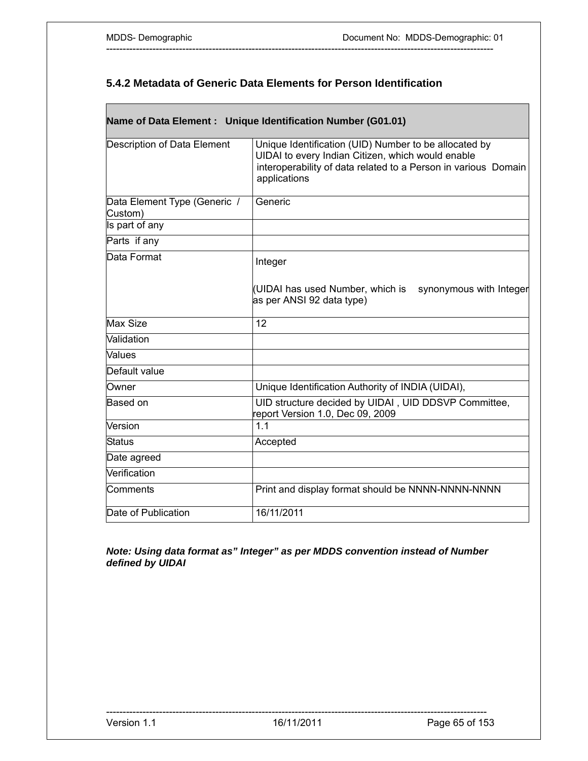Г

## **5.4.2 Metadata of Generic Data Elements for Person Identification**

---------------------------------------------------------------------------------------------------------------------

|                                         | Name of Data Element : Unique Identification Number (G01.01)                                                                                                                                 |
|-----------------------------------------|----------------------------------------------------------------------------------------------------------------------------------------------------------------------------------------------|
| Description of Data Element             | Unique Identification (UID) Number to be allocated by<br>UIDAI to every Indian Citizen, which would enable<br>interoperability of data related to a Person in various Domain<br>applications |
| Data Element Type (Generic /<br>Custom) | Generic                                                                                                                                                                                      |
| Is part of any                          |                                                                                                                                                                                              |
| Parts if any                            |                                                                                                                                                                                              |
| Data Format                             | Integer                                                                                                                                                                                      |
|                                         | (UIDAI has used Number, which is<br>synonymous with Integer<br>as per ANSI 92 data type)                                                                                                     |
| Max Size                                | 12                                                                                                                                                                                           |
| Validation                              |                                                                                                                                                                                              |
| Values                                  |                                                                                                                                                                                              |
| Default value                           |                                                                                                                                                                                              |
| Owner                                   | Unique Identification Authority of INDIA (UIDAI),                                                                                                                                            |
| Based on                                | UID structure decided by UIDAI, UID DDSVP Committee,<br>report Version 1.0, Dec 09, 2009                                                                                                     |
| Version                                 | 1.1                                                                                                                                                                                          |
| <b>Status</b>                           | Accepted                                                                                                                                                                                     |
| Date agreed                             |                                                                                                                                                                                              |
| Verification                            |                                                                                                                                                                                              |
| Comments                                | Print and display format should be NNNN-NNNN-NNNN                                                                                                                                            |
| Date of Publication                     | 16/11/2011                                                                                                                                                                                   |

*Note: Using data format as" Integer" as per MDDS convention instead of Number defined by UIDAI*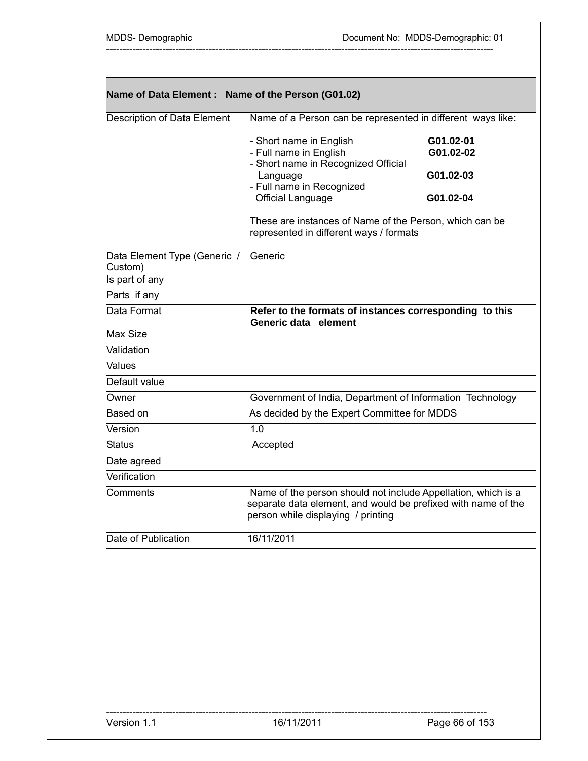| Name of Data Element: Name of the Person (G01.02) |                                                                                                                                                                                                                                                                     |                                                  |
|---------------------------------------------------|---------------------------------------------------------------------------------------------------------------------------------------------------------------------------------------------------------------------------------------------------------------------|--------------------------------------------------|
| Description of Data Element                       | Name of a Person can be represented in different ways like:                                                                                                                                                                                                         |                                                  |
|                                                   | - Short name in English<br>- Full name in English<br>- Short name in Recognized Official<br>Language<br>- Full name in Recognized<br><b>Official Language</b><br>These are instances of Name of the Person, which can be<br>represented in different ways / formats | G01.02-01<br>G01.02-02<br>G01.02-03<br>G01.02-04 |
| Data Element Type (Generic /<br>Custom)           | Generic                                                                                                                                                                                                                                                             |                                                  |
| Is part of any                                    |                                                                                                                                                                                                                                                                     |                                                  |
| Parts if any                                      |                                                                                                                                                                                                                                                                     |                                                  |
| Data Format                                       | Refer to the formats of instances corresponding to this<br>Generic data element                                                                                                                                                                                     |                                                  |
| <b>Max Size</b>                                   |                                                                                                                                                                                                                                                                     |                                                  |
| Validation                                        |                                                                                                                                                                                                                                                                     |                                                  |
| <b>Values</b>                                     |                                                                                                                                                                                                                                                                     |                                                  |
| Default value                                     |                                                                                                                                                                                                                                                                     |                                                  |
| Owner                                             | Government of India, Department of Information Technology                                                                                                                                                                                                           |                                                  |
| Based on                                          | As decided by the Expert Committee for MDDS                                                                                                                                                                                                                         |                                                  |
| Version                                           | 1.0                                                                                                                                                                                                                                                                 |                                                  |
| <b>Status</b>                                     | Accepted                                                                                                                                                                                                                                                            |                                                  |
| Date agreed                                       |                                                                                                                                                                                                                                                                     |                                                  |
| Verification                                      |                                                                                                                                                                                                                                                                     |                                                  |
| Comments                                          | Name of the person should not include Appellation, which is a<br>separate data element, and would be prefixed with name of the<br>person while displaying / printing                                                                                                |                                                  |
| Date of Publication                               | 16/11/2011                                                                                                                                                                                                                                                          |                                                  |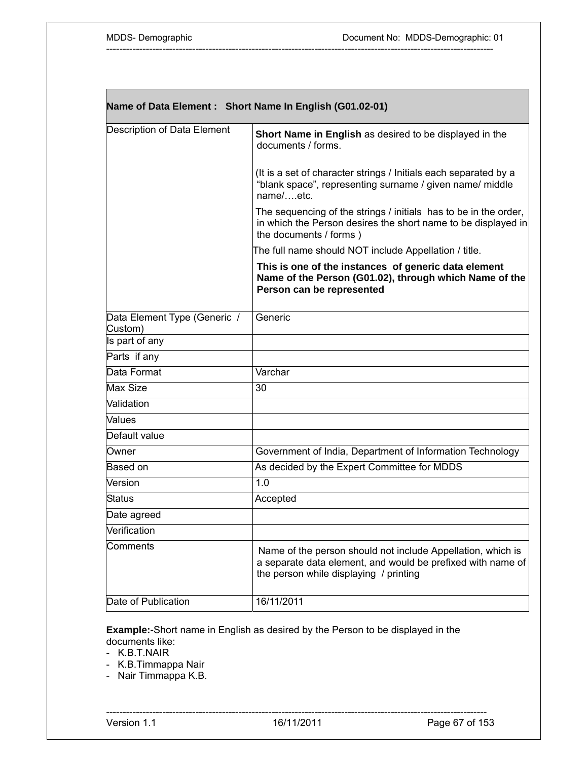| Name of Data Element: Short Name In English (G01.02-01) |                                                                                                                                                                      |  |
|---------------------------------------------------------|----------------------------------------------------------------------------------------------------------------------------------------------------------------------|--|
| Description of Data Element                             | Short Name in English as desired to be displayed in the<br>documents / forms.                                                                                        |  |
|                                                         | (It is a set of character strings / Initials each separated by a<br>"blank space", representing surname / given name/ middle<br>name/etc.                            |  |
|                                                         | The sequencing of the strings / initials has to be in the order,<br>in which the Person desires the short name to be displayed in<br>the documents / forms )         |  |
|                                                         | The full name should NOT include Appellation / title.                                                                                                                |  |
|                                                         | This is one of the instances of generic data element<br>Name of the Person (G01.02), through which Name of the<br>Person can be represented                          |  |
| Data Element Type (Generic /<br>Custom)                 | Generic                                                                                                                                                              |  |
| Is part of any                                          |                                                                                                                                                                      |  |
| Parts if any                                            |                                                                                                                                                                      |  |
| Data Format                                             | Varchar                                                                                                                                                              |  |
| Max Size                                                | 30                                                                                                                                                                   |  |
| Validation                                              |                                                                                                                                                                      |  |
| Values                                                  |                                                                                                                                                                      |  |
| Default value                                           |                                                                                                                                                                      |  |
| Owner                                                   | Government of India, Department of Information Technology                                                                                                            |  |
| Based on                                                | As decided by the Expert Committee for MDDS                                                                                                                          |  |
| Version                                                 | 1.0                                                                                                                                                                  |  |
| Status                                                  | Accepted                                                                                                                                                             |  |
| Date agreed                                             |                                                                                                                                                                      |  |
| Verification                                            |                                                                                                                                                                      |  |
| Comments                                                | Name of the person should not include Appellation, which is<br>a separate data element, and would be prefixed with name of<br>the person while displaying / printing |  |
| Date of Publication                                     | 16/11/2011                                                                                                                                                           |  |

**Example:-**Short name in English as desired by the Person to be displayed in the documents like:

-K.B.T.NAIR

- K.B.Timmappa Nair

- Nair Timmappa K.B.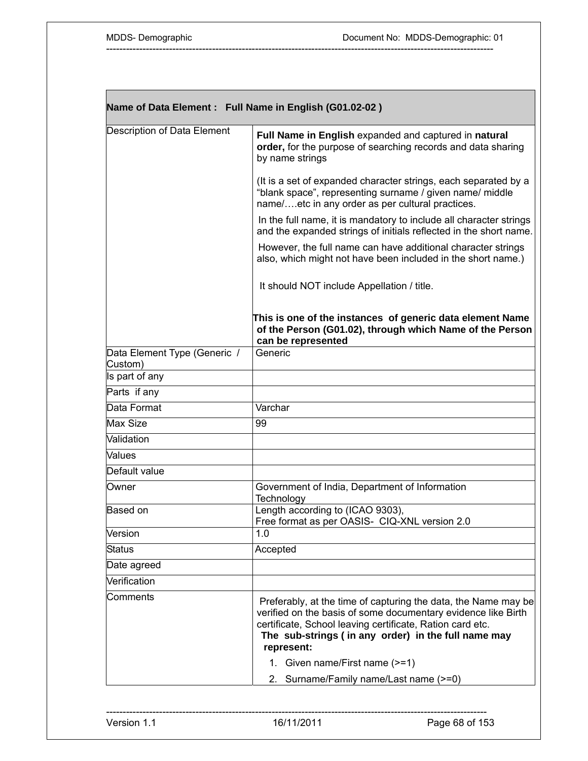| Name of Data Element: Full Name in English (G01.02-02) |                                                                                                                                                                                                                                                                   |  |
|--------------------------------------------------------|-------------------------------------------------------------------------------------------------------------------------------------------------------------------------------------------------------------------------------------------------------------------|--|
| Description of Data Element                            | Full Name in English expanded and captured in natural<br>order, for the purpose of searching records and data sharing<br>by name strings                                                                                                                          |  |
|                                                        | (It is a set of expanded character strings, each separated by a<br>"blank space", representing surname / given name/ middle<br>name/etc in any order as per cultural practices.                                                                                   |  |
|                                                        | In the full name, it is mandatory to include all character strings<br>and the expanded strings of initials reflected in the short name.                                                                                                                           |  |
|                                                        | However, the full name can have additional character strings<br>also, which might not have been included in the short name.)                                                                                                                                      |  |
|                                                        | It should NOT include Appellation / title.                                                                                                                                                                                                                        |  |
|                                                        | This is one of the instances of generic data element Name<br>of the Person (G01.02), through which Name of the Person<br>can be represented                                                                                                                       |  |
| Data Element Type (Generic /<br>Custom)                | Generic                                                                                                                                                                                                                                                           |  |
| Is part of any                                         |                                                                                                                                                                                                                                                                   |  |
| Parts if any                                           |                                                                                                                                                                                                                                                                   |  |
| Data Format                                            | Varchar                                                                                                                                                                                                                                                           |  |
| Max Size                                               | 99                                                                                                                                                                                                                                                                |  |
| Validation                                             |                                                                                                                                                                                                                                                                   |  |
| Values                                                 |                                                                                                                                                                                                                                                                   |  |
| Default value                                          |                                                                                                                                                                                                                                                                   |  |
| Owner                                                  | Government of India, Department of Information<br>Technology                                                                                                                                                                                                      |  |
| Based on                                               | Length according to (ICAO 9303),<br>Free format as per OASIS- CIQ-XNL version 2.0                                                                                                                                                                                 |  |
| Version                                                | 1.0                                                                                                                                                                                                                                                               |  |
| Status                                                 | Accepted                                                                                                                                                                                                                                                          |  |
| Date agreed                                            |                                                                                                                                                                                                                                                                   |  |
| Verification                                           |                                                                                                                                                                                                                                                                   |  |
| Comments                                               | Preferably, at the time of capturing the data, the Name may be<br>verified on the basis of some documentary evidence like Birth<br>certificate, School leaving certificate, Ration card etc.<br>The sub-strings (in any order) in the full name may<br>represent: |  |
|                                                        | 1. Given name/First name (>=1)                                                                                                                                                                                                                                    |  |
|                                                        | 2. Surname/Family name/Last name (>=0)                                                                                                                                                                                                                            |  |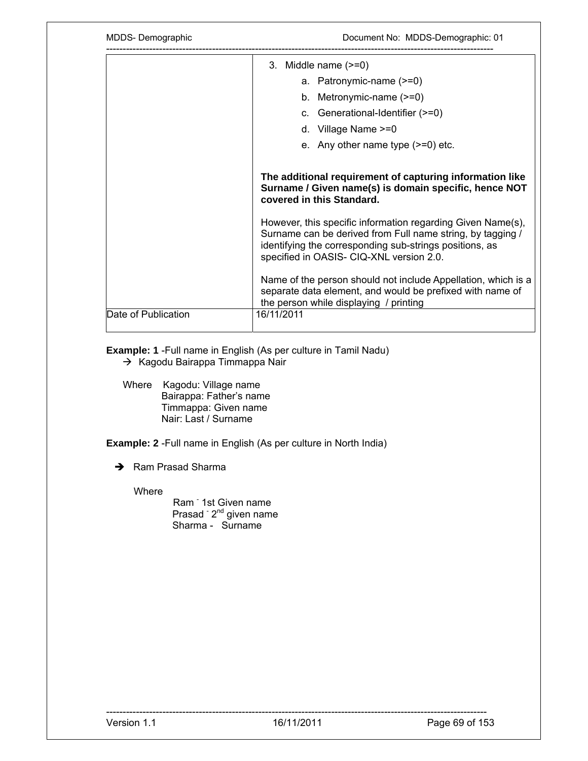| MDDS-Demographic    | Document No: MDDS-Demographic: 01                                                                                                                                                                                                                                           |  |
|---------------------|-----------------------------------------------------------------------------------------------------------------------------------------------------------------------------------------------------------------------------------------------------------------------------|--|
|                     | 3. Middle name $(>=0)$                                                                                                                                                                                                                                                      |  |
|                     | a. Patronymic-name (>=0)                                                                                                                                                                                                                                                    |  |
|                     | b. Metronymic-name $(>=0)$                                                                                                                                                                                                                                                  |  |
|                     | c. Generational-Identifier (>=0)                                                                                                                                                                                                                                            |  |
|                     | d. Village Name $>=0$                                                                                                                                                                                                                                                       |  |
|                     | e. Any other name type $(>=0)$ etc.                                                                                                                                                                                                                                         |  |
|                     | The additional requirement of capturing information like<br>Surname / Given name(s) is domain specific, hence NOT<br>covered in this Standard.<br>However, this specific information regarding Given Name(s),<br>Surname can be derived from Full name string, by tagging / |  |
|                     |                                                                                                                                                                                                                                                                             |  |
|                     | identifying the corresponding sub-strings positions, as<br>specified in OASIS- CIQ-XNL version 2.0.                                                                                                                                                                         |  |
|                     | Name of the person should not include Appellation, which is a<br>separate data element, and would be prefixed with name of<br>the person while displaying / printing                                                                                                        |  |
| Date of Publication | 16/11/2011                                                                                                                                                                                                                                                                  |  |

**Example: 1** -Full name in English (As per culture in Tamil Nadu)

- $\rightarrow$  Kagodu Bairappa Timmappa Nair
- Where Kagodu: Village name Bairappa: Father's name Timmappa: Given name Nair: Last / Surname

**Example: 2** -Full name in English (As per culture in North India)

 $\rightarrow$  Ram Prasad Sharma

Where

Ram <sup>-</sup> 1st Given name Prasad <sup>-</sup> 2<sup>nd</sup> given name Sharma - Surname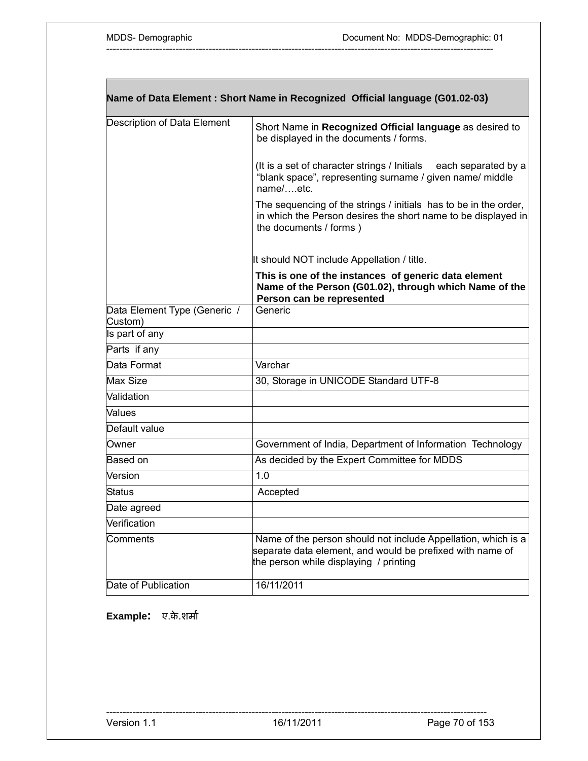| Name of Data Element : Short Name in Recognized Official language (G01.02-03) |                                                                                                                                                                      |  |
|-------------------------------------------------------------------------------|----------------------------------------------------------------------------------------------------------------------------------------------------------------------|--|
| Description of Data Element                                                   | Short Name in Recognized Official language as desired to<br>be displayed in the documents / forms.                                                                   |  |
|                                                                               | (It is a set of character strings / Initials<br>each separated by a<br>"blank space", representing surname / given name/ middle<br>name/etc.                         |  |
|                                                                               | The sequencing of the strings / initials has to be in the order,<br>in which the Person desires the short name to be displayed in<br>the documents / forms)          |  |
|                                                                               | It should NOT include Appellation / title.                                                                                                                           |  |
|                                                                               | This is one of the instances of generic data element<br>Name of the Person (G01.02), through which Name of the<br>Person can be represented                          |  |
| Data Element Type (Generic /<br>Custom)                                       | Generic                                                                                                                                                              |  |
| Is part of any                                                                |                                                                                                                                                                      |  |
| Parts if any                                                                  |                                                                                                                                                                      |  |
| Data Format                                                                   | Varchar                                                                                                                                                              |  |
| Max Size                                                                      | 30, Storage in UNICODE Standard UTF-8                                                                                                                                |  |
| Validation                                                                    |                                                                                                                                                                      |  |
| Values                                                                        |                                                                                                                                                                      |  |
| Default value                                                                 |                                                                                                                                                                      |  |
| Owner                                                                         | Government of India, Department of Information Technology                                                                                                            |  |
| Based on                                                                      | As decided by the Expert Committee for MDDS                                                                                                                          |  |
| Version                                                                       | 1.0                                                                                                                                                                  |  |
| Status                                                                        | Accepted                                                                                                                                                             |  |
| Date agreed                                                                   |                                                                                                                                                                      |  |
| Verification                                                                  |                                                                                                                                                                      |  |
| Comments                                                                      | Name of the person should not include Appellation, which is a<br>separate data element, and would be prefixed with name of<br>the person while displaying / printing |  |
| Date of Publication                                                           | 16/11/2011                                                                                                                                                           |  |

**Example:** ए.के.शमार्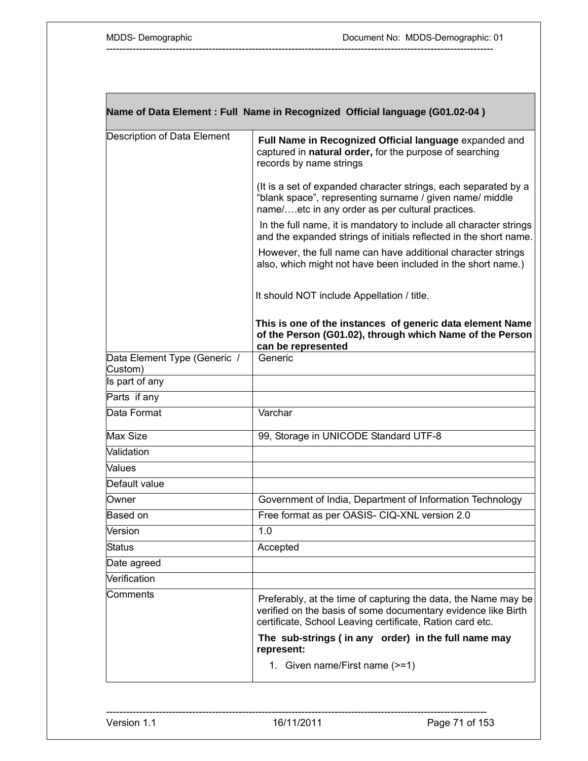|                                         | Name of Data Element : Full Name in Recognized Official language (G01.02-04)                                                                                                                 |
|-----------------------------------------|----------------------------------------------------------------------------------------------------------------------------------------------------------------------------------------------|
| Description of Data Element             | Full Name in Recognized Official language expanded and<br>captured in natural order, for the purpose of searching<br>records by name strings                                                 |
|                                         | (It is a set of expanded character strings, each separated by a<br>"blank space", representing surname / given name/ middle<br>name/etc in any order as per cultural practices.              |
|                                         | In the full name, it is mandatory to include all character strings<br>and the expanded strings of initials reflected in the short name.                                                      |
|                                         | However, the full name can have additional character strings<br>also, which might not have been included in the short name.)                                                                 |
|                                         | It should NOT include Appellation / title.                                                                                                                                                   |
|                                         | This is one of the instances of generic data element Name<br>of the Person (G01.02), through which Name of the Person<br>can be represented                                                  |
| Data Element Type (Generic /<br>Custom) | Generic                                                                                                                                                                                      |
| Is part of any                          |                                                                                                                                                                                              |
| Parts if any                            |                                                                                                                                                                                              |
| Data Format                             | Varchar                                                                                                                                                                                      |
| Max Size                                | 99, Storage in UNICODE Standard UTF-8                                                                                                                                                        |
| Validation                              |                                                                                                                                                                                              |
| Values                                  |                                                                                                                                                                                              |
| Default value                           |                                                                                                                                                                                              |
| Owner                                   | Government of India, Department of Information Technology                                                                                                                                    |
| Based on                                | Free format as per OASIS- CIQ-XNL version 2.0                                                                                                                                                |
| Version                                 | 1.0                                                                                                                                                                                          |
| <b>Status</b>                           | Accepted                                                                                                                                                                                     |
| Date agreed                             |                                                                                                                                                                                              |
| Verification                            |                                                                                                                                                                                              |
| Comments                                | Preferably, at the time of capturing the data, the Name may be<br>verified on the basis of some documentary evidence like Birth<br>certificate, School Leaving certificate, Ration card etc. |
|                                         | The sub-strings (in any order) in the full name may<br>represent:                                                                                                                            |
|                                         | 1. Given name/First name (>=1)                                                                                                                                                               |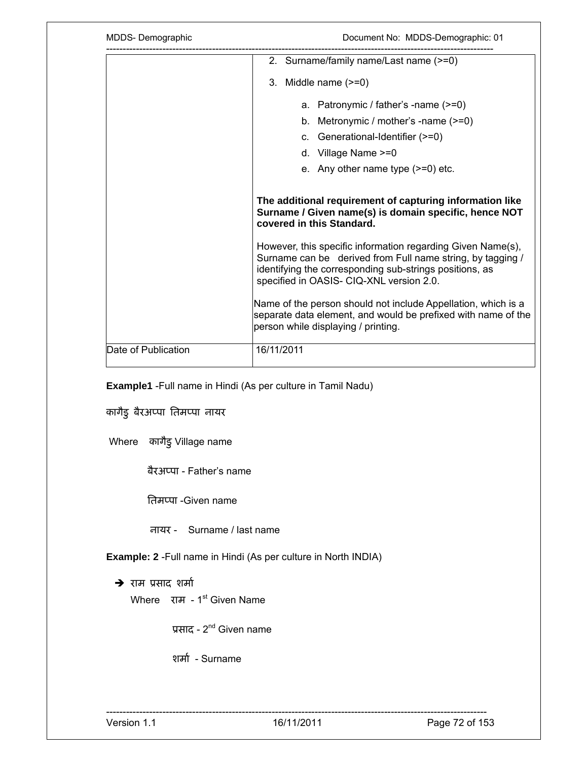| Document No: MDDS-Demographic: 01                                                                                                                                                                                                                                                                                                                     |  |
|-------------------------------------------------------------------------------------------------------------------------------------------------------------------------------------------------------------------------------------------------------------------------------------------------------------------------------------------------------|--|
| 2. Surname/family name/Last name (>=0)                                                                                                                                                                                                                                                                                                                |  |
| 3. Middle name $(>=0)$                                                                                                                                                                                                                                                                                                                                |  |
| a. Patronymic / father's -name (>=0)                                                                                                                                                                                                                                                                                                                  |  |
| b. Metronymic / mother's -name $(>=0)$                                                                                                                                                                                                                                                                                                                |  |
| c. Generational-Identifier (>=0)                                                                                                                                                                                                                                                                                                                      |  |
| d. Village Name $>=0$                                                                                                                                                                                                                                                                                                                                 |  |
| e. Any other name type $(>=0)$ etc.                                                                                                                                                                                                                                                                                                                   |  |
| covered in this Standard.                                                                                                                                                                                                                                                                                                                             |  |
| The additional requirement of capturing information like<br>Surname / Given name(s) is domain specific, hence NOT<br>However, this specific information regarding Given Name(s),<br>Surname can be derived from Full name string, by tagging /<br>identifying the corresponding sub-strings positions, as<br>specified in OASIS- CIQ-XNL version 2.0. |  |
|                                                                                                                                                                                                                                                                                                                                                       |  |
| 16/11/2011                                                                                                                                                                                                                                                                                                                                            |  |
|                                                                                                                                                                                                                                                                                                                                                       |  |

**Example1** -Full name in Hindi (As per culture in Tamil Nadu)

कागैडु बैरअप्पा तिमप्पा नायर

Where कागैडु Village name

बैरअप्पा - Father's name

ितमप्पा -Given name

नायर - Surname / last name

**Example: 2** -Full name in Hindi (As per culture in North INDIA)

 $\rightarrow$  राम प्रसाद शर्मा

Where राम - 1<sup>st</sup> Given Name

ूसाद - 2nd Given name

शर्मा - Surname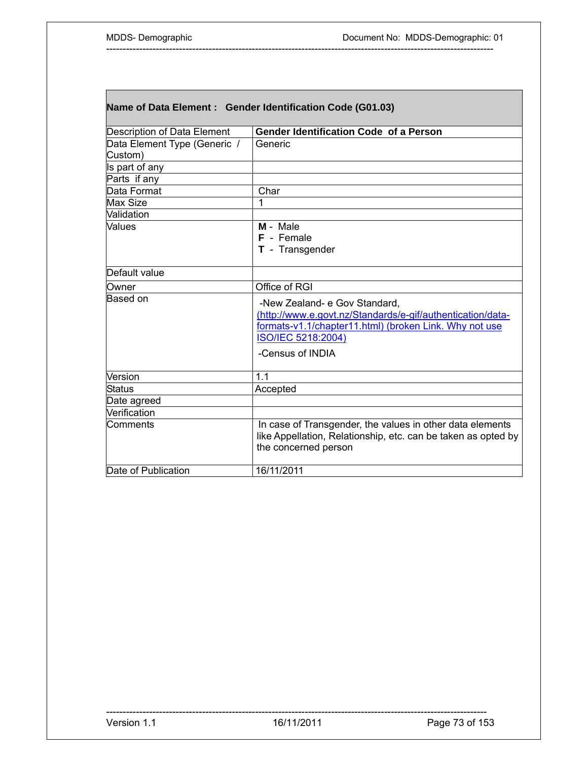| Name of Data Element : Gender Identification Code (G01.03) |                                                                                                                                                                                                 |  |
|------------------------------------------------------------|-------------------------------------------------------------------------------------------------------------------------------------------------------------------------------------------------|--|
| Description of Data Element                                | <b>Gender Identification Code of a Person</b>                                                                                                                                                   |  |
| Data Element Type (Generic /                               | Generic                                                                                                                                                                                         |  |
| Custom)                                                    |                                                                                                                                                                                                 |  |
| Is part of any                                             |                                                                                                                                                                                                 |  |
| Parts if any                                               |                                                                                                                                                                                                 |  |
| Data Format                                                | Char                                                                                                                                                                                            |  |
| Max Size                                                   | 1                                                                                                                                                                                               |  |
| Validation                                                 |                                                                                                                                                                                                 |  |
| Values                                                     | M - Male                                                                                                                                                                                        |  |
|                                                            | F - Female                                                                                                                                                                                      |  |
|                                                            | T - Transgender                                                                                                                                                                                 |  |
| Default value                                              |                                                                                                                                                                                                 |  |
| Owner                                                      | Office of RGI                                                                                                                                                                                   |  |
| Based on                                                   | -New Zealand- e Gov Standard,<br>(http://www.e.govt.nz/Standards/e-gif/authentication/data-<br>formats-v1.1/chapter11.html) (broken Link. Why not use<br>ISO/IEC 5218:2004)<br>-Census of INDIA |  |
| Version                                                    | 1.1                                                                                                                                                                                             |  |
| Status                                                     | Accepted                                                                                                                                                                                        |  |
| Date agreed                                                |                                                                                                                                                                                                 |  |
| Verification                                               |                                                                                                                                                                                                 |  |
| Comments                                                   | In case of Transgender, the values in other data elements<br>like Appellation, Relationship, etc. can be taken as opted by<br>the concerned person                                              |  |
| Date of Publication                                        | 16/11/2011                                                                                                                                                                                      |  |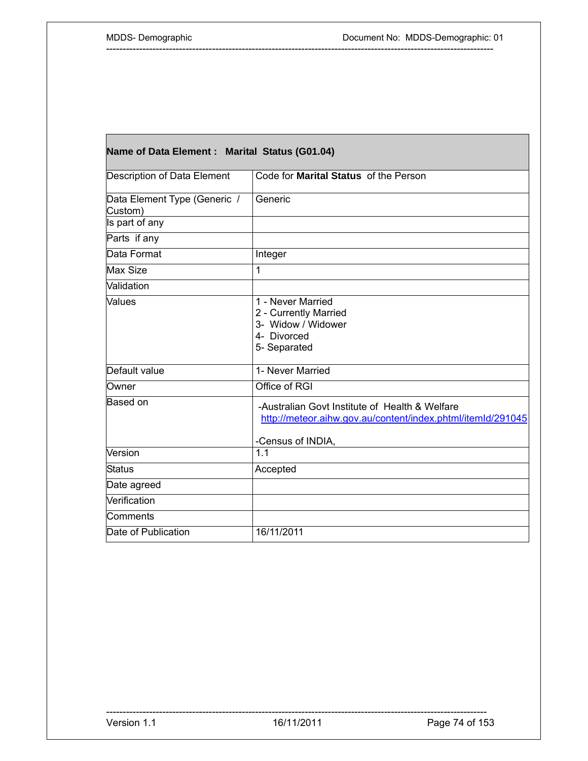| Name of Data Element : Marital Status (G01.04) |                                                                                                                                    |  |
|------------------------------------------------|------------------------------------------------------------------------------------------------------------------------------------|--|
| Description of Data Element                    | Code for Marital Status of the Person                                                                                              |  |
| Data Element Type (Generic /<br>Custom)        | Generic                                                                                                                            |  |
| Is part of any                                 |                                                                                                                                    |  |
| Parts if any                                   |                                                                                                                                    |  |
| Data Format                                    | Integer                                                                                                                            |  |
| <b>Max Size</b>                                | 1                                                                                                                                  |  |
| Validation                                     |                                                                                                                                    |  |
| <b>Values</b>                                  | 1 - Never Married<br>2 - Currently Married<br>3- Widow / Widower<br>4- Divorced<br>5- Separated                                    |  |
| Default value                                  | 1- Never Married                                                                                                                   |  |
| Owner                                          | Office of RGI                                                                                                                      |  |
| Based on                                       | -Australian Govt Institute of Health & Welfare<br>http://meteor.aihw.gov.au/content/index.phtml/itemId/291045<br>-Census of INDIA, |  |
| Version                                        | 1.1                                                                                                                                |  |
| <b>Status</b>                                  | Accepted                                                                                                                           |  |
| Date agreed                                    |                                                                                                                                    |  |
| Verification                                   |                                                                                                                                    |  |
| Comments                                       |                                                                                                                                    |  |
| Date of Publication                            | 16/11/2011                                                                                                                         |  |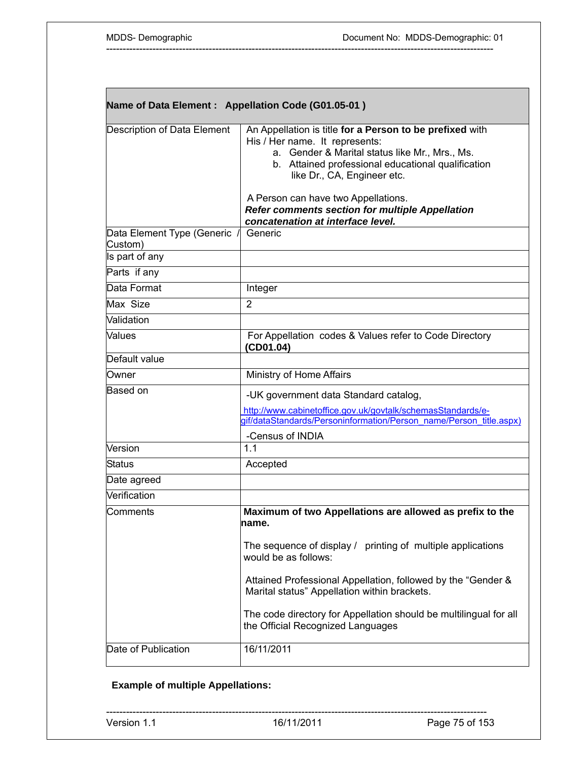| Name of Data Element: Appellation Code (G01.05-01) |                                                                                                                                                                                                                                   |  |
|----------------------------------------------------|-----------------------------------------------------------------------------------------------------------------------------------------------------------------------------------------------------------------------------------|--|
| Description of Data Element                        | An Appellation is title for a Person to be prefixed with<br>His / Her name. It represents:<br>a. Gender & Marital status like Mr., Mrs., Ms.<br>b. Attained professional educational qualification<br>like Dr., CA, Engineer etc. |  |
|                                                    | A Person can have two Appellations.<br><b>Refer comments section for multiple Appellation</b><br>concatenation at interface level.                                                                                                |  |
| Data Element Type (Generic /<br>Custom)            | Generic                                                                                                                                                                                                                           |  |
| Is part of any                                     |                                                                                                                                                                                                                                   |  |
| Parts if any                                       |                                                                                                                                                                                                                                   |  |
| Data Format                                        | Integer                                                                                                                                                                                                                           |  |
| Max Size                                           | $\overline{2}$                                                                                                                                                                                                                    |  |
| Validation                                         |                                                                                                                                                                                                                                   |  |
| Values                                             | For Appellation codes & Values refer to Code Directory<br>(CD01.04)                                                                                                                                                               |  |
| Default value                                      |                                                                                                                                                                                                                                   |  |
| Owner                                              | Ministry of Home Affairs                                                                                                                                                                                                          |  |
| Based on                                           | -UK government data Standard catalog,<br>http://www.cabinetoffice.gov.uk/govtalk/schemasStandards/e-<br>gif/dataStandards/Personinformation/Person name/Person title.aspx)<br>-Census of INDIA                                    |  |
| Version                                            | 1.1                                                                                                                                                                                                                               |  |
| Status                                             | Accepted                                                                                                                                                                                                                          |  |
| Date agreed                                        |                                                                                                                                                                                                                                   |  |
| Verification                                       |                                                                                                                                                                                                                                   |  |
| Comments                                           | Maximum of two Appellations are allowed as prefix to the<br>name.                                                                                                                                                                 |  |
|                                                    | The sequence of display / printing of multiple applications<br>would be as follows:                                                                                                                                               |  |
|                                                    | Attained Professional Appellation, followed by the "Gender &<br>Marital status" Appellation within brackets.                                                                                                                      |  |
|                                                    | The code directory for Appellation should be multilingual for all<br>the Official Recognized Languages                                                                                                                            |  |
| Date of Publication                                | 16/11/2011                                                                                                                                                                                                                        |  |

## **Example of multiple Appellations:**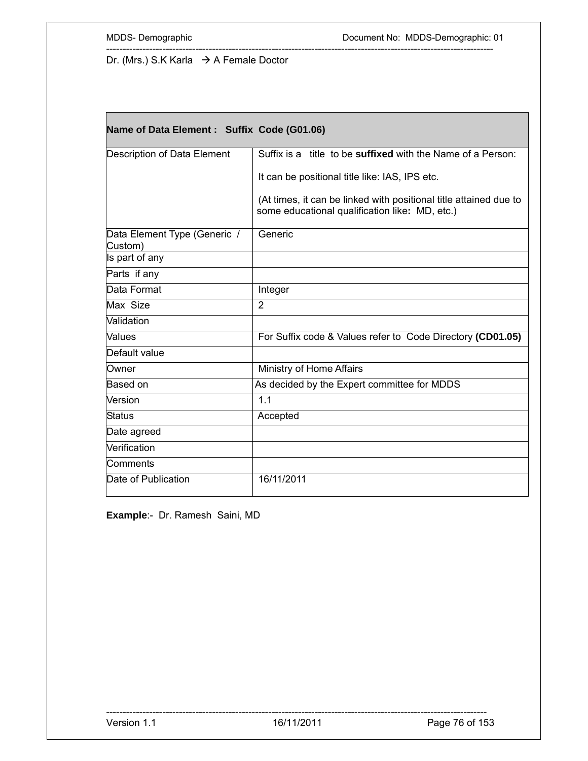Г

Dr. (Mrs.) S.K Karla  $\rightarrow$  A Female Doctor

| Name of Data Element : Suffix Code (G01.06) |                                                                                                                     |  |
|---------------------------------------------|---------------------------------------------------------------------------------------------------------------------|--|
| Description of Data Element                 | Suffix is a title to be <b>suffixed</b> with the Name of a Person:                                                  |  |
|                                             | It can be positional title like: IAS, IPS etc.                                                                      |  |
|                                             | (At times, it can be linked with positional title attained due to<br>some educational qualification like: MD, etc.) |  |
| Data Element Type (Generic /<br>Custom)     | Generic                                                                                                             |  |
| Is part of any                              |                                                                                                                     |  |
| Parts if any                                |                                                                                                                     |  |
| Data Format                                 | Integer                                                                                                             |  |
| Max Size                                    | $\overline{2}$                                                                                                      |  |
| Validation                                  |                                                                                                                     |  |
| Values                                      | For Suffix code & Values refer to Code Directory (CD01.05)                                                          |  |
| Default value                               |                                                                                                                     |  |
| Owner                                       | Ministry of Home Affairs                                                                                            |  |
| Based on                                    | As decided by the Expert committee for MDDS                                                                         |  |
| Version                                     | 1.1                                                                                                                 |  |
| <b>Status</b>                               | Accepted                                                                                                            |  |
| Date agreed                                 |                                                                                                                     |  |
| Verification                                |                                                                                                                     |  |
| Comments                                    |                                                                                                                     |  |
| Date of Publication                         | 16/11/2011                                                                                                          |  |

---------------------------------------------------------------------------------------------------------------------

**Example**:- Dr. Ramesh Saini, MD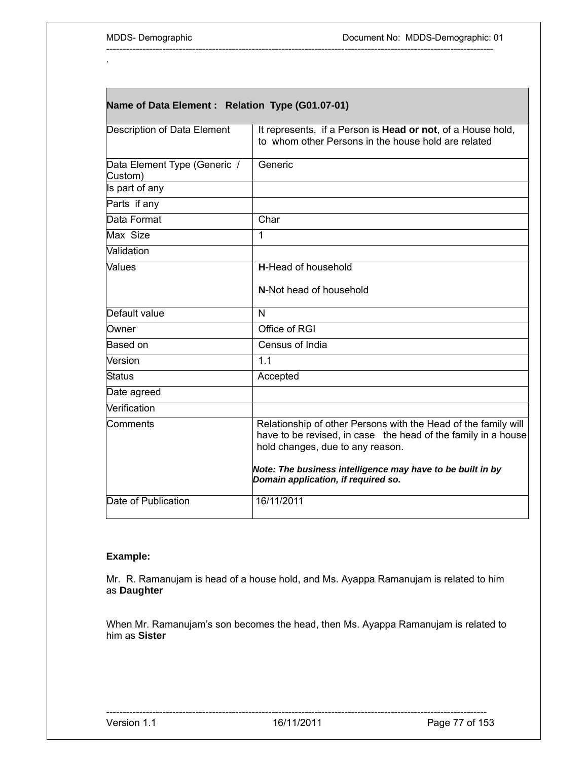.

Г

| Name of Data Element : Relation Type (G01.07-01) |                                                                                                                                                                     |  |
|--------------------------------------------------|---------------------------------------------------------------------------------------------------------------------------------------------------------------------|--|
| Description of Data Element                      | It represents, if a Person is <b>Head or not</b> , of a House hold,<br>to whom other Persons in the house hold are related                                          |  |
| Data Element Type (Generic /<br>Custom)          | Generic                                                                                                                                                             |  |
| Is part of any                                   |                                                                                                                                                                     |  |
| Parts if any                                     |                                                                                                                                                                     |  |
| Data Format                                      | Char                                                                                                                                                                |  |
| Max Size                                         | 1                                                                                                                                                                   |  |
| Validation                                       |                                                                                                                                                                     |  |
| Values                                           | <b>H-Head of household</b>                                                                                                                                          |  |
|                                                  | N-Not head of household                                                                                                                                             |  |
| Default value                                    | N                                                                                                                                                                   |  |
| Owner                                            | Office of RGI                                                                                                                                                       |  |
| Based on                                         | Census of India                                                                                                                                                     |  |
| Version                                          | 1.1                                                                                                                                                                 |  |
| Status                                           | Accepted                                                                                                                                                            |  |
| Date agreed                                      |                                                                                                                                                                     |  |
| Verification                                     |                                                                                                                                                                     |  |
| Comments                                         | Relationship of other Persons with the Head of the family will<br>have to be revised, in case the head of the family in a house<br>hold changes, due to any reason. |  |
|                                                  | Note: The business intelligence may have to be built in by<br>Domain application, if required so.                                                                   |  |
| Date of Publication                              | 16/11/2011                                                                                                                                                          |  |

---------------------------------------------------------------------------------------------------------------------

### **Example:**

Mr. R. Ramanujam is head of a house hold, and Ms. Ayappa Ramanujam is related to him as **Daughter**

When Mr. Ramanujam's son becomes the head, then Ms. Ayappa Ramanujam is related to him as **Sister**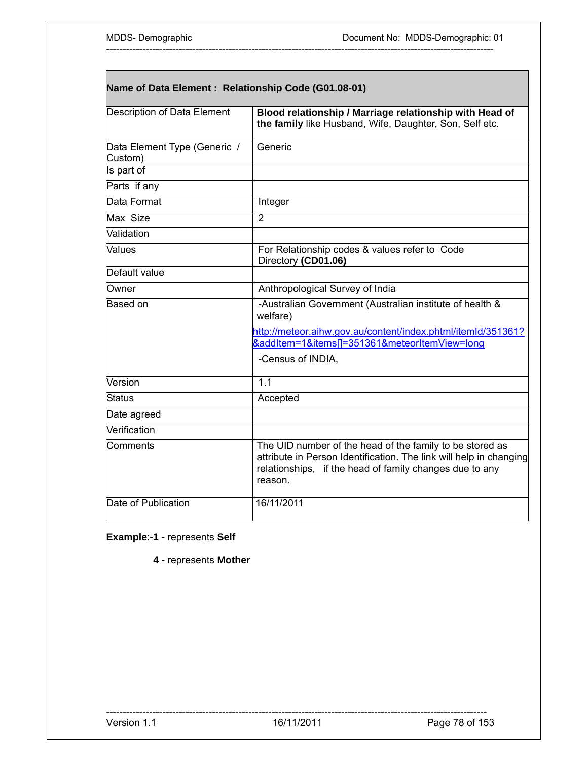| Name of Data Element: Relationship Code (G01.08-01) |                                                                                                                                                                                                      |  |
|-----------------------------------------------------|------------------------------------------------------------------------------------------------------------------------------------------------------------------------------------------------------|--|
| Description of Data Element                         | Blood relationship / Marriage relationship with Head of<br>the family like Husband, Wife, Daughter, Son, Self etc.                                                                                   |  |
| Data Element Type (Generic /<br>Custom)             | Generic                                                                                                                                                                                              |  |
| Is part of                                          |                                                                                                                                                                                                      |  |
| Parts if any                                        |                                                                                                                                                                                                      |  |
| Data Format                                         | Integer                                                                                                                                                                                              |  |
| Max Size                                            | $\overline{2}$                                                                                                                                                                                       |  |
| Validation                                          |                                                                                                                                                                                                      |  |
| Values                                              | For Relationship codes & values refer to Code<br>Directory (CD01.06)                                                                                                                                 |  |
| Default value                                       |                                                                                                                                                                                                      |  |
| Owner                                               | Anthropological Survey of India                                                                                                                                                                      |  |
| Based on                                            | -Australian Government (Australian institute of health &<br>welfare)                                                                                                                                 |  |
|                                                     | http://meteor.aihw.gov.au/content/index.phtml/itemId/351361?                                                                                                                                         |  |
|                                                     | &addItem=1&items[]=351361&meteorItemView=long                                                                                                                                                        |  |
|                                                     | -Census of INDIA,                                                                                                                                                                                    |  |
| Version                                             | 1.1                                                                                                                                                                                                  |  |
| <b>Status</b>                                       | Accepted                                                                                                                                                                                             |  |
| Date agreed                                         |                                                                                                                                                                                                      |  |
| Verification                                        |                                                                                                                                                                                                      |  |
| Comments                                            | The UID number of the head of the family to be stored as<br>attribute in Person Identification. The link will help in changing<br>relationships, if the head of family changes due to any<br>reason. |  |
| Date of Publication                                 | 16/11/2011                                                                                                                                                                                           |  |

**Example**:-**1** - represents **Self** 

**4** - represents **Mother**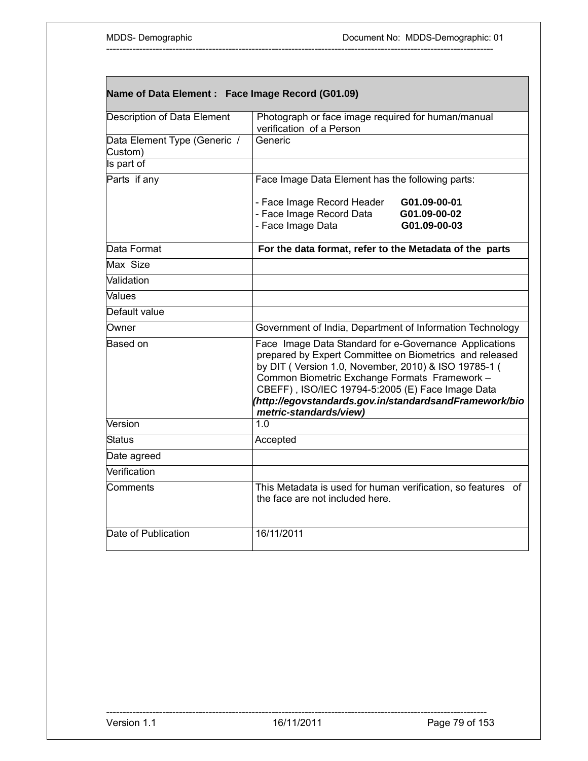| Name of Data Element : Face Image Record (G01.09) |                                                                                                                                                                                                                                                                                                                                                                    |  |
|---------------------------------------------------|--------------------------------------------------------------------------------------------------------------------------------------------------------------------------------------------------------------------------------------------------------------------------------------------------------------------------------------------------------------------|--|
| <b>Description of Data Element</b>                | Photograph or face image required for human/manual<br>verification of a Person                                                                                                                                                                                                                                                                                     |  |
| Data Element Type (Generic /<br>Custom)           | Generic                                                                                                                                                                                                                                                                                                                                                            |  |
| Is part of                                        |                                                                                                                                                                                                                                                                                                                                                                    |  |
| Parts if any                                      | Face Image Data Element has the following parts:                                                                                                                                                                                                                                                                                                                   |  |
|                                                   | - Face Image Record Header<br>G01.09-00-01<br>- Face Image Record Data<br>G01.09-00-02<br>- Face Image Data<br>G01.09-00-03                                                                                                                                                                                                                                        |  |
| Data Format                                       | For the data format, refer to the Metadata of the parts                                                                                                                                                                                                                                                                                                            |  |
| Max Size                                          |                                                                                                                                                                                                                                                                                                                                                                    |  |
| Validation                                        |                                                                                                                                                                                                                                                                                                                                                                    |  |
| Values                                            |                                                                                                                                                                                                                                                                                                                                                                    |  |
| Default value                                     |                                                                                                                                                                                                                                                                                                                                                                    |  |
| Owner                                             | Government of India, Department of Information Technology                                                                                                                                                                                                                                                                                                          |  |
| <b>Based on</b>                                   | Face Image Data Standard for e-Governance Applications<br>prepared by Expert Committee on Biometrics and released<br>by DIT (Version 1.0, November, 2010) & ISO 19785-1 (<br>Common Biometric Exchange Formats Framework -<br>CBEFF), ISO/IEC 19794-5:2005 (E) Face Image Data<br>(http://egovstandards.gov.in/standardsandFramework/bio<br>metric-standards/view) |  |
| Version                                           | 1.0                                                                                                                                                                                                                                                                                                                                                                |  |
| Status                                            | Accepted                                                                                                                                                                                                                                                                                                                                                           |  |
| Date agreed                                       |                                                                                                                                                                                                                                                                                                                                                                    |  |
| Verification                                      |                                                                                                                                                                                                                                                                                                                                                                    |  |
| Comments                                          | This Metadata is used for human verification, so features of<br>the face are not included here.                                                                                                                                                                                                                                                                    |  |
| Date of Publication                               | 16/11/2011                                                                                                                                                                                                                                                                                                                                                         |  |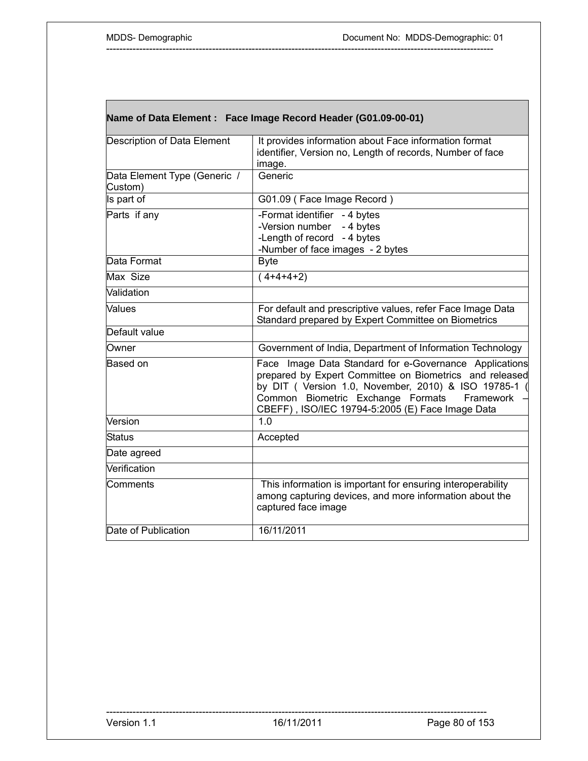|                                         | Name of Data Element : Face Image Record Header (G01.09-00-01)                                                                                                                                                                                                                 |
|-----------------------------------------|--------------------------------------------------------------------------------------------------------------------------------------------------------------------------------------------------------------------------------------------------------------------------------|
| Description of Data Element             | It provides information about Face information format<br>identifier, Version no, Length of records, Number of face<br>image.                                                                                                                                                   |
| Data Element Type (Generic /<br>Custom) | Generic                                                                                                                                                                                                                                                                        |
| Is part of                              | G01.09 (Face Image Record)                                                                                                                                                                                                                                                     |
| Parts if any                            | -Format identifier - 4 bytes<br>-Version number<br>- 4 bytes<br>-Length of record - 4 bytes<br>-Number of face images - 2 bytes                                                                                                                                                |
| Data Format                             | <b>Byte</b>                                                                                                                                                                                                                                                                    |
| Max Size                                | $(4+4+4+2)$                                                                                                                                                                                                                                                                    |
| Validation                              |                                                                                                                                                                                                                                                                                |
| Values                                  | For default and prescriptive values, refer Face Image Data<br>Standard prepared by Expert Committee on Biometrics                                                                                                                                                              |
| Default value                           |                                                                                                                                                                                                                                                                                |
| Owner                                   | Government of India, Department of Information Technology                                                                                                                                                                                                                      |
| lBased on                               | Face Image Data Standard for e-Governance Applications<br>prepared by Expert Committee on Biometrics and released<br>by DIT ( Version 1.0, November, 2010) & ISO 19785-1<br>Common Biometric Exchange Formats<br>Framework<br>CBEFF), ISO/IEC 19794-5:2005 (E) Face Image Data |
| Version                                 | 1.0                                                                                                                                                                                                                                                                            |
| Status                                  | Accepted                                                                                                                                                                                                                                                                       |
| Date agreed                             |                                                                                                                                                                                                                                                                                |
| Verification                            |                                                                                                                                                                                                                                                                                |
| Comments                                | This information is important for ensuring interoperability<br>among capturing devices, and more information about the<br>captured face image                                                                                                                                  |
| Date of Publication                     | 16/11/2011                                                                                                                                                                                                                                                                     |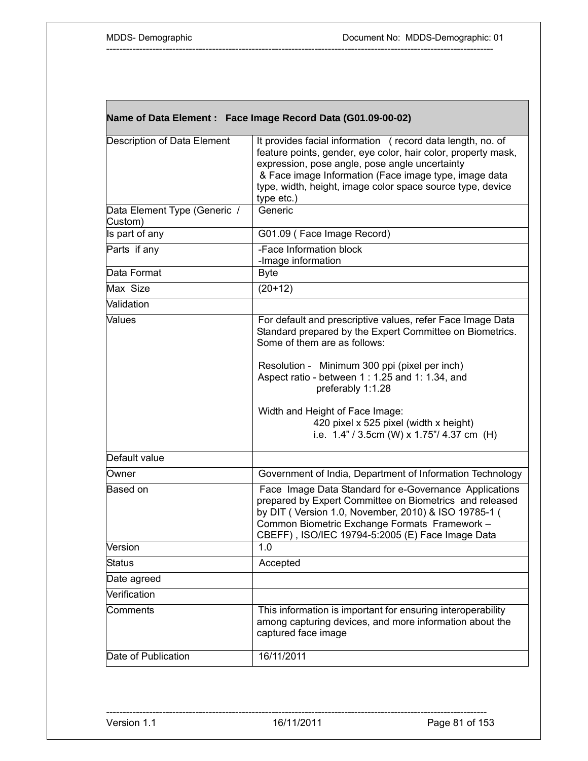Г

| It provides facial information (record data length, no. of<br>feature points, gender, eye color, hair color, property mask,<br>expression, pose angle, pose angle uncertainty<br>& Face image Information (Face image type, image data<br>type, width, height, image color space source type, device<br>type etc.)<br>Data Element Type (Generic /<br>Generic<br>G01.09 (Face Image Record)<br>-Face Information block<br>-Image information<br><b>Byte</b><br>$(20+12)$<br>For default and prescriptive values, refer Face Image Data<br>Standard prepared by the Expert Committee on Biometrics.<br>Some of them are as follows:<br>Resolution - Minimum 300 ppi (pixel per inch)<br>Aspect ratio - between 1 : 1.25 and 1: 1.34, and<br>preferably 1:1.28<br>Width and Height of Face Image:<br>420 pixel x 525 pixel (width x height)<br>i.e. $1.4$ " / 3.5cm (W) x $1.75$ "/ 4.37 cm (H)<br>Government of India, Department of Information Technology<br>Face Image Data Standard for e-Governance Applications<br>prepared by Expert Committee on Biometrics and released<br>by DIT (Version 1.0, November, 2010) & ISO 19785-1 (<br>Common Biometric Exchange Formats Framework -<br>CBEFF), ISO/IEC 19794-5:2005 (E) Face Image Data<br>Version<br>1.0<br>Accepted<br>This information is important for ensuring interoperability<br>among capturing devices, and more information about the<br>captured face image<br>16/11/2011 | Name of Data Element : Face Image Record Data (G01.09-00-02) |  |  |
|-------------------------------------------------------------------------------------------------------------------------------------------------------------------------------------------------------------------------------------------------------------------------------------------------------------------------------------------------------------------------------------------------------------------------------------------------------------------------------------------------------------------------------------------------------------------------------------------------------------------------------------------------------------------------------------------------------------------------------------------------------------------------------------------------------------------------------------------------------------------------------------------------------------------------------------------------------------------------------------------------------------------------------------------------------------------------------------------------------------------------------------------------------------------------------------------------------------------------------------------------------------------------------------------------------------------------------------------------------------------------------------------------------------------------------------------|--------------------------------------------------------------|--|--|
|                                                                                                                                                                                                                                                                                                                                                                                                                                                                                                                                                                                                                                                                                                                                                                                                                                                                                                                                                                                                                                                                                                                                                                                                                                                                                                                                                                                                                                           | Description of Data Element                                  |  |  |
|                                                                                                                                                                                                                                                                                                                                                                                                                                                                                                                                                                                                                                                                                                                                                                                                                                                                                                                                                                                                                                                                                                                                                                                                                                                                                                                                                                                                                                           | Custom)                                                      |  |  |
|                                                                                                                                                                                                                                                                                                                                                                                                                                                                                                                                                                                                                                                                                                                                                                                                                                                                                                                                                                                                                                                                                                                                                                                                                                                                                                                                                                                                                                           | Is part of any                                               |  |  |
|                                                                                                                                                                                                                                                                                                                                                                                                                                                                                                                                                                                                                                                                                                                                                                                                                                                                                                                                                                                                                                                                                                                                                                                                                                                                                                                                                                                                                                           | Parts if any                                                 |  |  |
|                                                                                                                                                                                                                                                                                                                                                                                                                                                                                                                                                                                                                                                                                                                                                                                                                                                                                                                                                                                                                                                                                                                                                                                                                                                                                                                                                                                                                                           | Data Format                                                  |  |  |
|                                                                                                                                                                                                                                                                                                                                                                                                                                                                                                                                                                                                                                                                                                                                                                                                                                                                                                                                                                                                                                                                                                                                                                                                                                                                                                                                                                                                                                           | Max Size                                                     |  |  |
|                                                                                                                                                                                                                                                                                                                                                                                                                                                                                                                                                                                                                                                                                                                                                                                                                                                                                                                                                                                                                                                                                                                                                                                                                                                                                                                                                                                                                                           | Validation                                                   |  |  |
|                                                                                                                                                                                                                                                                                                                                                                                                                                                                                                                                                                                                                                                                                                                                                                                                                                                                                                                                                                                                                                                                                                                                                                                                                                                                                                                                                                                                                                           | <b>Values</b>                                                |  |  |
|                                                                                                                                                                                                                                                                                                                                                                                                                                                                                                                                                                                                                                                                                                                                                                                                                                                                                                                                                                                                                                                                                                                                                                                                                                                                                                                                                                                                                                           | Default value                                                |  |  |
|                                                                                                                                                                                                                                                                                                                                                                                                                                                                                                                                                                                                                                                                                                                                                                                                                                                                                                                                                                                                                                                                                                                                                                                                                                                                                                                                                                                                                                           | Owner                                                        |  |  |
|                                                                                                                                                                                                                                                                                                                                                                                                                                                                                                                                                                                                                                                                                                                                                                                                                                                                                                                                                                                                                                                                                                                                                                                                                                                                                                                                                                                                                                           | Based on                                                     |  |  |
|                                                                                                                                                                                                                                                                                                                                                                                                                                                                                                                                                                                                                                                                                                                                                                                                                                                                                                                                                                                                                                                                                                                                                                                                                                                                                                                                                                                                                                           |                                                              |  |  |
|                                                                                                                                                                                                                                                                                                                                                                                                                                                                                                                                                                                                                                                                                                                                                                                                                                                                                                                                                                                                                                                                                                                                                                                                                                                                                                                                                                                                                                           | <b>Status</b>                                                |  |  |
|                                                                                                                                                                                                                                                                                                                                                                                                                                                                                                                                                                                                                                                                                                                                                                                                                                                                                                                                                                                                                                                                                                                                                                                                                                                                                                                                                                                                                                           | Date agreed                                                  |  |  |
|                                                                                                                                                                                                                                                                                                                                                                                                                                                                                                                                                                                                                                                                                                                                                                                                                                                                                                                                                                                                                                                                                                                                                                                                                                                                                                                                                                                                                                           | Verification                                                 |  |  |
|                                                                                                                                                                                                                                                                                                                                                                                                                                                                                                                                                                                                                                                                                                                                                                                                                                                                                                                                                                                                                                                                                                                                                                                                                                                                                                                                                                                                                                           | Comments                                                     |  |  |
|                                                                                                                                                                                                                                                                                                                                                                                                                                                                                                                                                                                                                                                                                                                                                                                                                                                                                                                                                                                                                                                                                                                                                                                                                                                                                                                                                                                                                                           | Date of Publication                                          |  |  |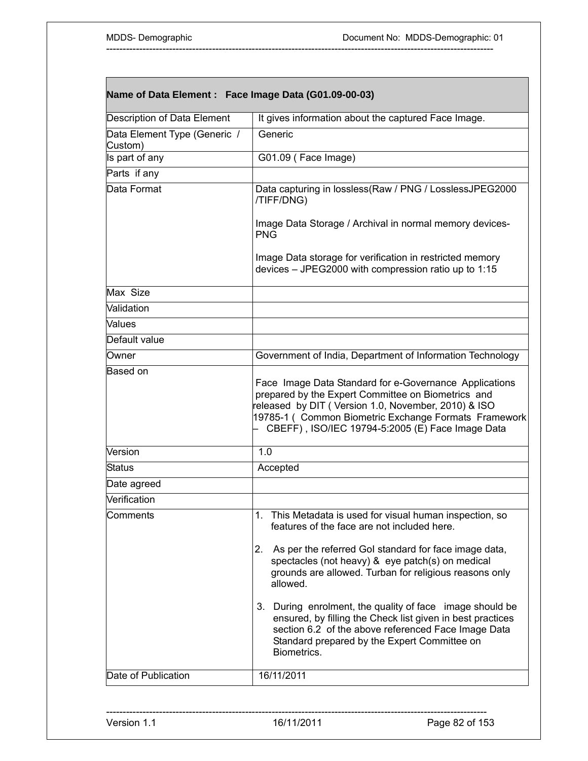| Name of Data Element : Face Image Data (G01.09-00-03) |                                                                                                                                                                                                                                                                                  |  |
|-------------------------------------------------------|----------------------------------------------------------------------------------------------------------------------------------------------------------------------------------------------------------------------------------------------------------------------------------|--|
| Description of Data Element                           | It gives information about the captured Face Image.                                                                                                                                                                                                                              |  |
| Data Element Type (Generic /<br>Custom)               | Generic                                                                                                                                                                                                                                                                          |  |
| Is part of any                                        | G01.09 (Face Image)                                                                                                                                                                                                                                                              |  |
| Parts if any                                          |                                                                                                                                                                                                                                                                                  |  |
| Data Format                                           | Data capturing in lossless(Raw / PNG / LosslessJPEG2000<br>/TIFF/DNG)                                                                                                                                                                                                            |  |
|                                                       | Image Data Storage / Archival in normal memory devices-<br><b>PNG</b>                                                                                                                                                                                                            |  |
|                                                       | Image Data storage for verification in restricted memory<br>devices - JPEG2000 with compression ratio up to 1:15                                                                                                                                                                 |  |
| Max Size                                              |                                                                                                                                                                                                                                                                                  |  |
| Validation                                            |                                                                                                                                                                                                                                                                                  |  |
| <b>Values</b>                                         |                                                                                                                                                                                                                                                                                  |  |
| Default value                                         |                                                                                                                                                                                                                                                                                  |  |
| Owner                                                 | Government of India, Department of Information Technology                                                                                                                                                                                                                        |  |
|                                                       | Face Image Data Standard for e-Governance Applications<br>prepared by the Expert Committee on Biometrics and<br>released by DIT (Version 1.0, November, 2010) & ISO<br>19785-1 ( Common Biometric Exchange Formats Framework<br>CBEFF), ISO/IEC 19794-5:2005 (E) Face Image Data |  |
| Version                                               | 1.0                                                                                                                                                                                                                                                                              |  |
| <b>Status</b>                                         | Accepted                                                                                                                                                                                                                                                                         |  |
| Date agreed                                           |                                                                                                                                                                                                                                                                                  |  |
| Verification                                          |                                                                                                                                                                                                                                                                                  |  |
| Comments                                              | 1. This Metadata is used for visual human inspection, so<br>features of the face are not included here.                                                                                                                                                                          |  |
|                                                       | 2. As per the referred Gol standard for face image data,<br>spectacles (not heavy) & eye patch(s) on medical<br>grounds are allowed. Turban for religious reasons only<br>allowed.                                                                                               |  |
|                                                       | 3. During enrolment, the quality of face image should be<br>ensured, by filling the Check list given in best practices<br>section 6.2 of the above referenced Face Image Data<br>Standard prepared by the Expert Committee on<br>Biometrics.                                     |  |
| Date of Publication                                   | 16/11/2011                                                                                                                                                                                                                                                                       |  |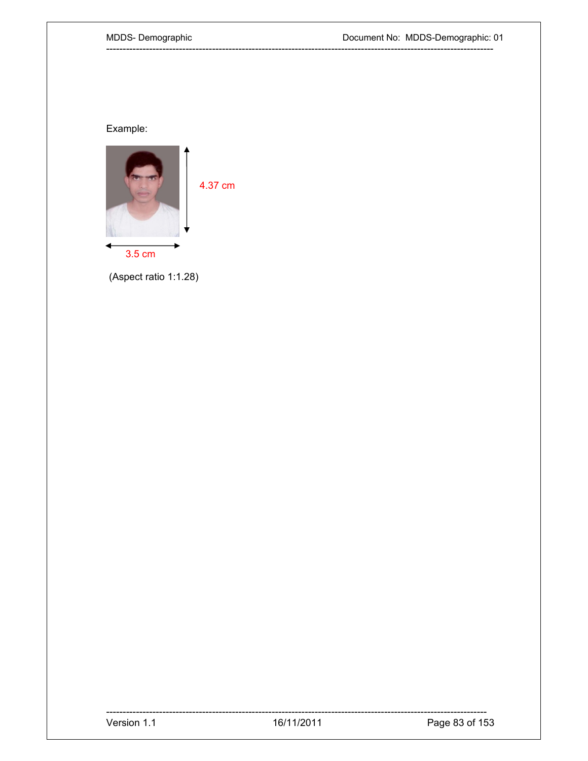## MDDS-Demographic

# Example:



(Aspect ratio 1:1.28)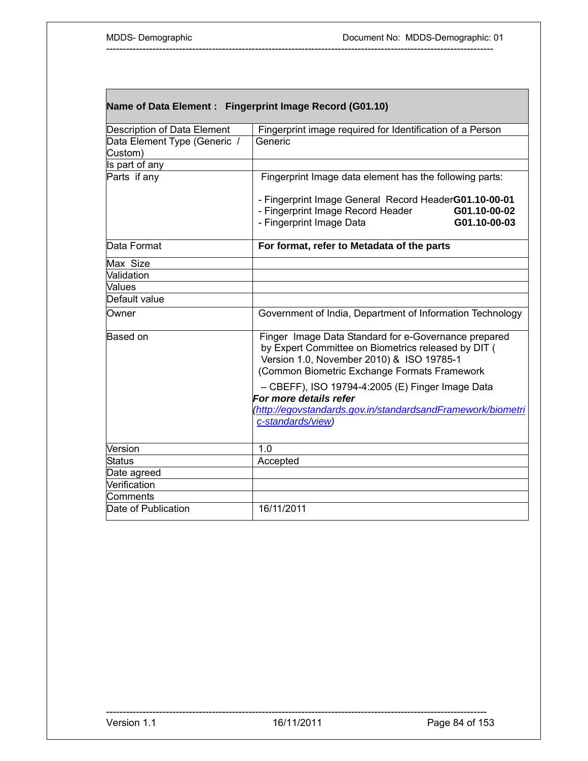L

| Name of Data Element : Fingerprint Image Record (G01.10) |                                                                                           |
|----------------------------------------------------------|-------------------------------------------------------------------------------------------|
| Description of Data Element                              | Fingerprint image required for Identification of a Person                                 |
| Data Element Type (Generic /                             | Generic                                                                                   |
| Custom)                                                  |                                                                                           |
| Is part of any                                           |                                                                                           |
| Parts if any                                             | Fingerprint Image data element has the following parts:                                   |
|                                                          | - Fingerprint Image General Record HeaderG01.10-00-01                                     |
|                                                          | - Fingerprint Image Record Header<br>G01.10-00-02                                         |
|                                                          | - Fingerprint Image Data<br>G01.10-00-03                                                  |
| Data Format                                              | For format, refer to Metadata of the parts                                                |
| Max Size                                                 |                                                                                           |
| Validation                                               |                                                                                           |
| Values                                                   |                                                                                           |
| Default value                                            |                                                                                           |
| Owner                                                    | Government of India, Department of Information Technology                                 |
| <b>Based on</b>                                          | Finger Image Data Standard for e-Governance prepared                                      |
|                                                          | by Expert Committee on Biometrics released by DIT (                                       |
|                                                          | Version 1.0, November 2010) & ISO 19785-1<br>(Common Biometric Exchange Formats Framework |
|                                                          |                                                                                           |
|                                                          | - CBEFF), ISO 19794-4:2005 (E) Finger Image Data                                          |
|                                                          | For more details refer                                                                    |
|                                                          | http://egovstandards.gov.in/standardsandFramework/biometri                                |
|                                                          | c-standards/view)                                                                         |
| Version                                                  | 1.0                                                                                       |
| Status                                                   | Accepted                                                                                  |
| Date agreed                                              |                                                                                           |
| Verification                                             |                                                                                           |
| Comments                                                 |                                                                                           |
| Date of Publication                                      | 16/11/2011                                                                                |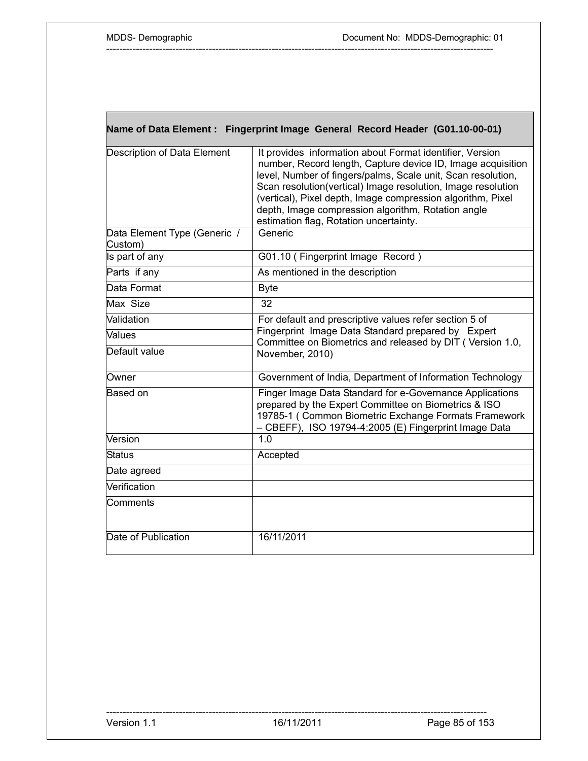L

|                                         | Name of Data Element : Fingerprint Image General Record Header (G01.10-00-01)                                                                                                                                                                                                                                                                                                                                          |
|-----------------------------------------|------------------------------------------------------------------------------------------------------------------------------------------------------------------------------------------------------------------------------------------------------------------------------------------------------------------------------------------------------------------------------------------------------------------------|
| Description of Data Element             | It provides information about Format identifier, Version<br>number, Record length, Capture device ID, Image acquisition<br>level, Number of fingers/palms, Scale unit, Scan resolution,<br>Scan resolution(vertical) Image resolution, Image resolution<br>(vertical), Pixel depth, Image compression algorithm, Pixel<br>depth, Image compression algorithm, Rotation angle<br>estimation flag, Rotation uncertainty. |
| Data Element Type (Generic /<br>Custom) | Generic                                                                                                                                                                                                                                                                                                                                                                                                                |
| Is part of any                          | G01.10 (Fingerprint Image Record)                                                                                                                                                                                                                                                                                                                                                                                      |
| Parts if any                            | As mentioned in the description                                                                                                                                                                                                                                                                                                                                                                                        |
| Data Format                             | <b>Byte</b>                                                                                                                                                                                                                                                                                                                                                                                                            |
| Max Size                                | 32                                                                                                                                                                                                                                                                                                                                                                                                                     |
| Validation                              | For default and prescriptive values refer section 5 of                                                                                                                                                                                                                                                                                                                                                                 |
| Values                                  | Fingerprint Image Data Standard prepared by Expert<br>Committee on Biometrics and released by DIT (Version 1.0,                                                                                                                                                                                                                                                                                                        |
| Default value                           | November, 2010)                                                                                                                                                                                                                                                                                                                                                                                                        |
| Owner                                   | Government of India, Department of Information Technology                                                                                                                                                                                                                                                                                                                                                              |
| Based on                                | Finger Image Data Standard for e-Governance Applications<br>prepared by the Expert Committee on Biometrics & ISO<br>19785-1 (Common Biometric Exchange Formats Framework<br>- CBEFF), ISO 19794-4:2005 (E) Fingerprint Image Data                                                                                                                                                                                      |
| Version                                 | 1.0                                                                                                                                                                                                                                                                                                                                                                                                                    |
| <b>Status</b>                           | Accepted                                                                                                                                                                                                                                                                                                                                                                                                               |
| Date agreed                             |                                                                                                                                                                                                                                                                                                                                                                                                                        |
| Verification                            |                                                                                                                                                                                                                                                                                                                                                                                                                        |
| Comments                                |                                                                                                                                                                                                                                                                                                                                                                                                                        |
| Date of Publication                     | 16/11/2011                                                                                                                                                                                                                                                                                                                                                                                                             |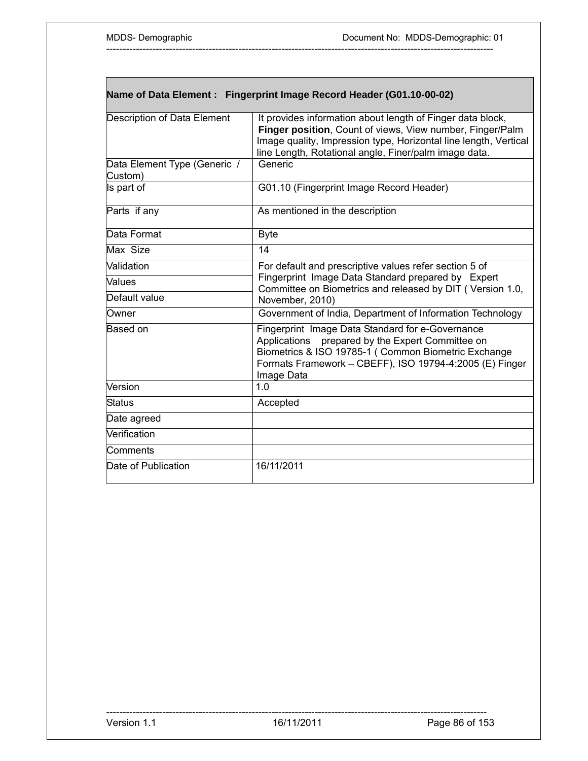| Name of Data Element : Fingerprint Image Record Header (G01.10-00-02) |
|-----------------------------------------------------------------------|
|                                                                       |

| <b>Description of Data Element</b>      | It provides information about length of Finger data block,<br>Finger position, Count of views, View number, Finger/Palm<br>Image quality, Impression type, Horizontal line length, Vertical<br>line Length, Rotational angle, Finer/palm image data. |
|-----------------------------------------|------------------------------------------------------------------------------------------------------------------------------------------------------------------------------------------------------------------------------------------------------|
| Data Element Type (Generic /<br>Custom) | Generic                                                                                                                                                                                                                                              |
| Is part of                              | G01.10 (Fingerprint Image Record Header)                                                                                                                                                                                                             |
| Parts if any                            | As mentioned in the description                                                                                                                                                                                                                      |
| Data Format                             | <b>Byte</b>                                                                                                                                                                                                                                          |
| Max Size                                | 14                                                                                                                                                                                                                                                   |
| Validation                              | For default and prescriptive values refer section 5 of                                                                                                                                                                                               |
| Values                                  | Fingerprint Image Data Standard prepared by Expert<br>Committee on Biometrics and released by DIT ( Version 1.0,                                                                                                                                     |
| Default value                           | November, 2010)                                                                                                                                                                                                                                      |
| Owner                                   | Government of India, Department of Information Technology                                                                                                                                                                                            |
| Based on                                | Fingerprint Image Data Standard for e-Governance<br>Applications prepared by the Expert Committee on<br>Biometrics & ISO 19785-1 ( Common Biometric Exchange<br>Formats Framework - CBEFF), ISO 19794-4:2005 (E) Finger<br>Image Data                |
| Version                                 | 1.0                                                                                                                                                                                                                                                  |
| Status                                  | Accepted                                                                                                                                                                                                                                             |
| Date agreed                             |                                                                                                                                                                                                                                                      |
| Verification                            |                                                                                                                                                                                                                                                      |
| Comments                                |                                                                                                                                                                                                                                                      |
| Date of Publication                     | 16/11/2011                                                                                                                                                                                                                                           |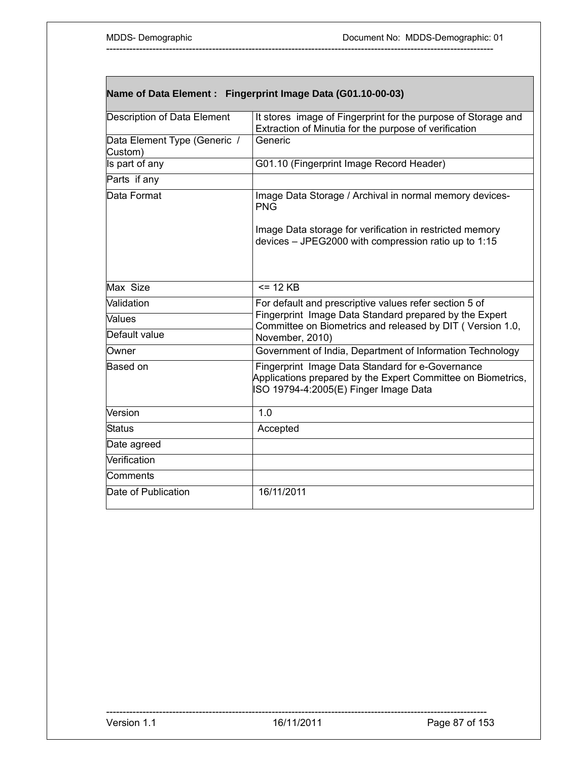|                                         | Name of Data Element : Fingerprint Image Data (G01.10-00-03)                                                                                              |
|-----------------------------------------|-----------------------------------------------------------------------------------------------------------------------------------------------------------|
| <b>Description of Data Element</b>      | It stores image of Fingerprint for the purpose of Storage and<br>Extraction of Minutia for the purpose of verification                                    |
| Data Element Type (Generic /<br>Custom) | Generic                                                                                                                                                   |
| Is part of any                          | G01.10 (Fingerprint Image Record Header)                                                                                                                  |
| Parts if any                            |                                                                                                                                                           |
| Data Format                             | Image Data Storage / Archival in normal memory devices-<br><b>PNG</b>                                                                                     |
|                                         | Image Data storage for verification in restricted memory<br>devices - JPEG2000 with compression ratio up to 1:15                                          |
| Max Size                                | $= 12$ KB                                                                                                                                                 |
| Validation                              | For default and prescriptive values refer section 5 of                                                                                                    |
| <b>Values</b>                           | Fingerprint Image Data Standard prepared by the Expert<br>Committee on Biometrics and released by DIT (Version 1.0,                                       |
| Default value                           | November, 2010)                                                                                                                                           |
| Owner                                   | Government of India, Department of Information Technology                                                                                                 |
| Based on                                | Fingerprint Image Data Standard for e-Governance<br>Applications prepared by the Expert Committee on Biometrics,<br>ISO 19794-4:2005(E) Finger Image Data |
| Version                                 | 1.0                                                                                                                                                       |
| <b>Status</b>                           | Accepted                                                                                                                                                  |
| Date agreed                             |                                                                                                                                                           |
| Verification                            |                                                                                                                                                           |
| Comments                                |                                                                                                                                                           |
| Date of Publication                     | 16/11/2011                                                                                                                                                |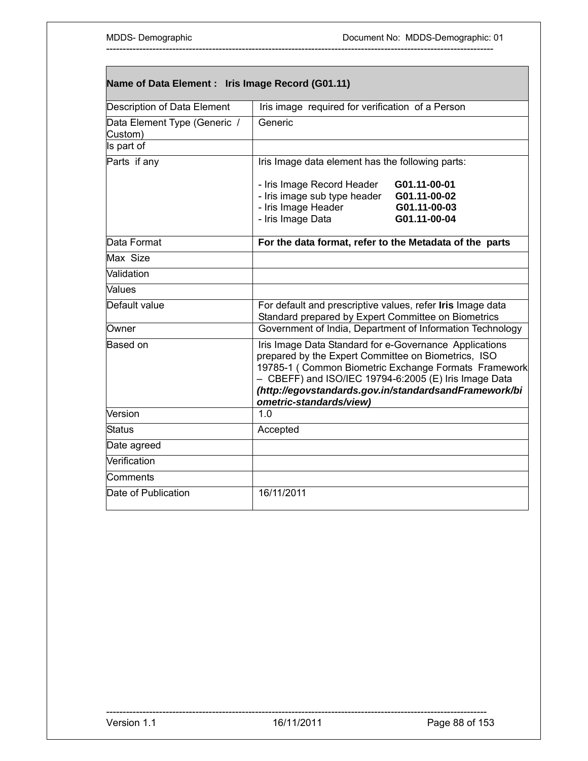| Name of Data Element : Iris Image Record (G01.11) |                                                                                                                                                                                                   |                                                                                                               |
|---------------------------------------------------|---------------------------------------------------------------------------------------------------------------------------------------------------------------------------------------------------|---------------------------------------------------------------------------------------------------------------|
| Description of Data Element                       | Iris image required for verification of a Person                                                                                                                                                  |                                                                                                               |
| Data Element Type (Generic /<br>Custom)           | Generic                                                                                                                                                                                           |                                                                                                               |
| Is part of                                        |                                                                                                                                                                                                   |                                                                                                               |
| Parts if any                                      | Iris Image data element has the following parts:                                                                                                                                                  |                                                                                                               |
|                                                   | - Iris Image Record Header<br>- Iris image sub type header<br>- Iris Image Header<br>- Iris Image Data                                                                                            | G01.11-00-01<br>G01.11-00-02<br>G01.11-00-03<br>G01.11-00-04                                                  |
| Data Format                                       | For the data format, refer to the Metadata of the parts                                                                                                                                           |                                                                                                               |
| Max Size                                          |                                                                                                                                                                                                   |                                                                                                               |
| Validation                                        |                                                                                                                                                                                                   |                                                                                                               |
| Values                                            |                                                                                                                                                                                                   |                                                                                                               |
| Default value                                     | For default and prescriptive values, refer Iris Image data<br>Standard prepared by Expert Committee on Biometrics                                                                                 |                                                                                                               |
| Owner                                             |                                                                                                                                                                                                   | Government of India, Department of Information Technology                                                     |
| <b>Based on</b>                                   | Iris Image Data Standard for e-Governance Applications<br>prepared by the Expert Committee on Biometrics, ISO<br>- CBEFF) and ISO/IEC 19794-6:2005 (E) Iris Image Data<br>ometric-standards/view) | 19785-1 (Common Biometric Exchange Formats Framework<br>(http://egovstandards.gov.in/standardsandFramework/bi |
| Version                                           | 1.0                                                                                                                                                                                               |                                                                                                               |
| <b>Status</b>                                     | Accepted                                                                                                                                                                                          |                                                                                                               |
| Date agreed                                       |                                                                                                                                                                                                   |                                                                                                               |
| Verification                                      |                                                                                                                                                                                                   |                                                                                                               |
| Comments                                          |                                                                                                                                                                                                   |                                                                                                               |
| Date of Publication                               | 16/11/2011                                                                                                                                                                                        |                                                                                                               |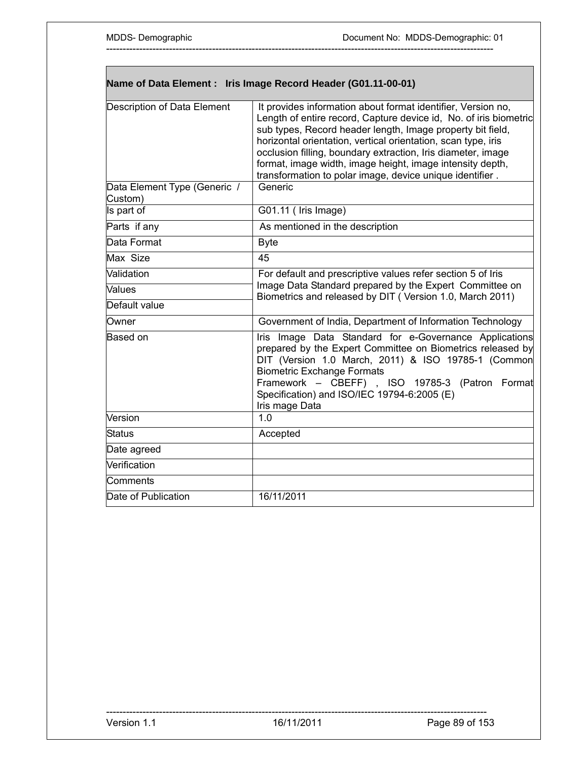|                                         | Name of Data Element : Iris Image Record Header (G01.11-00-01)                                                                                                                                                                                                                                                                                                                                                                                            |  |
|-----------------------------------------|-----------------------------------------------------------------------------------------------------------------------------------------------------------------------------------------------------------------------------------------------------------------------------------------------------------------------------------------------------------------------------------------------------------------------------------------------------------|--|
| Description of Data Element             | It provides information about format identifier, Version no,<br>Length of entire record, Capture device id, No. of iris biometric<br>sub types, Record header length, Image property bit field,<br>horizontal orientation, vertical orientation, scan type, iris<br>occlusion filling, boundary extraction, Iris diameter, image<br>format, image width, image height, image intensity depth,<br>transformation to polar image, device unique identifier. |  |
| Data Element Type (Generic /<br>Custom) | Generic                                                                                                                                                                                                                                                                                                                                                                                                                                                   |  |
| Is part of                              | G01.11 ( Iris Image)                                                                                                                                                                                                                                                                                                                                                                                                                                      |  |
| Parts if any                            | As mentioned in the description                                                                                                                                                                                                                                                                                                                                                                                                                           |  |
| Data Format                             | <b>Byte</b>                                                                                                                                                                                                                                                                                                                                                                                                                                               |  |
| Max Size                                | 45                                                                                                                                                                                                                                                                                                                                                                                                                                                        |  |
| Validation                              | For default and prescriptive values refer section 5 of Iris                                                                                                                                                                                                                                                                                                                                                                                               |  |
| Values                                  | Image Data Standard prepared by the Expert Committee on<br>Biometrics and released by DIT (Version 1.0, March 2011)                                                                                                                                                                                                                                                                                                                                       |  |
| Default value                           |                                                                                                                                                                                                                                                                                                                                                                                                                                                           |  |
| Owner                                   | Government of India, Department of Information Technology                                                                                                                                                                                                                                                                                                                                                                                                 |  |
| <b>Based on</b>                         | Iris Image Data Standard for e-Governance Applications<br>prepared by the Expert Committee on Biometrics released by<br>DIT (Version 1.0 March, 2011) & ISO 19785-1 (Common<br><b>Biometric Exchange Formats</b><br>Framework - CBEFF), ISO 19785-3 (Patron Format<br>Specification) and ISO/IEC 19794-6:2005 (E)<br>Iris mage Data                                                                                                                       |  |
| Version                                 | 1.0                                                                                                                                                                                                                                                                                                                                                                                                                                                       |  |
| <b>Status</b>                           | Accepted                                                                                                                                                                                                                                                                                                                                                                                                                                                  |  |
| Date agreed                             |                                                                                                                                                                                                                                                                                                                                                                                                                                                           |  |
| Verification                            |                                                                                                                                                                                                                                                                                                                                                                                                                                                           |  |
| Comments                                |                                                                                                                                                                                                                                                                                                                                                                                                                                                           |  |
| Date of Publication                     | 16/11/2011                                                                                                                                                                                                                                                                                                                                                                                                                                                |  |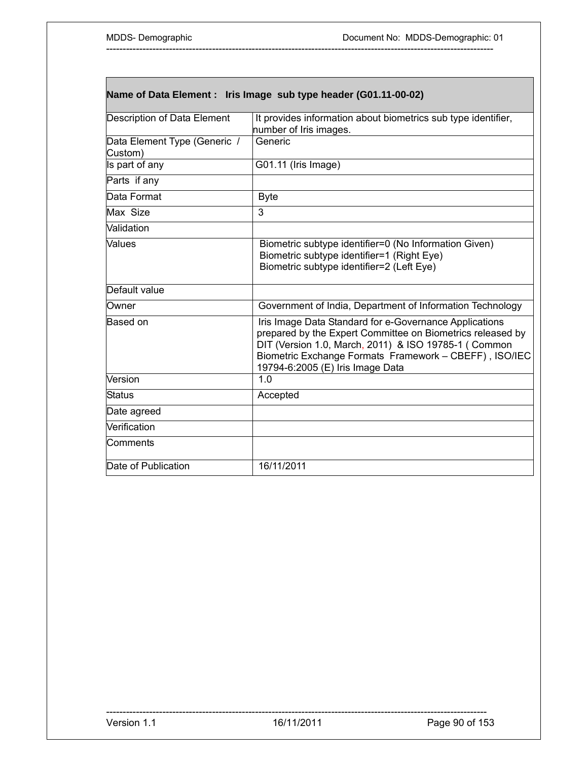|                                         | Name of Data Element : Iris Image sub type header (G01.11-00-02)                                                                                                                                                                                                           |
|-----------------------------------------|----------------------------------------------------------------------------------------------------------------------------------------------------------------------------------------------------------------------------------------------------------------------------|
| Description of Data Element             | It provides information about biometrics sub type identifier,<br>number of Iris images.                                                                                                                                                                                    |
| Data Element Type (Generic /<br>Custom) | Generic                                                                                                                                                                                                                                                                    |
| Is part of any                          | G01.11 (Iris Image)                                                                                                                                                                                                                                                        |
| Parts if any                            |                                                                                                                                                                                                                                                                            |
| Data Format                             | <b>Byte</b>                                                                                                                                                                                                                                                                |
| Max Size                                | $\overline{3}$                                                                                                                                                                                                                                                             |
| Validation                              |                                                                                                                                                                                                                                                                            |
| Values                                  | Biometric subtype identifier=0 (No Information Given)<br>Biometric subtype identifier=1 (Right Eye)<br>Biometric subtype identifier=2 (Left Eye)                                                                                                                           |
| Default value                           |                                                                                                                                                                                                                                                                            |
| Owner                                   | Government of India, Department of Information Technology                                                                                                                                                                                                                  |
| Based on                                | Iris Image Data Standard for e-Governance Applications<br>prepared by the Expert Committee on Biometrics released by<br>DIT (Version 1.0, March, 2011) & ISO 19785-1 (Common<br>Biometric Exchange Formats Framework - CBEFF), ISO/IEC<br>19794-6:2005 (E) Iris Image Data |
| Version                                 | 1.0                                                                                                                                                                                                                                                                        |
| <b>Status</b>                           | Accepted                                                                                                                                                                                                                                                                   |
| Date agreed                             |                                                                                                                                                                                                                                                                            |
| Verification                            |                                                                                                                                                                                                                                                                            |
| Comments                                |                                                                                                                                                                                                                                                                            |
| Date of Publication                     | 16/11/2011                                                                                                                                                                                                                                                                 |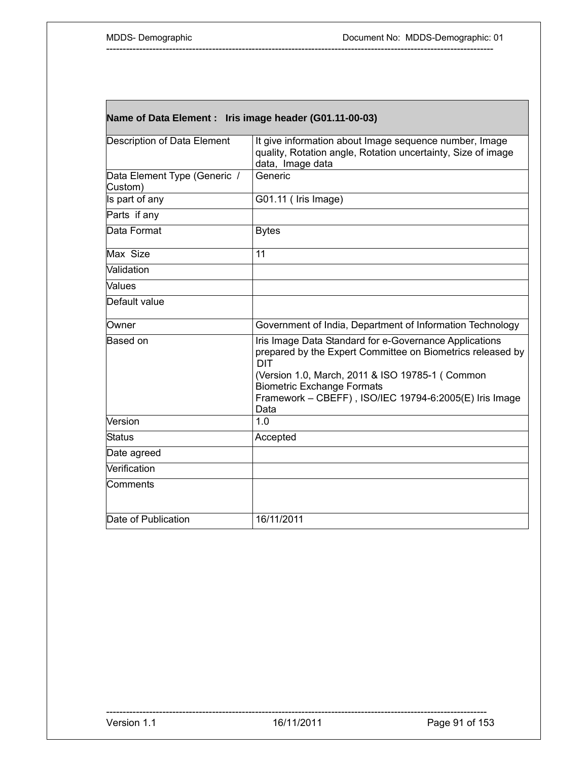| Name of Data Element: Iris image header (G01.11-00-03) |  |  |
|--------------------------------------------------------|--|--|
|                                                        |  |  |

| Description of Data Element             | It give information about Image sequence number, Image<br>quality, Rotation angle, Rotation uncertainty, Size of image<br>data, Image data                                                                                                                                                   |
|-----------------------------------------|----------------------------------------------------------------------------------------------------------------------------------------------------------------------------------------------------------------------------------------------------------------------------------------------|
| Data Element Type (Generic /<br>Custom) | Generic                                                                                                                                                                                                                                                                                      |
| Is part of any                          | G01.11 (Iris Image)                                                                                                                                                                                                                                                                          |
| Parts if any                            |                                                                                                                                                                                                                                                                                              |
| Data Format                             | <b>Bytes</b>                                                                                                                                                                                                                                                                                 |
| Max Size                                | 11                                                                                                                                                                                                                                                                                           |
| Validation                              |                                                                                                                                                                                                                                                                                              |
| Values                                  |                                                                                                                                                                                                                                                                                              |
| Default value                           |                                                                                                                                                                                                                                                                                              |
| Owner                                   | Government of India, Department of Information Technology                                                                                                                                                                                                                                    |
| Based on                                | Iris Image Data Standard for e-Governance Applications<br>prepared by the Expert Committee on Biometrics released by<br><b>DIT</b><br>(Version 1.0, March, 2011 & ISO 19785-1 (Common<br><b>Biometric Exchange Formats</b><br>Framework - CBEFF), ISO/IEC 19794-6:2005(E) Iris Image<br>Data |
| Version                                 | 1.0                                                                                                                                                                                                                                                                                          |
| <b>Status</b>                           | Accepted                                                                                                                                                                                                                                                                                     |
| Date agreed                             |                                                                                                                                                                                                                                                                                              |
| Verification                            |                                                                                                                                                                                                                                                                                              |
| Comments                                |                                                                                                                                                                                                                                                                                              |
| Date of Publication                     | 16/11/2011                                                                                                                                                                                                                                                                                   |

-------------------------------------------------------------------------------------------------------------------

Version 1.1 16/11/2011 16/11/2011 Page 91 of 153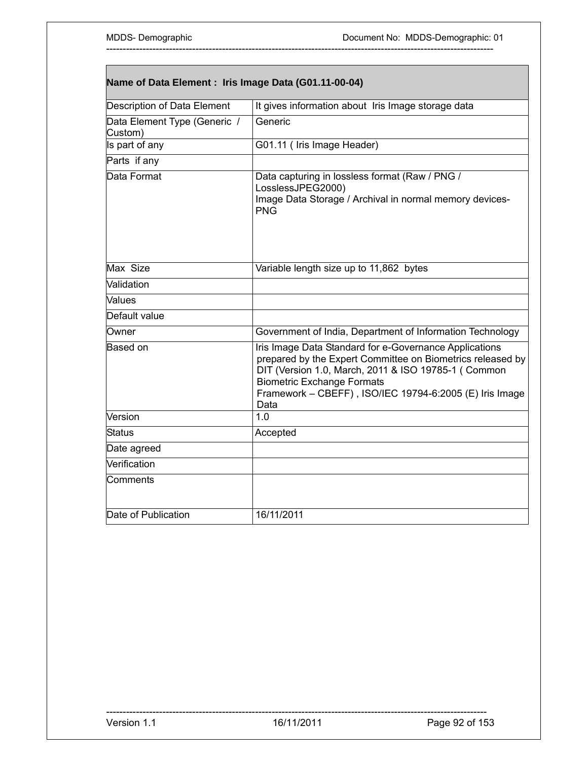| Name of Data Element : Iris Image Data (G01.11-00-04) |                                                                                                                                                                                                                                                                                      |  |
|-------------------------------------------------------|--------------------------------------------------------------------------------------------------------------------------------------------------------------------------------------------------------------------------------------------------------------------------------------|--|
| Description of Data Element                           | It gives information about Iris Image storage data                                                                                                                                                                                                                                   |  |
| Data Element Type (Generic /<br>Custom)               | Generic                                                                                                                                                                                                                                                                              |  |
| Is part of any                                        | G01.11 ( Iris Image Header)                                                                                                                                                                                                                                                          |  |
| Parts if any                                          |                                                                                                                                                                                                                                                                                      |  |
| Data Format                                           | Data capturing in lossless format (Raw / PNG /<br>LosslessJPEG2000)<br>Image Data Storage / Archival in normal memory devices-<br><b>PNG</b>                                                                                                                                         |  |
| Max Size                                              | Variable length size up to 11,862 bytes                                                                                                                                                                                                                                              |  |
| Validation                                            |                                                                                                                                                                                                                                                                                      |  |
| Values                                                |                                                                                                                                                                                                                                                                                      |  |
| Default value                                         |                                                                                                                                                                                                                                                                                      |  |
| Owner                                                 | Government of India, Department of Information Technology                                                                                                                                                                                                                            |  |
| <b>Based on</b>                                       | Iris Image Data Standard for e-Governance Applications<br>prepared by the Expert Committee on Biometrics released by<br>DIT (Version 1.0, March, 2011 & ISO 19785-1 ( Common<br><b>Biometric Exchange Formats</b><br>Framework - CBEFF), ISO/IEC 19794-6:2005 (E) Iris Image<br>Data |  |
| Version                                               | 1.0                                                                                                                                                                                                                                                                                  |  |
| <b>Status</b>                                         | Accepted                                                                                                                                                                                                                                                                             |  |
| Date agreed                                           |                                                                                                                                                                                                                                                                                      |  |
| Verification                                          |                                                                                                                                                                                                                                                                                      |  |
| Comments                                              |                                                                                                                                                                                                                                                                                      |  |
| Date of Publication                                   | 16/11/2011                                                                                                                                                                                                                                                                           |  |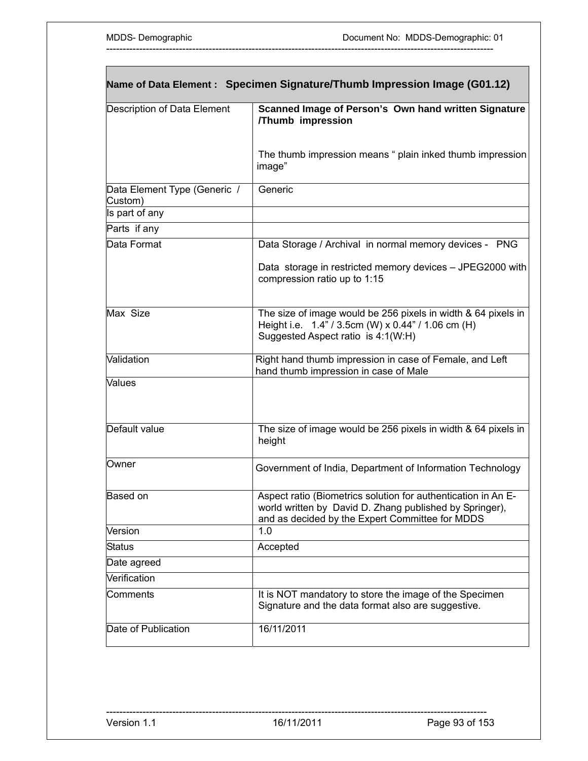|                                         | Name of Data Element : Specimen Signature/Thumb Impression Image (G01.12)                                                                                                   |
|-----------------------------------------|-----------------------------------------------------------------------------------------------------------------------------------------------------------------------------|
| Description of Data Element             | Scanned Image of Person's Own hand written Signature<br>/Thumb impression                                                                                                   |
|                                         | The thumb impression means " plain inked thumb impression<br>image"                                                                                                         |
| Data Element Type (Generic /<br>Custom) | Generic                                                                                                                                                                     |
| Is part of any                          |                                                                                                                                                                             |
| Parts if any                            |                                                                                                                                                                             |
| Data Format                             | Data Storage / Archival in normal memory devices - PNG                                                                                                                      |
|                                         | Data storage in restricted memory devices - JPEG2000 with<br>compression ratio up to 1:15                                                                                   |
| Max Size                                | The size of image would be 256 pixels in width & 64 pixels in<br>Height i.e. 1.4" / 3.5cm (W) x 0.44" / 1.06 cm (H)<br>Suggested Aspect ratio is 4:1(W:H)                   |
| Validation                              | Right hand thumb impression in case of Female, and Left<br>hand thumb impression in case of Male                                                                            |
| <b>Values</b>                           |                                                                                                                                                                             |
| Default value                           | The size of image would be 256 pixels in width & 64 pixels in<br>height                                                                                                     |
| Owner                                   | Government of India, Department of Information Technology                                                                                                                   |
| Based on                                | Aspect ratio (Biometrics solution for authentication in An E-<br>world written by David D. Zhang published by Springer),<br>and as decided by the Expert Committee for MDDS |
| Version                                 | 1.0                                                                                                                                                                         |
| <b>Status</b>                           | Accepted                                                                                                                                                                    |
| Date agreed                             |                                                                                                                                                                             |
| Verification                            |                                                                                                                                                                             |
| Comments                                | It is NOT mandatory to store the image of the Specimen<br>Signature and the data format also are suggestive.                                                                |
| Date of Publication                     | 16/11/2011                                                                                                                                                                  |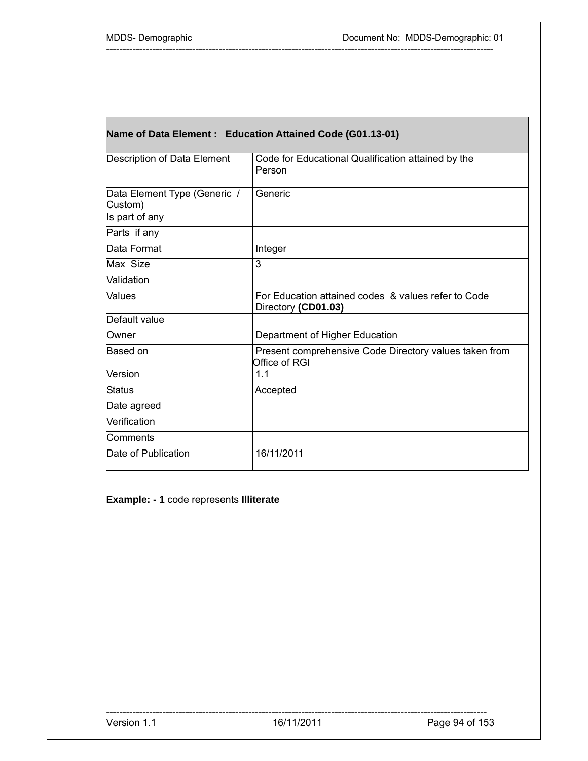Г

| Name of Data Element: Education Attained Code (G01.13-01) |                                                                            |  |
|-----------------------------------------------------------|----------------------------------------------------------------------------|--|
| Description of Data Element                               | Code for Educational Qualification attained by the<br>Person               |  |
| Data Element Type (Generic /<br>Custom)                   | Generic                                                                    |  |
| Is part of any                                            |                                                                            |  |
| Parts if any                                              |                                                                            |  |
| Data Format                                               | Integer                                                                    |  |
| Max Size                                                  | 3                                                                          |  |
| Validation                                                |                                                                            |  |
| Values                                                    | For Education attained codes & values refer to Code<br>Directory (CD01.03) |  |
| Default value                                             |                                                                            |  |
| Owner                                                     | Department of Higher Education                                             |  |
| Based on                                                  | Present comprehensive Code Directory values taken from<br>Office of RGI    |  |
| Version                                                   | 1.1                                                                        |  |
| Status                                                    | Accepted                                                                   |  |
| Date agreed                                               |                                                                            |  |
| Verification                                              |                                                                            |  |
| Comments                                                  |                                                                            |  |
| Date of Publication                                       | 16/11/2011                                                                 |  |

---------------------------------------------------------------------------------------------------------------------

**Example: - 1** code represents **Illiterate**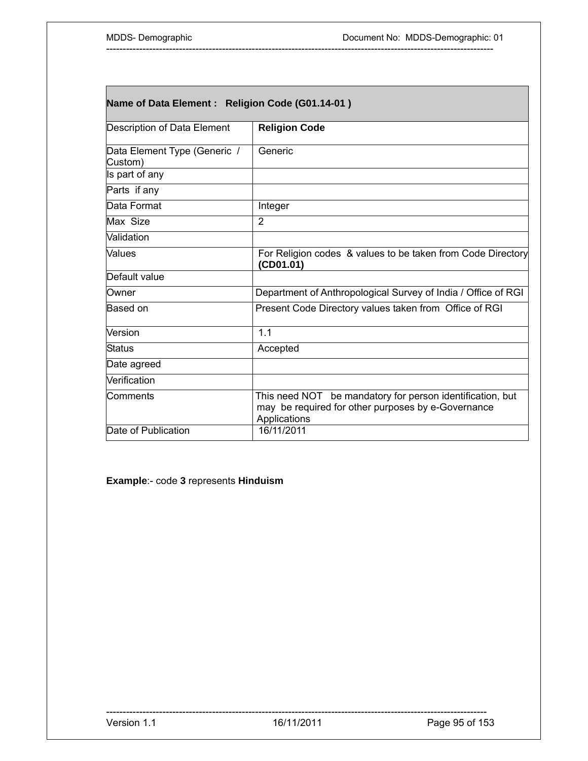| Name of Data Element : Religion Code (G01.14-01) |                                                                                                                                 |
|--------------------------------------------------|---------------------------------------------------------------------------------------------------------------------------------|
| Description of Data Element                      | <b>Religion Code</b>                                                                                                            |
| Data Element Type (Generic /<br>Custom)          | Generic                                                                                                                         |
| Is part of any                                   |                                                                                                                                 |
| Parts if any                                     |                                                                                                                                 |
| Data Format                                      | Integer                                                                                                                         |
| Max Size                                         | $\overline{2}$                                                                                                                  |
| <b>Validation</b>                                |                                                                                                                                 |
| <b>Values</b>                                    | For Religion codes & values to be taken from Code Directory<br>(CD01.01)                                                        |
| Default value                                    |                                                                                                                                 |
| <b>Owner</b>                                     | Department of Anthropological Survey of India / Office of RGI                                                                   |
| Based on                                         | Present Code Directory values taken from Office of RGI                                                                          |
| Version                                          | 1.1                                                                                                                             |
| Status                                           | Accepted                                                                                                                        |
| Date agreed                                      |                                                                                                                                 |
| Verification                                     |                                                                                                                                 |
| lComments                                        | This need NOT be mandatory for person identification, but<br>may be required for other purposes by e-Governance<br>Applications |
| Date of Publication                              | 16/11/2011                                                                                                                      |

**Example**:- code **3** represents **Hinduism**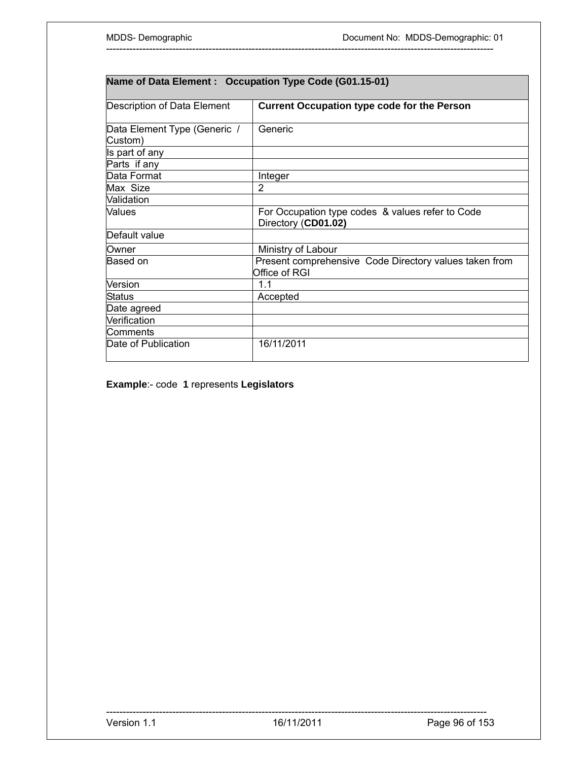| Name of Data Element : Occupation Type Code (G01.15-01) |                                                                         |  |
|---------------------------------------------------------|-------------------------------------------------------------------------|--|
| Description of Data Element                             | <b>Current Occupation type code for the Person</b>                      |  |
| Data Element Type (Generic /<br>Custom)                 | Generic                                                                 |  |
| Is part of any                                          |                                                                         |  |
| Parts if any                                            |                                                                         |  |
| Data Format                                             | Integer                                                                 |  |
| Max Size                                                | 2                                                                       |  |
| Validation                                              |                                                                         |  |
| Values                                                  | For Occupation type codes & values refer to Code<br>Directory (CD01.02) |  |
| Default value                                           |                                                                         |  |
| Owner                                                   | Ministry of Labour                                                      |  |
| Based on                                                | Present comprehensive Code Directory values taken from<br>Office of RGI |  |
| Version                                                 | 1.1                                                                     |  |
| <b>Status</b>                                           | Accepted                                                                |  |
| Date agreed                                             |                                                                         |  |
| Verification                                            |                                                                         |  |
| Comments                                                |                                                                         |  |
| Date of Publication                                     | 16/11/2011                                                              |  |

**Example**:- code **1** represents **Legislators**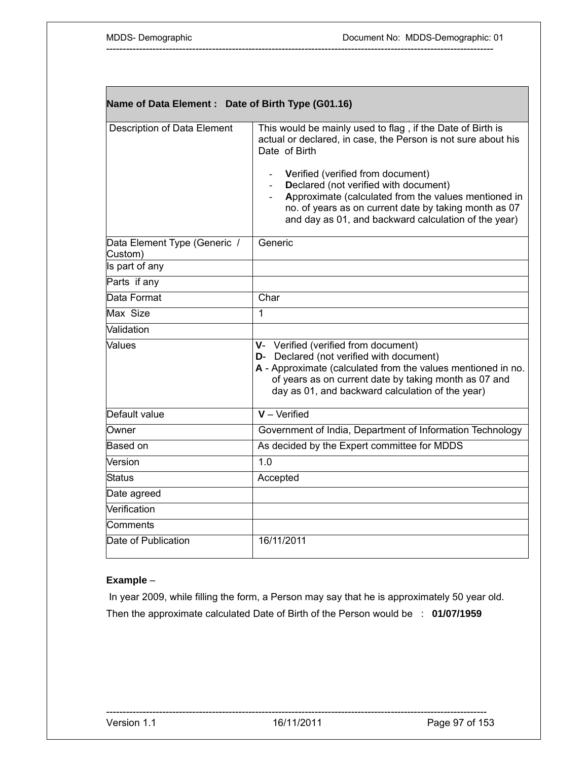| Name of Data Element: Date of Birth Type (G01.16) |                                                                                                                                                                                                                                                                                                                                                                                                     |  |
|---------------------------------------------------|-----------------------------------------------------------------------------------------------------------------------------------------------------------------------------------------------------------------------------------------------------------------------------------------------------------------------------------------------------------------------------------------------------|--|
| <b>Description of Data Element</b>                | This would be mainly used to flag, if the Date of Birth is<br>actual or declared, in case, the Person is not sure about his<br>Date of Birth<br>Verified (verified from document)<br>Declared (not verified with document)<br>Approximate (calculated from the values mentioned in<br>no. of years as on current date by taking month as 07<br>and day as 01, and backward calculation of the year) |  |
| Data Element Type (Generic /<br>Custom)           | Generic                                                                                                                                                                                                                                                                                                                                                                                             |  |
| Is part of any                                    |                                                                                                                                                                                                                                                                                                                                                                                                     |  |
| Parts if any                                      |                                                                                                                                                                                                                                                                                                                                                                                                     |  |
| Data Format                                       | Char                                                                                                                                                                                                                                                                                                                                                                                                |  |
| Max Size                                          | 1                                                                                                                                                                                                                                                                                                                                                                                                   |  |
| Validation                                        |                                                                                                                                                                                                                                                                                                                                                                                                     |  |
| Values                                            | V- Verified (verified from document)<br>D- Declared (not verified with document)<br>A - Approximate (calculated from the values mentioned in no.<br>of years as on current date by taking month as 07 and<br>day as 01, and backward calculation of the year)                                                                                                                                       |  |
| Default value                                     | $V -$ Verified                                                                                                                                                                                                                                                                                                                                                                                      |  |
| Owner                                             | Government of India, Department of Information Technology                                                                                                                                                                                                                                                                                                                                           |  |
| Based on                                          | As decided by the Expert committee for MDDS                                                                                                                                                                                                                                                                                                                                                         |  |
| Version                                           | 1.0                                                                                                                                                                                                                                                                                                                                                                                                 |  |
| <b>Status</b>                                     | Accepted                                                                                                                                                                                                                                                                                                                                                                                            |  |
| Date agreed                                       |                                                                                                                                                                                                                                                                                                                                                                                                     |  |
| Verification                                      |                                                                                                                                                                                                                                                                                                                                                                                                     |  |
| Comments                                          |                                                                                                                                                                                                                                                                                                                                                                                                     |  |
| Date of Publication                               | 16/11/2011                                                                                                                                                                                                                                                                                                                                                                                          |  |

### **Example** –

 In year 2009, while filling the form, a Person may say that he is approximately 50 year old. Then the approximate calculated Date of Birth of the Person would be : **01/07/1959**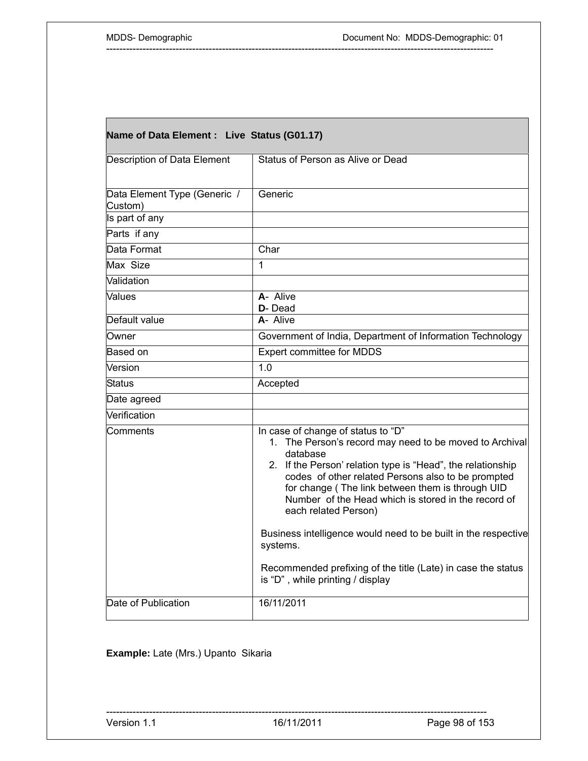Г

٦

| Name of Data Element : Live Status (G01.17) |                                                                                                                                                                                                                                                                                                                                                                   |
|---------------------------------------------|-------------------------------------------------------------------------------------------------------------------------------------------------------------------------------------------------------------------------------------------------------------------------------------------------------------------------------------------------------------------|
| <b>Description of Data Element</b>          | Status of Person as Alive or Dead                                                                                                                                                                                                                                                                                                                                 |
| Data Element Type (Generic /<br>Custom)     | Generic                                                                                                                                                                                                                                                                                                                                                           |
| Is part of any                              |                                                                                                                                                                                                                                                                                                                                                                   |
| Parts if any                                |                                                                                                                                                                                                                                                                                                                                                                   |
| Data Format                                 | Char                                                                                                                                                                                                                                                                                                                                                              |
| Max Size                                    | 1                                                                                                                                                                                                                                                                                                                                                                 |
| Validation                                  |                                                                                                                                                                                                                                                                                                                                                                   |
| Values                                      | A- Alive<br>D-Dead                                                                                                                                                                                                                                                                                                                                                |
| Default value                               | A- Alive                                                                                                                                                                                                                                                                                                                                                          |
| Owner                                       | Government of India, Department of Information Technology                                                                                                                                                                                                                                                                                                         |
| Based on                                    | Expert committee for MDDS                                                                                                                                                                                                                                                                                                                                         |
| Version                                     | 1.0                                                                                                                                                                                                                                                                                                                                                               |
| Status                                      | Accepted                                                                                                                                                                                                                                                                                                                                                          |
| Date agreed                                 |                                                                                                                                                                                                                                                                                                                                                                   |
| Verification                                |                                                                                                                                                                                                                                                                                                                                                                   |
| Comments                                    | In case of change of status to "D"<br>1. The Person's record may need to be moved to Archival<br>database<br>2. If the Person' relation type is "Head", the relationship<br>codes of other related Persons also to be prompted<br>for change (The link between them is through UID<br>Number of the Head which is stored in the record of<br>each related Person) |
|                                             | Business intelligence would need to be built in the respective<br>systems.<br>Recommended prefixing of the title (Late) in case the status<br>is "D", while printing / display                                                                                                                                                                                    |
| Date of Publication                         | 16/11/2011                                                                                                                                                                                                                                                                                                                                                        |

---------------------------------------------------------------------------------------------------------------------

## **Example:** Late (Mrs.) Upanto Sikaria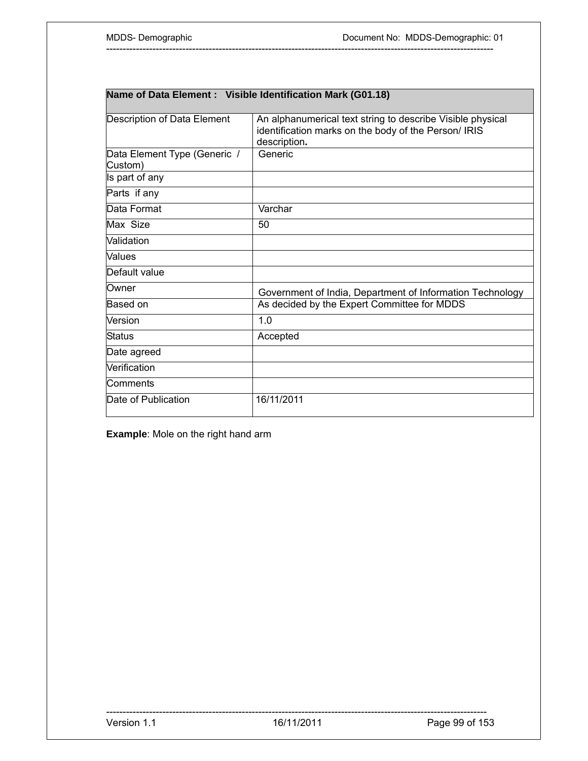| Name of Data Element : Visible Identification Mark (G01.18) |                                                                                                                                    |
|-------------------------------------------------------------|------------------------------------------------------------------------------------------------------------------------------------|
| Description of Data Element                                 | An alphanumerical text string to describe Visible physical<br>identification marks on the body of the Person/ IRIS<br>description. |
| Data Element Type (Generic /<br>Custom)                     | Generic                                                                                                                            |
| Is part of any                                              |                                                                                                                                    |
| Parts if any                                                |                                                                                                                                    |
| Data Format                                                 | Varchar                                                                                                                            |
| Max Size                                                    | 50                                                                                                                                 |
| Validation                                                  |                                                                                                                                    |
| Values                                                      |                                                                                                                                    |
| Default value                                               |                                                                                                                                    |
| Owner                                                       | Government of India, Department of Information Technology                                                                          |
| Based on                                                    | As decided by the Expert Committee for MDDS                                                                                        |
| Version                                                     | 1.0                                                                                                                                |
| Status                                                      | Accepted                                                                                                                           |
| Date agreed                                                 |                                                                                                                                    |
| Verification                                                |                                                                                                                                    |
| Comments                                                    |                                                                                                                                    |
| Date of Publication                                         | 16/11/2011                                                                                                                         |

**Example**: Mole on the right hand arm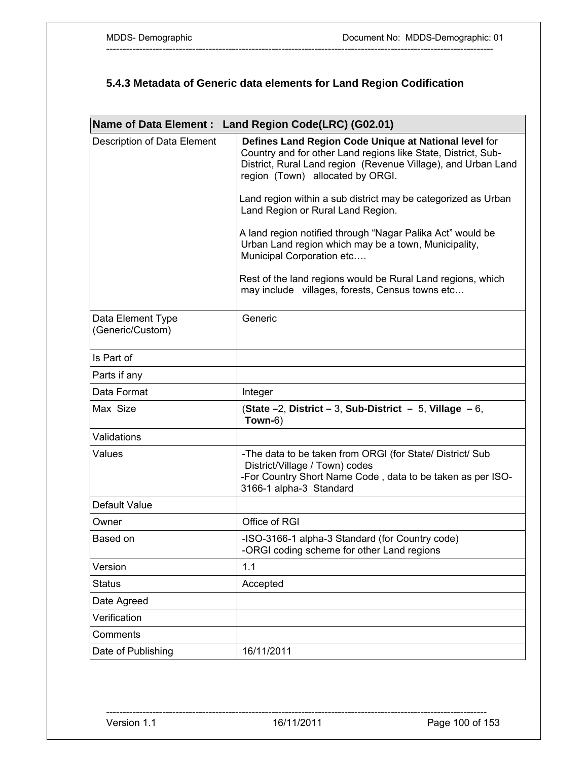# **5.4.3 Metadata of Generic data elements for Land Region Codification**

|                                       | Name of Data Element: Land Region Code(LRC) (G02.01)                                                                                                                                                                                                                                         |
|---------------------------------------|----------------------------------------------------------------------------------------------------------------------------------------------------------------------------------------------------------------------------------------------------------------------------------------------|
| Description of Data Element           | Defines Land Region Code Unique at National level for<br>Country and for other Land regions like State, District, Sub-<br>District, Rural Land region (Revenue Village), and Urban Land<br>region (Town) allocated by ORGI.<br>Land region within a sub district may be categorized as Urban |
|                                       | Land Region or Rural Land Region.                                                                                                                                                                                                                                                            |
|                                       | A land region notified through "Nagar Palika Act" would be<br>Urban Land region which may be a town, Municipality,<br>Municipal Corporation etc                                                                                                                                              |
|                                       | Rest of the land regions would be Rural Land regions, which<br>may include villages, forests, Census towns etc                                                                                                                                                                               |
| Data Element Type<br>(Generic/Custom) | Generic                                                                                                                                                                                                                                                                                      |
| Is Part of                            |                                                                                                                                                                                                                                                                                              |
| Parts if any                          |                                                                                                                                                                                                                                                                                              |
| Data Format                           | Integer                                                                                                                                                                                                                                                                                      |
| Max Size                              | (State $-2$ , District $-3$ , Sub-District $-5$ , Village $-6$ ,<br>Town-6)                                                                                                                                                                                                                  |
| Validations                           |                                                                                                                                                                                                                                                                                              |
| Values                                | -The data to be taken from ORGI (for State/ District/ Sub<br>District/Village / Town) codes<br>-For Country Short Name Code, data to be taken as per ISO-<br>3166-1 alpha-3 Standard                                                                                                         |
| Default Value                         |                                                                                                                                                                                                                                                                                              |
| Owner                                 | Office of RGI                                                                                                                                                                                                                                                                                |
| Based on                              | -ISO-3166-1 alpha-3 Standard (for Country code)<br>-ORGI coding scheme for other Land regions                                                                                                                                                                                                |
| Version                               | 1.1                                                                                                                                                                                                                                                                                          |
| <b>Status</b>                         | Accepted                                                                                                                                                                                                                                                                                     |
| Date Agreed                           |                                                                                                                                                                                                                                                                                              |
| Verification                          |                                                                                                                                                                                                                                                                                              |
| Comments                              |                                                                                                                                                                                                                                                                                              |
| Date of Publishing                    | 16/11/2011                                                                                                                                                                                                                                                                                   |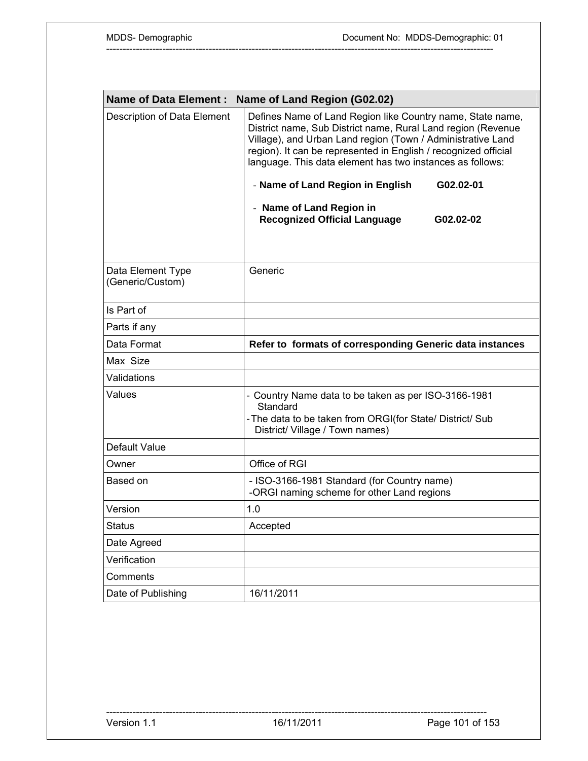| <b>Name of Data Element:</b>          | Name of Land Region (G02.02)                                                                                                                                                                                                                                                                                                                                                                                                                               |
|---------------------------------------|------------------------------------------------------------------------------------------------------------------------------------------------------------------------------------------------------------------------------------------------------------------------------------------------------------------------------------------------------------------------------------------------------------------------------------------------------------|
| Description of Data Element           | Defines Name of Land Region like Country name, State name,<br>District name, Sub District name, Rural Land region (Revenue<br>Village), and Urban Land region (Town / Administrative Land<br>region). It can be represented in English / recognized official<br>language. This data element has two instances as follows:<br>- Name of Land Region in English<br>G02.02-01<br>- Name of Land Region in<br><b>Recognized Official Language</b><br>G02.02-02 |
|                                       |                                                                                                                                                                                                                                                                                                                                                                                                                                                            |
| Data Element Type<br>(Generic/Custom) | Generic                                                                                                                                                                                                                                                                                                                                                                                                                                                    |
| Is Part of                            |                                                                                                                                                                                                                                                                                                                                                                                                                                                            |
| Parts if any                          |                                                                                                                                                                                                                                                                                                                                                                                                                                                            |
| Data Format                           | Refer to formats of corresponding Generic data instances                                                                                                                                                                                                                                                                                                                                                                                                   |
| Max Size                              |                                                                                                                                                                                                                                                                                                                                                                                                                                                            |
| Validations                           |                                                                                                                                                                                                                                                                                                                                                                                                                                                            |
| Values                                | - Country Name data to be taken as per ISO-3166-1981<br>Standard<br>-The data to be taken from ORGI(for State/ District/ Sub<br>District/ Village / Town names)                                                                                                                                                                                                                                                                                            |
| Default Value                         |                                                                                                                                                                                                                                                                                                                                                                                                                                                            |
| Owner                                 | Office of RGI                                                                                                                                                                                                                                                                                                                                                                                                                                              |
| Based on                              | - ISO-3166-1981 Standard (for Country name)<br>-ORGI naming scheme for other Land regions                                                                                                                                                                                                                                                                                                                                                                  |
| Version                               | 1.0                                                                                                                                                                                                                                                                                                                                                                                                                                                        |
| <b>Status</b>                         | Accepted                                                                                                                                                                                                                                                                                                                                                                                                                                                   |
| Date Agreed                           |                                                                                                                                                                                                                                                                                                                                                                                                                                                            |
| Verification                          |                                                                                                                                                                                                                                                                                                                                                                                                                                                            |
| Comments                              |                                                                                                                                                                                                                                                                                                                                                                                                                                                            |
| Date of Publishing                    | 16/11/2011                                                                                                                                                                                                                                                                                                                                                                                                                                                 |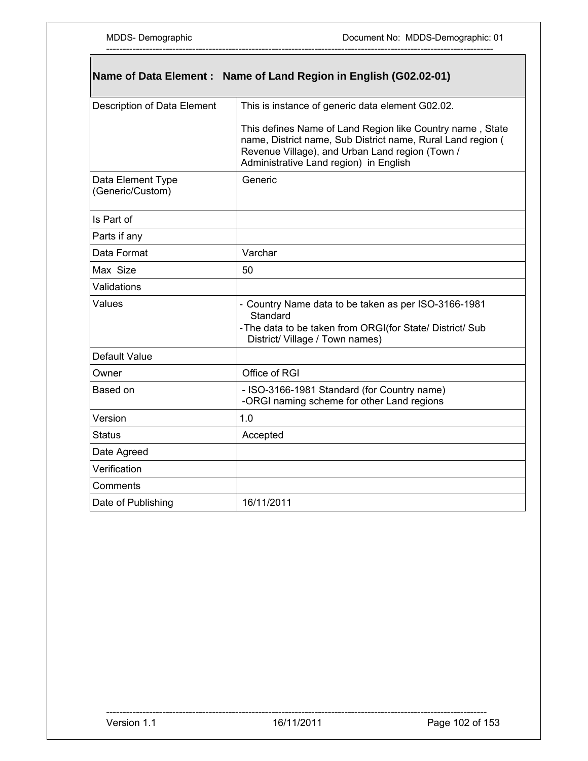$\overline{\phantom{a}}$ 

| Name of Data Element: Name of Land Region in English (G02.02-01) |                                                                                                                                                                                                                       |
|------------------------------------------------------------------|-----------------------------------------------------------------------------------------------------------------------------------------------------------------------------------------------------------------------|
| Description of Data Element                                      | This is instance of generic data element G02.02.                                                                                                                                                                      |
|                                                                  | This defines Name of Land Region like Country name, State<br>name, District name, Sub District name, Rural Land region (<br>Revenue Village), and Urban Land region (Town /<br>Administrative Land region) in English |
| Data Element Type<br>(Generic/Custom)                            | Generic                                                                                                                                                                                                               |
| Is Part of                                                       |                                                                                                                                                                                                                       |
| Parts if any                                                     |                                                                                                                                                                                                                       |
| Data Format                                                      | Varchar                                                                                                                                                                                                               |
| Max Size                                                         | 50                                                                                                                                                                                                                    |
| Validations                                                      |                                                                                                                                                                                                                       |
| Values                                                           | - Country Name data to be taken as per ISO-3166-1981<br>Standard<br>-The data to be taken from ORGI(for State/ District/ Sub<br>District/ Village / Town names)                                                       |
| Default Value                                                    |                                                                                                                                                                                                                       |
| Owner                                                            | Office of RGI                                                                                                                                                                                                         |
| Based on                                                         | - ISO-3166-1981 Standard (for Country name)<br>-ORGI naming scheme for other Land regions                                                                                                                             |
| Version                                                          | 1.0                                                                                                                                                                                                                   |
| Status                                                           | Accepted                                                                                                                                                                                                              |
| Date Agreed                                                      |                                                                                                                                                                                                                       |
| Verification                                                     |                                                                                                                                                                                                                       |
| Comments                                                         |                                                                                                                                                                                                                       |
| Date of Publishing                                               | 16/11/2011                                                                                                                                                                                                            |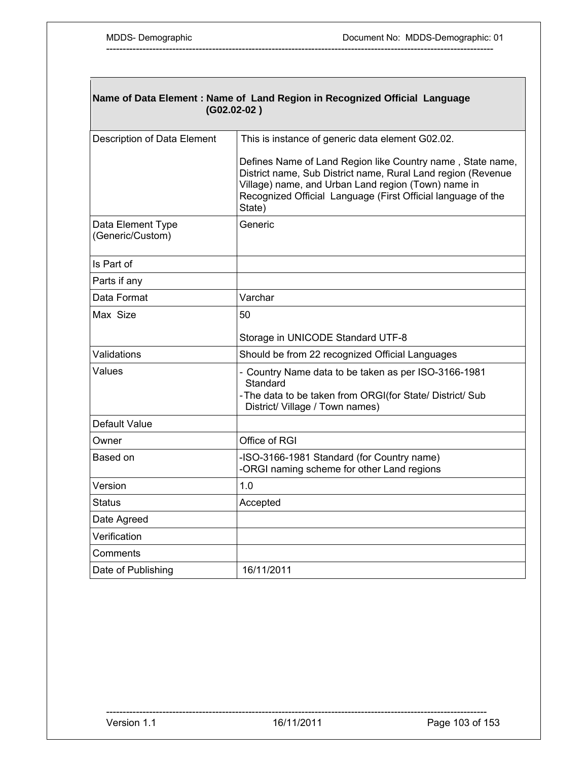$\mathbf{I}$ 

| Name of Data Element : Name of Land Region in Recognized Official Language<br>$(G02.02-02)$ |                                                                                                                                                                                                                                                             |  |
|---------------------------------------------------------------------------------------------|-------------------------------------------------------------------------------------------------------------------------------------------------------------------------------------------------------------------------------------------------------------|--|
| Description of Data Element                                                                 | This is instance of generic data element G02.02.                                                                                                                                                                                                            |  |
|                                                                                             | Defines Name of Land Region like Country name, State name,<br>District name, Sub District name, Rural Land region (Revenue<br>Village) name, and Urban Land region (Town) name in<br>Recognized Official Language (First Official language of the<br>State) |  |
| Data Element Type<br>(Generic/Custom)                                                       | Generic                                                                                                                                                                                                                                                     |  |
| Is Part of                                                                                  |                                                                                                                                                                                                                                                             |  |
| Parts if any                                                                                |                                                                                                                                                                                                                                                             |  |
| Data Format                                                                                 | Varchar                                                                                                                                                                                                                                                     |  |
| Max Size                                                                                    | 50                                                                                                                                                                                                                                                          |  |
|                                                                                             | Storage in UNICODE Standard UTF-8                                                                                                                                                                                                                           |  |
| Validations                                                                                 | Should be from 22 recognized Official Languages                                                                                                                                                                                                             |  |
| Values                                                                                      | - Country Name data to be taken as per ISO-3166-1981<br>Standard<br>-The data to be taken from ORGI(for State/ District/ Sub<br>District/ Village / Town names)                                                                                             |  |
| Default Value                                                                               |                                                                                                                                                                                                                                                             |  |
| Owner                                                                                       | Office of RGI                                                                                                                                                                                                                                               |  |
| Based on                                                                                    | -ISO-3166-1981 Standard (for Country name)<br>-ORGI naming scheme for other Land regions                                                                                                                                                                    |  |
| Version                                                                                     | 1.0                                                                                                                                                                                                                                                         |  |
| Status                                                                                      | Accepted                                                                                                                                                                                                                                                    |  |
| Date Agreed                                                                                 |                                                                                                                                                                                                                                                             |  |
| Verification                                                                                |                                                                                                                                                                                                                                                             |  |
| Comments                                                                                    |                                                                                                                                                                                                                                                             |  |
| Date of Publishing                                                                          | 16/11/2011                                                                                                                                                                                                                                                  |  |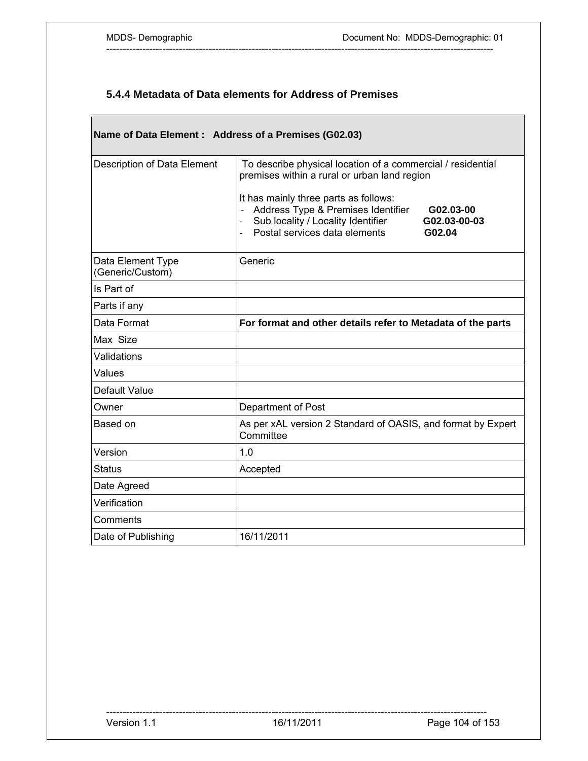## **5.4.4 Metadata of Data elements for Address of Premises**

| Name of Data Element: Address of a Premises (G02.03) |                                                                                                                                                                                                                                                                                                          |
|------------------------------------------------------|----------------------------------------------------------------------------------------------------------------------------------------------------------------------------------------------------------------------------------------------------------------------------------------------------------|
| Description of Data Element                          | To describe physical location of a commercial / residential<br>premises within a rural or urban land region<br>It has mainly three parts as follows:<br>Address Type & Premises Identifier<br>G02.03-00<br>Sub locality / Locality Identifier<br>G02.03-00-03<br>Postal services data elements<br>G02.04 |
| Data Element Type<br>(Generic/Custom)                | Generic                                                                                                                                                                                                                                                                                                  |
| Is Part of                                           |                                                                                                                                                                                                                                                                                                          |
| Parts if any                                         |                                                                                                                                                                                                                                                                                                          |
| Data Format                                          | For format and other details refer to Metadata of the parts                                                                                                                                                                                                                                              |
| Max Size                                             |                                                                                                                                                                                                                                                                                                          |
| Validations                                          |                                                                                                                                                                                                                                                                                                          |
| Values                                               |                                                                                                                                                                                                                                                                                                          |
| Default Value                                        |                                                                                                                                                                                                                                                                                                          |
| Owner                                                | Department of Post                                                                                                                                                                                                                                                                                       |
| Based on                                             | As per xAL version 2 Standard of OASIS, and format by Expert<br>Committee                                                                                                                                                                                                                                |
| Version                                              | 1.0                                                                                                                                                                                                                                                                                                      |
| <b>Status</b>                                        | Accepted                                                                                                                                                                                                                                                                                                 |
| Date Agreed                                          |                                                                                                                                                                                                                                                                                                          |
| Verification                                         |                                                                                                                                                                                                                                                                                                          |
| Comments                                             |                                                                                                                                                                                                                                                                                                          |
| Date of Publishing                                   | 16/11/2011                                                                                                                                                                                                                                                                                               |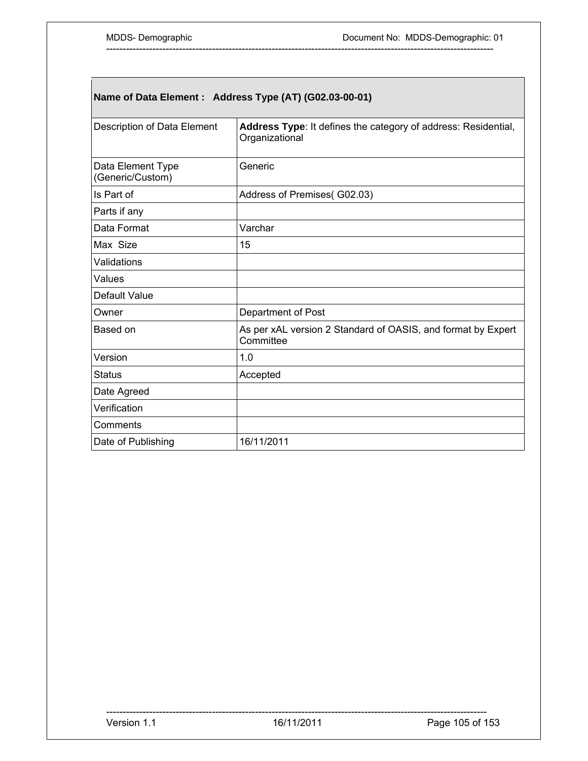# **Name of Data Element : Address Type (AT) (G02.03-00-01)**

| Description of Data Element           | Address Type: It defines the category of address: Residential,<br>Organizational |
|---------------------------------------|----------------------------------------------------------------------------------|
| Data Element Type<br>(Generic/Custom) | Generic                                                                          |
| Is Part of                            | Address of Premises(G02.03)                                                      |
| Parts if any                          |                                                                                  |
| Data Format                           | Varchar                                                                          |
| Max Size                              | 15                                                                               |
| Validations                           |                                                                                  |
| Values                                |                                                                                  |
| Default Value                         |                                                                                  |
| Owner                                 | Department of Post                                                               |
| Based on                              | As per xAL version 2 Standard of OASIS, and format by Expert<br>Committee        |
| Version                               | 1.0                                                                              |
| <b>Status</b>                         | Accepted                                                                         |
| Date Agreed                           |                                                                                  |
| Verification                          |                                                                                  |
| Comments                              |                                                                                  |
| Date of Publishing                    | 16/11/2011                                                                       |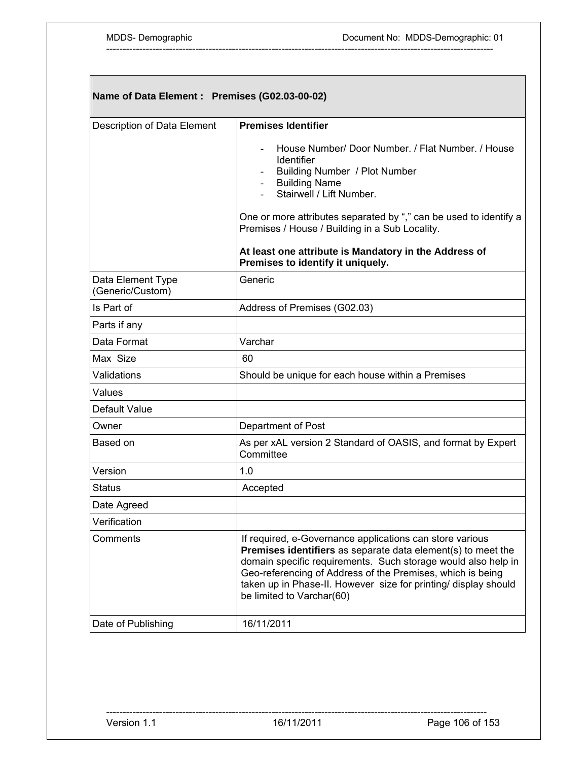| Name of Data Element : Premises (G02.03-00-02) |                                                                                                                                                                                                                                                                                                                                                                |  |
|------------------------------------------------|----------------------------------------------------------------------------------------------------------------------------------------------------------------------------------------------------------------------------------------------------------------------------------------------------------------------------------------------------------------|--|
| Description of Data Element                    | <b>Premises Identifier</b>                                                                                                                                                                                                                                                                                                                                     |  |
|                                                | House Number/ Door Number. / Flat Number. / House<br>Identifier<br>Building Number / Plot Number<br><b>Building Name</b><br>Stairwell / Lift Number.                                                                                                                                                                                                           |  |
|                                                | One or more attributes separated by "," can be used to identify a<br>Premises / House / Building in a Sub Locality.                                                                                                                                                                                                                                            |  |
|                                                | At least one attribute is Mandatory in the Address of<br>Premises to identify it uniquely.                                                                                                                                                                                                                                                                     |  |
| Data Element Type<br>(Generic/Custom)          | Generic                                                                                                                                                                                                                                                                                                                                                        |  |
| Is Part of                                     | Address of Premises (G02.03)                                                                                                                                                                                                                                                                                                                                   |  |
| Parts if any                                   |                                                                                                                                                                                                                                                                                                                                                                |  |
| Data Format                                    | Varchar                                                                                                                                                                                                                                                                                                                                                        |  |
| Max Size                                       | 60                                                                                                                                                                                                                                                                                                                                                             |  |
| Validations                                    | Should be unique for each house within a Premises                                                                                                                                                                                                                                                                                                              |  |
| Values                                         |                                                                                                                                                                                                                                                                                                                                                                |  |
| Default Value                                  |                                                                                                                                                                                                                                                                                                                                                                |  |
| Owner                                          | Department of Post                                                                                                                                                                                                                                                                                                                                             |  |
| Based on                                       | As per xAL version 2 Standard of OASIS, and format by Expert<br>Committee                                                                                                                                                                                                                                                                                      |  |
| Version                                        | 1.0                                                                                                                                                                                                                                                                                                                                                            |  |
| Status                                         | Accepted                                                                                                                                                                                                                                                                                                                                                       |  |
| Date Agreed                                    |                                                                                                                                                                                                                                                                                                                                                                |  |
| Verification                                   |                                                                                                                                                                                                                                                                                                                                                                |  |
| Comments                                       | If required, e-Governance applications can store various<br><b>Premises identifiers</b> as separate data element(s) to meet the<br>domain specific requirements. Such storage would also help in<br>Geo-referencing of Address of the Premises, which is being<br>taken up in Phase-II. However size for printing/ display should<br>be limited to Varchar(60) |  |
| Date of Publishing                             | 16/11/2011                                                                                                                                                                                                                                                                                                                                                     |  |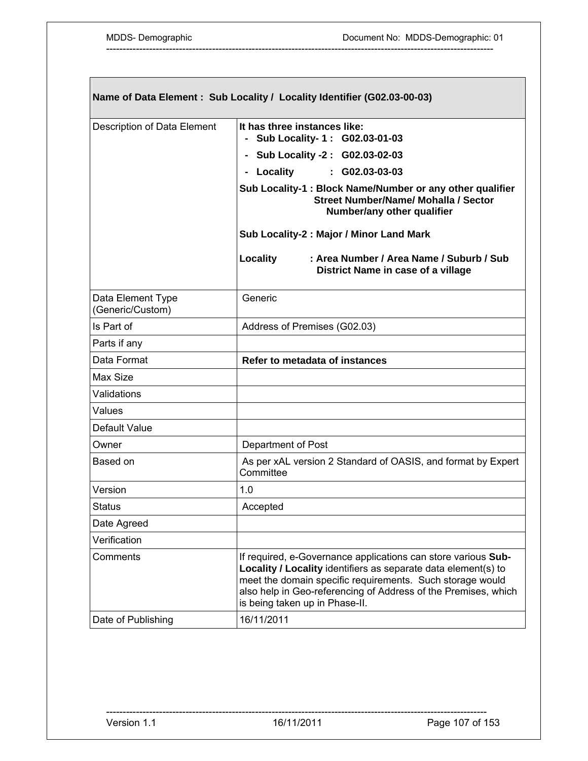| Name of Data Element : Sub Locality / Locality Identifier (G02.03-00-03) |                                                                                                                                                                                                                                                                                                  |
|--------------------------------------------------------------------------|--------------------------------------------------------------------------------------------------------------------------------------------------------------------------------------------------------------------------------------------------------------------------------------------------|
| Description of Data Element                                              | It has three instances like:<br>- Sub Locality- 1: G02.03-01-03                                                                                                                                                                                                                                  |
|                                                                          | - Sub Locality -2: G02.03-02-03                                                                                                                                                                                                                                                                  |
|                                                                          | - Locality<br>$: G02.03-03-03$                                                                                                                                                                                                                                                                   |
|                                                                          | Sub Locality-1 : Block Name/Number or any other qualifier<br><b>Street Number/Name/ Mohalla / Sector</b><br>Number/any other qualifier                                                                                                                                                           |
|                                                                          | Sub Locality-2 : Major / Minor Land Mark                                                                                                                                                                                                                                                         |
|                                                                          | Locality<br>: Area Number / Area Name / Suburb / Sub<br>District Name in case of a village                                                                                                                                                                                                       |
| Data Element Type<br>(Generic/Custom)                                    | Generic                                                                                                                                                                                                                                                                                          |
| Is Part of                                                               | Address of Premises (G02.03)                                                                                                                                                                                                                                                                     |
| Parts if any                                                             |                                                                                                                                                                                                                                                                                                  |
| Data Format                                                              | Refer to metadata of instances                                                                                                                                                                                                                                                                   |
| Max Size                                                                 |                                                                                                                                                                                                                                                                                                  |
| Validations                                                              |                                                                                                                                                                                                                                                                                                  |
| Values                                                                   |                                                                                                                                                                                                                                                                                                  |
| Default Value                                                            |                                                                                                                                                                                                                                                                                                  |
| Owner                                                                    | Department of Post                                                                                                                                                                                                                                                                               |
| Based on                                                                 | As per xAL version 2 Standard of OASIS, and format by Expert<br>Committee                                                                                                                                                                                                                        |
| Version                                                                  | 1.0                                                                                                                                                                                                                                                                                              |
| <b>Status</b>                                                            | Accepted                                                                                                                                                                                                                                                                                         |
| Date Agreed                                                              |                                                                                                                                                                                                                                                                                                  |
| Verification                                                             |                                                                                                                                                                                                                                                                                                  |
| Comments                                                                 | If required, e-Governance applications can store various Sub-<br>Locality / Locality identifiers as separate data element(s) to<br>meet the domain specific requirements. Such storage would<br>also help in Geo-referencing of Address of the Premises, which<br>is being taken up in Phase-II. |
| Date of Publishing                                                       | 16/11/2011                                                                                                                                                                                                                                                                                       |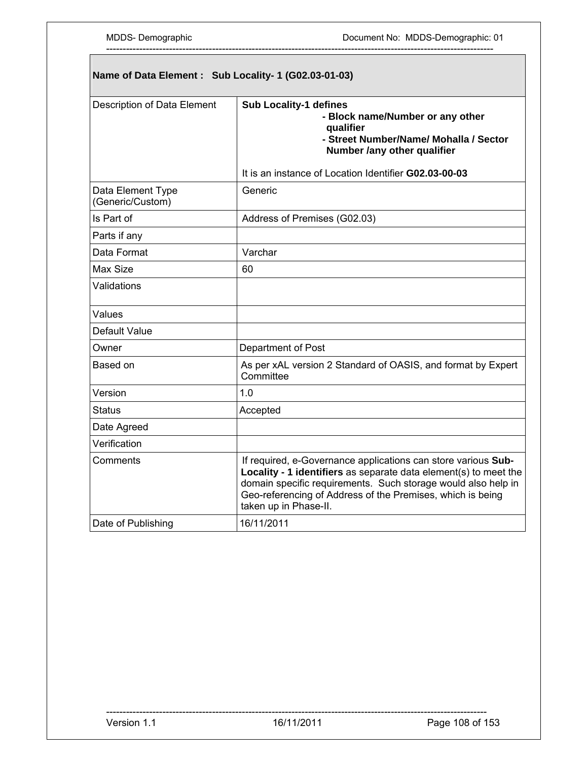| Name of Data Element : Sub Locality- 1 (G02.03-01-03) |                                                                                                                                                                                                                                                                                           |  |
|-------------------------------------------------------|-------------------------------------------------------------------------------------------------------------------------------------------------------------------------------------------------------------------------------------------------------------------------------------------|--|
| Description of Data Element                           | Sub Locality-1 defines<br>- Block name/Number or any other<br>qualifier<br>- Street Number/Name/ Mohalla / Sector<br>Number /any other qualifier                                                                                                                                          |  |
|                                                       | It is an instance of Location Identifier G02.03-00-03                                                                                                                                                                                                                                     |  |
| Data Element Type<br>(Generic/Custom)                 | Generic                                                                                                                                                                                                                                                                                   |  |
| Is Part of                                            | Address of Premises (G02.03)                                                                                                                                                                                                                                                              |  |
| Parts if any                                          |                                                                                                                                                                                                                                                                                           |  |
| Data Format                                           | Varchar                                                                                                                                                                                                                                                                                   |  |
| Max Size                                              | 60                                                                                                                                                                                                                                                                                        |  |
| Validations                                           |                                                                                                                                                                                                                                                                                           |  |
| Values                                                |                                                                                                                                                                                                                                                                                           |  |
| Default Value                                         |                                                                                                                                                                                                                                                                                           |  |
| Owner                                                 | Department of Post                                                                                                                                                                                                                                                                        |  |
| Based on                                              | As per xAL version 2 Standard of OASIS, and format by Expert<br>Committee                                                                                                                                                                                                                 |  |
| Version                                               | 1.0                                                                                                                                                                                                                                                                                       |  |
| Status                                                | Accepted                                                                                                                                                                                                                                                                                  |  |
| Date Agreed                                           |                                                                                                                                                                                                                                                                                           |  |
| Verification                                          |                                                                                                                                                                                                                                                                                           |  |
| Comments                                              | If required, e-Governance applications can store various Sub-<br>Locality - 1 identifiers as separate data element(s) to meet the<br>domain specific requirements. Such storage would also help in<br>Geo-referencing of Address of the Premises, which is being<br>taken up in Phase-II. |  |
| Date of Publishing                                    | 16/11/2011                                                                                                                                                                                                                                                                                |  |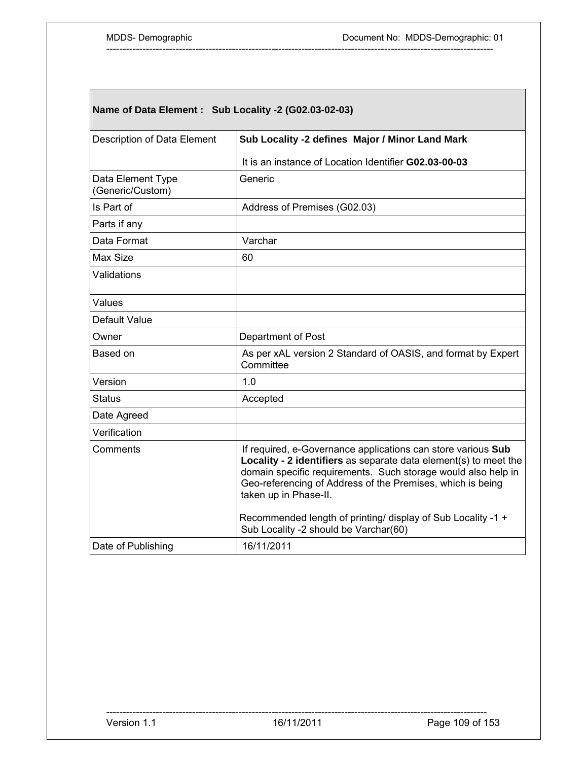# **Name of Data Element : Sub Locality -2 (G02.03-02-03)**

| Description of Data Element           | Sub Locality -2 defines Major / Minor Land Mark                                                                                                                                                                                                                                          |
|---------------------------------------|------------------------------------------------------------------------------------------------------------------------------------------------------------------------------------------------------------------------------------------------------------------------------------------|
|                                       | It is an instance of Location Identifier G02.03-00-03                                                                                                                                                                                                                                    |
| Data Element Type<br>(Generic/Custom) | Generic                                                                                                                                                                                                                                                                                  |
| Is Part of                            | Address of Premises (G02.03)                                                                                                                                                                                                                                                             |
| Parts if any                          |                                                                                                                                                                                                                                                                                          |
| Data Format                           | Varchar                                                                                                                                                                                                                                                                                  |
| Max Size                              | 60                                                                                                                                                                                                                                                                                       |
| Validations                           |                                                                                                                                                                                                                                                                                          |
| Values                                |                                                                                                                                                                                                                                                                                          |
| Default Value                         |                                                                                                                                                                                                                                                                                          |
| Owner                                 | Department of Post                                                                                                                                                                                                                                                                       |
| Based on                              | As per xAL version 2 Standard of OASIS, and format by Expert<br>Committee                                                                                                                                                                                                                |
| Version                               | 1.0                                                                                                                                                                                                                                                                                      |
| <b>Status</b>                         | Accepted                                                                                                                                                                                                                                                                                 |
| Date Agreed                           |                                                                                                                                                                                                                                                                                          |
| Verification                          |                                                                                                                                                                                                                                                                                          |
| Comments                              | If required, e-Governance applications can store various Sub<br>Locality - 2 identifiers as separate data element(s) to meet the<br>domain specific requirements. Such storage would also help in<br>Geo-referencing of Address of the Premises, which is being<br>taken up in Phase-II. |
|                                       | Recommended length of printing/ display of Sub Locality -1 +<br>Sub Locality -2 should be Varchar(60)                                                                                                                                                                                    |
| Date of Publishing                    | 16/11/2011                                                                                                                                                                                                                                                                               |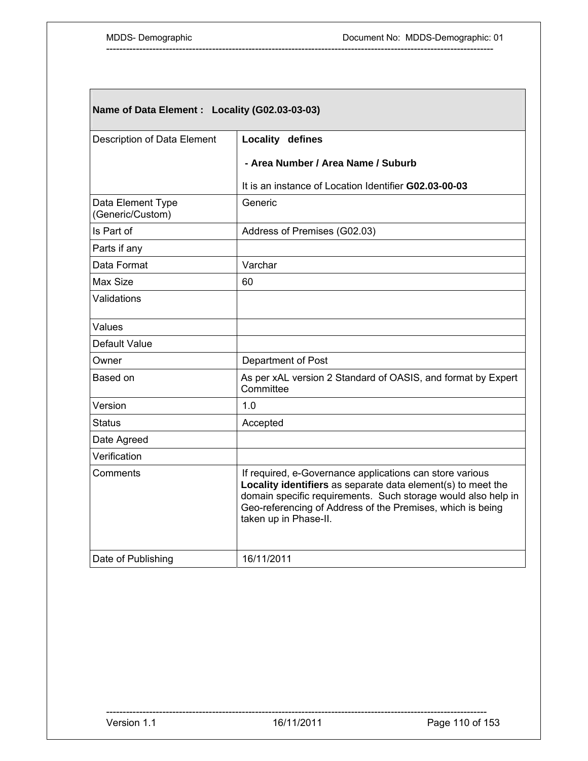# **Name of Data Element : Locality (G02.03-03-03)**

| Description of Data Element           | Locality defines                                                                                                                                                                                                                                                                 |
|---------------------------------------|----------------------------------------------------------------------------------------------------------------------------------------------------------------------------------------------------------------------------------------------------------------------------------|
|                                       | - Area Number / Area Name / Suburb                                                                                                                                                                                                                                               |
|                                       | It is an instance of Location Identifier G02.03-00-03                                                                                                                                                                                                                            |
| Data Element Type<br>(Generic/Custom) | Generic                                                                                                                                                                                                                                                                          |
| Is Part of                            | Address of Premises (G02.03)                                                                                                                                                                                                                                                     |
| Parts if any                          |                                                                                                                                                                                                                                                                                  |
| Data Format                           | Varchar                                                                                                                                                                                                                                                                          |
| Max Size                              | 60                                                                                                                                                                                                                                                                               |
| Validations                           |                                                                                                                                                                                                                                                                                  |
| Values                                |                                                                                                                                                                                                                                                                                  |
| Default Value                         |                                                                                                                                                                                                                                                                                  |
| Owner                                 | Department of Post                                                                                                                                                                                                                                                               |
| Based on                              | As per xAL version 2 Standard of OASIS, and format by Expert<br>Committee                                                                                                                                                                                                        |
| Version                               | 1.0                                                                                                                                                                                                                                                                              |
| <b>Status</b>                         | Accepted                                                                                                                                                                                                                                                                         |
| Date Agreed                           |                                                                                                                                                                                                                                                                                  |
| Verification                          |                                                                                                                                                                                                                                                                                  |
| Comments                              | If required, e-Governance applications can store various<br>Locality identifiers as separate data element(s) to meet the<br>domain specific requirements. Such storage would also help in<br>Geo-referencing of Address of the Premises, which is being<br>taken up in Phase-II. |
| Date of Publishing                    | 16/11/2011                                                                                                                                                                                                                                                                       |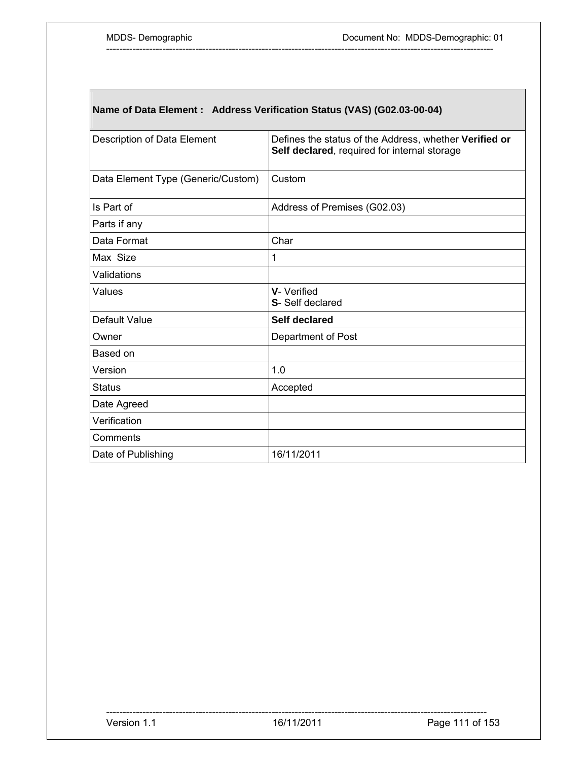# **Name of Data Element : Address Verification Status (VAS) (G02.03-00-04)**

| Description of Data Element        | Defines the status of the Address, whether Verified or<br>Self declared, required for internal storage |
|------------------------------------|--------------------------------------------------------------------------------------------------------|
| Data Element Type (Generic/Custom) | Custom                                                                                                 |
| Is Part of                         | Address of Premises (G02.03)                                                                           |
| Parts if any                       |                                                                                                        |
| Data Format                        | Char                                                                                                   |
| Max Size                           | 1                                                                                                      |
| Validations                        |                                                                                                        |
| Values                             | V-Verified<br>S-Self declared                                                                          |
| Default Value                      | <b>Self declared</b>                                                                                   |
| Owner                              | Department of Post                                                                                     |
| Based on                           |                                                                                                        |
| Version                            | 1.0                                                                                                    |
| <b>Status</b>                      | Accepted                                                                                               |
| Date Agreed                        |                                                                                                        |
| Verification                       |                                                                                                        |
| Comments                           |                                                                                                        |
| Date of Publishing                 | 16/11/2011                                                                                             |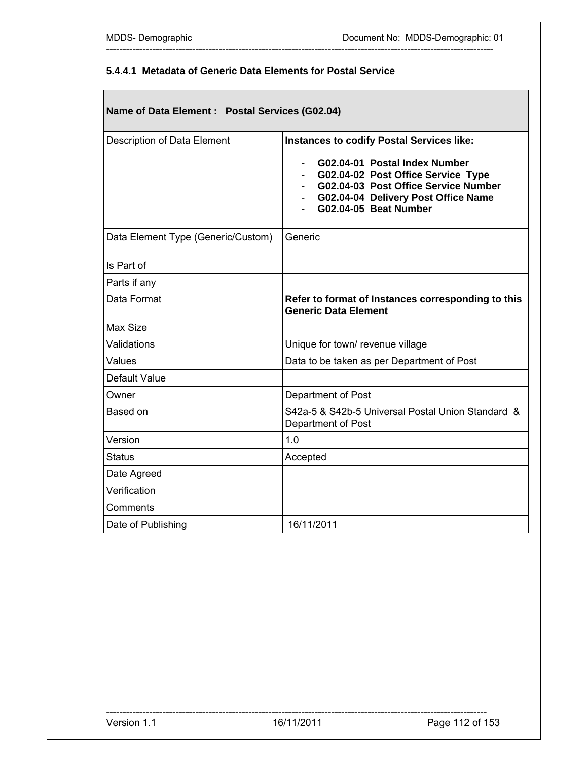### **5.4.4.1 Metadata of Generic Data Elements for Postal Service**

---------------------------------------------------------------------------------------------------------------------

# **Name of Data Element : Postal Services (G02.04)**

| Description of Data Element        | <b>Instances to codify Postal Services like:</b><br>G02.04-01 Postal Index Number<br>G02.04-02 Post Office Service Type<br>G02.04-03 Post Office Service Number<br>G02.04-04 Delivery Post Office Name<br>G02.04-05 Beat Number |
|------------------------------------|---------------------------------------------------------------------------------------------------------------------------------------------------------------------------------------------------------------------------------|
| Data Element Type (Generic/Custom) | Generic                                                                                                                                                                                                                         |
| Is Part of                         |                                                                                                                                                                                                                                 |
| Parts if any                       |                                                                                                                                                                                                                                 |
| Data Format                        | Refer to format of Instances corresponding to this<br><b>Generic Data Element</b>                                                                                                                                               |
| Max Size                           |                                                                                                                                                                                                                                 |
| Validations                        | Unique for town/ revenue village                                                                                                                                                                                                |
| Values                             | Data to be taken as per Department of Post                                                                                                                                                                                      |
| Default Value                      |                                                                                                                                                                                                                                 |
| Owner                              | Department of Post                                                                                                                                                                                                              |
| Based on                           | S42a-5 & S42b-5 Universal Postal Union Standard &<br>Department of Post                                                                                                                                                         |
| Version                            | 1.0                                                                                                                                                                                                                             |
| <b>Status</b>                      | Accepted                                                                                                                                                                                                                        |
| Date Agreed                        |                                                                                                                                                                                                                                 |
| Verification                       |                                                                                                                                                                                                                                 |
| Comments                           |                                                                                                                                                                                                                                 |
| Date of Publishing                 | 16/11/2011                                                                                                                                                                                                                      |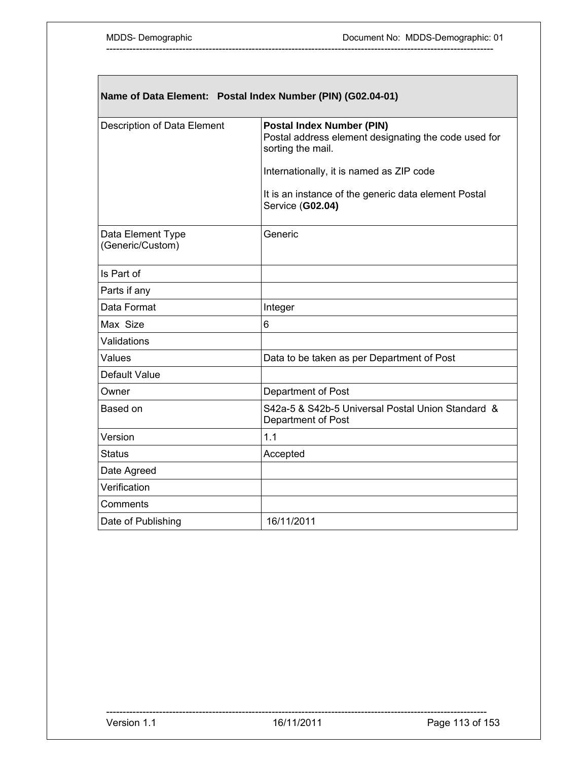٦

| Name of Data Element: Postal Index Number (PIN) (G02.04-01) |                                                                                                               |  |
|-------------------------------------------------------------|---------------------------------------------------------------------------------------------------------------|--|
| Description of Data Element                                 | <b>Postal Index Number (PIN)</b><br>Postal address element designating the code used for<br>sorting the mail. |  |
|                                                             | Internationally, it is named as ZIP code                                                                      |  |
|                                                             | It is an instance of the generic data element Postal<br>Service (G02.04)                                      |  |
| Data Element Type<br>(Generic/Custom)                       | Generic                                                                                                       |  |
| Is Part of                                                  |                                                                                                               |  |
| Parts if any                                                |                                                                                                               |  |
| Data Format                                                 | Integer                                                                                                       |  |
| Max Size                                                    | 6                                                                                                             |  |
| Validations                                                 |                                                                                                               |  |
| Values                                                      | Data to be taken as per Department of Post                                                                    |  |
| Default Value                                               |                                                                                                               |  |
| Owner                                                       | Department of Post                                                                                            |  |
| Based on                                                    | S42a-5 & S42b-5 Universal Postal Union Standard &<br>Department of Post                                       |  |
| Version                                                     | 1.1                                                                                                           |  |
| <b>Status</b>                                               | Accepted                                                                                                      |  |
| Date Agreed                                                 |                                                                                                               |  |
| Verification                                                |                                                                                                               |  |
| Comments                                                    |                                                                                                               |  |
| Date of Publishing                                          | 16/11/2011                                                                                                    |  |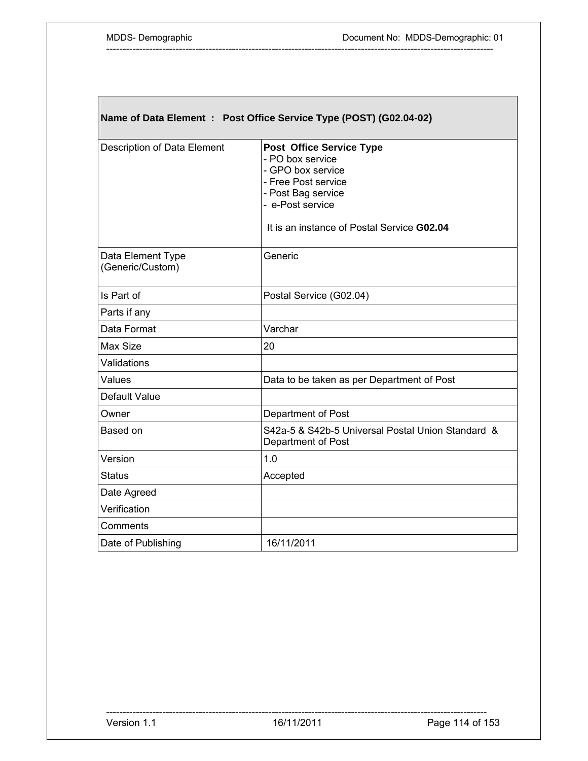$\sqrt{2}$ 

| Name of Data Element : Post Office Service Type (POST) (G02.04-02) |                                                                                                                                                                                         |  |
|--------------------------------------------------------------------|-----------------------------------------------------------------------------------------------------------------------------------------------------------------------------------------|--|
| Description of Data Element                                        | <b>Post Office Service Type</b><br>- PO box service<br>- GPO box service<br>- Free Post service<br>- Post Bag service<br>- e-Post service<br>It is an instance of Postal Service G02.04 |  |
| Data Element Type<br>(Generic/Custom)                              | Generic                                                                                                                                                                                 |  |
| Is Part of                                                         | Postal Service (G02.04)                                                                                                                                                                 |  |
| Parts if any                                                       |                                                                                                                                                                                         |  |
| Data Format                                                        | Varchar                                                                                                                                                                                 |  |
| Max Size                                                           | 20                                                                                                                                                                                      |  |
| Validations                                                        |                                                                                                                                                                                         |  |
| Values                                                             | Data to be taken as per Department of Post                                                                                                                                              |  |
| Default Value                                                      |                                                                                                                                                                                         |  |
| Owner                                                              | Department of Post                                                                                                                                                                      |  |
| Based on                                                           | S42a-5 & S42b-5 Universal Postal Union Standard &<br>Department of Post                                                                                                                 |  |
| Version                                                            | 1.0                                                                                                                                                                                     |  |
| <b>Status</b>                                                      | Accepted                                                                                                                                                                                |  |
| Date Agreed                                                        |                                                                                                                                                                                         |  |
| Verification                                                       |                                                                                                                                                                                         |  |
| Comments                                                           |                                                                                                                                                                                         |  |
| Date of Publishing                                                 | 16/11/2011                                                                                                                                                                              |  |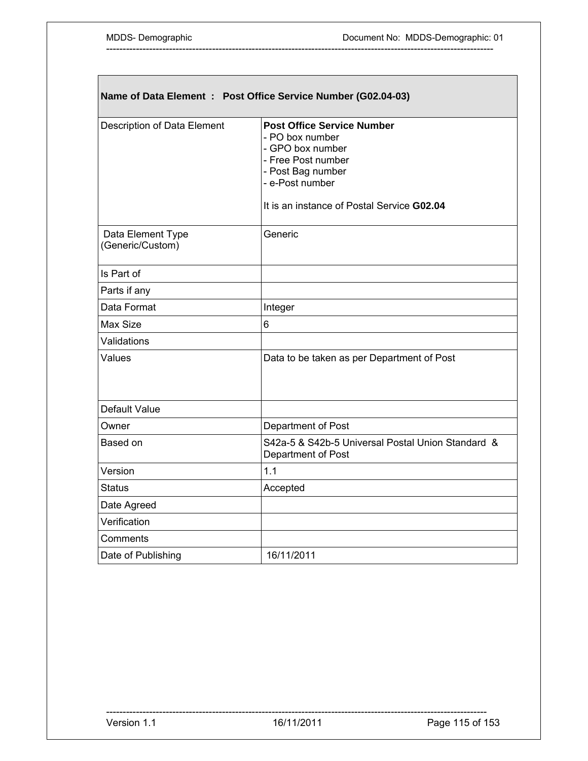| Name of Data Element : Post Office Service Number (G02.04-03) |                                                                                                                                                                                      |  |
|---------------------------------------------------------------|--------------------------------------------------------------------------------------------------------------------------------------------------------------------------------------|--|
| Description of Data Element                                   | <b>Post Office Service Number</b><br>- PO box number<br>- GPO box number<br>- Free Post number<br>- Post Bag number<br>- e-Post number<br>It is an instance of Postal Service G02.04 |  |
| Data Element Type<br>(Generic/Custom)                         | Generic                                                                                                                                                                              |  |
| Is Part of                                                    |                                                                                                                                                                                      |  |
| Parts if any                                                  |                                                                                                                                                                                      |  |
| Data Format                                                   | Integer                                                                                                                                                                              |  |
| Max Size                                                      | 6                                                                                                                                                                                    |  |
| Validations                                                   |                                                                                                                                                                                      |  |
| Values                                                        | Data to be taken as per Department of Post                                                                                                                                           |  |
| Default Value                                                 |                                                                                                                                                                                      |  |
| Owner                                                         | Department of Post                                                                                                                                                                   |  |
| Based on                                                      | S42a-5 & S42b-5 Universal Postal Union Standard &<br>Department of Post                                                                                                              |  |
| Version                                                       | 1.1                                                                                                                                                                                  |  |
| <b>Status</b>                                                 | Accepted                                                                                                                                                                             |  |
| Date Agreed                                                   |                                                                                                                                                                                      |  |
| Verification                                                  |                                                                                                                                                                                      |  |
| Comments                                                      |                                                                                                                                                                                      |  |
| Date of Publishing                                            | 16/11/2011                                                                                                                                                                           |  |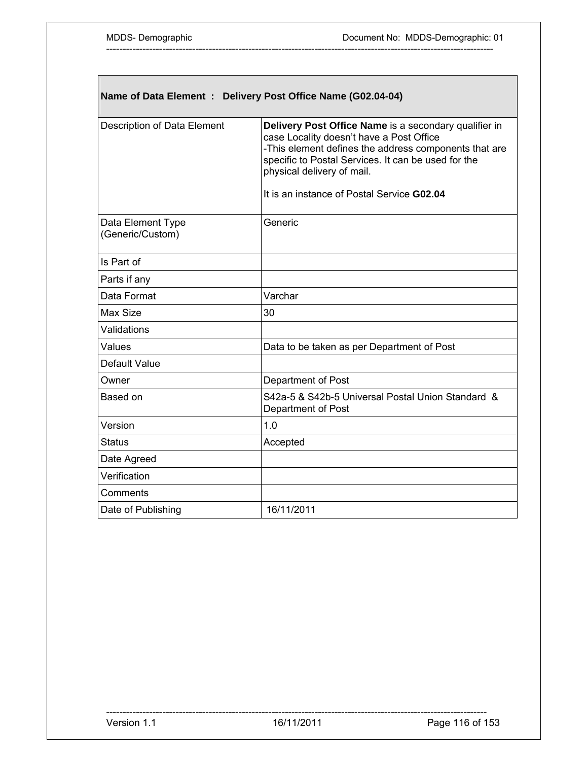Г

| Name of Data Element : Delivery Post Office Name (G02.04-04) |                                                                                                                                                                                                                                                                                               |  |
|--------------------------------------------------------------|-----------------------------------------------------------------------------------------------------------------------------------------------------------------------------------------------------------------------------------------------------------------------------------------------|--|
| Description of Data Element                                  | Delivery Post Office Name is a secondary qualifier in<br>case Locality doesn't have a Post Office<br>-This element defines the address components that are<br>specific to Postal Services. It can be used for the<br>physical delivery of mail.<br>It is an instance of Postal Service G02.04 |  |
| Data Element Type<br>(Generic/Custom)                        | Generic                                                                                                                                                                                                                                                                                       |  |
| Is Part of                                                   |                                                                                                                                                                                                                                                                                               |  |
| Parts if any                                                 |                                                                                                                                                                                                                                                                                               |  |
| Data Format                                                  | Varchar                                                                                                                                                                                                                                                                                       |  |
| Max Size                                                     | 30                                                                                                                                                                                                                                                                                            |  |
| Validations                                                  |                                                                                                                                                                                                                                                                                               |  |
| Values                                                       | Data to be taken as per Department of Post                                                                                                                                                                                                                                                    |  |
| Default Value                                                |                                                                                                                                                                                                                                                                                               |  |
| Owner                                                        | Department of Post                                                                                                                                                                                                                                                                            |  |
| Based on                                                     | S42a-5 & S42b-5 Universal Postal Union Standard &<br>Department of Post                                                                                                                                                                                                                       |  |
| Version                                                      | 1.0                                                                                                                                                                                                                                                                                           |  |
| <b>Status</b>                                                | Accepted                                                                                                                                                                                                                                                                                      |  |
| Date Agreed                                                  |                                                                                                                                                                                                                                                                                               |  |
| Verification                                                 |                                                                                                                                                                                                                                                                                               |  |
| Comments                                                     |                                                                                                                                                                                                                                                                                               |  |
| Date of Publishing                                           | 16/11/2011                                                                                                                                                                                                                                                                                    |  |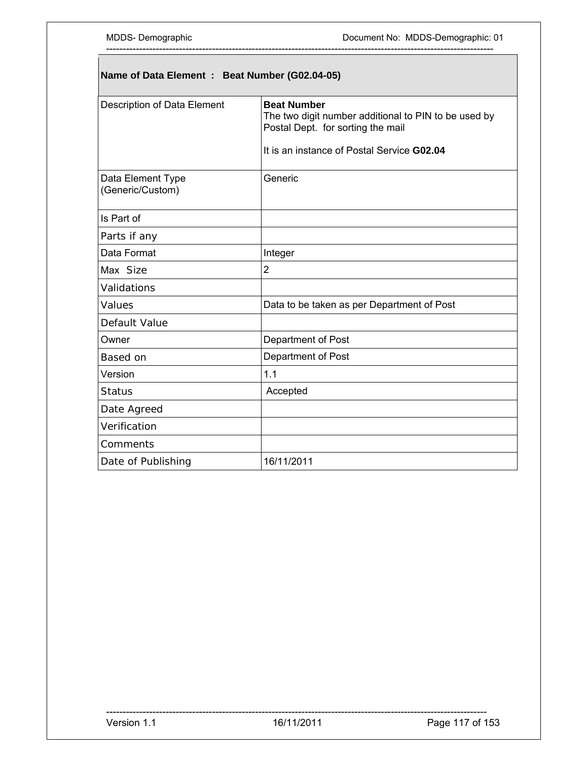# **Name of Data Element : Beat Number (G02.04-05)**

| Description of Data Element           | <b>Beat Number</b><br>The two digit number additional to PIN to be used by<br>Postal Dept. for sorting the mail<br>It is an instance of Postal Service G02.04 |
|---------------------------------------|---------------------------------------------------------------------------------------------------------------------------------------------------------------|
| Data Element Type<br>(Generic/Custom) | Generic                                                                                                                                                       |
| Is Part of                            |                                                                                                                                                               |
| Parts if any                          |                                                                                                                                                               |
| Data Format                           | Integer                                                                                                                                                       |
| Max Size                              | $\overline{2}$                                                                                                                                                |
| Validations                           |                                                                                                                                                               |
| Values                                | Data to be taken as per Department of Post                                                                                                                    |
| Default Value                         |                                                                                                                                                               |
| Owner                                 | Department of Post                                                                                                                                            |
| Based on                              | Department of Post                                                                                                                                            |
| Version                               | 1.1                                                                                                                                                           |
| <b>Status</b>                         | Accepted                                                                                                                                                      |
| Date Agreed                           |                                                                                                                                                               |
| Verification                          |                                                                                                                                                               |
| Comments                              |                                                                                                                                                               |
| Date of Publishing                    | 16/11/2011                                                                                                                                                    |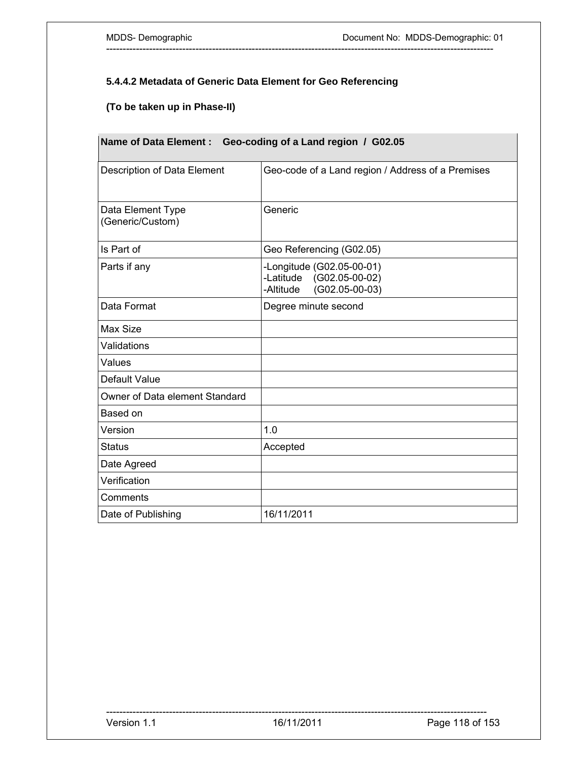### **5.4.4.2 Metadata of Generic Data Element for Geo Referencing**

---------------------------------------------------------------------------------------------------------------------

# **(To be taken up in Phase-II)**

| <b>Name of Data Element:</b><br>Geo-coding of a Land region / G02.05 |                                                                                             |
|----------------------------------------------------------------------|---------------------------------------------------------------------------------------------|
| Description of Data Element                                          | Geo-code of a Land region / Address of a Premises                                           |
| Data Element Type<br>(Generic/Custom)                                | Generic                                                                                     |
| Is Part of                                                           | Geo Referencing (G02.05)                                                                    |
| Parts if any                                                         | -Longitude (G02.05-00-01)<br>-Latitude<br>$(G02.05-00-02)$<br>$(G02.05-00-03)$<br>-Altitude |
| Data Format                                                          | Degree minute second                                                                        |
| Max Size                                                             |                                                                                             |
| Validations                                                          |                                                                                             |
| Values                                                               |                                                                                             |
| Default Value                                                        |                                                                                             |
| Owner of Data element Standard                                       |                                                                                             |
| Based on                                                             |                                                                                             |
| Version                                                              | 1.0                                                                                         |
| <b>Status</b>                                                        | Accepted                                                                                    |
| Date Agreed                                                          |                                                                                             |
| Verification                                                         |                                                                                             |
| Comments                                                             |                                                                                             |
| Date of Publishing                                                   | 16/11/2011                                                                                  |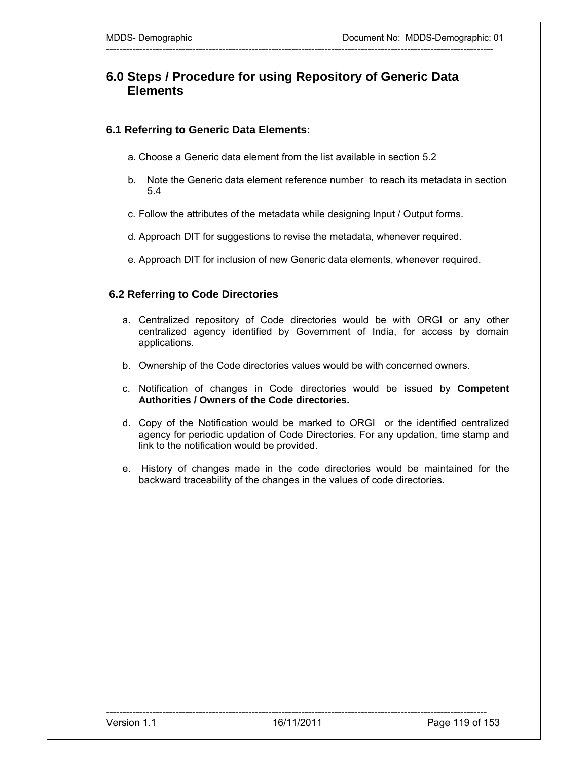# **6.0 Steps / Procedure for using Repository of Generic Data Elements**

---------------------------------------------------------------------------------------------------------------------

### **6.1 Referring to Generic Data Elements:**

- a. Choose a Generic data element from the list available in section 5.2
- b. Note the Generic data element reference number to reach its metadata in section 5.4
- c. Follow the attributes of the metadata while designing Input / Output forms.
- d. Approach DIT for suggestions to revise the metadata, whenever required.
- e. Approach DIT for inclusion of new Generic data elements, whenever required.

### **6.2 Referring to Code Directories**

- a. Centralized repository of Code directories would be with ORGI or any other centralized agency identified by Government of India, for access by domain applications.
- b. Ownership of the Code directories values would be with concerned owners.
- c. Notification of changes in Code directories would be issued by **Competent Authorities / Owners of the Code directories.**
- d. Copy of the Notification would be marked to ORGI or the identified centralized agency for periodic updation of Code Directories. For any updation, time stamp and link to the notification would be provided.
- e. History of changes made in the code directories would be maintained for the backward traceability of the changes in the values of code directories.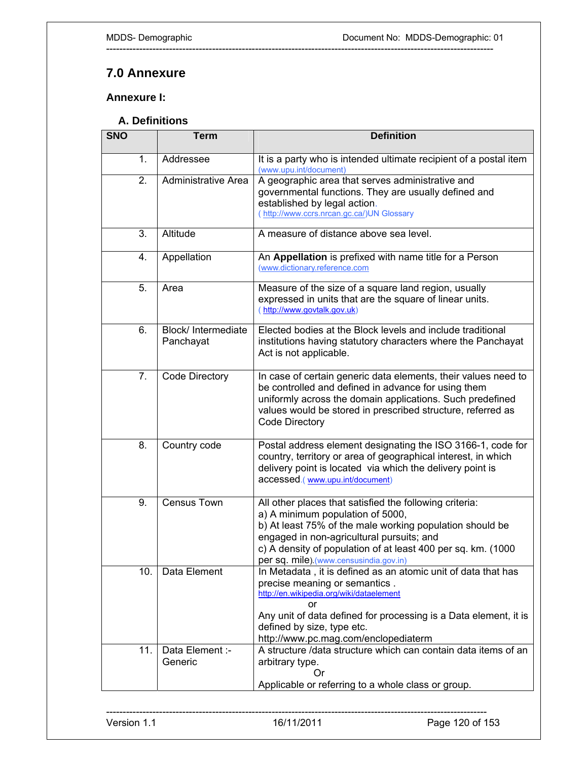# **7.0 Annexure**

**Annexure I:** 

### **A. Definitions**

| <b>SNO</b>       | <b>Term</b>                      | <b>Definition</b>                                                                                                                                                                                                                                                                                              |
|------------------|----------------------------------|----------------------------------------------------------------------------------------------------------------------------------------------------------------------------------------------------------------------------------------------------------------------------------------------------------------|
| 1.               | Addressee                        | It is a party who is intended ultimate recipient of a postal item<br>(www.upu.int/document)                                                                                                                                                                                                                    |
| 2.               | <b>Administrative Area</b>       | A geographic area that serves administrative and<br>governmental functions. They are usually defined and<br>established by legal action.<br>(http://www.ccrs.nrcan.gc.ca/)UN Glossary                                                                                                                          |
| 3.               | Altitude                         | A measure of distance above sea level.                                                                                                                                                                                                                                                                         |
| 4.               | Appellation                      | An Appellation is prefixed with name title for a Person<br>(www.dictionary.reference.com                                                                                                                                                                                                                       |
| 5.               | Area                             | Measure of the size of a square land region, usually<br>expressed in units that are the square of linear units.<br>(http://www.govtalk.gov.uk)                                                                                                                                                                 |
| 6.               | Block/ Intermediate<br>Panchayat | Elected bodies at the Block levels and include traditional<br>institutions having statutory characters where the Panchayat<br>Act is not applicable.                                                                                                                                                           |
| $\overline{7}$ . | Code Directory                   | In case of certain generic data elements, their values need to<br>be controlled and defined in advance for using them<br>uniformly across the domain applications. Such predefined<br>values would be stored in prescribed structure, referred as<br>Code Directory                                            |
| 8.               | Country code                     | Postal address element designating the ISO 3166-1, code for<br>country, territory or area of geographical interest, in which<br>delivery point is located via which the delivery point is<br>accessed.(www.upu.int/document)                                                                                   |
| 9.               | <b>Census Town</b>               | All other places that satisfied the following criteria:<br>a) A minimum population of 5000,<br>b) At least 75% of the male working population should be<br>engaged in non-agricultural pursuits; and<br>c) A density of population of at least 400 per sq. km. (1000<br>per sq. mile) (www.censusindia.gov.in) |
| 10.              | Data Element                     | In Metadata, it is defined as an atomic unit of data that has<br>precise meaning or semantics.<br>http://en.wikipedia.org/wiki/dataelement<br>or<br>Any unit of data defined for processing is a Data element, it is<br>defined by size, type etc.<br>http://www.pc.mag.com/enclopediaterm                     |
| 11.              | Data Element :-<br>Generic       | A structure /data structure which can contain data items of an<br>arbitrary type.<br>Or)<br>Applicable or referring to a whole class or group.                                                                                                                                                                 |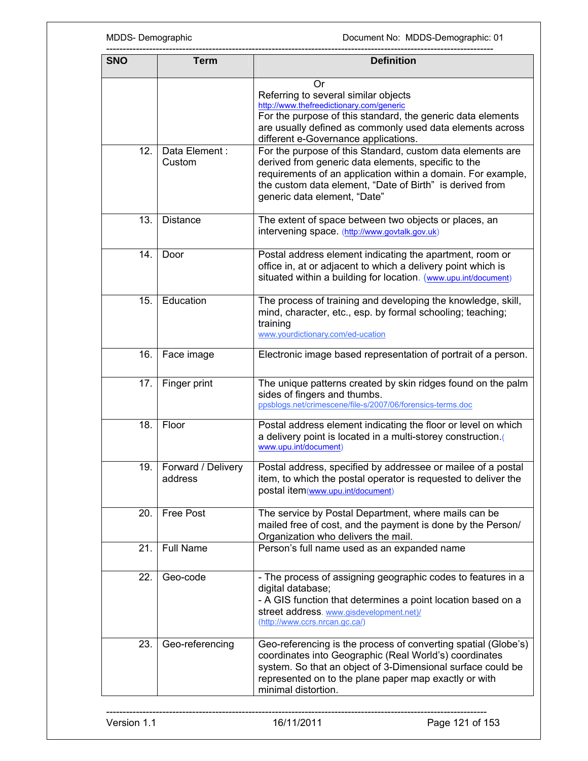| <b>SNO</b> | Term                          | <b>Definition</b>                                                                                                                                                                                                                                                             |
|------------|-------------------------------|-------------------------------------------------------------------------------------------------------------------------------------------------------------------------------------------------------------------------------------------------------------------------------|
|            |                               | Or<br>Referring to several similar objects<br>http://www.thefreedictionary.com/generic<br>For the purpose of this standard, the generic data elements<br>are usually defined as commonly used data elements across<br>different e-Governance applications.                    |
| 12.        | Data Element:<br>Custom       | For the purpose of this Standard, custom data elements are<br>derived from generic data elements, specific to the<br>requirements of an application within a domain. For example,<br>the custom data element, "Date of Birth" is derived from<br>generic data element, "Date" |
| 13.        | <b>Distance</b>               | The extent of space between two objects or places, an<br>intervening space. (http://www.govtalk.gov.uk)                                                                                                                                                                       |
| 14.        | Door                          | Postal address element indicating the apartment, room or<br>office in, at or adjacent to which a delivery point which is<br>situated within a building for location. (www.upu.int/document)                                                                                   |
| 15.        | Education                     | The process of training and developing the knowledge, skill,<br>mind, character, etc., esp. by formal schooling; teaching;<br>training<br>www.yourdictionary.com/ed-ucation                                                                                                   |
| 16.        | Face image                    | Electronic image based representation of portrait of a person.                                                                                                                                                                                                                |
| 17.        | Finger print                  | The unique patterns created by skin ridges found on the palm<br>sides of fingers and thumbs.<br>ppsblogs.net/crimescene/file-s/2007/06/forensics-terms.doc                                                                                                                    |
| 18.        | Floor                         | Postal address element indicating the floor or level on which<br>a delivery point is located in a multi-storey construction.<br>www.upu.int/document)                                                                                                                         |
| 19.        | Forward / Delivery<br>address | Postal address, specified by addressee or mailee of a postal<br>item, to which the postal operator is requested to deliver the<br>postal item(www.upu.int/document)                                                                                                           |
| 20.        | Free Post                     | The service by Postal Department, where mails can be<br>mailed free of cost, and the payment is done by the Person/<br>Organization who delivers the mail.                                                                                                                    |
| 21.        | <b>Full Name</b>              | Person's full name used as an expanded name                                                                                                                                                                                                                                   |
| 22.        | Geo-code                      | - The process of assigning geographic codes to features in a<br>digital database;<br>- A GIS function that determines a point location based on a<br>street address. www.gisdevelopment.net)/<br>(http://www.ccrs.nrcan.gc.ca/)                                               |
| 23.        | Geo-referencing               | Geo-referencing is the process of converting spatial (Globe's)<br>coordinates into Geographic (Real World's) coordinates<br>system. So that an object of 3-Dimensional surface could be<br>represented on to the plane paper map exactly or with<br>minimal distortion.       |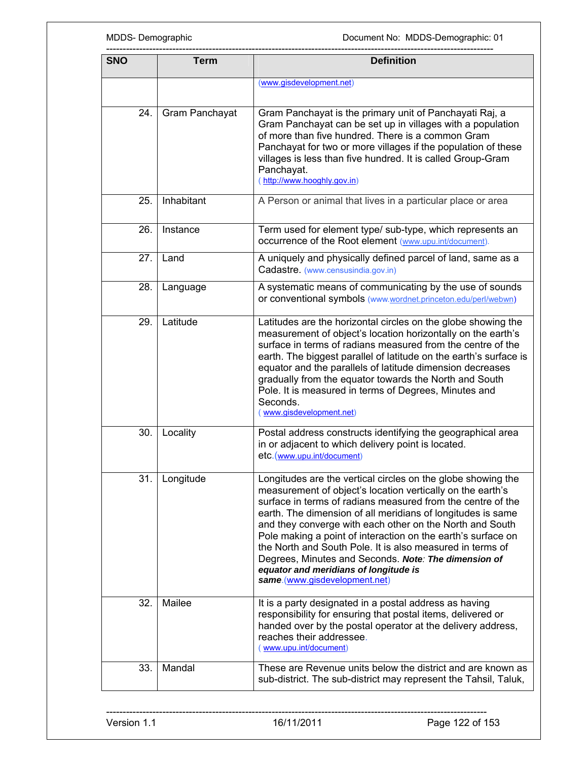| <b>SNO</b> | <b>Term</b>    | <b>Definition</b>                                                                                                                                                                                                                                                                                                                                                                                                                                                                                                                                                                   |  |
|------------|----------------|-------------------------------------------------------------------------------------------------------------------------------------------------------------------------------------------------------------------------------------------------------------------------------------------------------------------------------------------------------------------------------------------------------------------------------------------------------------------------------------------------------------------------------------------------------------------------------------|--|
|            |                | (www.gisdevelopment.net)                                                                                                                                                                                                                                                                                                                                                                                                                                                                                                                                                            |  |
|            |                |                                                                                                                                                                                                                                                                                                                                                                                                                                                                                                                                                                                     |  |
| 24.        | Gram Panchayat | Gram Panchayat is the primary unit of Panchayati Raj, a<br>Gram Panchayat can be set up in villages with a population<br>of more than five hundred. There is a common Gram<br>Panchayat for two or more villages if the population of these<br>villages is less than five hundred. It is called Group-Gram<br>Panchayat.<br>(http://www.hooghly.gov.in)                                                                                                                                                                                                                             |  |
| 25.        | Inhabitant     | A Person or animal that lives in a particular place or area                                                                                                                                                                                                                                                                                                                                                                                                                                                                                                                         |  |
| 26.        | Instance       | Term used for element type/ sub-type, which represents an<br>occurrence of the Root element (www.upu.int/document).                                                                                                                                                                                                                                                                                                                                                                                                                                                                 |  |
| 27.        | Land           | A uniquely and physically defined parcel of land, same as a<br>Cadastre. (www.censusindia.gov.in)                                                                                                                                                                                                                                                                                                                                                                                                                                                                                   |  |
| 28.        | Language       | A systematic means of communicating by the use of sounds<br>or conventional symbols (www.wordnet.princeton.edu/perl/webwn)                                                                                                                                                                                                                                                                                                                                                                                                                                                          |  |
| 29.        | Latitude       | Latitudes are the horizontal circles on the globe showing the<br>measurement of object's location horizontally on the earth's<br>surface in terms of radians measured from the centre of the<br>earth. The biggest parallel of latitude on the earth's surface is<br>equator and the parallels of latitude dimension decreases<br>gradually from the equator towards the North and South<br>Pole. It is measured in terms of Degrees, Minutes and<br>Seconds.<br>(www.gisdevelopment.net)                                                                                           |  |
| 30.        | Locality       | Postal address constructs identifying the geographical area<br>in or adjacent to which delivery point is located.<br>etc.(www.upu.int/document)                                                                                                                                                                                                                                                                                                                                                                                                                                     |  |
| 31.        | Longitude      | Longitudes are the vertical circles on the globe showing the<br>measurement of object's location vertically on the earth's<br>surface in terms of radians measured from the centre of the<br>earth. The dimension of all meridians of longitudes is same<br>and they converge with each other on the North and South<br>Pole making a point of interaction on the earth's surface on<br>the North and South Pole. It is also measured in terms of<br>Degrees, Minutes and Seconds. Note: The dimension of<br>equator and meridians of longitude is<br>same.(www.gisdevelopment.net) |  |
| 32.        | Mailee         | It is a party designated in a postal address as having<br>responsibility for ensuring that postal items, delivered or<br>handed over by the postal operator at the delivery address,<br>reaches their addressee.<br>www.upu.int/document)                                                                                                                                                                                                                                                                                                                                           |  |
| 33.        | Mandal         | These are Revenue units below the district and are known as<br>sub-district. The sub-district may represent the Tahsil, Taluk,                                                                                                                                                                                                                                                                                                                                                                                                                                                      |  |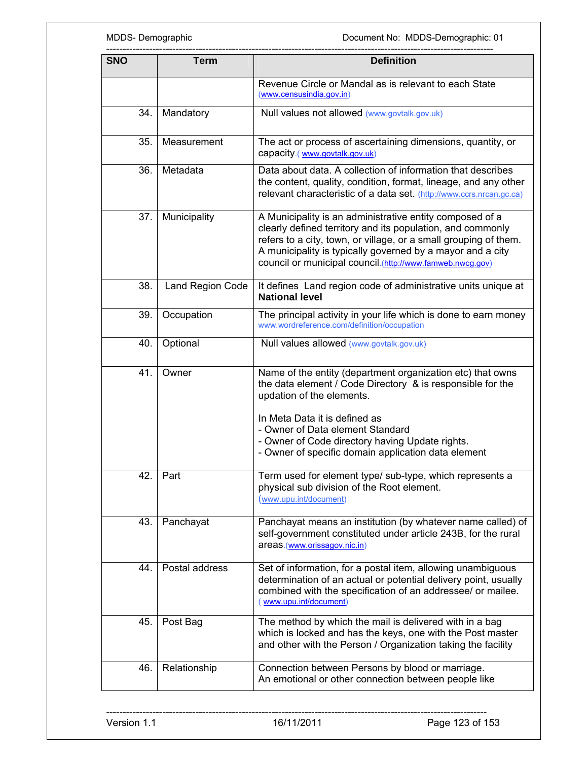MDDS- Demographic **MDDS-Demographic** Document No: MDDS-Demographic: 01

| <b>SNO</b> | <b>Term</b>      | <b>Definition</b>                                                                                                                                                                                                                                                                                                     |  |
|------------|------------------|-----------------------------------------------------------------------------------------------------------------------------------------------------------------------------------------------------------------------------------------------------------------------------------------------------------------------|--|
|            |                  | Revenue Circle or Mandal as is relevant to each State<br>(www.censusindia.gov.in)                                                                                                                                                                                                                                     |  |
| 34.        | Mandatory        | Null values not allowed (www.govtalk.gov.uk)                                                                                                                                                                                                                                                                          |  |
| 35.        | Measurement      | The act or process of ascertaining dimensions, quantity, or<br>capacity.(www.govtalk.gov.uk)                                                                                                                                                                                                                          |  |
| 36.        | Metadata         | Data about data. A collection of information that describes<br>the content, quality, condition, format, lineage, and any other<br>relevant characteristic of a data set. (http://www.ccrs.nrcan.gc.ca)                                                                                                                |  |
| 37.        | Municipality     | A Municipality is an administrative entity composed of a<br>clearly defined territory and its population, and commonly<br>refers to a city, town, or village, or a small grouping of them.<br>A municipality is typically governed by a mayor and a city<br>council or municipal council.(http://www.famweb.nwcg.gov) |  |
| 38.        | Land Region Code | It defines Land region code of administrative units unique at<br><b>National level</b>                                                                                                                                                                                                                                |  |
| 39.        | Occupation       | The principal activity in your life which is done to earn money<br>www.wordreference.com/definition/occupation                                                                                                                                                                                                        |  |
| 40.        | Optional         | Null values allowed (www.govtalk.gov.uk)                                                                                                                                                                                                                                                                              |  |
| 41.        | Owner            | Name of the entity (department organization etc) that owns<br>the data element / Code Directory & is responsible for the<br>updation of the elements.                                                                                                                                                                 |  |
|            |                  | In Meta Data it is defined as<br>- Owner of Data element Standard<br>- Owner of Code directory having Update rights.<br>- Owner of specific domain application data element                                                                                                                                           |  |
| 42.        | Part             | Term used for element type/ sub-type, which represents a<br>physical sub division of the Root element.<br>(www.upu.int/document)                                                                                                                                                                                      |  |
| 43.        | Panchayat        | Panchayat means an institution (by whatever name called) of<br>self-government constituted under article 243B, for the rural<br>areas.(www.orissagov.nic.in)                                                                                                                                                          |  |
| 44.        | Postal address   | Set of information, for a postal item, allowing unambiguous<br>determination of an actual or potential delivery point, usually<br>combined with the specification of an addressee/ or mailee.<br>www.upu.int/document)                                                                                                |  |
| 45.        | Post Bag         | The method by which the mail is delivered with in a bag<br>which is locked and has the keys, one with the Post master<br>and other with the Person / Organization taking the facility                                                                                                                                 |  |
| 46.        | Relationship     | Connection between Persons by blood or marriage.<br>An emotional or other connection between people like                                                                                                                                                                                                              |  |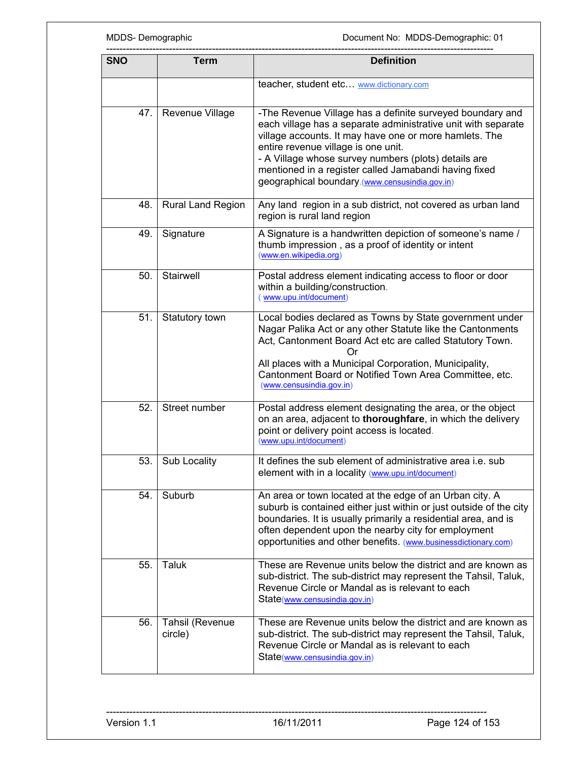| <b>SNO</b> | <b>Term</b>                | <b>Definition</b>                                                                                                                                                                                                                                                                                                                                                                              |  |
|------------|----------------------------|------------------------------------------------------------------------------------------------------------------------------------------------------------------------------------------------------------------------------------------------------------------------------------------------------------------------------------------------------------------------------------------------|--|
|            |                            | teacher, student etc www.dictionary.com                                                                                                                                                                                                                                                                                                                                                        |  |
| 47.        | Revenue Village            | -The Revenue Village has a definite surveyed boundary and<br>each village has a separate administrative unit with separate<br>village accounts. It may have one or more hamlets. The<br>entire revenue village is one unit.<br>- A Village whose survey numbers (plots) details are<br>mentioned in a register called Jamabandi having fixed<br>geographical boundary.(www.censusindia.gov.in) |  |
| 48.        | Rural Land Region          | Any land region in a sub district, not covered as urban land<br>region is rural land region                                                                                                                                                                                                                                                                                                    |  |
| 49.        | Signature                  | A Signature is a handwritten depiction of someone's name /<br>thumb impression, as a proof of identity or intent<br>(www.en.wikipedia.org)                                                                                                                                                                                                                                                     |  |
| 50.        | Stairwell                  | Postal address element indicating access to floor or door<br>within a building/construction.<br>www.upu.int/document)                                                                                                                                                                                                                                                                          |  |
| 51.        | Statutory town             | Local bodies declared as Towns by State government under<br>Nagar Palika Act or any other Statute like the Cantonments<br>Act, Cantonment Board Act etc are called Statutory Town.<br>( )r<br>All places with a Municipal Corporation, Municipality,<br>Cantonment Board or Notified Town Area Committee, etc.<br>(www.censusindia.gov.in)                                                     |  |
| 52.        | Street number              | Postal address element designating the area, or the object<br>on an area, adjacent to thoroughfare, in which the delivery<br>point or delivery point access is located.<br>(www.upu.int/document)                                                                                                                                                                                              |  |
| 53.        | Sub Locality               | It defines the sub element of administrative area i.e. sub<br>element with in a locality (www.upu.int/document)                                                                                                                                                                                                                                                                                |  |
| 54.        | Suburb                     | An area or town located at the edge of an Urban city. A<br>suburb is contained either just within or just outside of the city<br>boundaries. It is usually primarily a residential area, and is<br>often dependent upon the nearby city for employment<br>opportunities and other benefits. (www.businessdictionary.com)                                                                       |  |
| 55.        | Taluk                      | These are Revenue units below the district and are known as<br>sub-district. The sub-district may represent the Tahsil, Taluk,<br>Revenue Circle or Mandal as is relevant to each<br>State(www.censusindia.gov.in)                                                                                                                                                                             |  |
| 56.        | Tahsil (Revenue<br>circle) | These are Revenue units below the district and are known as<br>sub-district. The sub-district may represent the Tahsil, Taluk,<br>Revenue Circle or Mandal as is relevant to each<br>State(www.censusindia.gov.in)                                                                                                                                                                             |  |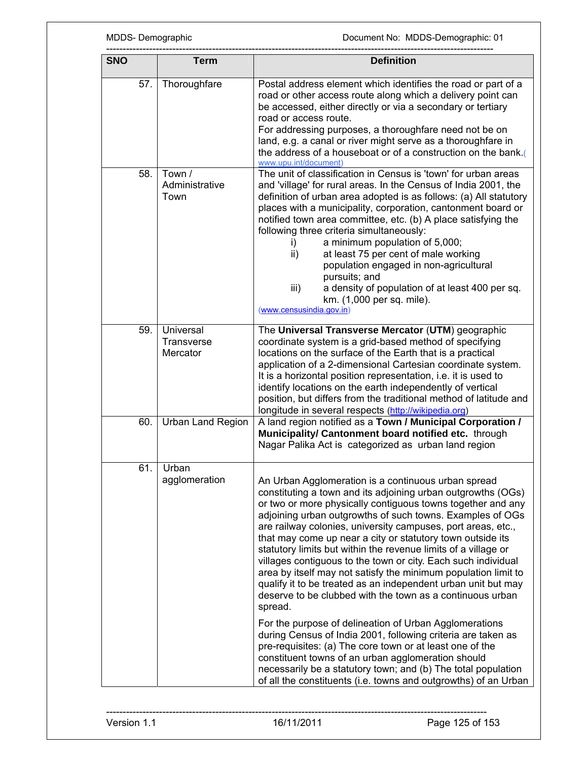| <b>SNO</b> | <b>Term</b>                         | <b>Definition</b>                                                                                                                                                                                                                                                                                                                                                                                                                                                                                                                                                                                                                                                                                                                                                                                                                                                                                                                                                                                                                                                                                           |
|------------|-------------------------------------|-------------------------------------------------------------------------------------------------------------------------------------------------------------------------------------------------------------------------------------------------------------------------------------------------------------------------------------------------------------------------------------------------------------------------------------------------------------------------------------------------------------------------------------------------------------------------------------------------------------------------------------------------------------------------------------------------------------------------------------------------------------------------------------------------------------------------------------------------------------------------------------------------------------------------------------------------------------------------------------------------------------------------------------------------------------------------------------------------------------|
| 57.        | Thoroughfare                        | Postal address element which identifies the road or part of a<br>road or other access route along which a delivery point can<br>be accessed, either directly or via a secondary or tertiary<br>road or access route.<br>For addressing purposes, a thoroughfare need not be on<br>land, e.g. a canal or river might serve as a thoroughfare in<br>the address of a houseboat or of a construction on the bank.<br>www.upu.int/document)                                                                                                                                                                                                                                                                                                                                                                                                                                                                                                                                                                                                                                                                     |
| 58.        | Town /<br>Administrative<br>Town    | The unit of classification in Census is 'town' for urban areas<br>and 'village' for rural areas. In the Census of India 2001, the<br>definition of urban area adopted is as follows: (a) All statutory<br>places with a municipality, corporation, cantonment board or<br>notified town area committee, etc. (b) A place satisfying the<br>following three criteria simultaneously:<br>a minimum population of 5,000;<br>i)<br>at least 75 per cent of male working<br>ii)<br>population engaged in non-agricultural<br>pursuits; and<br>iii)<br>a density of population of at least 400 per sq.<br>km. (1,000 per sq. mile).<br>(www.censusindia.gov.in)                                                                                                                                                                                                                                                                                                                                                                                                                                                   |
| 59.        | Universal<br>Transverse<br>Mercator | The Universal Transverse Mercator (UTM) geographic<br>coordinate system is a grid-based method of specifying<br>locations on the surface of the Earth that is a practical<br>application of a 2-dimensional Cartesian coordinate system.<br>It is a horizontal position representation, i.e. it is used to<br>identify locations on the earth independently of vertical<br>position, but differs from the traditional method of latitude and<br>longitude in several respects (http://wikipedia.org)                                                                                                                                                                                                                                                                                                                                                                                                                                                                                                                                                                                                        |
| 60.        | <b>Urban Land Region</b>            | A land region notified as a Town / Municipal Corporation /<br>Municipality/ Cantonment board notified etc. through<br>Nagar Palika Act is categorized as urban land region                                                                                                                                                                                                                                                                                                                                                                                                                                                                                                                                                                                                                                                                                                                                                                                                                                                                                                                                  |
| 61.        | Urban<br>agglomeration              | An Urban Agglomeration is a continuous urban spread<br>constituting a town and its adjoining urban outgrowths (OGs)<br>or two or more physically contiguous towns together and any<br>adjoining urban outgrowths of such towns. Examples of OGs<br>are railway colonies, university campuses, port areas, etc.,<br>that may come up near a city or statutory town outside its<br>statutory limits but within the revenue limits of a village or<br>villages contiguous to the town or city. Each such individual<br>area by itself may not satisfy the minimum population limit to<br>qualify it to be treated as an independent urban unit but may<br>deserve to be clubbed with the town as a continuous urban<br>spread.<br>For the purpose of delineation of Urban Agglomerations<br>during Census of India 2001, following criteria are taken as<br>pre-requisites: (a) The core town or at least one of the<br>constituent towns of an urban agglomeration should<br>necessarily be a statutory town; and (b) The total population<br>of all the constituents (i.e. towns and outgrowths) of an Urban |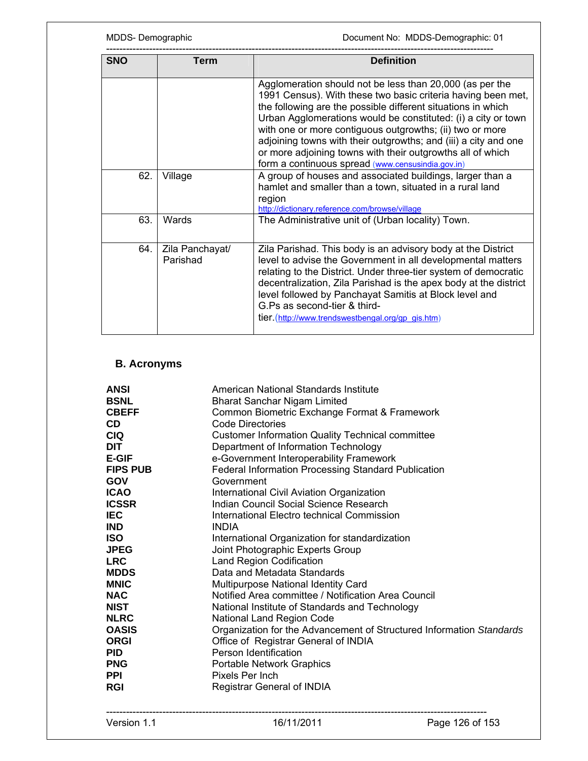MDDS- Demographic **MDDS-Demographic** Document No: MDDS-Demographic: 01

| <b>SNO</b> | Term                        | <b>Definition</b>                                                                                                                                                                                                                                                                                                                                                                                                                                                                                           |  |  |  |
|------------|-----------------------------|-------------------------------------------------------------------------------------------------------------------------------------------------------------------------------------------------------------------------------------------------------------------------------------------------------------------------------------------------------------------------------------------------------------------------------------------------------------------------------------------------------------|--|--|--|
|            |                             | Agglomeration should not be less than 20,000 (as per the<br>1991 Census). With these two basic criteria having been met,<br>the following are the possible different situations in which<br>Urban Agglomerations would be constituted: (i) a city or town<br>with one or more contiguous outgrowths; (ii) two or more<br>adjoining towns with their outgrowths; and (iii) a city and one<br>or more adjoining towns with their outgrowths all of which<br>form a continuous spread (www.censusindia.gov.in) |  |  |  |
| 62.        | Village                     | A group of houses and associated buildings, larger than a<br>hamlet and smaller than a town, situated in a rural land<br>region<br>http://dictionary.reference.com/browse/village                                                                                                                                                                                                                                                                                                                           |  |  |  |
| 63.        | Wards                       | The Administrative unit of (Urban locality) Town.                                                                                                                                                                                                                                                                                                                                                                                                                                                           |  |  |  |
| 64.        | Zila Panchayat/<br>Parishad | Zila Parishad. This body is an advisory body at the District<br>level to advise the Government in all developmental matters<br>relating to the District. Under three-tier system of democratic<br>decentralization, Zila Parishad is the apex body at the district<br>level followed by Panchayat Samitis at Block level and<br>G.Ps as second-tier & third-<br>tier. (http://www.trendswestbengal.org/gp_gis.htm)                                                                                          |  |  |  |

# **B. Acronyms**

| <b>ANSI</b>     | American National Standards Institute                                |
|-----------------|----------------------------------------------------------------------|
| <b>BSNL</b>     | <b>Bharat Sanchar Nigam Limited</b>                                  |
| <b>CBEFF</b>    | Common Biometric Exchange Format & Framework                         |
| CD.             | Code Directories                                                     |
| <b>CIQ</b>      | <b>Customer Information Quality Technical committee</b>              |
| <b>DIT</b>      | Department of Information Technology                                 |
| <b>E-GIF</b>    | e-Government Interoperability Framework                              |
| <b>FIPS PUB</b> | <b>Federal Information Processing Standard Publication</b>           |
| <b>GOV</b>      | Government                                                           |
| <b>ICAO</b>     | International Civil Aviation Organization                            |
| <b>ICSSR</b>    | Indian Council Social Science Research                               |
| <b>IEC</b>      | International Electro technical Commission                           |
| <b>IND</b>      | <b>INDIA</b>                                                         |
| <b>ISO</b>      | International Organization for standardization                       |
| <b>JPEG</b>     | Joint Photographic Experts Group                                     |
| <b>LRC</b>      | <b>Land Region Codification</b>                                      |
| <b>MDDS</b>     | Data and Metadata Standards                                          |
| <b>MNIC</b>     | Multipurpose National Identity Card                                  |
| <b>NAC</b>      | Notified Area committee / Notification Area Council                  |
| <b>NIST</b>     | National Institute of Standards and Technology                       |
| <b>NLRC</b>     | National Land Region Code                                            |
| <b>OASIS</b>    | Organization for the Advancement of Structured Information Standards |
| <b>ORGI</b>     | Office of Registrar General of INDIA                                 |
| <b>PID</b>      | Person Identification                                                |
| <b>PNG</b>      | Portable Network Graphics                                            |
| <b>PPI</b>      | Pixels Per Inch                                                      |
| <b>RGI</b>      | <b>Registrar General of INDIA</b>                                    |
|                 |                                                                      |
|                 |                                                                      |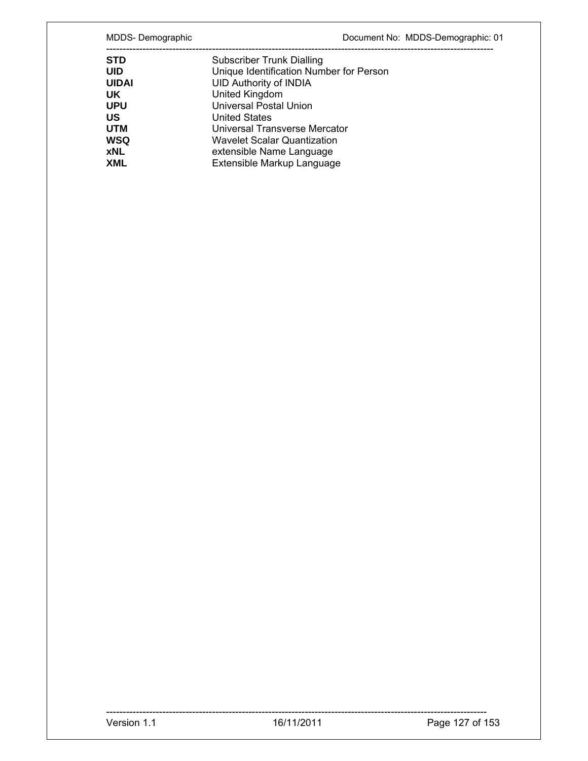MDDS- Demographic **MDDS-Demographic** Document No: MDDS-Demographic: 01

| <b>STD</b>   | <b>Subscriber Trunk Dialling</b>        |
|--------------|-----------------------------------------|
| <b>UID</b>   | Unique Identification Number for Person |
| <b>UIDAI</b> | <b>UID Authority of INDIA</b>           |
| UK           | United Kingdom                          |
| <b>UPU</b>   | <b>Universal Postal Union</b>           |
| US           | <b>United States</b>                    |
| <b>UTM</b>   | Universal Transverse Mercator           |
| WSQ          | Wavelet Scalar Quantization             |
| <b>xNL</b>   | extensible Name Language                |
| <b>XML</b>   | Extensible Markup Language              |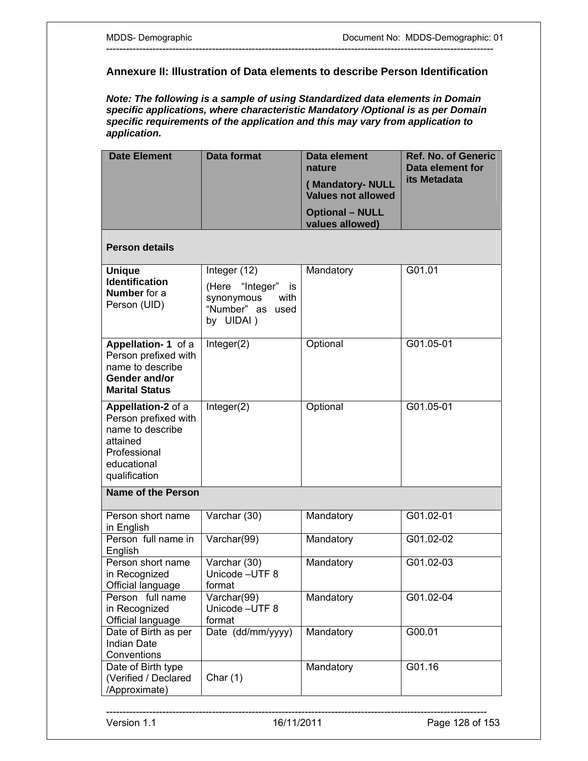### **Annexure II: Illustration of Data elements to describe Person Identification**

---------------------------------------------------------------------------------------------------------------------

*Note: The following is a sample of using Standardized data elements in Domain specific applications, where characteristic Mandatory /Optional is as per Domain specific requirements of the application and this may vary from application to application.* 

| <b>Date Element</b>                                                                                                        | <b>Data format</b>                                                           | Data element<br>nature                       | <b>Ref. No. of Generic</b><br>Data element for |
|----------------------------------------------------------------------------------------------------------------------------|------------------------------------------------------------------------------|----------------------------------------------|------------------------------------------------|
|                                                                                                                            |                                                                              | (Mandatory-NULL<br><b>Values not allowed</b> | its Metadata                                   |
|                                                                                                                            |                                                                              | <b>Optional - NULL</b><br>values allowed)    |                                                |
| <b>Person details</b>                                                                                                      |                                                                              |                                              |                                                |
| <b>Unique</b>                                                                                                              | Integer (12)                                                                 | Mandatory                                    | G01.01                                         |
| <b>Identification</b><br><b>Number</b> for a<br>Person (UID)                                                               | (Here "Integer"<br>is<br>synonymous<br>with<br>"Number" as used<br>by UIDAI) |                                              |                                                |
| Appellation-1 of a<br>Person prefixed with<br>name to describe<br>Gender and/or<br><b>Marital Status</b>                   | Integer(2)                                                                   | Optional                                     | G01.05-01                                      |
| Appellation-2 of a<br>Person prefixed with<br>name to describe<br>attained<br>Professional<br>educational<br>qualification | Integer(2)                                                                   | Optional                                     | G01.05-01                                      |
| <b>Name of the Person</b>                                                                                                  |                                                                              |                                              |                                                |
| Person short name<br>in English                                                                                            | Varchar (30)                                                                 | Mandatory                                    | G01.02-01                                      |
| Person full name in<br>English                                                                                             | Varchar(99)                                                                  | Mandatory                                    | G01.02-02                                      |
| Person short name<br>in Recognized<br>Official language                                                                    | Varchar (30)<br>Unicode-UTF 8<br>format                                      | Mandatory                                    | G01.02-03                                      |
| Person full name<br>in Recognized<br>Official language                                                                     | Varchar(99)<br>Unicode - UTF 8<br>format                                     | Mandatory                                    | G01.02-04                                      |
| Date of Birth as per<br><b>Indian Date</b><br>Conventions                                                                  | Date (dd/mm/yyyy)                                                            | Mandatory                                    | G00.01                                         |
| Date of Birth type<br>(Verified / Declared<br>/Approximate)                                                                | Char $(1)$                                                                   | Mandatory                                    | G01.16                                         |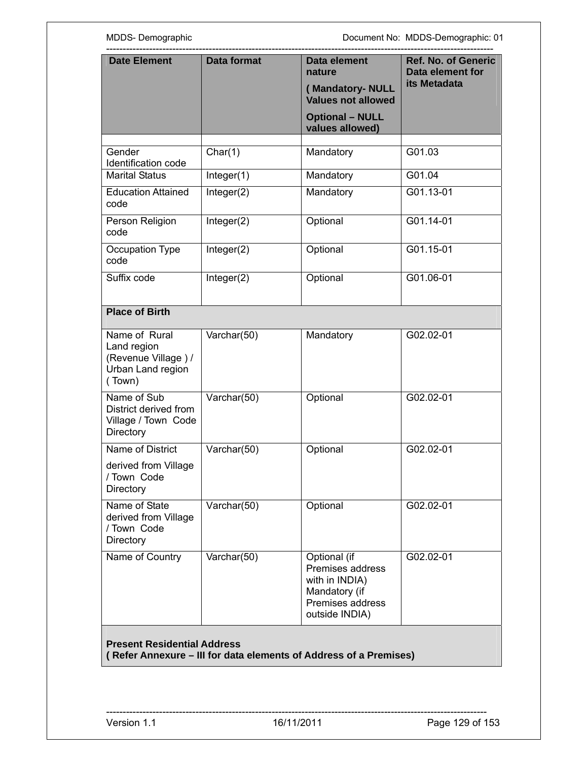MDDS- Demographic **MDDS-Demographic**: 01

| <b>Date Element</b>                                                                | <b>Data format</b>               | Data element<br>nature<br>(Mandatory-NULL<br><b>Values not allowed</b><br><b>Optional - NULL</b><br>values allowed) | <b>Ref. No. of Generic</b><br>Data element for<br>its Metadata |
|------------------------------------------------------------------------------------|----------------------------------|---------------------------------------------------------------------------------------------------------------------|----------------------------------------------------------------|
|                                                                                    |                                  |                                                                                                                     |                                                                |
| Gender<br>Identification code                                                      | Char(1)                          | Mandatory                                                                                                           | G01.03                                                         |
| <b>Marital Status</b>                                                              | Integer(1)                       | Mandatory                                                                                                           | G01.04                                                         |
| <b>Education Attained</b><br>code                                                  | Integer(2)                       | Mandatory                                                                                                           | G01.13-01                                                      |
| Person Religion<br>code                                                            | Integer(2)                       | Optional                                                                                                            | G01.14-01                                                      |
| Occupation Type<br>code                                                            | Integer(2)                       | Optional                                                                                                            | G01.15-01                                                      |
| Suffix code                                                                        | Integer(2)                       | Optional                                                                                                            | G01.06-01                                                      |
| <b>Place of Birth</b>                                                              |                                  |                                                                                                                     |                                                                |
| Name of Rural<br>Land region<br>(Revenue Village) /<br>Urban Land region<br>(Town) | $\overline{\text{V}}$ archar(50) | Mandatory                                                                                                           | G02.02-01                                                      |
| Name of Sub<br>District derived from<br>Village / Town Code<br><b>Directory</b>    | Varchar(50)                      | Optional                                                                                                            | G02.02-01                                                      |
| Name of District<br>derived from Village<br>/ Town Code<br>Directory               | Varchar(50)                      | Optional                                                                                                            | G02.02-01                                                      |
| Name of State<br>derived from Village<br>/ Town Code<br>Directory                  | Varchar(50)                      | Optional                                                                                                            | G02.02-01                                                      |
| Name of Country                                                                    | Varchar(50)                      | Optional (if<br>Premises address<br>with in INDIA)<br>Mandatory (if<br>Premises address<br>outside INDIA)           | G02.02-01                                                      |
| <b>Present Residential Address</b>                                                 |                                  | (Refer Annexure - III for data elements of Address of a Premises)                                                   |                                                                |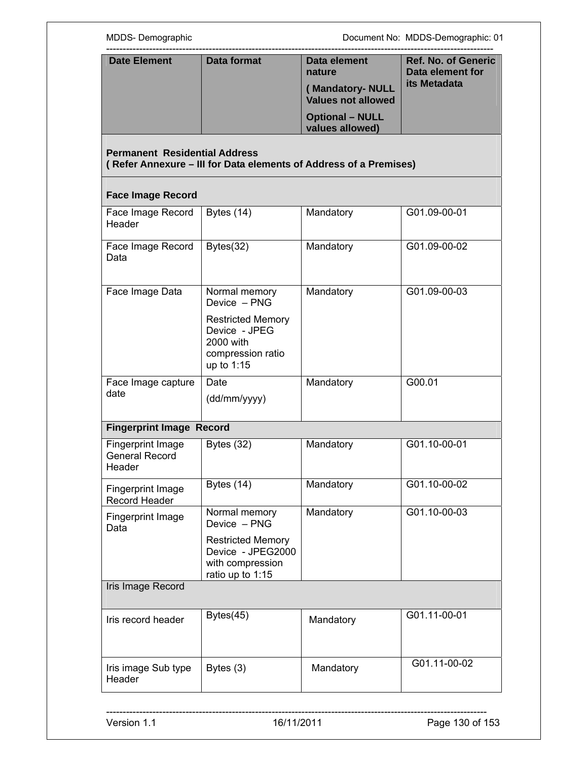| <b>Date Element</b>                                         | <b>Data format</b>                                                                        | Data element<br>nature                       | <b>Ref. No. of Generic</b><br>Data element for<br>its Metadata |
|-------------------------------------------------------------|-------------------------------------------------------------------------------------------|----------------------------------------------|----------------------------------------------------------------|
|                                                             |                                                                                           | (Mandatory-NULL<br><b>Values not allowed</b> |                                                                |
|                                                             |                                                                                           | <b>Optional - NULL</b><br>values allowed)    |                                                                |
| <b>Permanent Residential Address</b>                        | (Refer Annexure - III for Data elements of Address of a Premises)                         |                                              |                                                                |
| <b>Face Image Record</b>                                    |                                                                                           |                                              |                                                                |
| Face Image Record<br>Header                                 | Bytes $(14)$                                                                              | Mandatory                                    | G01.09-00-01                                                   |
| Face Image Record<br>Data                                   | Bytes(32)                                                                                 | Mandatory                                    | G01.09-00-02                                                   |
| Face Image Data                                             | Normal memory<br>Device - PNG                                                             | Mandatory                                    | G01.09-00-03                                                   |
|                                                             | <b>Restricted Memory</b><br>Device - JPEG<br>2000 with<br>compression ratio<br>up to 1:15 |                                              |                                                                |
| Face Image capture<br>date                                  | Date<br>(dd/mm/yyyy)                                                                      | Mandatory                                    | G00.01                                                         |
| <b>Fingerprint Image Record</b>                             |                                                                                           |                                              |                                                                |
| <b>Fingerprint Image</b><br><b>General Record</b><br>Header | Bytes $(32)$                                                                              | Mandatory                                    | G01.10-00-01                                                   |
| Fingerprint Image<br>Record Header                          | Bytes (14)                                                                                | Mandatory                                    | G01.10-00-02                                                   |
| Fingerprint Image<br>Data                                   | Normal memory<br>Device - PNG                                                             | Mandatory                                    | G01.10-00-03                                                   |
|                                                             | <b>Restricted Memory</b><br>Device - JPEG2000<br>with compression<br>ratio up to 1:15     |                                              |                                                                |
| Iris Image Record                                           |                                                                                           |                                              |                                                                |
| Iris record header                                          | Bytes(45)                                                                                 | Mandatory                                    | G01.11-00-01                                                   |
| Iris image Sub type<br>Header                               | Bytes (3)                                                                                 | Mandatory                                    | G01.11-00-02                                                   |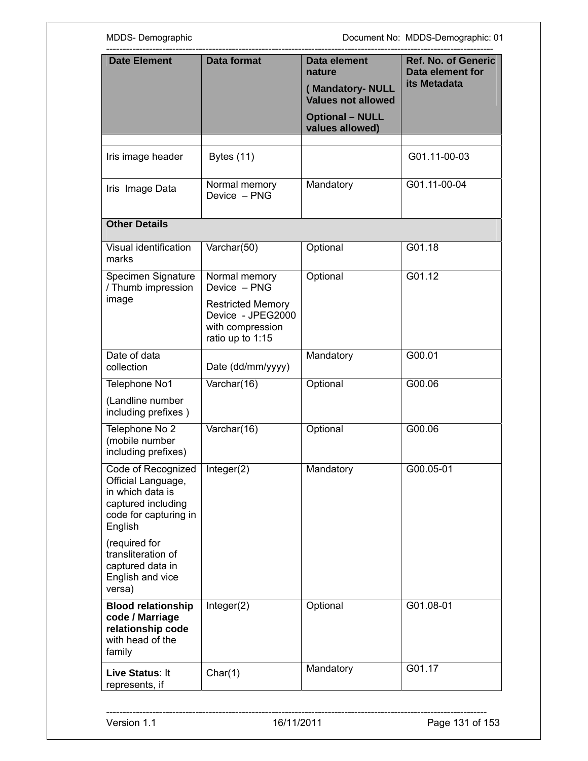MDDS- Demographic MDDS-Demographic: 01

| <b>Date Element</b>                                                                                                    | <b>Data format</b>                                                                                                     | Data element<br>nature<br>(Mandatory-NULL<br><b>Values not allowed</b><br><b>Optional - NULL</b><br>values allowed) | <b>Ref. No. of Generic</b><br>Data element for<br>its Metadata |
|------------------------------------------------------------------------------------------------------------------------|------------------------------------------------------------------------------------------------------------------------|---------------------------------------------------------------------------------------------------------------------|----------------------------------------------------------------|
|                                                                                                                        |                                                                                                                        |                                                                                                                     |                                                                |
| Iris image header                                                                                                      | <b>Bytes (11)</b>                                                                                                      |                                                                                                                     | G01.11-00-03                                                   |
| Iris Image Data                                                                                                        | Normal memory<br>Device - PNG                                                                                          | Mandatory                                                                                                           | G01.11-00-04                                                   |
| <b>Other Details</b>                                                                                                   |                                                                                                                        |                                                                                                                     |                                                                |
| Visual identification<br>marks                                                                                         | Varchar(50)                                                                                                            | Optional                                                                                                            | G01.18                                                         |
| Specimen Signature<br>/ Thumb impression<br>image                                                                      | Normal memory<br>Device - PNG<br><b>Restricted Memory</b><br>Device - JPEG2000<br>with compression<br>ratio up to 1:15 | Optional                                                                                                            | G01.12                                                         |
| Date of data<br>collection                                                                                             | Date (dd/mm/yyyy)                                                                                                      | Mandatory                                                                                                           | G00.01                                                         |
| Telephone No1                                                                                                          | Varchar(16)                                                                                                            | Optional                                                                                                            | G00.06                                                         |
| (Landline number<br>including prefixes)                                                                                |                                                                                                                        |                                                                                                                     |                                                                |
| Telephone No 2<br>(mobile number<br>including prefixes)                                                                | Varchar(16)                                                                                                            | Optional                                                                                                            | G00.06                                                         |
| Code of Recognized<br>Official Language,<br>in which data is<br>captured including<br>code for capturing in<br>English | Integer(2)                                                                                                             | Mandatory                                                                                                           | G00.05-01                                                      |
| (required for<br>transliteration of<br>captured data in<br>English and vice<br>versa)                                  |                                                                                                                        |                                                                                                                     |                                                                |
| <b>Blood relationship</b><br>code / Marriage<br>relationship code<br>with head of the<br>family                        | Integer(2)                                                                                                             | Optional                                                                                                            | G01.08-01                                                      |
| Live Status: It<br>represents, if                                                                                      | Char(1)                                                                                                                | Mandatory                                                                                                           | G01.17                                                         |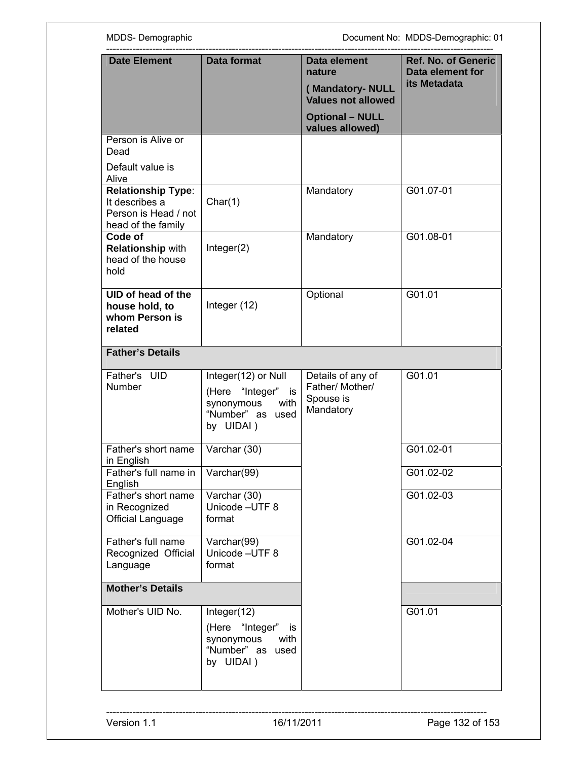| <b>Date Element</b><br><b>Data format</b>                                                 |                                                                                                  | <b>Ref. No. of Generic</b><br>Data element                     |                                  |
|-------------------------------------------------------------------------------------------|--------------------------------------------------------------------------------------------------|----------------------------------------------------------------|----------------------------------|
|                                                                                           |                                                                                                  | nature                                                         | Data element for<br>its Metadata |
|                                                                                           |                                                                                                  | (Mandatory-NULL<br><b>Values not allowed</b>                   |                                  |
|                                                                                           |                                                                                                  | <b>Optional - NULL</b><br>values allowed)                      |                                  |
| Person is Alive or<br>Dead                                                                |                                                                                                  |                                                                |                                  |
| Default value is<br>Alive                                                                 |                                                                                                  |                                                                |                                  |
| <b>Relationship Type:</b><br>It describes a<br>Person is Head / not<br>head of the family | Char(1)                                                                                          | Mandatory                                                      | G01.07-01                        |
| Code of<br><b>Relationship with</b><br>head of the house<br>hold                          | Integer(2)                                                                                       | Mandatory                                                      | G01.08-01                        |
| UID of head of the<br>house hold, to<br>whom Person is<br>related                         | Integer (12)                                                                                     | Optional                                                       | G01.01                           |
| <b>Father's Details</b>                                                                   |                                                                                                  |                                                                |                                  |
| Father's UID<br>Number                                                                    | Integer(12) or Null<br>(Here "Integer" is<br>synonymous<br>with<br>"Number" as used<br>by UIDAI) | Details of any of<br>Father/ Mother/<br>Spouse is<br>Mandatory | G01.01                           |
| Father's short name<br>in English                                                         | Varchar (30)                                                                                     |                                                                | G01.02-01                        |
| Father's full name in<br>English                                                          | Varchar(99)                                                                                      |                                                                | G01.02-02                        |
| Father's short name<br>in Recognized<br>Official Language                                 | Varchar (30)<br>Unicode - UTF 8<br>format                                                        |                                                                | G01.02-03                        |
| Father's full name<br>Recognized Official<br>Language                                     | Varchar(99)<br>Unicode - UTF 8<br>format                                                         |                                                                | G01.02-04                        |
| <b>Mother's Details</b>                                                                   |                                                                                                  |                                                                |                                  |
| Mother's UID No.                                                                          | Integer(12)                                                                                      |                                                                | G01.01                           |
|                                                                                           | (Here "Integer" is<br>synonymous<br>with<br>"Number" as used<br>by UIDAI)                        |                                                                |                                  |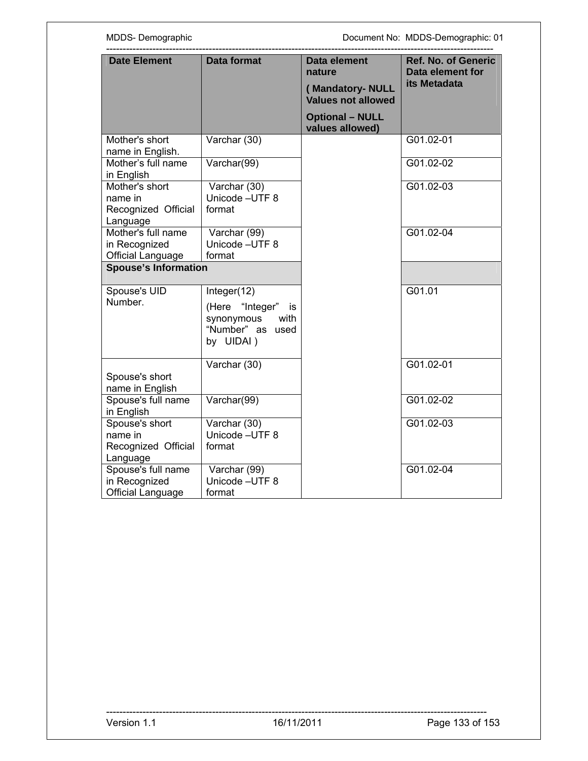| <b>Date Element</b>                                             | <b>Data format</b>                                                                       | <b>Data element</b>                          | <b>Ref. No. of Generic</b> |
|-----------------------------------------------------------------|------------------------------------------------------------------------------------------|----------------------------------------------|----------------------------|
|                                                                 |                                                                                          | nature                                       | Data element for           |
|                                                                 |                                                                                          | (Mandatory-NULL<br><b>Values not allowed</b> | its Metadata               |
|                                                                 |                                                                                          | <b>Optional - NULL</b><br>values allowed)    |                            |
| Mother's short<br>name in English.                              | Varchar (30)                                                                             |                                              | G01.02-01                  |
| Mother's full name<br>in English                                | Varchar(99)                                                                              |                                              | G01.02-02                  |
| Mother's short<br>name in<br>Recognized Official<br>Language    | Varchar (30)<br>Unicode - UTF 8<br>format                                                |                                              | G01.02-03                  |
| Mother's full name<br>in Recognized<br><b>Official Language</b> | Varchar (99)<br>Unicode - UTF 8<br>format                                                |                                              | G01.02-04                  |
| <b>Spouse's Information</b>                                     |                                                                                          |                                              |                            |
| Spouse's UID<br>Number.                                         | Integer(12)<br>(Here "Integer" is<br>synonymous<br>with<br>"Number" as used<br>by UIDAI) |                                              | G01.01                     |
| Spouse's short<br>name in English                               | Varchar (30)                                                                             |                                              | G01.02-01                  |
| Spouse's full name<br>in English                                | Varchar(99)                                                                              |                                              | G01.02-02                  |
| Spouse's short<br>name in                                       | Varchar (30)<br>Unicode - UTF 8<br>format                                                |                                              | G01.02-03                  |
| Recognized Official<br>Language<br>Spouse's full name           |                                                                                          |                                              | G01.02-04                  |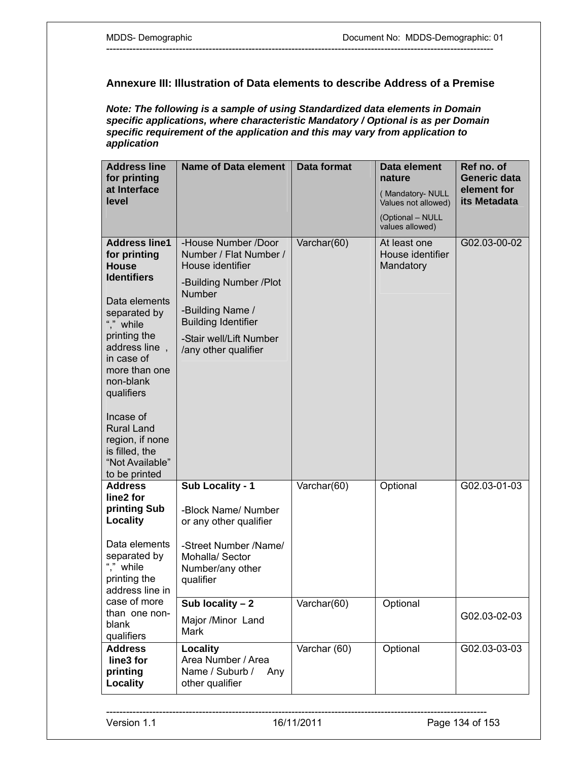### **Annexure III: Illustration of Data elements to describe Address of a Premise**

---------------------------------------------------------------------------------------------------------------------

*Note: The following is a sample of using Standardized data elements in Domain specific applications, where characteristic Mandatory / Optional is as per Domain specific requirement of the application and this may vary from application to application* 

| <b>Address line</b><br>for printing<br>at Interface<br>level                                                                                                                                                                                                                                                                   | <b>Name of Data element</b>                                                                                                                                                                                       | Data format                     | Data element<br>nature<br>(Mandatory-NULL<br>Values not allowed)<br>(Optional - NULL<br>values allowed) | Ref no. of<br><b>Generic data</b><br>element for<br>its Metadata |
|--------------------------------------------------------------------------------------------------------------------------------------------------------------------------------------------------------------------------------------------------------------------------------------------------------------------------------|-------------------------------------------------------------------------------------------------------------------------------------------------------------------------------------------------------------------|---------------------------------|---------------------------------------------------------------------------------------------------------|------------------------------------------------------------------|
| <b>Address line1</b><br>for printing<br><b>House</b><br><b>Identifiers</b><br>Data elements<br>separated by<br>"," while<br>printing the<br>address line,<br>in case of<br>more than one<br>non-blank<br>qualifiers<br>Incase of<br><b>Rural Land</b><br>region, if none<br>is filled, the<br>"Not Available"<br>to be printed | -House Number /Door<br>Number / Flat Number /<br>House identifier<br>-Building Number /Plot<br><b>Number</b><br>-Building Name /<br><b>Building Identifier</b><br>-Stair well/Lift Number<br>/any other qualifier | $\overline{\text{V}archar}(60)$ | At least one<br>House identifier<br>Mandatory                                                           | G02.03-00-02                                                     |
| <b>Address</b><br>line2 for<br>printing Sub<br>Locality<br>Data elements<br>separated by<br>"." while<br>printing the<br>address line in<br>case of more                                                                                                                                                                       | Sub Locality - 1<br>-Block Name/ Number<br>or any other qualifier<br>-Street Number /Name/<br>Mohalla/ Sector<br>Number/any other<br>qualifier<br>Sub locality $-2$                                               | Varchar(60)<br>Varchar(60)      | Optional<br>Optional                                                                                    | G02.03-01-03                                                     |
| than one non-<br>blank<br>qualifiers<br><b>Address</b><br>line3 for<br>printing<br>Locality                                                                                                                                                                                                                                    | Major /Minor Land<br>Mark<br><b>Locality</b><br>Area Number / Area<br>Name / Suburb /<br>Any<br>other qualifier                                                                                                   | Varchar (60)                    | Optional                                                                                                | G02.03-02-03<br>G02.03-03-03                                     |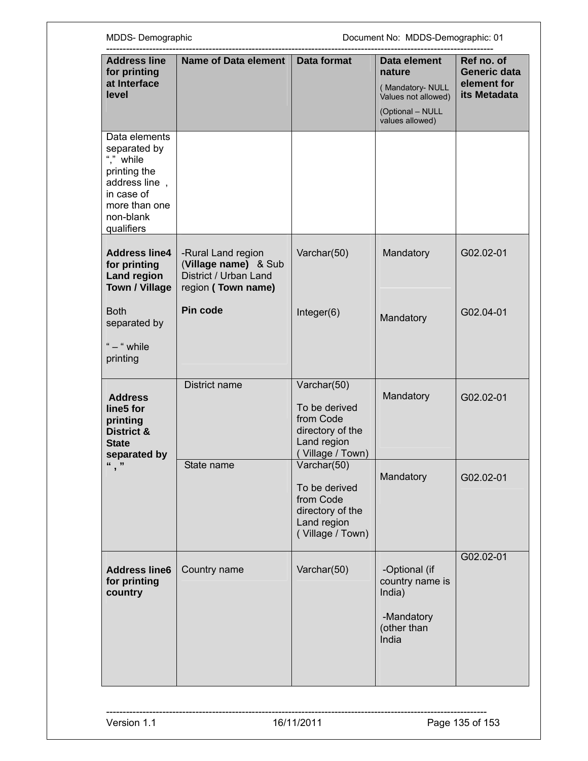| MDDS-Demographic                                                                                                                      |                                                                                           | Document No: MDDS-Demographic: 01                                                                |                                                                                                          |                                                                  |
|---------------------------------------------------------------------------------------------------------------------------------------|-------------------------------------------------------------------------------------------|--------------------------------------------------------------------------------------------------|----------------------------------------------------------------------------------------------------------|------------------------------------------------------------------|
| <b>Address line</b><br>for printing<br>at Interface<br>level                                                                          | <b>Name of Data element</b>                                                               | Data format                                                                                      | Data element<br>nature<br>(Mandatory- NULL<br>Values not allowed)<br>(Optional - NULL<br>values allowed) | Ref no. of<br><b>Generic data</b><br>element for<br>its Metadata |
| Data elements<br>separated by<br>"." while<br>printing the<br>address line,<br>in case of<br>more than one<br>non-blank<br>qualifiers |                                                                                           |                                                                                                  |                                                                                                          |                                                                  |
| <b>Address line4</b><br>for printing<br><b>Land region</b><br><b>Town / Village</b>                                                   | -Rural Land region<br>(Village name) & Sub<br>District / Urban Land<br>region (Town name) | Varchar(50)                                                                                      | Mandatory                                                                                                | G02.02-01                                                        |
| <b>Both</b><br>separated by<br>" - " while<br>printing                                                                                | Pin code                                                                                  | Integer(6)                                                                                       | Mandatory                                                                                                | G02.04-01                                                        |
| <b>Address</b><br>line5 for<br>printing<br><b>District &amp;</b><br><b>State</b><br>separated by                                      | District name                                                                             | Varchar(50)<br>To be derived<br>from Code<br>directory of the<br>Land region<br>Village / Town)  | Mandatory                                                                                                | G02.02-01                                                        |
| ","                                                                                                                                   | State name                                                                                | Varchar(50)<br>To be derived<br>from Code<br>directory of the<br>Land region<br>(Village / Town) | Mandatory                                                                                                | G02.02-01                                                        |
| <b>Address line6</b><br>for printing<br>country                                                                                       | Country name                                                                              | Varchar(50)                                                                                      | -Optional (if<br>country name is<br>India)<br>-Mandatory<br>(other than<br>India                         | G02.02-01                                                        |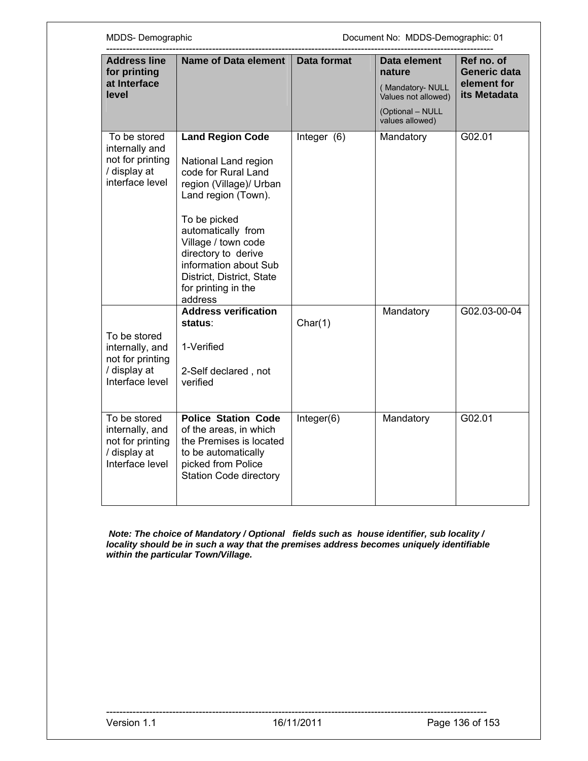| MDDS-Demographic                                                                       |                                                                                                                                                                                                                                                                                                      |               | Document No: MDDS-Demographic: 01                                                                       |                                                           |
|----------------------------------------------------------------------------------------|------------------------------------------------------------------------------------------------------------------------------------------------------------------------------------------------------------------------------------------------------------------------------------------------------|---------------|---------------------------------------------------------------------------------------------------------|-----------------------------------------------------------|
| <b>Address line</b><br>for printing<br>at Interface<br>level                           | Name of Data element                                                                                                                                                                                                                                                                                 | Data format   | Data element<br>nature<br>(Mandatory-NULL<br>Values not allowed)<br>(Optional - NULL<br>values allowed) | Ref no. of<br>Generic data<br>element for<br>its Metadata |
| To be stored<br>internally and<br>not for printing<br>/ display at<br>interface level  | <b>Land Region Code</b><br>National Land region<br>code for Rural Land<br>region (Village)/ Urban<br>Land region (Town).<br>To be picked<br>automatically from<br>Village / town code<br>directory to derive<br>information about Sub<br>District, District, State<br>for printing in the<br>address | Integer $(6)$ | Mandatory                                                                                               | G02.01                                                    |
| To be stored<br>internally, and<br>not for printing<br>/ display at<br>Interface level | <b>Address verification</b><br>status:<br>1-Verified<br>2-Self declared, not<br>verified                                                                                                                                                                                                             | Char(1)       | Mandatory                                                                                               | G02.03-00-04                                              |
| To be stored<br>internally, and<br>not for printing<br>/ display at<br>Interface level | <b>Police Station Code</b><br>of the areas, in which<br>the Premises is located<br>to be automatically<br>picked from Police<br><b>Station Code directory</b>                                                                                                                                        | Integer(6)    | Mandatory                                                                                               | G02.01                                                    |

 *Note: The choice of Mandatory / Optional fields such as house identifier, sub locality / locality should be in such a way that the premises address becomes uniquely identifiable within the particular Town/Village.*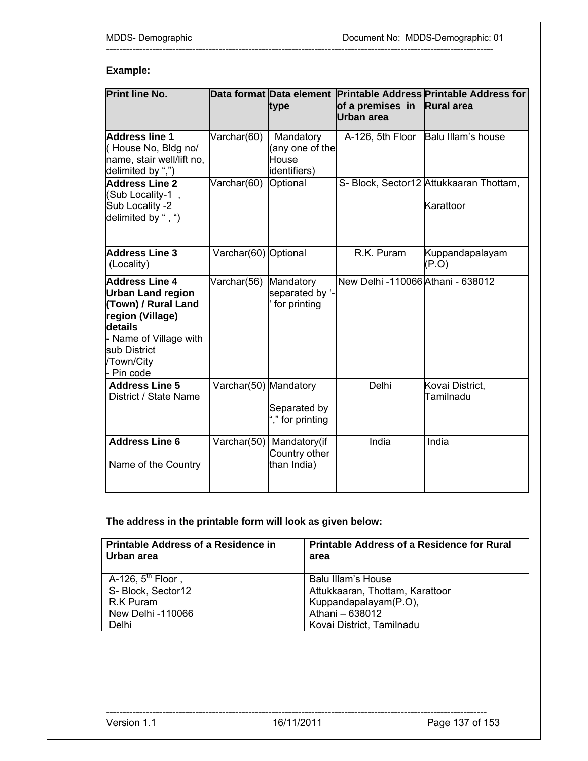### **Example:**

| <b>Print line No.</b>                                                                                                                                                         |                       | type                                                     | of a premises in Rural area<br>Urban area | Data format Data element Printable Address Printable Address for |
|-------------------------------------------------------------------------------------------------------------------------------------------------------------------------------|-----------------------|----------------------------------------------------------|-------------------------------------------|------------------------------------------------------------------|
| Address line 1<br>(House No, Bldg no/<br>name, stair well/lift no,<br>delimited by ",")                                                                                       | Varchar(60)           | Mandatory<br>(any one of the<br>House<br>identifiers)    |                                           | A-126, 5th Floor Balu Illam's house                              |
| <b>Address Line 2</b><br>(Sub Locality-1,<br>Sub Locality -2<br>delimited by ", ")                                                                                            | $\sqrt{a}$ rchar(60)  | Optional                                                 |                                           | S- Block, Sector12 Attukkaaran Thottam,<br>Karattoor             |
| <b>Address Line 3</b><br>(Locality)                                                                                                                                           | Varchar(60) Optional  |                                                          | R.K. Puram                                | Kuppandapalayam<br>(P.O)                                         |
| <b>Address Line 4</b><br><b>Urban Land region</b><br>(Town) / Rural Land<br>region (Village)<br>details<br>- Name of Village with<br>sub District<br>/Town/City<br>- Pin code | Varchar(56)           | Mandatory<br>separated by '-<br>for printing             | New Delhi -110066 Athani - 638012         |                                                                  |
| <b>Address Line 5</b><br>District / State Name                                                                                                                                | Varchar(50) Mandatory | Separated by<br>"," for printing                         | Delhi                                     | Kovai District,<br>Tamilnadu                                     |
| <b>Address Line 6</b><br>Name of the Country                                                                                                                                  |                       | Varchar(50) Mandatory(if<br>Country other<br>than India) | India                                     | India                                                            |

---------------------------------------------------------------------------------------------------------------------

**The address in the printable form will look as given below:** 

| <b>Printable Address of a Residence in</b><br>Urban area | <b>Printable Address of a Residence for Rural</b><br>area |
|----------------------------------------------------------|-----------------------------------------------------------|
| A-126, $5th$ Floor,                                      | Balu Illam's House                                        |
| S- Block, Sector12                                       | Attukkaaran, Thottam, Karattoor                           |
| R.K Puram                                                | Kuppandapalayam(P.O),                                     |
| New Delhi -110066                                        | Athani - 638012                                           |
| Delhi                                                    | Kovai District, Tamilnadu                                 |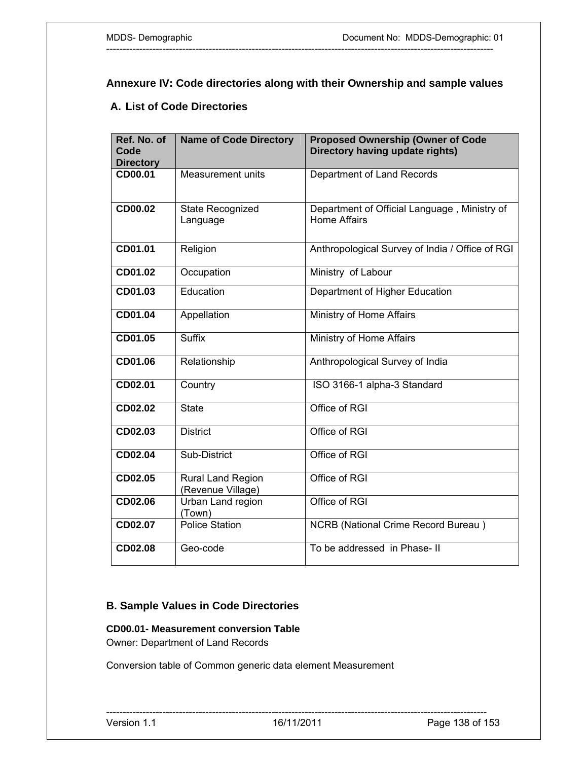# **Annexure IV: Code directories along with their Ownership and sample values**

---------------------------------------------------------------------------------------------------------------------

## **A. List of Code Directories**

| Ref. No. of<br>Code<br><b>Directory</b> | <b>Name of Code Directory</b>          | <b>Proposed Ownership (Owner of Code</b><br>Directory having update rights) |
|-----------------------------------------|----------------------------------------|-----------------------------------------------------------------------------|
| CD00.01                                 | Measurement units                      | Department of Land Records                                                  |
| CD00.02                                 | State Recognized<br>Language           | Department of Official Language, Ministry of<br><b>Home Affairs</b>         |
| CD01.01                                 | Religion                               | Anthropological Survey of India / Office of RGI                             |
| CD01.02                                 | Occupation                             | Ministry of Labour                                                          |
| CD01.03                                 | Education                              | Department of Higher Education                                              |
| CD01.04                                 | Appellation                            | Ministry of Home Affairs                                                    |
| CD01.05                                 | <b>Suffix</b>                          | Ministry of Home Affairs                                                    |
| CD01.06                                 | Relationship                           | Anthropological Survey of India                                             |
| CD02.01                                 | Country                                | ISO 3166-1 alpha-3 Standard                                                 |
| CD02.02                                 | <b>State</b>                           | Office of RGI                                                               |
| CD02.03                                 | <b>District</b>                        | Office of RGI                                                               |
| CD02.04                                 | Sub-District                           | Office of RGI                                                               |
| CD02.05                                 | Rural Land Region<br>(Revenue Village) | Office of RGI                                                               |
| CD02.06                                 | Urban Land region<br>(Town)            | Office of RGI                                                               |
| CD02.07                                 | <b>Police Station</b>                  | <b>NCRB</b> (National Crime Record Bureau)                                  |
| CD02.08                                 | Geo-code                               | To be addressed in Phase-II                                                 |

### **B. Sample Values in Code Directories**

# **CD00.01- Measurement conversion Table**

Owner: Department of Land Records

Conversion table of Common generic data element Measurement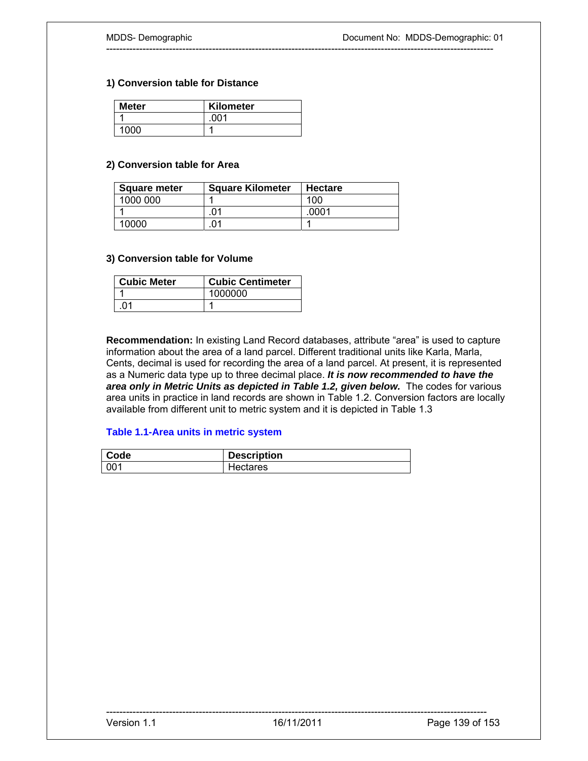#### **1) Conversion table for Distance**

| <b>Meter</b> | Kilometer |
|--------------|-----------|
|              | .001      |
| 1000         |           |

#### **2) Conversion table for Area**

| <b>Square meter</b> | <b>Square Kilometer</b> | <b>Hectare</b> |
|---------------------|-------------------------|----------------|
| 1000 000            |                         | 100            |
|                     | 01                      | nnn?           |
| 10000               | 01                      |                |

#### **3) Conversion table for Volume**

| <b>Cubic Meter</b> | <b>Cubic Centimeter</b> |
|--------------------|-------------------------|
|                    | 1000000                 |
|                    |                         |

**Recommendation:** In existing Land Record databases, attribute "area" is used to capture information about the area of a land parcel. Different traditional units like Karla, Marla, Cents, decimal is used for recording the area of a land parcel. At present, it is represented as a Numeric data type up to three decimal place. *It is now recommended to have the*  area only in Metric Units as depicted in Table 1.2, given below. The codes for various area units in practice in land records are shown in Table 1.2. Conversion factors are locally available from different unit to metric system and it is depicted in Table 1.3

---------------------------------------------------------------------------------------------------------------------

#### **Table 1.1-Area units in metric system**

| Code | <b>Description</b> |
|------|--------------------|
| 001  | Hectares           |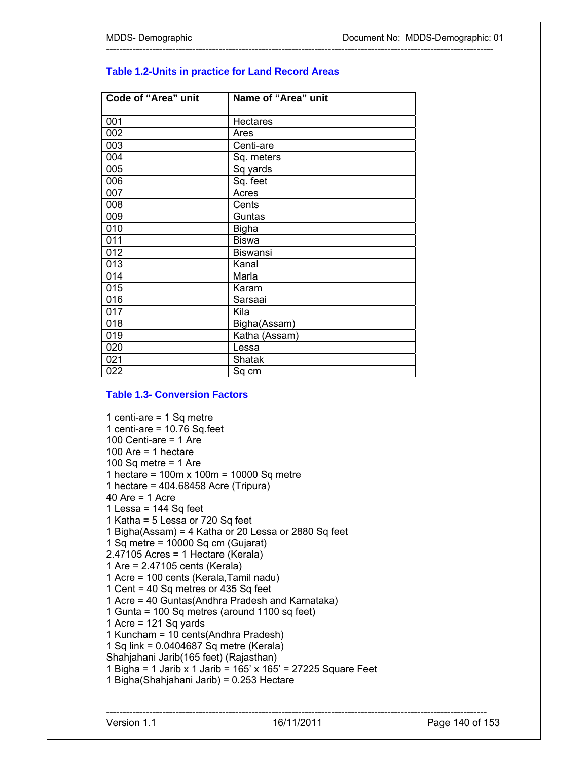| Code of "Area" unit | Name of "Area" unit |
|---------------------|---------------------|
| 001                 | <b>Hectares</b>     |
| 002                 | Ares                |
| 003                 | Centi-are           |
| 004                 | Sq. meters          |
| 005                 | Sq yards            |
| 006                 | Sq. feet            |
| 007                 | Acres               |
| 008                 | Cents               |
| 009                 | Guntas              |
| 010                 | <b>Bigha</b>        |
| 011                 | <b>Biswa</b>        |
| 012                 | <b>Biswansi</b>     |
| 013                 | Kanal               |
| 014                 | Marla               |
| 015                 | Karam               |
| 016                 | Sarsaai             |
| 017                 | Kila                |
| 018                 | Bigha(Assam)        |
| 019                 | Katha (Assam)       |
| 020                 | Lessa               |
| 021                 | Shatak              |
| 022                 | Sq cm               |

### **Table 1.2-Units in practice for Land Record Areas**

---------------------------------------------------------------------------------------------------------------------

#### **Table 1.3- Conversion Factors**

1 centi-are = 1 Sq metre 1 centi-are =  $10.76$  Sq.feet 100 Centi-are = 1 Are 100 Are  $=$  1 hectare 100 Sq metre  $=$  1 Are 1 hectare = 100m x 100m = 10000 Sq metre 1 hectare = 404.68458 Acre (Tripura) 40 Are = 1 Acre 1 Lessa = 144 Sq feet 1 Katha = 5 Lessa or 720 Sq feet 1 Bigha(Assam) = 4 Katha or 20 Lessa or 2880 Sq feet 1 Sq metre = 10000 Sq cm (Gujarat) 2.47105 Acres = 1 Hectare (Kerala) 1 Are = 2.47105 cents (Kerala) 1 Acre = 100 cents (Kerala,Tamil nadu) 1 Cent = 40 Sq metres or 435 Sq feet 1 Acre = 40 Guntas(Andhra Pradesh and Karnataka) 1 Gunta = 100 Sq metres (around 1100 sq feet) 1 Acre = 121 Sq yards 1 Kuncham = 10 cents(Andhra Pradesh) 1 Sq link = 0.0404687 Sq metre (Kerala) Shahjahani Jarib(165 feet) (Rajasthan) 1 Bigha = 1 Jarib x 1 Jarib = 165' x 165' = 27225 Square Feet 1 Bigha(Shahjahani Jarib) = 0.253 Hectare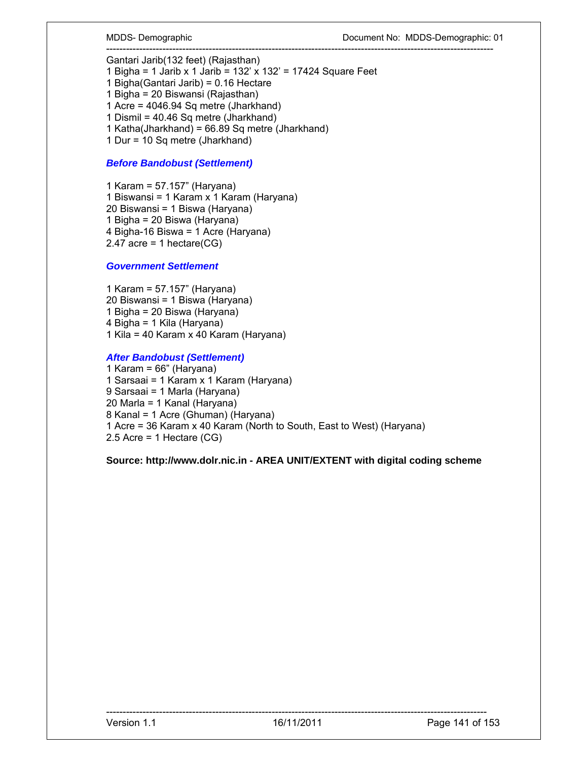--------------------------------------------------------------------------------------------------------------------- Gantari Jarib(132 feet) (Rajasthan)

1 Bigha = 1 Jarib x 1 Jarib = 132' x 132' = 17424 Square Feet 1 Bigha(Gantari Jarib) = 0.16 Hectare 1 Bigha = 20 Biswansi (Rajasthan)

1 Acre = 4046.94 Sq metre (Jharkhand) 1 Dismil = 40.46 Sq metre (Jharkhand)

1 Katha(Jharkhand) = 66.89 Sq metre (Jharkhand)

1 Dur = 10 Sq metre (Jharkhand)

#### *Before Bandobust (Settlement)*

1 Karam = 57.157" (Haryana) 1 Biswansi = 1 Karam x 1 Karam (Haryana) 20 Biswansi = 1 Biswa (Haryana) 1 Bigha = 20 Biswa (Haryana) 4 Bigha-16 Biswa = 1 Acre (Haryana) 2.47 acre = 1 hectare( $CG$ )

#### *Government Settlement*

1 Karam = 57.157" (Haryana) 20 Biswansi = 1 Biswa (Haryana) 1 Bigha = 20 Biswa (Haryana) 4 Bigha = 1 Kila (Haryana) 1 Kila = 40 Karam x 40 Karam (Haryana)

#### *After Bandobust (Settlement)*

1 Karam = 66" (Haryana) 1 Sarsaai = 1 Karam x 1 Karam (Haryana) 9 Sarsaai = 1 Marla (Haryana) 20 Marla = 1 Kanal (Haryana) 8 Kanal = 1 Acre (Ghuman) (Haryana) 1 Acre = 36 Karam x 40 Karam (North to South, East to West) (Haryana) 2.5 Acre = 1 Hectare (CG)

**Source: http://www.dolr.nic.in - AREA UNIT/EXTENT with digital coding scheme**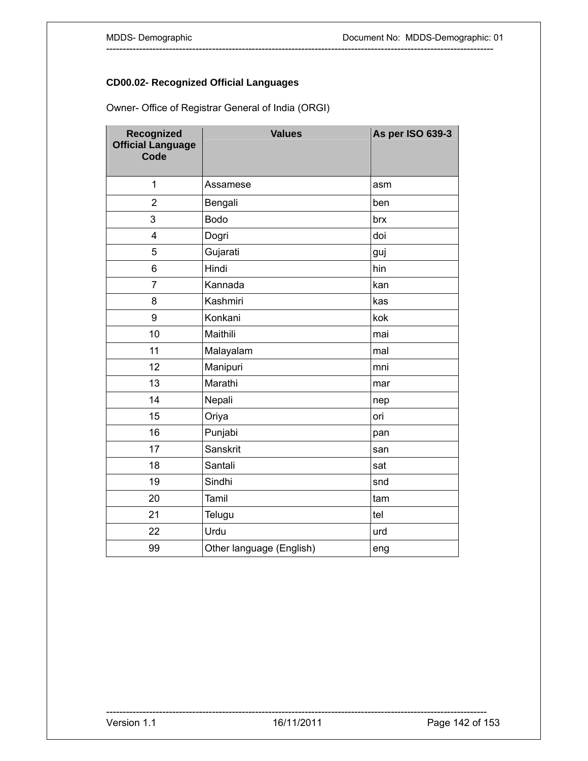# **CD00.02- Recognized Official Languages**

Owner- Office of Registrar General of India (ORGI)

| Recognized<br><b>Official Language</b><br>Code | <b>Values</b>            | As per ISO 639-3 |
|------------------------------------------------|--------------------------|------------------|
| $\overline{1}$                                 | Assamese                 | asm              |
| $\overline{2}$                                 | Bengali                  | ben              |
| 3                                              | <b>Bodo</b>              | brx              |
| $\overline{4}$                                 | Dogri                    | doi              |
| 5                                              | Gujarati                 | guj              |
| 6                                              | Hindi                    | hin              |
| $\overline{7}$                                 | Kannada                  | kan              |
| 8                                              | Kashmiri                 | kas              |
| 9                                              | Konkani                  | kok              |
| 10                                             | Maithili                 | mai              |
| 11                                             | Malayalam                | mal              |
| 12                                             | Manipuri                 | mni              |
| 13                                             | Marathi                  | mar              |
| 14                                             | Nepali                   | nep              |
| 15                                             | Oriya                    | ori              |
| 16                                             | Punjabi                  | pan              |
| 17                                             | Sanskrit                 | san              |
| 18                                             | Santali                  | sat              |
| 19                                             | Sindhi                   | snd              |
| 20                                             | Tamil                    | tam              |
| 21                                             | Telugu                   | tel              |
| 22                                             | Urdu                     | urd              |
| 99                                             | Other language (English) | eng              |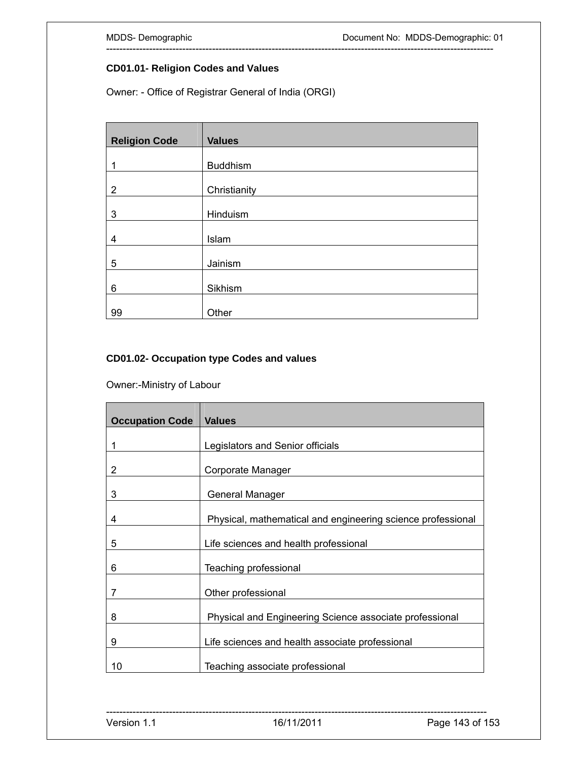#### **CD01.01- Religion Codes and Values**

Owner: - Office of Registrar General of India (ORGI)

| <b>Religion Code</b> | <b>Values</b>   |
|----------------------|-----------------|
|                      |                 |
|                      | <b>Buddhism</b> |
|                      |                 |
| $\overline{2}$       | Christianity    |
|                      |                 |
| 3                    | Hinduism        |
|                      |                 |
| 4                    | Islam           |
|                      |                 |
| 5                    | Jainism         |
|                      |                 |
| 6                    | Sikhism         |
|                      |                 |
| 99                   | Other           |

---------------------------------------------------------------------------------------------------------------------

### **CD01.02- Occupation type Codes and values**

Owner:-Ministry of Labour

| <b>Occupation Code</b> | <b>Values</b>                                               |
|------------------------|-------------------------------------------------------------|
| 1                      | Legislators and Senior officials                            |
| 2                      | Corporate Manager                                           |
| 3                      | General Manager                                             |
| 4                      | Physical, mathematical and engineering science professional |
| 5                      | Life sciences and health professional                       |
| 6                      | Teaching professional                                       |
| 7                      | Other professional                                          |
| 8                      | Physical and Engineering Science associate professional     |
| 9                      | Life sciences and health associate professional             |
| 10                     | Teaching associate professional                             |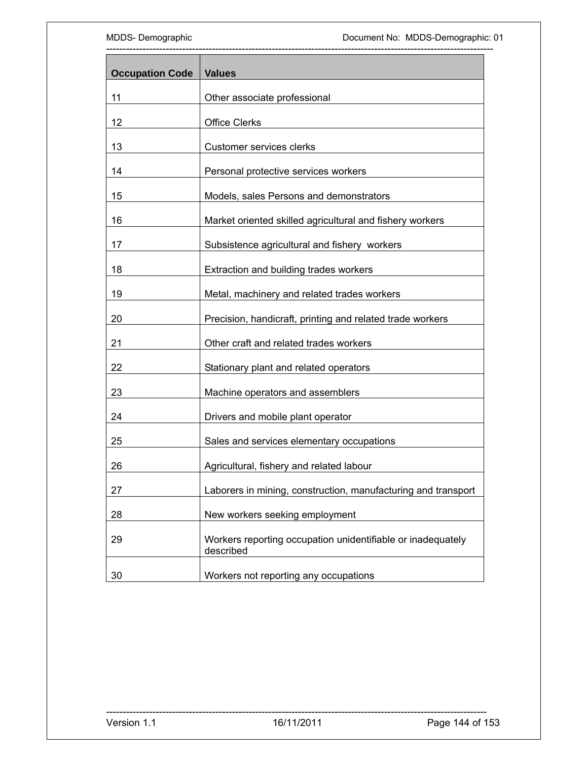| <b>Occupation Code</b> | <b>Values</b>                                                            |  |
|------------------------|--------------------------------------------------------------------------|--|
| 11                     | Other associate professional                                             |  |
| 12                     | <b>Office Clerks</b>                                                     |  |
| 13                     | Customer services clerks                                                 |  |
| 14                     | Personal protective services workers                                     |  |
| 15                     | Models, sales Persons and demonstrators                                  |  |
| 16                     | Market oriented skilled agricultural and fishery workers                 |  |
| 17                     | Subsistence agricultural and fishery workers                             |  |
| 18                     | Extraction and building trades workers                                   |  |
| 19                     | Metal, machinery and related trades workers                              |  |
| 20                     | Precision, handicraft, printing and related trade workers                |  |
| 21                     | Other craft and related trades workers                                   |  |
| 22                     | Stationary plant and related operators                                   |  |
| 23                     | Machine operators and assemblers                                         |  |
| 24                     | Drivers and mobile plant operator                                        |  |
| 25                     | Sales and services elementary occupations                                |  |
| 26                     | Agricultural, fishery and related labour                                 |  |
| 27                     | Laborers in mining, construction, manufacturing and transport            |  |
| 28                     | New workers seeking employment                                           |  |
| 29                     | Workers reporting occupation unidentifiable or inadequately<br>described |  |
| 30                     | Workers not reporting any occupations                                    |  |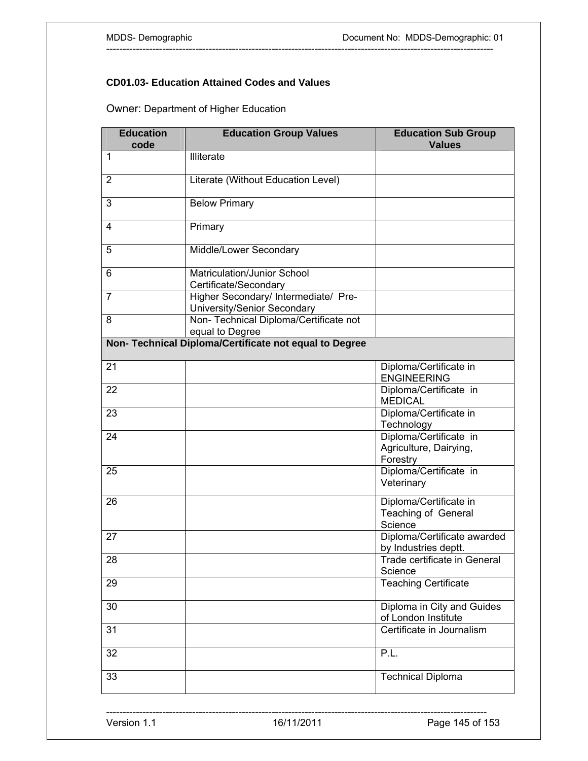### **CD01.03- Education Attained Codes and Values**

Owner: Department of Higher Education

| <b>Education</b><br>code | <b>Education Group Values</b>                                       | <b>Education Sub Group</b><br><b>Values</b>                  |
|--------------------------|---------------------------------------------------------------------|--------------------------------------------------------------|
| $\mathbf{1}$             | Illiterate                                                          |                                                              |
| $\overline{2}$           | Literate (Without Education Level)                                  |                                                              |
| 3                        | <b>Below Primary</b>                                                |                                                              |
| 4                        | Primary                                                             |                                                              |
| 5                        | Middle/Lower Secondary                                              |                                                              |
| 6                        | Matriculation/Junior School<br>Certificate/Secondary                |                                                              |
| $\overline{7}$           | Higher Secondary/ Intermediate/ Pre-<br>University/Senior Secondary |                                                              |
| 8                        | Non- Technical Diploma/Certificate not<br>equal to Degree           |                                                              |
|                          | Non- Technical Diploma/Certificate not equal to Degree              |                                                              |
| 21                       |                                                                     | Diploma/Certificate in<br><b>ENGINEERING</b>                 |
| 22                       |                                                                     | Diploma/Certificate in<br><b>MEDICAL</b>                     |
| 23                       |                                                                     | Diploma/Certificate in<br>Technology                         |
| 24                       |                                                                     | Diploma/Certificate in<br>Agriculture, Dairying,<br>Forestry |
| 25                       |                                                                     | Diploma/Certificate in<br>Veterinary                         |
| 26                       |                                                                     | Diploma/Certificate in<br>Teaching of General<br>Science     |
| 27                       |                                                                     | Diploma/Certificate awarded<br>by Industries deptt.          |
| 28                       |                                                                     | Trade certificate in General<br>Science                      |
| 29                       |                                                                     | <b>Teaching Certificate</b>                                  |
| 30                       |                                                                     | Diploma in City and Guides<br>of London Institute            |
| 31                       |                                                                     | Certificate in Journalism                                    |
| 32                       |                                                                     | P.L.                                                         |
| 33                       |                                                                     | <b>Technical Diploma</b>                                     |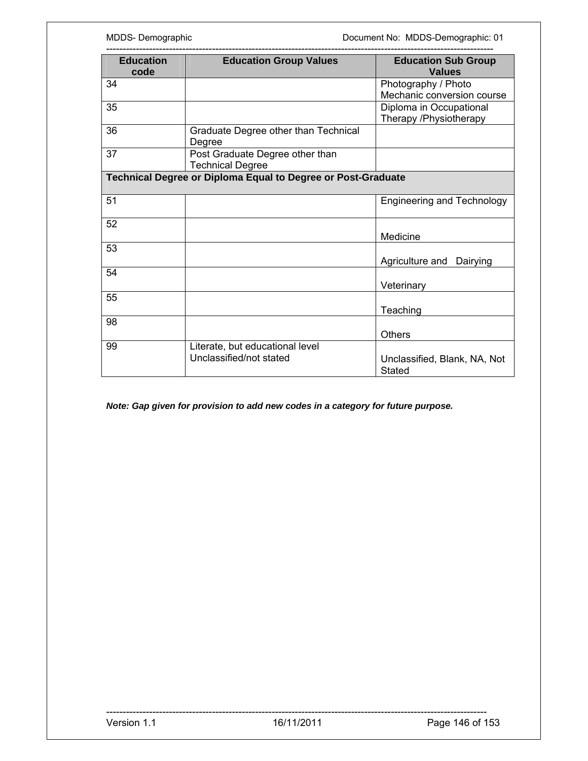| <b>Education</b><br>code | <b>Education Group Values</b>                                | <b>Education Sub Group</b><br><b>Values</b>       |  |
|--------------------------|--------------------------------------------------------------|---------------------------------------------------|--|
| 34                       |                                                              | Photography / Photo<br>Mechanic conversion course |  |
| 35                       |                                                              | Diploma in Occupational<br>Therapy /Physiotherapy |  |
| 36                       | Graduate Degree other than Technical<br>Degree               |                                                   |  |
| 37                       | Post Graduate Degree other than<br><b>Technical Degree</b>   |                                                   |  |
|                          | Technical Degree or Diploma Equal to Degree or Post-Graduate |                                                   |  |
| 51                       |                                                              | <b>Engineering and Technology</b>                 |  |
| 52                       |                                                              |                                                   |  |
|                          |                                                              | Medicine                                          |  |
| 53                       |                                                              |                                                   |  |
| 54                       |                                                              | Agriculture and Dairying                          |  |
| 55                       |                                                              | Veterinary                                        |  |
| 98                       |                                                              | Teaching<br><b>Others</b>                         |  |

*Note: Gap given for provision to add new codes in a category for future purpose.*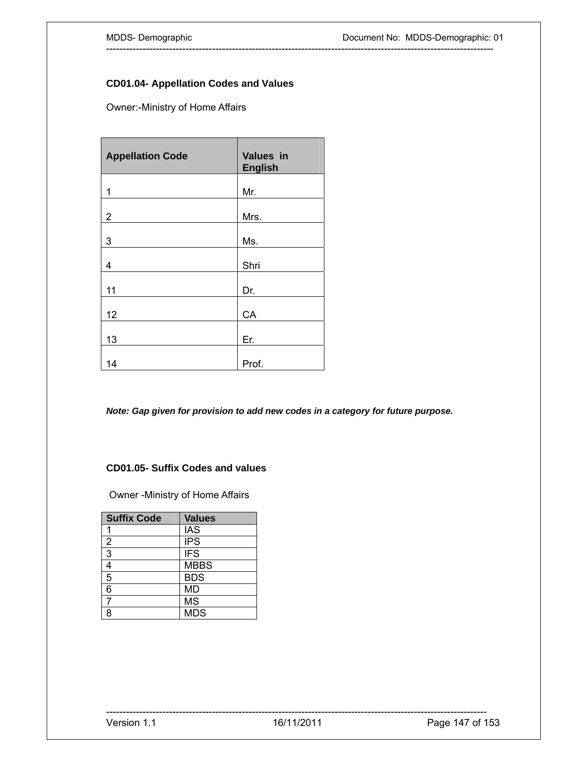#### **CD01.04- Appellation Codes and Values**

Owner:-Ministry of Home Affairs

| <b>Appellation Code</b> | Values in<br><b>English</b> |
|-------------------------|-----------------------------|
| 1                       | Mr.                         |
| $\overline{2}$          | Mrs.                        |
| 3                       | Ms.                         |
| 4                       | Shri                        |
| 11                      | Dr.                         |
| 12                      | CA                          |
| 13                      | Er.                         |
| 14                      | Prof.                       |

*Note: Gap given for provision to add new codes in a category for future purpose.* 

---------------------------------------------------------------------------------------------------------------------

### **CD01.05- Suffix Codes and values**

Owner -Ministry of Home Affairs

| <b>Suffix Code</b> | <b>Values</b> |
|--------------------|---------------|
|                    | <b>IAS</b>    |
| $\frac{2}{3}$      | <b>IPS</b>    |
|                    | <b>IFS</b>    |
| $\frac{4}{5}$      | <b>MBBS</b>   |
|                    | <b>BDS</b>    |
| 6                  | <b>MD</b>     |
| 7                  | <b>MS</b>     |
| 8                  | <b>MDS</b>    |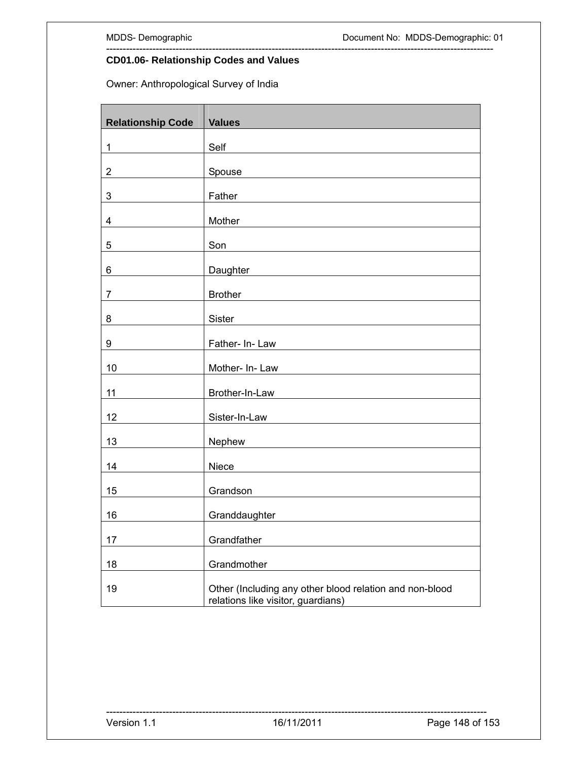## **CD01.06- Relationship Codes and Values**

Owner: Anthropological Survey of India

| <b>Relationship Code</b> | <b>Values</b>                                                                                 |  |
|--------------------------|-----------------------------------------------------------------------------------------------|--|
| 1                        | Self                                                                                          |  |
| $\mathbf 2$              | Spouse                                                                                        |  |
| $\mathbf{3}$             | Father                                                                                        |  |
| $\overline{\mathbf{4}}$  | Mother                                                                                        |  |
| 5                        | Son                                                                                           |  |
|                          |                                                                                               |  |
| 6                        | Daughter                                                                                      |  |
| $\overline{7}$           | <b>Brother</b>                                                                                |  |
| 8                        | Sister                                                                                        |  |
| 9                        | Father- In-Law                                                                                |  |
| 10                       | Mother- In-Law                                                                                |  |
| 11                       | Brother-In-Law                                                                                |  |
| 12                       | Sister-In-Law                                                                                 |  |
| 13                       | Nephew                                                                                        |  |
| 14                       | Niece                                                                                         |  |
| 15                       | Grandson                                                                                      |  |
| 16                       | Granddaughter                                                                                 |  |
| 17                       | Grandfather                                                                                   |  |
| 18                       | Grandmother                                                                                   |  |
| 19                       | Other (Including any other blood relation and non-blood<br>relations like visitor, guardians) |  |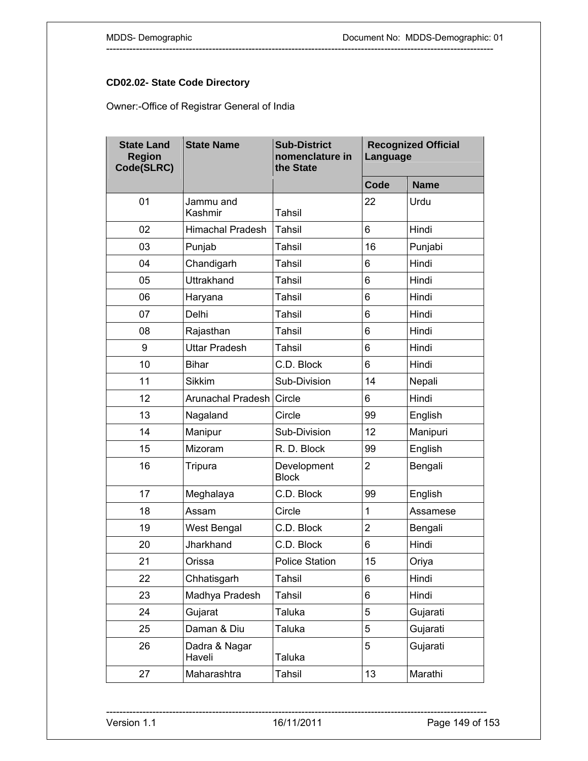## **CD02.02- State Code Directory**

Owner:-Office of Registrar General of India

| <b>State Land</b><br><b>Region</b><br>Code(SLRC) | <b>State Name</b>       | <b>Sub-District</b><br>nomenclature in<br>the State | Language       | <b>Recognized Official</b> |
|--------------------------------------------------|-------------------------|-----------------------------------------------------|----------------|----------------------------|
|                                                  |                         |                                                     | Code           | <b>Name</b>                |
| 01                                               | Jammu and<br>Kashmir    | Tahsil                                              | 22             | Urdu                       |
| 02                                               | <b>Himachal Pradesh</b> | Tahsil                                              | 6              | Hindi                      |
| 03                                               | Punjab                  | <b>Tahsil</b>                                       | 16             | Punjabi                    |
| 04                                               | Chandigarh              | <b>Tahsil</b>                                       | 6              | Hindi                      |
| 05                                               | <b>Uttrakhand</b>       | Tahsil                                              | 6              | Hindi                      |
| 06                                               | Haryana                 | Tahsil                                              | 6              | Hindi                      |
| 07                                               | Delhi                   | Tahsil                                              | 6              | Hindi                      |
| 08                                               | Rajasthan               | <b>Tahsil</b>                                       | 6              | Hindi                      |
| 9                                                | <b>Uttar Pradesh</b>    | Tahsil                                              | 6              | Hindi                      |
| 10                                               | <b>Bihar</b>            | C.D. Block                                          | 6              | Hindi                      |
| 11                                               | <b>Sikkim</b>           | Sub-Division                                        | 14             | Nepali                     |
| 12                                               | Arunachal Pradesh       | Circle                                              | 6              | Hindi                      |
| 13                                               | Nagaland                | Circle                                              | 99             | English                    |
| 14                                               | Manipur                 | Sub-Division                                        | 12             | Manipuri                   |
| 15                                               | Mizoram                 | R. D. Block                                         | 99             | English                    |
| 16                                               | Tripura                 | Development<br><b>Block</b>                         | $\overline{2}$ | Bengali                    |
| 17                                               | Meghalaya               | C.D. Block                                          | 99             | English                    |
| 18                                               | Assam                   | Circle                                              | 1              | Assamese                   |
| 19                                               | West Bengal             | C.D. Block                                          | $\overline{2}$ | Bengali                    |
| 20                                               | Jharkhand               | C.D. Block                                          | 6              | Hindi                      |
| 21                                               | Orissa                  | <b>Police Station</b>                               | 15             | Oriya                      |
| 22                                               | Chhatisgarh             | Tahsil                                              | 6              | Hindi                      |
| 23                                               | Madhya Pradesh          | Tahsil                                              | 6              | Hindi                      |
| 24                                               | Gujarat                 | Taluka                                              | 5              | Gujarati                   |
| 25                                               | Daman & Diu             | Taluka                                              | 5              | Gujarati                   |
| 26                                               | Dadra & Nagar<br>Haveli | Taluka                                              | 5              | Gujarati                   |
| 27                                               | Maharashtra             | <b>Tahsil</b>                                       | 13             | Marathi                    |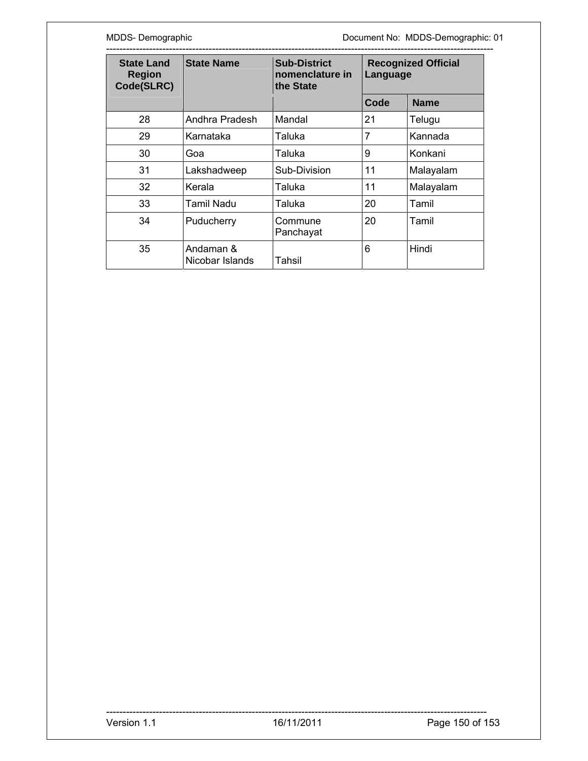MDDS- Demographic **MDDS-Demographic** Document No: MDDS-Demographic: 01

| <b>State Land</b><br><b>Region</b><br>Code(SLRC) | <b>State Name</b>            | <b>Sub-District</b><br>nomenclature in<br>the State | <b>Recognized Official</b><br>Language |             |
|--------------------------------------------------|------------------------------|-----------------------------------------------------|----------------------------------------|-------------|
|                                                  |                              |                                                     | Code                                   | <b>Name</b> |
| 28                                               | Andhra Pradesh               | Mandal                                              | 21                                     | Telugu      |
| 29                                               | Karnataka                    | Taluka                                              | $\overline{7}$                         | Kannada     |
| 30                                               | Goa                          | Taluka                                              | 9                                      | Konkani     |
| 31                                               | Lakshadweep                  | Sub-Division                                        | 11                                     | Malayalam   |
| 32                                               | Kerala                       | Taluka                                              | 11                                     | Malayalam   |
| 33                                               | Tamil Nadu                   | Taluka                                              | 20                                     | Tamil       |
| 34                                               | Puducherry                   | Commune<br>Panchayat                                | 20                                     | Tamil       |
| 35                                               | Andaman &<br>Nicobar Islands | Tahsil                                              | 6                                      | Hindi       |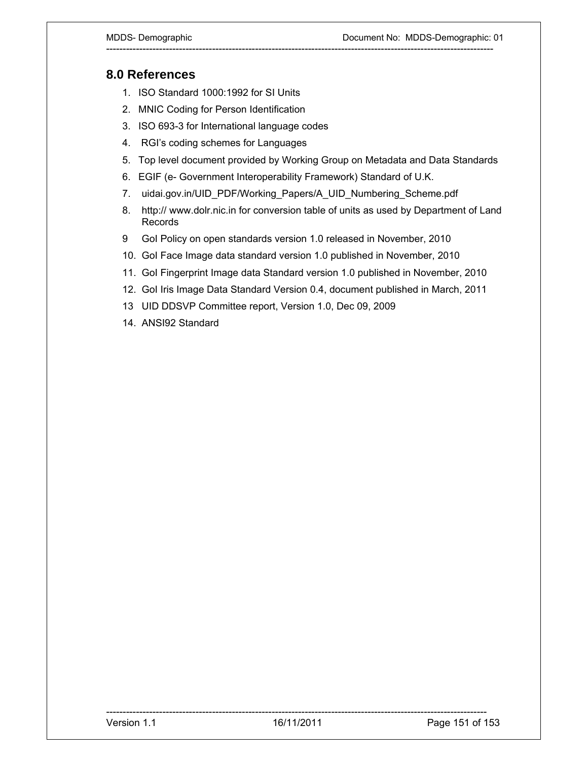## **8.0 References**

- 1. ISO Standard 1000:1992 for SI Units
- 2. MNIC Coding for Person Identification
- 3. ISO 693-3 for International language codes
- 4. RGI's coding schemes for Languages
- 5. Top level document provided by Working Group on Metadata and Data Standards

- 6. EGIF (e- Government Interoperability Framework) Standard of U.K.
- 7. uidai.gov.in/UID\_PDF/Working\_Papers/A\_UID\_Numbering\_Scheme.pdf
- 8. http:// www.dolr.nic.in for conversion table of units as used by Department of Land Records
- 9 GoI Policy on open standards version 1.0 released in November, 2010
- 10. GoI Face Image data standard version 1.0 published in November, 2010
- 11. GoI Fingerprint Image data Standard version 1.0 published in November, 2010
- 12. GoI Iris Image Data Standard Version 0.4, document published in March, 2011
- 13 UID DDSVP Committee report, Version 1.0, Dec 09, 2009
- 14. ANSI92 Standard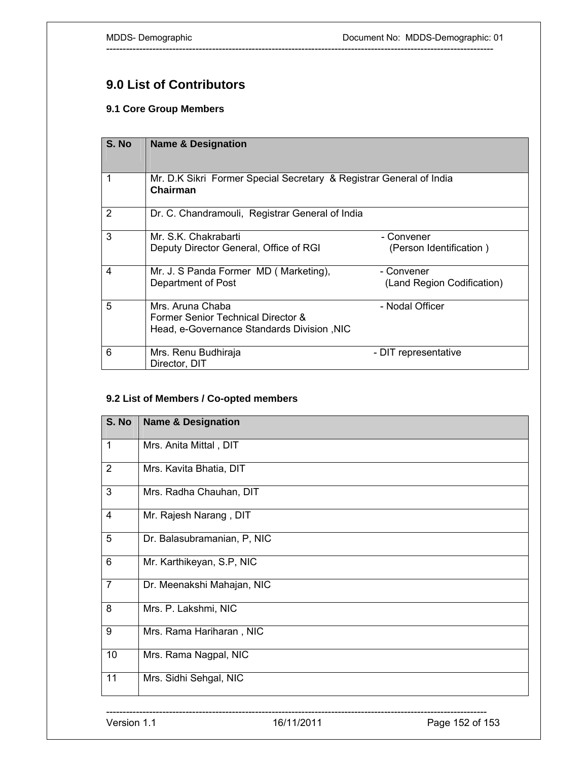# **9.0 List of Contributors**

## **9.1 Core Group Members**

| S. No | <b>Name &amp; Designation</b>                                                                        |                                          |  |
|-------|------------------------------------------------------------------------------------------------------|------------------------------------------|--|
|       | Mr. D.K Sikri Former Special Secretary & Registrar General of India<br>Chairman                      |                                          |  |
| 2     | Dr. C. Chandramouli, Registrar General of India                                                      |                                          |  |
| 3     | Mr. S.K. Chakrabarti<br>Deputy Director General, Office of RGI                                       | - Convener<br>(Person Identification)    |  |
| 4     | Mr. J. S Panda Former MD (Marketing),<br>Department of Post                                          | - Convener<br>(Land Region Codification) |  |
| 5     | Mrs. Aruna Chaba<br>Former Senior Technical Director &<br>Head, e-Governance Standards Division, NIC | - Nodal Officer                          |  |
| 6     | Mrs. Renu Budhiraja<br>Director, DIT                                                                 | - DIT representative                     |  |

---------------------------------------------------------------------------------------------------------------------

#### **9.2 List of Members / Co-opted members**

| S. No          | <b>Name &amp; Designation</b> |
|----------------|-------------------------------|
| $\mathbf{1}$   | Mrs. Anita Mittal, DIT        |
| $\overline{2}$ | Mrs. Kavita Bhatia, DIT       |
| 3              | Mrs. Radha Chauhan, DIT       |
| 4              | Mr. Rajesh Narang, DIT        |
| 5              | Dr. Balasubramanian, P, NIC   |
| $6\phantom{1}$ | Mr. Karthikeyan, S.P, NIC     |
| $\overline{7}$ | Dr. Meenakshi Mahajan, NIC    |
| 8              | Mrs. P. Lakshmi, NIC          |
| 9              | Mrs. Rama Hariharan, NIC      |
| 10             | Mrs. Rama Nagpal, NIC         |
| 11             | Mrs. Sidhi Sehgal, NIC        |
|                |                               |